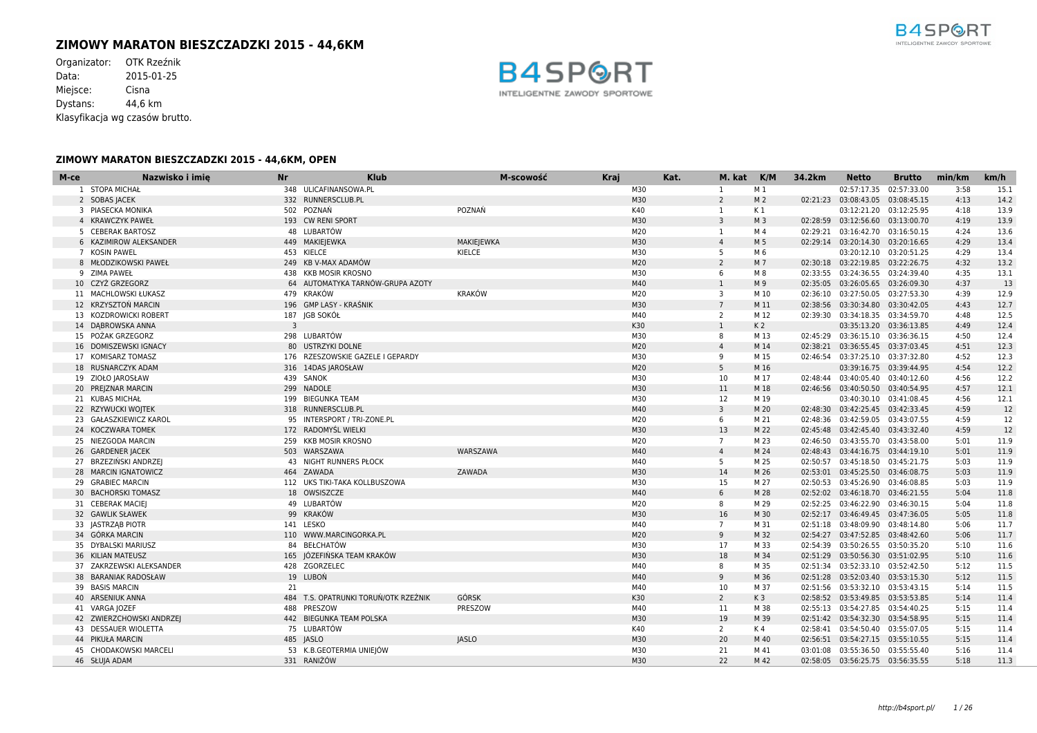# **ZIMOWY MARATON BIESZCZADZKI 2015 - 44,6KM**

Organizator: OTK Rzeźnik<br>Data: 2015-01-25 2015-01-25 Miejsce: Cisna Dystans: 44,6 km Klasyfikacja wg czasów brutto.



| M-ce | Nazwisko i imie<br><b>Nr</b> | <b>Klub</b>                          | M-scowość         | <b>Kraj</b> | Kat. | M. kat          | K/M            | 34.2km | <b>Netto</b>                       | <b>Brutto</b>           | min/km | km/h |
|------|------------------------------|--------------------------------------|-------------------|-------------|------|-----------------|----------------|--------|------------------------------------|-------------------------|--------|------|
|      | 1 STOPA MICHAŁ               | 348 ULICAFINANSOWA.PL                |                   | M30         |      | 1               | M 1            |        |                                    | 02:57:17.35 02:57:33.00 | 3:58   | 15.1 |
|      | 2 SOBAS JACEK                | 332 RUNNERSCLUB.PL                   |                   | M30         |      | $\overline{2}$  | M <sub>2</sub> |        | 02:21:23 03:08:43.05 03:08:45.15   |                         | 4:13   | 14.2 |
|      | 3 PIASECKA MONIKA            | 502 POZNAŃ                           | POZNAŃ            | K40         |      | 1               | K 1            |        |                                    | 03:12:21.20 03:12:25.95 | 4:18   | 13.9 |
|      | 4 KRAWCZYK PAWEŁ             | 193 CW RENI SPORT                    |                   | M30         |      | $\overline{3}$  | M <sub>3</sub> |        | 02:28:59 03:12:56.60 03:13:00.70   |                         | 4:19   | 13.9 |
|      | 5 CEBERAK BARTOSZ            | 48 LUBARTÓW                          |                   | M20         |      | 1               | M 4            |        | 02:29:21 03:16:42.70 03:16:50.15   |                         | 4:24   | 13.6 |
|      | 6 KAZIMIROW ALEKSANDER       | 449 MAKIEJEWKA                       | <b>MAKIEJEWKA</b> | M30         |      | $\overline{4}$  | M 5            |        | 02:29:14 03:20:14.30 03:20:16.65   |                         | 4:29   | 13.4 |
|      | 7 KOSIN PAWEL                | 453 KIELCE                           | KIELCE            | M30         |      | -5              | M 6            |        |                                    | 03:20:12.10 03:20:51.25 | 4:29   | 13.4 |
|      | 8 MŁODZIKOWSKI PAWEŁ         | 249 KB V-MAX ADAMÓW                  |                   | M20         |      | $\overline{2}$  | M 7            |        | 02:30:18 03:22:19.85 03:22:26.75   |                         | 4:32   | 13.2 |
|      | 9 ZIMA PAWEŁ                 | 438 KKB MOSIR KROSNO                 |                   | M30         |      | 6               | M 8            |        | 02:33:55 03:24:36.55 03:24:39.40   |                         | 4:35   | 13.1 |
|      | 10 CZYŻ GRZEGORZ             | 64 AUTOMATYKA TARNÓW-GRUPA AZOTY     |                   | M40         |      | 1               | M 9            |        | 02:35:05 03:26:05.65 03:26:09.30   |                         | 4:37   | 13   |
|      | 11 MACHLOWSKI ŁUKASZ         | 479 KRAKÓW                           | KRAKÓW            | M20         |      | 3               | M 10           |        | 02:36:10 03:27:50.05 03:27:53.30   |                         | 4:39   | 12.9 |
|      | 12 KRZYSZTOŃ MARCIN          | 196 GMP LASY - KRAŚNIK               |                   | M30         |      | $7\overline{ }$ | M 11           |        | 02:38:56 03:30:34.80 03:30:42.05   |                         | 4:43   | 12.7 |
|      | 13 KOZDROWICKI ROBERT        | 187 JGB SOKÓŁ                        |                   | M40         |      | 2               | M 12           |        | 02:39:30 03:34:18.35 03:34:59.70   |                         | 4:48   | 12.5 |
|      | 14 DABROWSKA ANNA            | 3                                    |                   | K30         |      | $\mathbf{1}$    | K <sub>2</sub> |        |                                    | 03:35:13.20 03:36:13.85 | 4:49   | 12.4 |
|      | 15 POŻAK GRZEGORZ            | 298 LUBARTÓW                         |                   | M30         |      | 8               | M 13           |        | 02:45:29 03:36:15.10 03:36:36.15   |                         | 4:50   | 12.4 |
|      | 16 DOMISZEWSKI IGNACY        | 80 USTRZYKI DOLNE                    |                   | M20         |      | $\overline{4}$  | M 14           |        | 02:38:21 03:36:55.45 03:37:03.45   |                         | 4:51   | 12.3 |
|      | 17 KOMISARZ TOMASZ           | 176 RZESZOWSKIE GAZELE I GEPARDY     |                   | M30         |      | 9               | M 15           |        | 02:46:54 03:37:25.10 03:37:32.80   |                         | 4:52   | 12.3 |
|      | 18 RUSNARCZYK ADAM           | 316 14DAS JAROSŁAW                   |                   | M20         |      | 5               | M 16           |        |                                    | 03:39:16.75 03:39:44.95 | 4:54   | 12.2 |
|      | 19 ZIOŁO JAROSŁAW            | 439 SANOK                            |                   | M30         |      | 10              | M 17           |        | 02:48:44  03:40:05.40  03:40:12.60 |                         | 4:56   | 12.2 |
|      | 20 PREJZNAR MARCIN           | 299 NADOLE                           |                   | M30         |      | 11              | M 18           |        | 02:46:56 03:40:50.50 03:40:54.95   |                         | 4:57   | 12.1 |
|      | 21 KUBAS MICHAŁ              | 199 BIEGUNKA TEAM                    |                   | M30         |      | 12              | M 19           |        |                                    | 03:40:30.10 03:41:08.45 | 4:56   | 12.1 |
|      | 22 RZYWUCKI WOJTEK           | 318 RUNNERSCLUB.PL                   |                   | M40         |      | 3               | M 20           |        | 02:48:30 03:42:25.45 03:42:33.45   |                         | 4:59   | 12   |
|      | 23 GAŁASZKIEWICZ KAROL       | 95 INTERSPORT / TRI-ZONE.PL          |                   | M20         |      | 6               | M 21           |        | 02:48:36 03:42:59.05 03:43:07.55   |                         | 4:59   | 12   |
|      | 24 KOCZWARA TOMEK            | 172 RADOMYŚL WIELKI                  |                   | M30         |      | 13              | M 22           |        | 02:45:48  03:42:45.40  03:43:32.40 |                         | 4:59   | 12   |
|      | 25 NIEZGODA MARCIN           | 259 KKB MOSIR KROSNO                 |                   | M20         |      | $7^{\circ}$     | M 23           |        | 02:46:50 03:43:55.70 03:43:58.00   |                         | 5:01   | 11.9 |
|      | 26 GARDENER JACEK            | 503 WARSZAWA                         | WARSZAWA          | M40         |      | $\overline{4}$  | M 24           |        | 02:48:43  03:44:16.75  03:44:19.10 |                         | 5:01   | 11.9 |
|      | 27 BRZEZIŃSKI ANDRZEI        | <b>43 NIGHT RUNNERS PŁOCK</b>        |                   | M40         |      | 5               | M 25           |        | 02:50:57 03:45:18.50 03:45:21.75   |                         | 5:03   | 11.9 |
|      | 28 MARCIN IGNATOWICZ         | 464 ZAWADA                           | ZAWADA            | M30         |      | 14              | M 26           |        | 02:53:01  03:45:25.50  03:46:08.75 |                         | 5:03   | 11.9 |
|      | 29 GRABIEC MARCIN            | 112 UKS TIKI-TAKA KOLLBUSZOWA        |                   | M30         |      | 15              | M 27           |        | 02:50:53 03:45:26.90 03:46:08.85   |                         | 5:03   | 11.9 |
|      | 30 BACHORSKI TOMASZ          | 18 OWSISZCZE                         |                   | M40         |      | 6               | M 28           |        | 02:52:02 03:46:18.70 03:46:21.55   |                         | 5:04   | 11.8 |
|      | 31 CEBERAK MACIEJ            | 49 LUBARTÓW                          |                   | M20         |      | 8               | M 29           |        | 02:52:25 03:46:22.90 03:46:30.15   |                         | 5:04   | 11.8 |
|      | 32 GAWLIK SŁAWEK             | 99 KRAKÓW                            |                   | M30         |      | 16              | M 30           |        | 02:52:17 03:46:49.45 03:47:36.05   |                         | 5:05   | 11.8 |
|      | 33 JASTRZĄB PIOTR            | 141 LESKO                            |                   | M40         |      | $\overline{7}$  | M 31           |        | 02:51:18 03:48:09.90 03:48:14.80   |                         | 5:06   | 11.7 |
|      | 34 GÓRKA MARCIN              | 110 WWW.MARCINGORKA.PL               |                   | M20         |      | 9               | M 32           |        | 02:54:27  03:47:52.85  03:48:42.60 |                         | 5:06   | 11.7 |
|      | 35 DYBALSKI MARIUSZ          | 84 BEŁCHATÓW                         |                   | M30         |      | 17              | M 33           |        | 02:54:39 03:50:26.55 03:50:35.20   |                         | 5:10   | 11.6 |
|      | 36 KILIAN MATEUSZ            | 165 JÓZEFIŃSKA TEAM KRAKÓW           |                   | M30         |      | 18              | M 34           |        | 02:51:29  03:50:56.30  03:51:02.95 |                         | 5:10   | 11.6 |
|      | 37 ZAKRZEWSKI ALEKSANDER     | 428 ZGORZELEC                        |                   | M40         |      | 8               | M 35           |        | 02:51:34  03:52:33.10  03:52:42.50 |                         | 5:12   | 11.5 |
|      | 38 BARANIAK RADOSŁAW         | 19 LUBOŃ                             |                   | M40         |      | 9               | M 36           |        | 02:51:28  03:52:03.40  03:53:15.30 |                         | 5:12   | 11.5 |
|      | 39 BASIS MARCIN<br>21        |                                      |                   | M40         |      | 10              | M 37           |        | 02:51:56 03:53:32.10 03:53:43.15   |                         | 5:14   | 11.5 |
|      | 40 ARSENIUK ANNA             | 484 T.S. OPATRUNKI TORUŃ/OTK RZEŹNIK | <b>GÓRSK</b>      | K30         |      | 2               | K3             |        | 02:58:52 03:53:49.85 03:53:53.85   |                         | 5:14   | 11.4 |
|      | 41 VARGA JOZEF               | 488 PRESZOW                          | PRESZOW           | M40         |      | 11              | M 38           |        | 02:55:13 03:54:27.85 03:54:40.25   |                         | 5:15   | 11.4 |
|      | 42 ZWIERZCHOWSKI ANDRZEJ     | 442 BIEGUNKA TEAM POLSKA             |                   | M30         |      | 19              | M 39           |        | 02:51:42  03:54:32.30  03:54:58.95 |                         | 5:15   | 11.4 |
|      | 43 DESSAUER WIOLETTA         | 75 LUBARTÓW                          |                   | K40         |      | $\overline{2}$  | K 4            |        | 02:58:41  03:54:50.40  03:55:07.05 |                         | 5:15   | 11.4 |
|      | 44 PIKUŁA MARCIN             | 485 JASLO                            | <b>JASLO</b>      | M30         |      | 20              | M 40           |        | 02:56:51  03:54:27.15  03:55:10.55 |                         | 5:15   | 11.4 |
|      | 45 CHODAKOWSKI MARCELI       | 53 K.B.GEOTERMIA UNIEJÓW             |                   | M30         |      | 21              | M 41           |        | 03:01:08 03:55:36.50 03:55:55.40   |                         | 5:16   | 11.4 |
|      | 46 SŁUJA ADAM                | 331 RANIŻÓW                          |                   | M30         |      | 22              | M 42           |        | 02:58:05 03:56:25.75 03:56:35.55   |                         | 5:18   | 11.3 |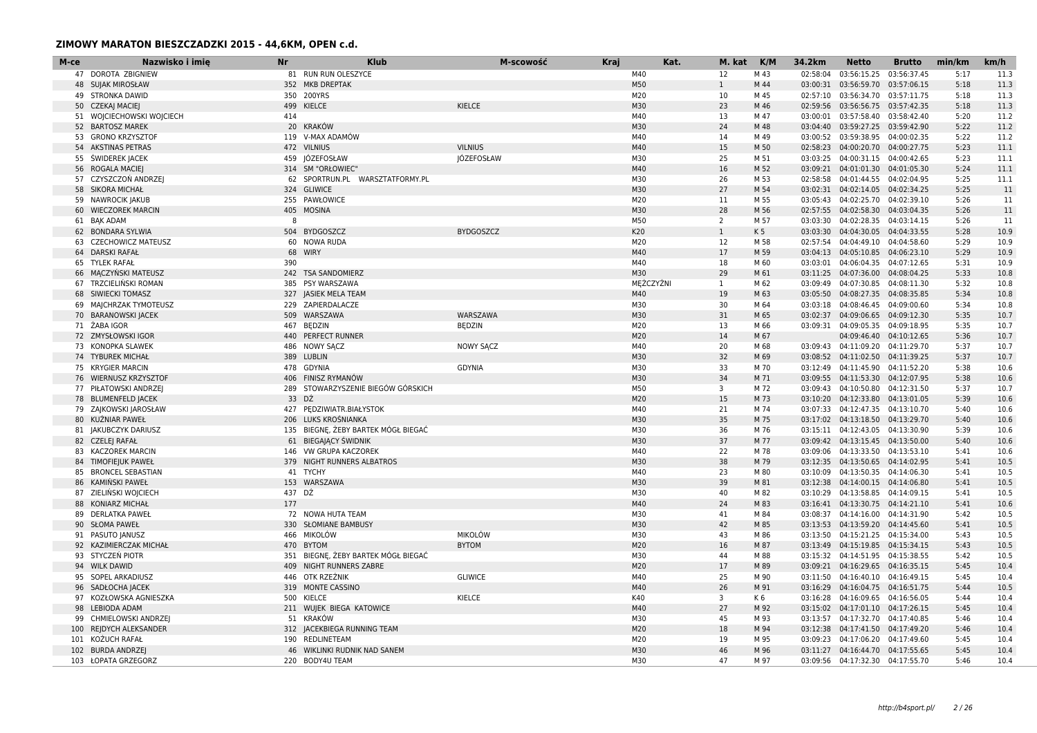| M-ce | Nazwisko i imie           | Nr     | <b>Klub</b>                         | M-scowość         | <b>Kraj</b> | Kat.      | M. kat K/M     |                | 34.2km   | <b>Netto</b>                       | <b>Brutto</b> | min/km | km/h |
|------|---------------------------|--------|-------------------------------------|-------------------|-------------|-----------|----------------|----------------|----------|------------------------------------|---------------|--------|------|
|      | 47 DOROTA ZBIGNIEW        |        | 81 RUN RUN OLESZYCE                 |                   |             | M40       | 12             | M 43           | 02:58:04 | 03:56:15.25                        | 03:56:37.45   | 5:17   | 11.3 |
|      | <b>48 SUJAK MIROSŁAW</b>  |        | 352 MKB DREPTAK                     |                   |             | M50       | $\mathbf{1}$   | M 44           |          | 03:00:31 03:56:59.70 03:57:06.15   |               | 5:18   | 11.3 |
|      | 49 STRONKA DAWID          |        | 350 200YRS                          |                   |             | M20       | 10             | M 45           |          | 02:57:10 03:56:34.70 03:57:11.75   |               | 5:18   | 11.3 |
|      | 50 CZEKAJ MACIEJ          |        | 499 KIELCE                          | KIELCE            |             | M30       | 23             | M 46           |          | 02:59:56 03:56:56.75 03:57:42.35   |               | 5:18   | 11.3 |
|      | 51 WOJCIECHOWSKI WOJCIECH | 414    |                                     |                   |             | M40       | 13             | M 47           |          | 03:00:01 03:57:58.40 03:58:42.40   |               | 5:20   | 11.2 |
|      | 52 BARTOSZ MAREK          |        | 20 KRAKÓW                           |                   |             | M30       | 24             | M 48           |          | 03:04:40 03:59:27.25 03:59:42.90   |               | 5:22   | 11.2 |
|      | 53 GRONO KRZYSZTOF        |        | 119 V-MAX ADAMÓW                    |                   |             | M40       | 14             | M 49           |          | 03:00:52 03:59:38.95 04:00:02.35   |               | 5:22   | 11.2 |
|      | 54 AKSTINAS PETRAS        |        | 472 VILNIUS                         | <b>VILNIUS</b>    |             | M40       | 15             | M 50           |          | 02:58:23  04:00:20.70  04:00:27.75 |               | 5:23   | 11.1 |
|      | 55 ŚWIDEREK JACEK         |        | 459 JÓZEFOSŁAW                      | <b>JÓZEFOSŁAW</b> |             | M30       | 25             | M 51           |          | 03:03:25 04:00:31.15 04:00:42.65   |               | 5:23   | 11.1 |
| 56   | ROGALA MACIEJ             |        | 314 SM "ORŁOWIEC"                   |                   |             | M40       | 16             | M 52           |          | 03:09:21  04:01:01.30  04:01:05.30 |               | 5:24   | 11.1 |
|      | 57 CZYSZCZOŃ ANDRZEJ      |        | 62 SPORTRUN.PL WARSZTATFORMY.PL     |                   |             | M30       | 26             | M 53           |          | 02:58:58 04:01:44.55 04:02:04.95   |               | 5:25   | 11.1 |
|      | 58 SIKORA MICHAŁ          |        | 324 GLIWICE                         |                   |             | M30       | 27             | M 54           |          | 03:02:31  04:02:14.05  04:02:34.25 |               | 5:25   | 11   |
|      | 59 NAWROCIK JAKUB         |        | 255 PAWŁOWICE                       |                   |             | M20       | 11             | M 55           |          | 03:05:43  04:02:25.70  04:02:39.10 |               | 5:26   | 11   |
|      | 60 WIECZOREK MARCIN       |        | 405 MOSINA                          |                   |             | M30       | 28             | M 56           |          | 02:57:55 04:02:58.30 04:03:04.35   |               | 5:26   | 11   |
|      | 61 BAK ADAM               | 8      |                                     |                   |             | M50       | $\overline{2}$ | M 57           |          | 03:03:30  04:02:28.35  04:03:14.15 |               | 5:26   | 11   |
|      | 62 BONDARA SYLWIA         |        | 504 BYDGOSZCZ                       | <b>BYDGOSZCZ</b>  |             | K20       | $\mathbf{1}$   | K <sub>5</sub> |          | 03:03:30  04:04:30.05  04:04:33.55 |               | 5:28   | 10.9 |
| 63   | <b>CZECHOWICZ MATEUSZ</b> |        | 60 NOWA RUDA                        |                   |             | M20       | 12             | M 58           | 02:57:54 | 04:04:49.10 04:04:58.60            |               | 5:29   | 10.9 |
|      | 64 DARSKI RAFAŁ           |        | 68 WIRY                             |                   |             | M40       | 17             | M 59           |          | 03:04:13 04:05:10.85 04:06:23.10   |               | 5:29   | 10.9 |
|      | 65 TYLEK RAFAŁ            | 390    |                                     |                   |             | M40       | 18             | M 60           |          | 03:03:01  04:06:04.35  04:07:12.65 |               | 5:31   | 10.9 |
|      | 66 MACZYŃSKI MATEUSZ      |        | 242 TSA SANDOMIERZ                  |                   |             | M30       | 29             | M 61           |          | 03:11:25  04:07:36.00  04:08:04.25 |               | 5:33   | 10.8 |
|      | 67 TRZCIELIŃSKI ROMAN     |        | 385 PSY WARSZAWA                    |                   |             | MEŻCZYŹNI | 1              | M 62           |          | 03:09:49  04:07:30.85  04:08:11.30 |               | 5:32   | 10.8 |
|      | 68 SIWIECKI TOMASZ        |        | 327 JASIEK MELA TEAM                |                   |             | M40       | 19             | M 63           |          | 03:05:50 04:08:27.35 04:08:35.85   |               | 5:34   | 10.8 |
|      | 69 MAJCHRZAK TYMOTEUSZ    |        | 229 ZAPIERDALACZE                   |                   |             | M30       | 30             | M 64           |          | 03:03:18  04:08:46.45  04:09:00.60 |               | 5:34   | 10.8 |
|      | 70 BARANOWSKI JACEK       |        | 509 WARSZAWA                        | WARSZAWA          |             | M30       | 31             | M 65           |          | 03:02:37  04:09:06.65  04:09:12.30 |               | 5:35   | 10.7 |
|      | 71 ŻABA IGOR              |        | 467 BEDZIN                          | <b>BEDZIN</b>     |             | M20       | 13             | M 66           |          | 03:09:31  04:09:05.35  04:09:18.95 |               | 5:35   | 10.7 |
|      | 72 ZMYSŁOWSKI IGOR        |        | 440 PERFECT RUNNER                  |                   |             | M20       | 14             | M 67           |          | 04:09:46.40 04:10:12.65            |               | 5:36   | 10.7 |
|      | 73 KONOPKA SLAWEK         |        | 486 NOWY SACZ                       | <b>NOWY SACZ</b>  |             | M40       | 20             | M 68           |          | 03:09:43  04:11:09.20  04:11:29.70 |               | 5:37   | 10.7 |
|      | 74 TYBUREK MICHAŁ         |        | 389 LUBLIN                          |                   |             | M30       | 32             | M 69           |          | 03:08:52  04:11:02.50  04:11:39.25 |               | 5:37   | 10.7 |
|      | 75 KRYGIER MARCIN         |        | 478 GDYNIA                          | <b>GDYNIA</b>     |             | M30       | 33             | M 70           |          | 03:12:49  04:11:45.90  04:11:52.20 |               | 5:38   | 10.6 |
|      | 76 WIERNUSZ KRZYSZTOF     |        | 406 FINISZ RYMANÓW                  |                   |             | M30       | 34             | M 71           |          | 03:09:55  04:11:53.30  04:12:07.95 |               | 5:38   | 10.6 |
|      | 77 PIŁATOWSKI ANDRZEJ     |        | 289 STOWARZYSZENIE BIEGÓW GÓRSKICH  |                   |             | M50       | 3              | M 72           |          | 03:09:43  04:10:50.80  04:12:31.50 |               | 5:37   | 10.7 |
|      | 78 BLUMENFELD JACEK       | 33 DŹ  |                                     |                   |             | M20       | 15             | M 73           |          | 03:10:20 04:12:33.80 04:13:01.05   |               | 5:39   | 10.6 |
|      | 79 ZAJKOWSKI JAROSŁAW     |        | 427 PEDZIWIATR.BIAŁYSTOK            |                   |             | M40       | 21             | M 74           |          | 03:07:33  04:12:47.35  04:13:10.70 |               | 5:40   | 10.6 |
|      | 80 KUŹNIAR PAWEŁ          |        | 206 LUKS KROŚNIANKA                 |                   |             | M30       | 35             | M 75           |          | 03:17:02  04:13:18.50  04:13:29.70 |               | 5:40   | 10.6 |
|      | 81 JAKUBCZYK DARIUSZ      |        | 135 BIEGNE, ŻEBY BARTEK MÓGŁ BIEGAĆ |                   |             | M30       | 36             | M 76           | 03:15:11 | 04:12:43.05 04:13:30.90            |               | 5:39   | 10.6 |
|      | 82 CZELEJ RAFAŁ           |        | 61 BIEGAJACY ŚWIDNIK                |                   |             | M30       | 37             | M 77           |          | 03:09:42  04:13:15.45  04:13:50.00 |               | 5:40   | 10.6 |
|      | 83 KACZOREK MARCIN        |        | 146 VW GRUPA KACZOREK               |                   |             | M40       | 22             | M 78           |          | 03:09:06  04:13:33.50  04:13:53.10 |               | 5:41   | 10.6 |
|      | 84 TIMOFIEJUK PAWEŁ       |        | 379 NIGHT RUNNERS ALBATROS          |                   |             | M30       | 38             | M 79           |          | 03:12:35 04:13:50.65 04:14:02.95   |               | 5:41   | 10.5 |
| 85   | <b>BRONCEL SEBASTIAN</b>  |        | 41 TYCHY                            |                   |             | M40       | 23             | M 80           |          | 03:10:09  04:13:50.35  04:14:06.30 |               | 5:41   | 10.5 |
|      | 86 KAMINSKI PAWEŁ         |        | 153 WARSZAWA                        |                   |             | M30       | 39             | M 81           |          | 03:12:38  04:14:00.15  04:14:06.80 |               | 5:41   | 10.5 |
|      | 87 ZIELIŃSKI WOJCIECH     | 437 DŹ |                                     |                   |             | M30       | 40             | M 82           |          | 03:10:29  04:13:58.85  04:14:09.15 |               | 5:41   | 10.5 |
| 88   | <b>KONIARZ MICHAŁ</b>     | 177    |                                     |                   |             | M40       | 24             | M 83           |          | 03:16:41  04:13:30.75  04:14:21.10 |               | 5:41   | 10.6 |
|      | 89 DERLATKA PAWEŁ         |        | 72 NOWA HUTA TEAM                   |                   |             | M30       | 41             | M 84           |          | 03:08:37  04:14:16.00  04:14:31.90 |               | 5:42   | 10.5 |
|      | 90 SŁOMA PAWEŁ            |        | 330 SŁOMIANE BAMBUSY                |                   |             | M30       | 42             | M 85           |          | 03:13:53  04:13:59.20  04:14:45.60 |               | 5:41   | 10.5 |
|      | 91 PASUTO JANUSZ          |        | 466 MIKOLÓW                         | <b>MIKOLÓW</b>    |             | M30       | 43             | M 86           |          | 03:13:50  04:15:21.25  04:15:34.00 |               | 5:43   | 10.5 |
| 92   | KAZIMIERCZAK MICHAŁ       |        | 470 BYTOM                           | <b>BYTOM</b>      |             | M20       | 16             | M 87           |          | 03:13:49  04:15:19.85  04:15:34.15 |               | 5:43   | 10.5 |
|      | 93 STYCZEŃ PIOTR          |        | 351 BIEGNE, ŻEBY BARTEK MÓGŁ BIEGAĆ |                   |             | M30       | 44             | M 88           |          | 03:15:32  04:14:51.95  04:15:38.55 |               | 5:42   | 10.5 |
|      | 94 WILK DAWID             |        | 409 NIGHT RUNNERS ZABRE             |                   |             | M20       | 17             | M 89           |          | 03:09:21  04:16:29.65  04:16:35.15 |               | 5:45   | 10.4 |
|      | 95 SOPEL ARKADIUSZ        |        | 446 OTK RZEŹNIK                     | <b>GLIWICE</b>    |             | M40       | 25             | M 90           |          | 03:11:50  04:16:40.10  04:16:49.15 |               | 5:45   | 10.4 |
|      | 96 SADŁOCHA JACEK         |        | 319 MONTE CASSINO                   |                   |             | M40       | 26             | M 91           |          | 03:16:29  04:16:04.75  04:16:51.75 |               | 5:44   | 10.5 |
|      | 97 KOZŁOWSKA AGNIESZKA    |        | 500 KIELCE                          | KIELCE            |             | K40       | 3              | K 6            |          | 03:16:28  04:16:09.65  04:16:56.05 |               | 5:44   | 10.4 |
|      | 98 LEBIODA ADAM           |        | 211 WUJEK BIEGA KATOWICE            |                   |             | M40       | 27             | M 92           |          | 03:15:02  04:17:01.10  04:17:26.15 |               | 5:45   | 10.4 |
|      | 99 CHMIELOWSKI ANDRZEJ    |        | 51 KRAKÓW                           |                   |             | M30       | 45             | M 93           |          | 03:13:57  04:17:32.70  04:17:40.85 |               | 5:46   | 10.4 |
|      | 100 REJDYCH ALEKSANDER    |        | 312 JACEKBIEGA RUNNING TEAM         |                   |             | M20       | 18             | M 94           |          | 03:12:38  04:17:41.50  04:17:49.20 |               | 5:46   | 10.4 |
|      | 101 KOŻUCH RAFAŁ          |        | 190 REDLINETEAM                     |                   |             | M20       | 19             | M 95           |          | 03:09:23  04:17:06.20  04:17:49.60 |               | 5:45   | 10.4 |
|      | 102 BURDA ANDRZEJ         |        | 46 WIKLINKI RUDNIK NAD SANEM        |                   |             | M30       | 46             | M 96           |          | 03:11:27  04:16:44.70  04:17:55.65 |               | 5:45   | 10.4 |
|      | 103 ŁOPATA GRZEGORZ       |        | 220 BODY4U TEAM                     |                   |             | M30       | 47             | M 97           |          | 03:09:56  04:17:32.30  04:17:55.70 |               | 5:46   | 10.4 |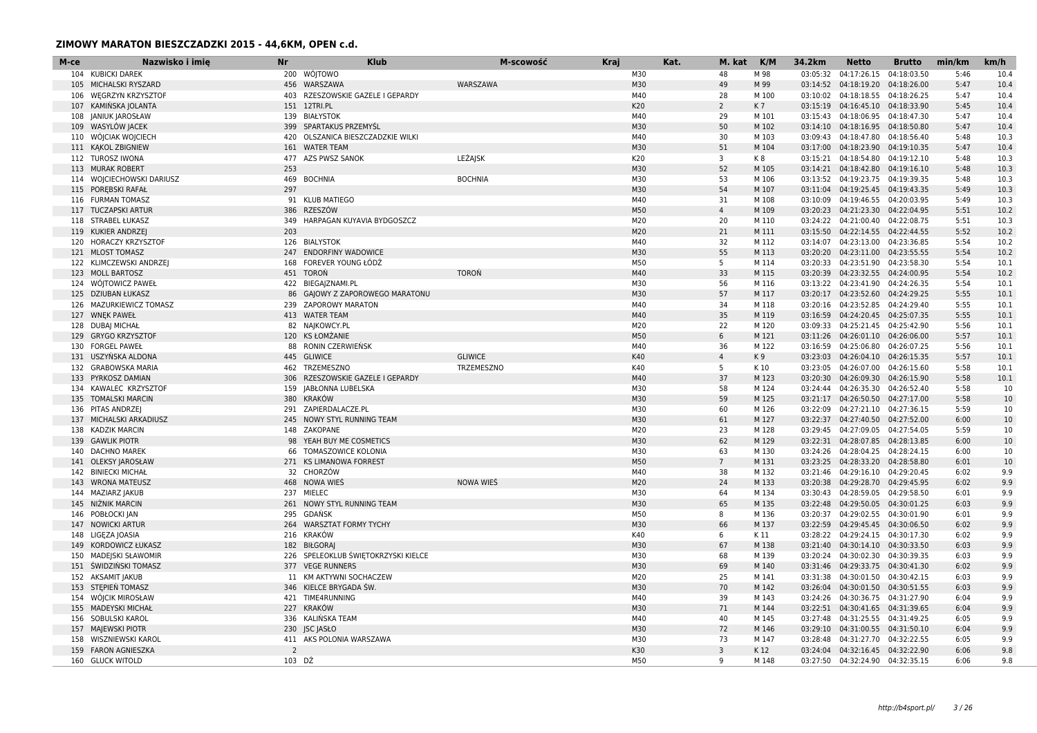| M-ce | Nazwisko i imie                             | <b>Nr</b>      | <b>Klub</b>                                             | M-scowość      | <b>Kraj</b> | Kat. | M. kat         | K/M            | 34.2km   | <b>Netto</b>                                                             | <b>Brutto</b>              | min/km       | km/h         |
|------|---------------------------------------------|----------------|---------------------------------------------------------|----------------|-------------|------|----------------|----------------|----------|--------------------------------------------------------------------------|----------------------------|--------------|--------------|
|      | 104 KUBICKI DAREK                           |                | 200 WÓJTOWO                                             |                | M30         |      | 48             | M 98           | 03:05:32 | 04:17:26.15                                                              | 04:18:03.50                | 5:46         | 10.4         |
|      | 105 MICHALSKI RYSZARD                       |                | 456 WARSZAWA                                            | WARSZAWA       | M30         |      | 49             | M 99           |          | 03:14:52  04:18:19.20  04:18:26.00                                       |                            | 5:47         | 10.4         |
| 106  | <b>WEGRZYN KRZYSZTOR</b>                    |                | 403 RZESZOWSKIE GAZELE I GEPARDY                        |                | M40         |      | 28             | M 100          | 03:10:02 | 04:18:18.55                                                              | 04:18:26.25                | 5:47         | 10.4         |
|      | 107 KAMIŃSKA JOLANTA                        |                | 151 12TRI.PL                                            |                | K20         |      | $\overline{2}$ | K7             |          | 03:15:19  04:16:45.10  04:18:33.90                                       |                            | 5:45         | 10.4         |
|      | 108 JANIUK JAROSŁAW                         |                | 139 BIAŁYSTOK                                           |                | M40         |      | 29             | M 101          |          | 03:15:43  04:18:06.95  04:18:47.30                                       |                            | 5:47         | 10.4         |
|      | 109 WASYLÓW JACEK                           |                | 399 SPARTAKUS PRZEMYŚL                                  |                | M30         |      | 50             | M 102          |          | 03:14:10  04:18:16.95  04:18:50.80                                       |                            | 5:47         | 10.4         |
|      | 110 WÓJCIAK WOJCIECH                        | 420            | OLSZANICA BIESZCZADZKIE WILKI                           |                | M40         |      | 30             | M 103          |          | 03:09:43 04:18:47.80                                                     | 04:18:56.40                | 5:48         | 10.3         |
|      | 111 KAKOL ZBIGNIEW                          |                | 161 WATER TEAM                                          |                | M30         |      | 51             | M 104          |          | 03:17:00  04:18:23.90  04:19:10.35                                       |                            | 5:47         | 10.4         |
|      | 112 TUROSZ IWONA                            |                | 477 AZS PWSZ SANOK                                      | LEŻAJSK        | K20         |      | 3              | K8             |          | 03:15:21  04:18:54.80  04:19:12.10                                       |                            | 5:48         | 10.3         |
| 113  | <b>MURAK ROBERT</b>                         | 253            |                                                         |                | M30         |      | 52             | M 105          |          | 03:14:21  04:18:42.80                                                    | 04:19:16.10                | 5:48         | 10.3         |
|      | 114 WOJCIECHOWSKI DARIUSZ                   | 469            | <b>BOCHNIA</b>                                          | <b>BOCHNIA</b> | M30         |      | 53             | M 106          |          | 03:13:52  04:19:23.75  04:19:39.35                                       |                            | 5:48         | 10.3         |
|      | 115 POREBSKI RAFAŁ                          | 297            |                                                         |                | M30         |      | 54             | M 107          |          | 03:11:04  04:19:25.45  04:19:43.35                                       |                            | 5:49         | 10.3         |
|      | 116 FURMAN TOMASZ                           |                | 91 KLUB MATIEGO                                         |                | M40         |      | 31             | M 108          |          | 03:10:09  04:19:46.55  04:20:03.95                                       |                            | 5:49         | 10.3         |
|      | 117 TUCZAPSKI ARTUR                         | 386            | RZESZÓW                                                 |                | M50         |      | $\overline{4}$ | M 109          |          | 03:20:23  04:21:23.30  04:22:04.95                                       |                            | 5:51         | 10.2         |
|      | 118 STRABEL ŁUKASZ                          | 349            | HARPAGAN KUYAVIA BYDGOSZCZ                              |                | M20         |      | 20             | M 110          |          | 03:24:22  04:21:00.40  04:22:08.75                                       |                            | 5:51         | 10.3         |
|      | 119 KUKIER ANDRZEJ                          | 203            |                                                         |                | M20         |      | 21             | M 111          |          | 03:15:50  04:22:14.55  04:22:44.55                                       |                            | 5:52         | 10.2         |
| 120  | HORACZY KRZYSZTOF                           |                | 126 BIALYSTOK                                           |                | M40         |      | 32             | M 112          |          | 03:14:07 04:23:13.00                                                     | 04:23:36.85                | 5:54         | 10.2         |
|      | 121 MLOST TOMASZ                            |                | 247 ENDORFINY WADOWICE                                  |                | M30         |      | 55             | M 113          |          | 03:20:20  04:23:11.00  04:23:55.55                                       |                            | 5:54         | 10.2         |
|      | 122 KLIMCZEWSKI ANDRZEJ                     |                | 168 FOREVER YOUNG ŁÓDŹ                                  |                | M50         |      | 5              | M 114          |          | 03:20:33  04:23:51.90  04:23:58.30                                       |                            | 5:54         | 10.1         |
|      | 123 MOLL BARTOSZ                            |                | 451 TOROŃ                                               | <b>TORON</b>   | M40<br>M30  |      | 33             | M 115          |          | 03:20:39  04:23:32.55  04:24:00.95                                       |                            | 5:54         | 10.2<br>10.1 |
|      | 124 WOJTOWICZ PAWEŁ<br>125 DZIUBAN ŁUKASZ   |                | 422 BIEGA ZNAMI.PL                                      |                | M30         |      | 56<br>57       | M 116<br>M 117 |          | 03:13:22  04:23:41.90<br>03:20:17 04:23:52.60                            | 04:24:26.35<br>04:24:29.25 | 5:54<br>5:55 |              |
|      | 126 MAZURKIEWICZ TOMASZ                     |                | 86 GAJOWY Z ZAPOROWEGO MARATONU<br>239 ZAPOROWY MARATON |                | M40         |      | 34             | M 118          |          | 03:20:16  04:23:52.85  04:24:29.40                                       |                            | 5:55         | 10.1<br>10.1 |
|      | 127 WNEK PAWEŁ                              |                | 413 WATER TEAM                                          |                | M40         |      | 35             | M 119          |          | 03:16:59  04:24:20.45  04:25:07.35                                       |                            | 5:55         | 10.1         |
|      | 128 DUBAI MICHAŁ                            |                | 82 NAJKOWCY.PL                                          |                | M20         |      | 22             | M 120          |          | 03:09:33  04:25:21.45  04:25:42.90                                       |                            | 5:56         | 10.1         |
| 129  | <b>GRYGO KRZYSZTOF</b>                      |                | 120 KS ŁOMŻANIE                                         |                | M50         |      | 6              | M 121          |          | 03:11:26  04:26:01.10  04:26:06.00                                       |                            | 5:57         | 10.1         |
| 130  | <b>FORGEL PAWEŁ</b>                         | 88             | RONIN CZERWIEŃSK                                        |                | M40         |      | 36             | M 122          |          | 03:16:59  04:25:06.80  04:26:07.25                                       |                            | 5:56         | 10.1         |
|      | 131 USZYŃSKA ALDONA                         |                | 445 GLIWICE                                             | <b>GLIWICE</b> | K40         |      | $\overline{4}$ | K9             |          | 03:23:03  04:26:04.10  04:26:15.35                                       |                            | 5:57         | 10.1         |
|      | 132 GRABOWSKA MARIA                         |                | 462 TRZEMESZNO                                          | TRZEMESZNO     | K40         |      | 5              | K 10           |          | 03:23:05 04:26:07.00                                                     | 04:26:15.60                | 5:58         | 10.1         |
|      | 133 PYRKOSZ DAMIAN                          |                | 306 RZESZOWSKIE GAZELE I GEPARDY                        |                | M40         |      | 37             | M 123          |          | 03:20:30  04:26:09.30  04:26:15.90                                       |                            | 5:58         | 10.1         |
| 134  | KAWALEC KRZYSZTOF                           |                | 159 JABŁONNA LUBELSKA                                   |                | M30         |      | 58             | M 124          |          | 03:24:44  04:26:35.30  04:26:52.40                                       |                            | 5:58         | 10           |
|      | 135 TOMALSKI MARCIN                         |                | 380 KRAKÓW                                              |                | M30         |      | 59             | M 125          |          | 03:21:17  04:26:50.50  04:27:17.00                                       |                            | 5:58         | 10           |
|      | 136 PITAS ANDRZEJ                           |                | 291 ZAPIERDALACZE.PL                                    |                | M30         |      | 60             | M 126          |          | 03:22:09  04:27:21.10  04:27:36.15                                       |                            | 5:59         | 10           |
|      | 137 MICHALSKI ARKADIUSZ                     |                | 245 NOWY STYL RUNNING TEAM                              |                | M30         |      | 61             | M 127          |          | 03:22:37  04:27:40.50  04:27:52.00                                       |                            | 6:00         | 10           |
| 138  | <b>KADZIK MARCIN</b>                        | 148            | ZAKOPANE                                                |                | M20         |      | 23             | M 128          | 03:29:45 | 04:27:09.05                                                              | 04:27:54.05                | 5:59         | 10           |
|      | 139 GAWLIK PIOTR                            | 98             | YEAH BUY ME COSMETICS                                   |                | M30         |      | 62             | M 129          |          | 03:22:31  04:28:07.85  04:28:13.85                                       |                            | 6:00         | 10           |
| 140  | <b>DACHNO MAREK</b>                         | 66             | TOMASZOWICE KOLONIA                                     |                | M30         |      | 63             | M 130          |          | 03:24:26  04:28:04.25  04:28:24.15                                       |                            | 6:00         | 10           |
|      | 141 OLEKSY JAROSŁAW                         |                | 271 KS LIMANOWA FORREST                                 |                | M50         |      | $7^{\circ}$    | M 131          |          | 03:23:25  04:28:33.20  04:28:58.80                                       |                            | 6:01         | 10           |
| 142  | <b>BINIECKI MICHAŁ</b>                      |                | 32 CHORZÓW                                              |                | M40         |      | 38             | M 132          |          | 03:21:46  04:29:16.10  04:29:20.45                                       |                            | 6:02         | 9.9          |
|      | 143 WRONA MATEUSZ                           |                | 468 NOWA WIES                                           | NOWA WIEŚ      | M20         |      | 24             | M 133          |          | 03:20:38  04:29:28.70  04:29:45.95                                       |                            | 6:02         | 9.9          |
| 144  | <b>MAZIARZ JAKUB</b>                        |                | 237 MIELEC                                              |                | M30         |      | 64             | M 134          |          | 03:30:43  04:28:59.05  04:29:58.50                                       |                            | 6:01         | 9.9          |
| 145  | NIŻNIK MARCIN                               |                | 261 NOWY STYL RUNNING TEAM                              |                | M30         |      | 65             | M 135          |          | 03:22:48  04:29:50.05  04:30:01.25                                       |                            | 6:03         | 9.9          |
| 146  | POBŁOCKI JAN                                | 295            | GDAŃSK                                                  |                | M50         |      | 8              | M 136          |          | 03:20:37 04:29:02.55 04:30:01.90                                         |                            | 6:01         | 9.9          |
| 147  | <b>NOWICKI ARTUR</b>                        | 264            | <b>WARSZTAT FORMY TYCHY</b>                             |                | M30         |      | 66             | M 137          |          | 03:22:59 04:29:45.45 04:30:06.50                                         |                            | 6:02         | 9.9          |
| 148  | LIGEZA JOASIA                               | 216            | KRAKÓW                                                  |                | K40         |      | 6              | K 11           |          | 03:28:22  04:29:24.15  04:30:17.30                                       |                            | 6:02         | 9.9          |
| 149  | KORDOWICZ ŁUKASZ                            |                | 182 BIŁGORAJ                                            |                | M30         |      | 67             | M 138          |          | 03:21:40  04:30:14.10  04:30:33.50                                       |                            | 6:03         | 9.9          |
|      | 150 MADEJSKI SŁAWOMIR                       |                | 226 SPELEOKLUB ŚWIĘTOKRZYSKI KIELCE                     |                | M30         |      | 68             | M 139          |          | 03:20:24  04:30:02.30  04:30:39.35                                       |                            | 6:03         | 9.9          |
|      | 151 ŚWIDZIŃSKI TOMASZ                       |                | 377 VEGE RUNNERS                                        |                | M30         |      | 69             | M 140          |          | 03:31:46  04:29:33.75  04:30:41.30                                       |                            | 6:02         | 9.9          |
|      | 152 AKSAMIT JAKUB                           |                | 11 KM AKTYWNI SOCHACZEW                                 |                | M20         |      | 25             | M 141          |          | 03:31:38 04:30:01.50                                                     | 04:30:42.15                | 6:03         | 9.9          |
|      | 153 STEPIEN TOMASZ                          |                | 346 KIELCE BRYGADA ŚW                                   |                | M30         |      | 70             | M 142          |          | 03:26:04  04:30:01.50  04:30:51.55                                       |                            | 6:03         | 9.9          |
|      | 154 WÓJCIK MIROSŁAW                         |                | 421 TIME4RUNNING                                        |                | M40         |      | 39             | M 143          |          | 03:24:26  04:30:36.75  04:31:27.90                                       |                            | 6:04         | 9.9          |
|      | 155 MADEYSKI MICHAŁ                         |                | 227 KRAKÓW                                              |                | M30         |      | 71             | M 144          |          | 03:22:51  04:30:41.65  04:31:39.65                                       |                            | 6:04         | 9.9          |
|      | 156 SOBULSKI KAROL                          |                | 336 KALIŃSKA TEAM                                       |                | M40         |      | 40             | M 145          |          | 03:27:48  04:31:25.55  04:31:49.25                                       |                            | 6:05         | 9.9          |
|      | 157 MAJEWSKI PIOTR<br>158 WISZNIEWSKI KAROL |                | 230 JSC JASŁO<br>411 AKS POLONIA WARSZAWA               |                | M30<br>M30  |      | 72<br>73       | M 146<br>M 147 |          | 03:29:10  04:31:00.55  04:31:50.10<br>03:28:48  04:31:27.70  04:32:22.55 |                            | 6:04<br>6:05 | 9.9<br>9.9   |
|      | 159 FARON AGNIESZKA                         | $\overline{2}$ |                                                         |                | K30         |      | $\overline{3}$ | K 12           |          | 03:24:04  04:32:16.45  04:32:22.90                                       |                            | 6:06         | 9.8          |
|      | 160 GLUCK WITOLD                            | 103 DŹ         |                                                         |                | M50         |      | q              | M 148          |          | 03:27:50  04:32:24.90  04:32:35.15                                       |                            | 6:06         | 9.8          |
|      |                                             |                |                                                         |                |             |      |                |                |          |                                                                          |                            |              |              |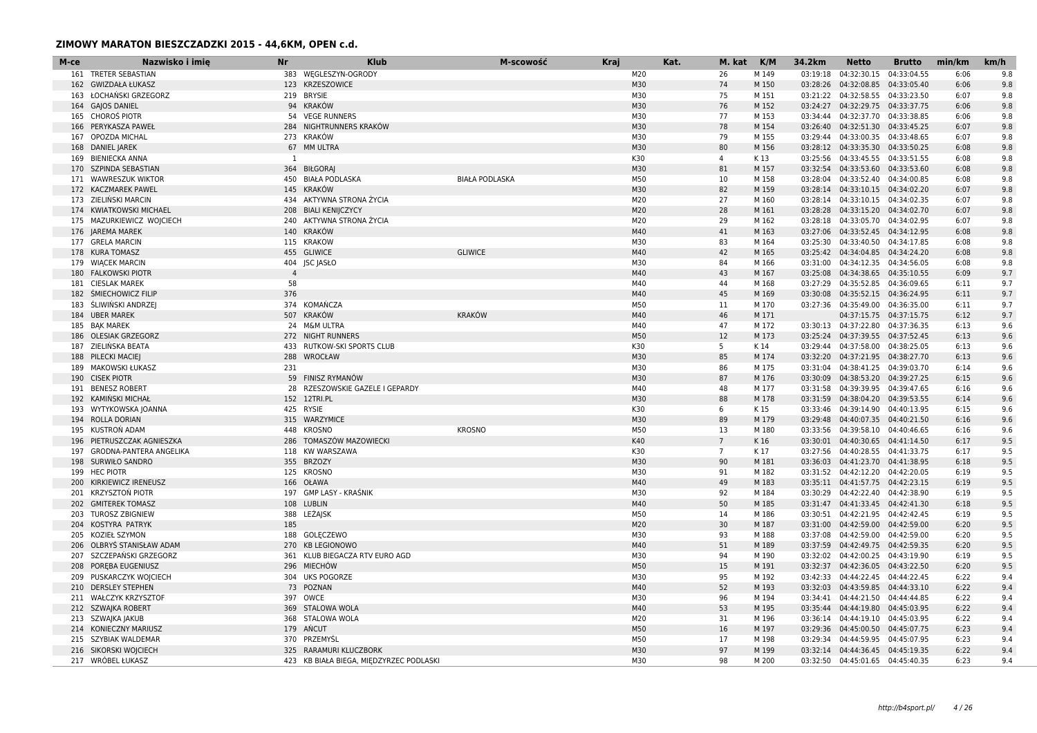| 383 WEGLESZYN-OGRODY<br>M20<br>26<br>M 149<br>04:32:30.15<br>04:33:04.55<br>9.8<br>161 TRETER SEBASTIAN<br>03:19:18<br>6:06<br>123 KRZESZOWICE<br>M30<br>74<br>04:32:08.85 04:33:05.40<br>9.8<br>162 GWIZDAŁA ŁUKASZ<br>M 150<br>03:28:26<br>6:06<br>163 ŁOCHAŃSKI GRZEGORZ<br>219 BRYSIE<br>M30<br>75<br>M 151<br>03:21:22  04:32:58.55  04:33:23.50<br>6:07<br>9.8<br>M30<br>9.8<br>164 GAJOS DANIEL<br>94 KRAKÓW<br>76<br>M 152<br>03:24:27  04:32:29.75  04:33:37.75<br>6:06<br>165 CHOROŚ PIOTR<br>54 VEGE RUNNERS<br>M30<br>03:34:44  04:32:37.70  04:33:38.85<br>9.8<br>77<br>M 153<br>6:06<br>M30<br>PERYKASZA PAWEŁ<br>284 NIGHTRUNNERS KRAKÓW<br>78<br>M 154<br>03:26:40  04:32:51.30  04:33:45.25<br>6:07<br>9.8<br>166<br>M30<br>OPOZDA MICHAL<br>273 KRAKÓW<br>79<br>M 155<br>03:29:44  04:33:00.35  04:33:48.65<br>9.8<br>6:07<br>167<br>67 MM ULTRA<br>M30<br>80<br><b>DANIEL JAREK</b><br>M 156<br>03:28:12  04:33:35.30  04:33:50.25<br>6:08<br>9.8<br>168<br>9.8<br>169 BIENIECKA ANNA<br><sup>1</sup><br>K30<br>$\overline{4}$<br>03:25:56 04:33:45.55 04:33:51.55<br>6:08<br>K 13<br>M30<br>81<br>9.8<br><b>SZPINDA SEBASTIAN</b><br>364 BIŁGORAJ<br>M 157<br>03:32:54 04:33:53.60 04:33:53.60<br>6:08<br>170<br>M50<br>9.8<br>171 WAWRESZUK WIKTOR<br>450 BIAŁA PODLASKA<br><b>BIAŁA PODLASKA</b><br>10<br>M 158<br>03:28:04  04:33:52.40  04:34:00.85<br>6:08<br>M30<br>172 KACZMAREK PAWEL<br>145 KRAKÓW<br>82<br>M 159<br>03:28:14  04:33:10.15  04:34:02.20<br>6:07<br>9.8<br>434 AKTYWNA STRONA ŻYCIA<br>M20<br>27<br>173 ZIELINSKI MARCIN<br>M 160<br>03:28:14  04:33:10.15  04:34:02.35<br>6:07<br>9.8<br>M20<br>28<br>9.8<br>174 KWIATKOWSKI MICHAEL<br>208 BIALI KENIJCZYCY<br>M 161<br>03:28:28  04:33:15.20  04:34:02.70<br>6:07<br>240 AKTYWNA STRONA ŻYCIA<br>M20<br>29<br>03:28:18  04:33:05.70  04:34:02.95<br>9.8<br>175 MAZURKIEWICZ WOJCIECH<br>M 162<br>6:07<br>M40<br>41<br>176 JAREMA MAREK<br>140 KRAKÓW<br>03:27:06  04:33:52.45  04:34:12.95<br>6:08<br>9.8<br>M 163<br>M30<br>177 GRELA MARCIN<br>115 KRAKOW<br>83<br>04:33:40.50 04:34:17.85<br>9.8<br>M 164<br>03:25:30<br>6:08<br>M40<br>42<br>9.8<br>178 KURA TOMASZ<br>455 GLIWICE<br><b>GLIWICE</b><br>M 165<br>03:25:42  04:34:04.85  04:34:24.20<br>6:08<br>M30<br>9.8<br>179 WIACEK MARCIN<br>404 JSC JASŁO<br>84<br>M 166<br>03:31:00 04:34:12.35 04:34:56.05<br>6:08<br>M40<br>43<br>9.7<br><b>FALKOWSKI PIOTR</b><br>$\overline{4}$<br>M 167<br>03:25:08  04:34:38.65  04:35:10.55<br>6:09<br>180<br>181 CIESLAK MAREK<br>58<br>M40<br>44<br>M 168<br>03:27:29  04:35:52.85  04:36:09.65<br>9.7<br>6:11<br>376<br>M40<br>45<br>9.7<br><b>SMIECHOWICZ FILIP</b><br>M 169<br>03:30:08  04:35:52.15  04:36:24.95<br>6:11<br>182<br>374 KOMAŃCZA<br>M50<br>183 ŚLIWIŃSKI ANDRZEJ<br>11<br>M 170<br>03:27:36  04:35:49.00  04:36:35.00<br>6:11<br>9.7<br><b>KRAKÓW</b><br>M40<br>184 UBER MAREK<br>507 KRAKÓW<br>46<br>M 171<br>04:37:15.75   04:37:15.75<br>6:12<br>9.7<br>M40<br>185 BAK MAREK<br>24 M&M ULTRA<br>47<br>M 172<br>03:30:13  04:37:22.80  04:37:36.35<br>6:13<br>9.6<br>M50<br>186 OLESIAK GRZEGORZ<br>272 NIGHT RUNNERS<br>12<br>M 173<br>03:25:24  04:37:39.55  04:37:52.45<br>6:13<br>9.6<br>K30<br>9.6<br>ZIELIŃSKA BEATA<br>433 RUTKOW-SKI SPORTS CLUB<br>5<br>03:29:44  04:37:58.00  04:38:25.05<br>6:13<br>187<br>K 14<br>M30<br>288<br>85<br>9.6<br>PILECKI MACIEJ<br>WROCŁAW<br>M 174<br>03:32:20  04:37:21.95  04:38:27.70<br>6:13<br>188<br>MAKOWSKI ŁUKASZ<br>231<br>M30<br>86<br>03:31:04  04:38:41.25  04:39:03.70<br>9.6<br>189<br>M 175<br>6:14<br>M30<br>190 CISEK PIOTR<br>59 FINISZ RYMANÓW<br>87<br>M 176<br>03:30:09  04:38:53.20  04:39:27.25<br>6:15<br>9.6<br>M40<br><b>BENESZ ROBERT</b><br>28 RZESZOWSKIE GAZELE I GEPARDY<br>48<br>M 177<br>03:31:58  04:39:39.95  04:39:47.65<br>9.6<br>6:16<br>191<br>192 KAMIŃSKI MICHAŁ<br>152 12TRI.PL<br>M30<br>88<br>M 178<br>03:31:59  04:38:04.20  04:39:53.55<br>9.6<br>6:14<br>K30<br>9.6<br>193 WYTYKOWSKA JOANNA<br>425 RYSIE<br>6<br>K 15<br>03:33:46  04:39:14.90  04:40:13.95<br>6:15<br>M30<br>194 ROLLA DORIAN<br>315 WARZYMICE<br>89<br>03:29:48  04:40:07.35  04:40:21.50<br>9.6<br>M 179<br>6:16<br>M50<br>KUSTROŃ ADAM<br>448 KROSNO<br><b>KROSNO</b><br>04:39:58.10 04:40:46.65<br>9.6<br>13<br>M 180<br>03:33:56<br>6:16<br>195<br>K40<br>9.5<br>286 TOMASZÓW MAZOWIECKI<br>$7\overline{ }$<br>03:30:01  04:40:30.65  04:41:14.50<br>6:17<br>196<br>PIETRUSZCZAK AGNIESZKA<br>K 16<br>K30<br>9.5<br>GRODNA-PANTERA ANGELIKA<br>118 KW WARSZAWA<br>$7^{\circ}$<br>K 17<br>03:27:56 04:40:28.55 04:41:33.75<br>6:17<br>197<br>198 SURWIŁO SANDRO<br>355 BRZOZY<br>M30<br>90<br>03:36:03  04:41:23.70  04:41:38.95<br>9.5<br>M 181<br>6:18<br><b>HEC PIOTR</b><br>125 KROSNO<br>M30<br>M 182<br>03:31:52  04:42:12.20  04:42:20.05<br>9.5<br>199<br>91<br>6:19<br>M40<br>9.5<br>KIRKIEWICZ IRENEUSZ<br>166 OŁAWA<br>49<br>M 183<br>03:35:11  04:41:57.75  04:42:23.15<br>6:19<br>200<br>201 KRZYSZTOŃ PIOTR<br>197 GMP LASY - KRAŚNIK<br>M30<br>9.5<br>92<br>M 184<br>03:30:29  04:42:22.40  04:42:38.90<br>6:19<br><b>GMITEREK TOMASZ</b><br>108 LUBLIN<br>M40<br>50<br>M 185<br>03:31:47  04:41:33.45  04:42:41.30<br>9.5<br>6:18<br>202<br>M50<br>388 LEŻAJSK<br>9.5<br><b>TUROSZ ZBIGNIEW</b><br>14<br>M 186<br>03:30:51  04:42:21.95  04:42:42.45<br>6:19<br>203<br>M20<br>204 KOSTYRA PATRYK<br>185<br>30<br>03:31:00  04:42:59.00  04:42:59.00<br>9.5<br>M 187<br>6:20<br>9.5<br>KOZIEŁ SZYMON<br>188 GOLECZEWO<br>M30<br>93<br>M 188<br>03:37:08  04:42:59.00  04:42:59.00<br>6:20<br>205<br>M40<br>51<br>9.5<br>OLBRYS STANISŁAW ADAM<br>270 KB LEGIONOWO<br>M 189<br>03:37:59  04:42:49.75  04:42:59.35<br>6:20<br>206<br>207 SZCZEPAŃSKI GRZEGORZ<br>361 KLUB BIEGACZA RTV EURO AGD<br>M30<br>9.5<br>94<br>M 190<br>03:32:02  04:42:00.25  04:43:19.90<br>6:19<br>M50<br>9.5<br>208 POREBA EUGENIUSZ<br>296 MIECHÓW<br>15<br>M 191<br>03:32:37  04:42:36.05  04:43:22.50<br>6:20<br>209 PUSKARCZYK WOJCIECH<br>304 UKS POGORZE<br>M30<br>95<br>M 192<br>03:42:33  04:44:22.45  04:44:22.45<br>9.4<br>6:22<br>73 POZNAN<br>M40<br>52<br>M 193<br>6:22<br>9.4<br>210 DERSLEY STEPHEN<br>03:32:03  04:43:59.85  04:44:33.10<br>211 WAŁCZYK KRZYSZTOF<br>M30<br>397 OWCE<br>96<br>M 194<br>03:34:41  04:44:21.50  04:44:44.85<br>6:22<br>9.4<br>M40<br>53<br>212 SZWAJKA ROBERT<br>369 STALOWA WOLA<br>M 195<br>03:35:44  04:44:19.80  04:45:03.95<br>6:22<br>9.4<br>368 STALOWA WOLA<br>M20<br>213 SZWAJKA JAKUB<br>31<br>M 196<br>03:36:14  04:44:19.10  04:45:03.95<br>6:22<br>9.4<br>M50<br>214 KONIECZNY MARIUSZ<br>179 ANCUT<br>16<br>M 197<br>03:29:36  04:45:00.50  04:45:07.75<br>6:23<br>9.4<br>215 SZYBIAK WALDEMAR<br>370 PRZEMYŚL<br>M50<br>17<br>M 198<br>03:29:34  04:44:59.95  04:45:07.95<br>6:23<br>9.4<br>216 SIKORSKI WOJCIECH<br>M30<br>97<br>9.4<br>325 RARAMURI KLUCZBORK<br>M 199<br>03:32:14  04:44:36.45  04:45:19.35<br>6:22<br>217 WRÓBEL ŁUKASZ<br>423 KB BIAŁA BIEGA, MIĘDZYRZEC PODLASKI<br>M30<br>98<br>M 200<br>03:32:50  04:45:01.65  04:45:40.35<br>6:23<br>9.4 | M-ce | Nazwisko i imie | <b>Nr</b> | <b>Klub</b> | M-scowość | <b>Kraj</b> | Kat. | M. kat | K/M | 34.2km | <b>Netto</b> | <b>Brutto</b> | min/km | km/h |
|----------------------------------------------------------------------------------------------------------------------------------------------------------------------------------------------------------------------------------------------------------------------------------------------------------------------------------------------------------------------------------------------------------------------------------------------------------------------------------------------------------------------------------------------------------------------------------------------------------------------------------------------------------------------------------------------------------------------------------------------------------------------------------------------------------------------------------------------------------------------------------------------------------------------------------------------------------------------------------------------------------------------------------------------------------------------------------------------------------------------------------------------------------------------------------------------------------------------------------------------------------------------------------------------------------------------------------------------------------------------------------------------------------------------------------------------------------------------------------------------------------------------------------------------------------------------------------------------------------------------------------------------------------------------------------------------------------------------------------------------------------------------------------------------------------------------------------------------------------------------------------------------------------------------------------------------------------------------------------------------------------------------------------------------------------------------------------------------------------------------------------------------------------------------------------------------------------------------------------------------------------------------------------------------------------------------------------------------------------------------------------------------------------------------------------------------------------------------------------------------------------------------------------------------------------------------------------------------------------------------------------------------------------------------------------------------------------------------------------------------------------------------------------------------------------------------------------------------------------------------------------------------------------------------------------------------------------------------------------------------------------------------------------------------------------------------------------------------------------------------------------------------------------------------------------------------------------------------------------------------------------------------------------------------------------------------------------------------------------------------------------------------------------------------------------------------------------------------------------------------------------------------------------------------------------------------------------------------------------------------------------------------------------------------------------------------------------------------------------------------------------------------------------------------------------------------------------------------------------------------------------------------------------------------------------------------------------------------------------------------------------------------------------------------------------------------------------------------------------------------------------------------------------------------------------------------------------------------------------------------------------------------------------------------------------------------------------------------------------------------------------------------------------------------------------------------------------------------------------------------------------------------------------------------------------------------------------------------------------------------------------------------------------------------------------------------------------------------------------------------------------------------------------------------------------------------------------------------------------------------------------------------------------------------------------------------------------------------------------------------------------------------------------------------------------------------------------------------------------------------------------------------------------------------------------------------------------------------------------------------------------------------------------------------------------------------------------------------------------------------------------------------------------------------------------------------------------------------------------------------------------------------------------------------------------------------------------------------------------------------------------------------------------------------------------------------------------------------------------------------------------------------------------------------------------------------------------------------------------------------------------------------------------------------------------------------------------------------------------------------------------------------------------------------------------------------------------------------------------------------------------------------------------------------------------------------------------------------------------------------------------------------------------------------------------------------------------------------------------------------------------------------------------------------------------------------------------------------------------------------------------------------------------------------------------------------------------------------------------------------------------------------------------------------------------------------------------------------------------------------------------------------------------------------------------------------------------------------------------------------------------------------------------------------------------------------------------------------------------------------------------------------------------------------------------------------------------------------------------------|------|-----------------|-----------|-------------|-----------|-------------|------|--------|-----|--------|--------------|---------------|--------|------|
|                                                                                                                                                                                                                                                                                                                                                                                                                                                                                                                                                                                                                                                                                                                                                                                                                                                                                                                                                                                                                                                                                                                                                                                                                                                                                                                                                                                                                                                                                                                                                                                                                                                                                                                                                                                                                                                                                                                                                                                                                                                                                                                                                                                                                                                                                                                                                                                                                                                                                                                                                                                                                                                                                                                                                                                                                                                                                                                                                                                                                                                                                                                                                                                                                                                                                                                                                                                                                                                                                                                                                                                                                                                                                                                                                                                                                                                                                                                                                                                                                                                                                                                                                                                                                                                                                                                                                                                                                                                                                                                                                                                                                                                                                                                                                                                                                                                                                                                                                                                                                                                                                                                                                                                                                                                                                                                                                                                                                                                                                                                                                                                                                                                                                                                                                                                                                                                                                                                                                                                                                                                                                                                                                                                                                                                                                                                                                                                                                                                                                                                                                                                                                                                                                                                                                                                                                                                                                                                                                                                                                                                                                                                |      |                 |           |             |           |             |      |        |     |        |              |               |        |      |
|                                                                                                                                                                                                                                                                                                                                                                                                                                                                                                                                                                                                                                                                                                                                                                                                                                                                                                                                                                                                                                                                                                                                                                                                                                                                                                                                                                                                                                                                                                                                                                                                                                                                                                                                                                                                                                                                                                                                                                                                                                                                                                                                                                                                                                                                                                                                                                                                                                                                                                                                                                                                                                                                                                                                                                                                                                                                                                                                                                                                                                                                                                                                                                                                                                                                                                                                                                                                                                                                                                                                                                                                                                                                                                                                                                                                                                                                                                                                                                                                                                                                                                                                                                                                                                                                                                                                                                                                                                                                                                                                                                                                                                                                                                                                                                                                                                                                                                                                                                                                                                                                                                                                                                                                                                                                                                                                                                                                                                                                                                                                                                                                                                                                                                                                                                                                                                                                                                                                                                                                                                                                                                                                                                                                                                                                                                                                                                                                                                                                                                                                                                                                                                                                                                                                                                                                                                                                                                                                                                                                                                                                                                                |      |                 |           |             |           |             |      |        |     |        |              |               |        |      |
|                                                                                                                                                                                                                                                                                                                                                                                                                                                                                                                                                                                                                                                                                                                                                                                                                                                                                                                                                                                                                                                                                                                                                                                                                                                                                                                                                                                                                                                                                                                                                                                                                                                                                                                                                                                                                                                                                                                                                                                                                                                                                                                                                                                                                                                                                                                                                                                                                                                                                                                                                                                                                                                                                                                                                                                                                                                                                                                                                                                                                                                                                                                                                                                                                                                                                                                                                                                                                                                                                                                                                                                                                                                                                                                                                                                                                                                                                                                                                                                                                                                                                                                                                                                                                                                                                                                                                                                                                                                                                                                                                                                                                                                                                                                                                                                                                                                                                                                                                                                                                                                                                                                                                                                                                                                                                                                                                                                                                                                                                                                                                                                                                                                                                                                                                                                                                                                                                                                                                                                                                                                                                                                                                                                                                                                                                                                                                                                                                                                                                                                                                                                                                                                                                                                                                                                                                                                                                                                                                                                                                                                                                                                |      |                 |           |             |           |             |      |        |     |        |              |               |        |      |
|                                                                                                                                                                                                                                                                                                                                                                                                                                                                                                                                                                                                                                                                                                                                                                                                                                                                                                                                                                                                                                                                                                                                                                                                                                                                                                                                                                                                                                                                                                                                                                                                                                                                                                                                                                                                                                                                                                                                                                                                                                                                                                                                                                                                                                                                                                                                                                                                                                                                                                                                                                                                                                                                                                                                                                                                                                                                                                                                                                                                                                                                                                                                                                                                                                                                                                                                                                                                                                                                                                                                                                                                                                                                                                                                                                                                                                                                                                                                                                                                                                                                                                                                                                                                                                                                                                                                                                                                                                                                                                                                                                                                                                                                                                                                                                                                                                                                                                                                                                                                                                                                                                                                                                                                                                                                                                                                                                                                                                                                                                                                                                                                                                                                                                                                                                                                                                                                                                                                                                                                                                                                                                                                                                                                                                                                                                                                                                                                                                                                                                                                                                                                                                                                                                                                                                                                                                                                                                                                                                                                                                                                                                                |      |                 |           |             |           |             |      |        |     |        |              |               |        |      |
|                                                                                                                                                                                                                                                                                                                                                                                                                                                                                                                                                                                                                                                                                                                                                                                                                                                                                                                                                                                                                                                                                                                                                                                                                                                                                                                                                                                                                                                                                                                                                                                                                                                                                                                                                                                                                                                                                                                                                                                                                                                                                                                                                                                                                                                                                                                                                                                                                                                                                                                                                                                                                                                                                                                                                                                                                                                                                                                                                                                                                                                                                                                                                                                                                                                                                                                                                                                                                                                                                                                                                                                                                                                                                                                                                                                                                                                                                                                                                                                                                                                                                                                                                                                                                                                                                                                                                                                                                                                                                                                                                                                                                                                                                                                                                                                                                                                                                                                                                                                                                                                                                                                                                                                                                                                                                                                                                                                                                                                                                                                                                                                                                                                                                                                                                                                                                                                                                                                                                                                                                                                                                                                                                                                                                                                                                                                                                                                                                                                                                                                                                                                                                                                                                                                                                                                                                                                                                                                                                                                                                                                                                                                |      |                 |           |             |           |             |      |        |     |        |              |               |        |      |
|                                                                                                                                                                                                                                                                                                                                                                                                                                                                                                                                                                                                                                                                                                                                                                                                                                                                                                                                                                                                                                                                                                                                                                                                                                                                                                                                                                                                                                                                                                                                                                                                                                                                                                                                                                                                                                                                                                                                                                                                                                                                                                                                                                                                                                                                                                                                                                                                                                                                                                                                                                                                                                                                                                                                                                                                                                                                                                                                                                                                                                                                                                                                                                                                                                                                                                                                                                                                                                                                                                                                                                                                                                                                                                                                                                                                                                                                                                                                                                                                                                                                                                                                                                                                                                                                                                                                                                                                                                                                                                                                                                                                                                                                                                                                                                                                                                                                                                                                                                                                                                                                                                                                                                                                                                                                                                                                                                                                                                                                                                                                                                                                                                                                                                                                                                                                                                                                                                                                                                                                                                                                                                                                                                                                                                                                                                                                                                                                                                                                                                                                                                                                                                                                                                                                                                                                                                                                                                                                                                                                                                                                                                                |      |                 |           |             |           |             |      |        |     |        |              |               |        |      |
|                                                                                                                                                                                                                                                                                                                                                                                                                                                                                                                                                                                                                                                                                                                                                                                                                                                                                                                                                                                                                                                                                                                                                                                                                                                                                                                                                                                                                                                                                                                                                                                                                                                                                                                                                                                                                                                                                                                                                                                                                                                                                                                                                                                                                                                                                                                                                                                                                                                                                                                                                                                                                                                                                                                                                                                                                                                                                                                                                                                                                                                                                                                                                                                                                                                                                                                                                                                                                                                                                                                                                                                                                                                                                                                                                                                                                                                                                                                                                                                                                                                                                                                                                                                                                                                                                                                                                                                                                                                                                                                                                                                                                                                                                                                                                                                                                                                                                                                                                                                                                                                                                                                                                                                                                                                                                                                                                                                                                                                                                                                                                                                                                                                                                                                                                                                                                                                                                                                                                                                                                                                                                                                                                                                                                                                                                                                                                                                                                                                                                                                                                                                                                                                                                                                                                                                                                                                                                                                                                                                                                                                                                                                |      |                 |           |             |           |             |      |        |     |        |              |               |        |      |
|                                                                                                                                                                                                                                                                                                                                                                                                                                                                                                                                                                                                                                                                                                                                                                                                                                                                                                                                                                                                                                                                                                                                                                                                                                                                                                                                                                                                                                                                                                                                                                                                                                                                                                                                                                                                                                                                                                                                                                                                                                                                                                                                                                                                                                                                                                                                                                                                                                                                                                                                                                                                                                                                                                                                                                                                                                                                                                                                                                                                                                                                                                                                                                                                                                                                                                                                                                                                                                                                                                                                                                                                                                                                                                                                                                                                                                                                                                                                                                                                                                                                                                                                                                                                                                                                                                                                                                                                                                                                                                                                                                                                                                                                                                                                                                                                                                                                                                                                                                                                                                                                                                                                                                                                                                                                                                                                                                                                                                                                                                                                                                                                                                                                                                                                                                                                                                                                                                                                                                                                                                                                                                                                                                                                                                                                                                                                                                                                                                                                                                                                                                                                                                                                                                                                                                                                                                                                                                                                                                                                                                                                                                                |      |                 |           |             |           |             |      |        |     |        |              |               |        |      |
|                                                                                                                                                                                                                                                                                                                                                                                                                                                                                                                                                                                                                                                                                                                                                                                                                                                                                                                                                                                                                                                                                                                                                                                                                                                                                                                                                                                                                                                                                                                                                                                                                                                                                                                                                                                                                                                                                                                                                                                                                                                                                                                                                                                                                                                                                                                                                                                                                                                                                                                                                                                                                                                                                                                                                                                                                                                                                                                                                                                                                                                                                                                                                                                                                                                                                                                                                                                                                                                                                                                                                                                                                                                                                                                                                                                                                                                                                                                                                                                                                                                                                                                                                                                                                                                                                                                                                                                                                                                                                                                                                                                                                                                                                                                                                                                                                                                                                                                                                                                                                                                                                                                                                                                                                                                                                                                                                                                                                                                                                                                                                                                                                                                                                                                                                                                                                                                                                                                                                                                                                                                                                                                                                                                                                                                                                                                                                                                                                                                                                                                                                                                                                                                                                                                                                                                                                                                                                                                                                                                                                                                                                                                |      |                 |           |             |           |             |      |        |     |        |              |               |        |      |
|                                                                                                                                                                                                                                                                                                                                                                                                                                                                                                                                                                                                                                                                                                                                                                                                                                                                                                                                                                                                                                                                                                                                                                                                                                                                                                                                                                                                                                                                                                                                                                                                                                                                                                                                                                                                                                                                                                                                                                                                                                                                                                                                                                                                                                                                                                                                                                                                                                                                                                                                                                                                                                                                                                                                                                                                                                                                                                                                                                                                                                                                                                                                                                                                                                                                                                                                                                                                                                                                                                                                                                                                                                                                                                                                                                                                                                                                                                                                                                                                                                                                                                                                                                                                                                                                                                                                                                                                                                                                                                                                                                                                                                                                                                                                                                                                                                                                                                                                                                                                                                                                                                                                                                                                                                                                                                                                                                                                                                                                                                                                                                                                                                                                                                                                                                                                                                                                                                                                                                                                                                                                                                                                                                                                                                                                                                                                                                                                                                                                                                                                                                                                                                                                                                                                                                                                                                                                                                                                                                                                                                                                                                                |      |                 |           |             |           |             |      |        |     |        |              |               |        |      |
|                                                                                                                                                                                                                                                                                                                                                                                                                                                                                                                                                                                                                                                                                                                                                                                                                                                                                                                                                                                                                                                                                                                                                                                                                                                                                                                                                                                                                                                                                                                                                                                                                                                                                                                                                                                                                                                                                                                                                                                                                                                                                                                                                                                                                                                                                                                                                                                                                                                                                                                                                                                                                                                                                                                                                                                                                                                                                                                                                                                                                                                                                                                                                                                                                                                                                                                                                                                                                                                                                                                                                                                                                                                                                                                                                                                                                                                                                                                                                                                                                                                                                                                                                                                                                                                                                                                                                                                                                                                                                                                                                                                                                                                                                                                                                                                                                                                                                                                                                                                                                                                                                                                                                                                                                                                                                                                                                                                                                                                                                                                                                                                                                                                                                                                                                                                                                                                                                                                                                                                                                                                                                                                                                                                                                                                                                                                                                                                                                                                                                                                                                                                                                                                                                                                                                                                                                                                                                                                                                                                                                                                                                                                |      |                 |           |             |           |             |      |        |     |        |              |               |        |      |
|                                                                                                                                                                                                                                                                                                                                                                                                                                                                                                                                                                                                                                                                                                                                                                                                                                                                                                                                                                                                                                                                                                                                                                                                                                                                                                                                                                                                                                                                                                                                                                                                                                                                                                                                                                                                                                                                                                                                                                                                                                                                                                                                                                                                                                                                                                                                                                                                                                                                                                                                                                                                                                                                                                                                                                                                                                                                                                                                                                                                                                                                                                                                                                                                                                                                                                                                                                                                                                                                                                                                                                                                                                                                                                                                                                                                                                                                                                                                                                                                                                                                                                                                                                                                                                                                                                                                                                                                                                                                                                                                                                                                                                                                                                                                                                                                                                                                                                                                                                                                                                                                                                                                                                                                                                                                                                                                                                                                                                                                                                                                                                                                                                                                                                                                                                                                                                                                                                                                                                                                                                                                                                                                                                                                                                                                                                                                                                                                                                                                                                                                                                                                                                                                                                                                                                                                                                                                                                                                                                                                                                                                                                                |      |                 |           |             |           |             |      |        |     |        |              |               |        |      |
|                                                                                                                                                                                                                                                                                                                                                                                                                                                                                                                                                                                                                                                                                                                                                                                                                                                                                                                                                                                                                                                                                                                                                                                                                                                                                                                                                                                                                                                                                                                                                                                                                                                                                                                                                                                                                                                                                                                                                                                                                                                                                                                                                                                                                                                                                                                                                                                                                                                                                                                                                                                                                                                                                                                                                                                                                                                                                                                                                                                                                                                                                                                                                                                                                                                                                                                                                                                                                                                                                                                                                                                                                                                                                                                                                                                                                                                                                                                                                                                                                                                                                                                                                                                                                                                                                                                                                                                                                                                                                                                                                                                                                                                                                                                                                                                                                                                                                                                                                                                                                                                                                                                                                                                                                                                                                                                                                                                                                                                                                                                                                                                                                                                                                                                                                                                                                                                                                                                                                                                                                                                                                                                                                                                                                                                                                                                                                                                                                                                                                                                                                                                                                                                                                                                                                                                                                                                                                                                                                                                                                                                                                                                |      |                 |           |             |           |             |      |        |     |        |              |               |        |      |
|                                                                                                                                                                                                                                                                                                                                                                                                                                                                                                                                                                                                                                                                                                                                                                                                                                                                                                                                                                                                                                                                                                                                                                                                                                                                                                                                                                                                                                                                                                                                                                                                                                                                                                                                                                                                                                                                                                                                                                                                                                                                                                                                                                                                                                                                                                                                                                                                                                                                                                                                                                                                                                                                                                                                                                                                                                                                                                                                                                                                                                                                                                                                                                                                                                                                                                                                                                                                                                                                                                                                                                                                                                                                                                                                                                                                                                                                                                                                                                                                                                                                                                                                                                                                                                                                                                                                                                                                                                                                                                                                                                                                                                                                                                                                                                                                                                                                                                                                                                                                                                                                                                                                                                                                                                                                                                                                                                                                                                                                                                                                                                                                                                                                                                                                                                                                                                                                                                                                                                                                                                                                                                                                                                                                                                                                                                                                                                                                                                                                                                                                                                                                                                                                                                                                                                                                                                                                                                                                                                                                                                                                                                                |      |                 |           |             |           |             |      |        |     |        |              |               |        |      |
|                                                                                                                                                                                                                                                                                                                                                                                                                                                                                                                                                                                                                                                                                                                                                                                                                                                                                                                                                                                                                                                                                                                                                                                                                                                                                                                                                                                                                                                                                                                                                                                                                                                                                                                                                                                                                                                                                                                                                                                                                                                                                                                                                                                                                                                                                                                                                                                                                                                                                                                                                                                                                                                                                                                                                                                                                                                                                                                                                                                                                                                                                                                                                                                                                                                                                                                                                                                                                                                                                                                                                                                                                                                                                                                                                                                                                                                                                                                                                                                                                                                                                                                                                                                                                                                                                                                                                                                                                                                                                                                                                                                                                                                                                                                                                                                                                                                                                                                                                                                                                                                                                                                                                                                                                                                                                                                                                                                                                                                                                                                                                                                                                                                                                                                                                                                                                                                                                                                                                                                                                                                                                                                                                                                                                                                                                                                                                                                                                                                                                                                                                                                                                                                                                                                                                                                                                                                                                                                                                                                                                                                                                                                |      |                 |           |             |           |             |      |        |     |        |              |               |        |      |
|                                                                                                                                                                                                                                                                                                                                                                                                                                                                                                                                                                                                                                                                                                                                                                                                                                                                                                                                                                                                                                                                                                                                                                                                                                                                                                                                                                                                                                                                                                                                                                                                                                                                                                                                                                                                                                                                                                                                                                                                                                                                                                                                                                                                                                                                                                                                                                                                                                                                                                                                                                                                                                                                                                                                                                                                                                                                                                                                                                                                                                                                                                                                                                                                                                                                                                                                                                                                                                                                                                                                                                                                                                                                                                                                                                                                                                                                                                                                                                                                                                                                                                                                                                                                                                                                                                                                                                                                                                                                                                                                                                                                                                                                                                                                                                                                                                                                                                                                                                                                                                                                                                                                                                                                                                                                                                                                                                                                                                                                                                                                                                                                                                                                                                                                                                                                                                                                                                                                                                                                                                                                                                                                                                                                                                                                                                                                                                                                                                                                                                                                                                                                                                                                                                                                                                                                                                                                                                                                                                                                                                                                                                                |      |                 |           |             |           |             |      |        |     |        |              |               |        |      |
|                                                                                                                                                                                                                                                                                                                                                                                                                                                                                                                                                                                                                                                                                                                                                                                                                                                                                                                                                                                                                                                                                                                                                                                                                                                                                                                                                                                                                                                                                                                                                                                                                                                                                                                                                                                                                                                                                                                                                                                                                                                                                                                                                                                                                                                                                                                                                                                                                                                                                                                                                                                                                                                                                                                                                                                                                                                                                                                                                                                                                                                                                                                                                                                                                                                                                                                                                                                                                                                                                                                                                                                                                                                                                                                                                                                                                                                                                                                                                                                                                                                                                                                                                                                                                                                                                                                                                                                                                                                                                                                                                                                                                                                                                                                                                                                                                                                                                                                                                                                                                                                                                                                                                                                                                                                                                                                                                                                                                                                                                                                                                                                                                                                                                                                                                                                                                                                                                                                                                                                                                                                                                                                                                                                                                                                                                                                                                                                                                                                                                                                                                                                                                                                                                                                                                                                                                                                                                                                                                                                                                                                                                                                |      |                 |           |             |           |             |      |        |     |        |              |               |        |      |
|                                                                                                                                                                                                                                                                                                                                                                                                                                                                                                                                                                                                                                                                                                                                                                                                                                                                                                                                                                                                                                                                                                                                                                                                                                                                                                                                                                                                                                                                                                                                                                                                                                                                                                                                                                                                                                                                                                                                                                                                                                                                                                                                                                                                                                                                                                                                                                                                                                                                                                                                                                                                                                                                                                                                                                                                                                                                                                                                                                                                                                                                                                                                                                                                                                                                                                                                                                                                                                                                                                                                                                                                                                                                                                                                                                                                                                                                                                                                                                                                                                                                                                                                                                                                                                                                                                                                                                                                                                                                                                                                                                                                                                                                                                                                                                                                                                                                                                                                                                                                                                                                                                                                                                                                                                                                                                                                                                                                                                                                                                                                                                                                                                                                                                                                                                                                                                                                                                                                                                                                                                                                                                                                                                                                                                                                                                                                                                                                                                                                                                                                                                                                                                                                                                                                                                                                                                                                                                                                                                                                                                                                                                                |      |                 |           |             |           |             |      |        |     |        |              |               |        |      |
|                                                                                                                                                                                                                                                                                                                                                                                                                                                                                                                                                                                                                                                                                                                                                                                                                                                                                                                                                                                                                                                                                                                                                                                                                                                                                                                                                                                                                                                                                                                                                                                                                                                                                                                                                                                                                                                                                                                                                                                                                                                                                                                                                                                                                                                                                                                                                                                                                                                                                                                                                                                                                                                                                                                                                                                                                                                                                                                                                                                                                                                                                                                                                                                                                                                                                                                                                                                                                                                                                                                                                                                                                                                                                                                                                                                                                                                                                                                                                                                                                                                                                                                                                                                                                                                                                                                                                                                                                                                                                                                                                                                                                                                                                                                                                                                                                                                                                                                                                                                                                                                                                                                                                                                                                                                                                                                                                                                                                                                                                                                                                                                                                                                                                                                                                                                                                                                                                                                                                                                                                                                                                                                                                                                                                                                                                                                                                                                                                                                                                                                                                                                                                                                                                                                                                                                                                                                                                                                                                                                                                                                                                                                |      |                 |           |             |           |             |      |        |     |        |              |               |        |      |
|                                                                                                                                                                                                                                                                                                                                                                                                                                                                                                                                                                                                                                                                                                                                                                                                                                                                                                                                                                                                                                                                                                                                                                                                                                                                                                                                                                                                                                                                                                                                                                                                                                                                                                                                                                                                                                                                                                                                                                                                                                                                                                                                                                                                                                                                                                                                                                                                                                                                                                                                                                                                                                                                                                                                                                                                                                                                                                                                                                                                                                                                                                                                                                                                                                                                                                                                                                                                                                                                                                                                                                                                                                                                                                                                                                                                                                                                                                                                                                                                                                                                                                                                                                                                                                                                                                                                                                                                                                                                                                                                                                                                                                                                                                                                                                                                                                                                                                                                                                                                                                                                                                                                                                                                                                                                                                                                                                                                                                                                                                                                                                                                                                                                                                                                                                                                                                                                                                                                                                                                                                                                                                                                                                                                                                                                                                                                                                                                                                                                                                                                                                                                                                                                                                                                                                                                                                                                                                                                                                                                                                                                                                                |      |                 |           |             |           |             |      |        |     |        |              |               |        |      |
|                                                                                                                                                                                                                                                                                                                                                                                                                                                                                                                                                                                                                                                                                                                                                                                                                                                                                                                                                                                                                                                                                                                                                                                                                                                                                                                                                                                                                                                                                                                                                                                                                                                                                                                                                                                                                                                                                                                                                                                                                                                                                                                                                                                                                                                                                                                                                                                                                                                                                                                                                                                                                                                                                                                                                                                                                                                                                                                                                                                                                                                                                                                                                                                                                                                                                                                                                                                                                                                                                                                                                                                                                                                                                                                                                                                                                                                                                                                                                                                                                                                                                                                                                                                                                                                                                                                                                                                                                                                                                                                                                                                                                                                                                                                                                                                                                                                                                                                                                                                                                                                                                                                                                                                                                                                                                                                                                                                                                                                                                                                                                                                                                                                                                                                                                                                                                                                                                                                                                                                                                                                                                                                                                                                                                                                                                                                                                                                                                                                                                                                                                                                                                                                                                                                                                                                                                                                                                                                                                                                                                                                                                                                |      |                 |           |             |           |             |      |        |     |        |              |               |        |      |
|                                                                                                                                                                                                                                                                                                                                                                                                                                                                                                                                                                                                                                                                                                                                                                                                                                                                                                                                                                                                                                                                                                                                                                                                                                                                                                                                                                                                                                                                                                                                                                                                                                                                                                                                                                                                                                                                                                                                                                                                                                                                                                                                                                                                                                                                                                                                                                                                                                                                                                                                                                                                                                                                                                                                                                                                                                                                                                                                                                                                                                                                                                                                                                                                                                                                                                                                                                                                                                                                                                                                                                                                                                                                                                                                                                                                                                                                                                                                                                                                                                                                                                                                                                                                                                                                                                                                                                                                                                                                                                                                                                                                                                                                                                                                                                                                                                                                                                                                                                                                                                                                                                                                                                                                                                                                                                                                                                                                                                                                                                                                                                                                                                                                                                                                                                                                                                                                                                                                                                                                                                                                                                                                                                                                                                                                                                                                                                                                                                                                                                                                                                                                                                                                                                                                                                                                                                                                                                                                                                                                                                                                                                                |      |                 |           |             |           |             |      |        |     |        |              |               |        |      |
|                                                                                                                                                                                                                                                                                                                                                                                                                                                                                                                                                                                                                                                                                                                                                                                                                                                                                                                                                                                                                                                                                                                                                                                                                                                                                                                                                                                                                                                                                                                                                                                                                                                                                                                                                                                                                                                                                                                                                                                                                                                                                                                                                                                                                                                                                                                                                                                                                                                                                                                                                                                                                                                                                                                                                                                                                                                                                                                                                                                                                                                                                                                                                                                                                                                                                                                                                                                                                                                                                                                                                                                                                                                                                                                                                                                                                                                                                                                                                                                                                                                                                                                                                                                                                                                                                                                                                                                                                                                                                                                                                                                                                                                                                                                                                                                                                                                                                                                                                                                                                                                                                                                                                                                                                                                                                                                                                                                                                                                                                                                                                                                                                                                                                                                                                                                                                                                                                                                                                                                                                                                                                                                                                                                                                                                                                                                                                                                                                                                                                                                                                                                                                                                                                                                                                                                                                                                                                                                                                                                                                                                                                                                |      |                 |           |             |           |             |      |        |     |        |              |               |        |      |
|                                                                                                                                                                                                                                                                                                                                                                                                                                                                                                                                                                                                                                                                                                                                                                                                                                                                                                                                                                                                                                                                                                                                                                                                                                                                                                                                                                                                                                                                                                                                                                                                                                                                                                                                                                                                                                                                                                                                                                                                                                                                                                                                                                                                                                                                                                                                                                                                                                                                                                                                                                                                                                                                                                                                                                                                                                                                                                                                                                                                                                                                                                                                                                                                                                                                                                                                                                                                                                                                                                                                                                                                                                                                                                                                                                                                                                                                                                                                                                                                                                                                                                                                                                                                                                                                                                                                                                                                                                                                                                                                                                                                                                                                                                                                                                                                                                                                                                                                                                                                                                                                                                                                                                                                                                                                                                                                                                                                                                                                                                                                                                                                                                                                                                                                                                                                                                                                                                                                                                                                                                                                                                                                                                                                                                                                                                                                                                                                                                                                                                                                                                                                                                                                                                                                                                                                                                                                                                                                                                                                                                                                                                                |      |                 |           |             |           |             |      |        |     |        |              |               |        |      |
|                                                                                                                                                                                                                                                                                                                                                                                                                                                                                                                                                                                                                                                                                                                                                                                                                                                                                                                                                                                                                                                                                                                                                                                                                                                                                                                                                                                                                                                                                                                                                                                                                                                                                                                                                                                                                                                                                                                                                                                                                                                                                                                                                                                                                                                                                                                                                                                                                                                                                                                                                                                                                                                                                                                                                                                                                                                                                                                                                                                                                                                                                                                                                                                                                                                                                                                                                                                                                                                                                                                                                                                                                                                                                                                                                                                                                                                                                                                                                                                                                                                                                                                                                                                                                                                                                                                                                                                                                                                                                                                                                                                                                                                                                                                                                                                                                                                                                                                                                                                                                                                                                                                                                                                                                                                                                                                                                                                                                                                                                                                                                                                                                                                                                                                                                                                                                                                                                                                                                                                                                                                                                                                                                                                                                                                                                                                                                                                                                                                                                                                                                                                                                                                                                                                                                                                                                                                                                                                                                                                                                                                                                                                |      |                 |           |             |           |             |      |        |     |        |              |               |        |      |
|                                                                                                                                                                                                                                                                                                                                                                                                                                                                                                                                                                                                                                                                                                                                                                                                                                                                                                                                                                                                                                                                                                                                                                                                                                                                                                                                                                                                                                                                                                                                                                                                                                                                                                                                                                                                                                                                                                                                                                                                                                                                                                                                                                                                                                                                                                                                                                                                                                                                                                                                                                                                                                                                                                                                                                                                                                                                                                                                                                                                                                                                                                                                                                                                                                                                                                                                                                                                                                                                                                                                                                                                                                                                                                                                                                                                                                                                                                                                                                                                                                                                                                                                                                                                                                                                                                                                                                                                                                                                                                                                                                                                                                                                                                                                                                                                                                                                                                                                                                                                                                                                                                                                                                                                                                                                                                                                                                                                                                                                                                                                                                                                                                                                                                                                                                                                                                                                                                                                                                                                                                                                                                                                                                                                                                                                                                                                                                                                                                                                                                                                                                                                                                                                                                                                                                                                                                                                                                                                                                                                                                                                                                                |      |                 |           |             |           |             |      |        |     |        |              |               |        |      |
|                                                                                                                                                                                                                                                                                                                                                                                                                                                                                                                                                                                                                                                                                                                                                                                                                                                                                                                                                                                                                                                                                                                                                                                                                                                                                                                                                                                                                                                                                                                                                                                                                                                                                                                                                                                                                                                                                                                                                                                                                                                                                                                                                                                                                                                                                                                                                                                                                                                                                                                                                                                                                                                                                                                                                                                                                                                                                                                                                                                                                                                                                                                                                                                                                                                                                                                                                                                                                                                                                                                                                                                                                                                                                                                                                                                                                                                                                                                                                                                                                                                                                                                                                                                                                                                                                                                                                                                                                                                                                                                                                                                                                                                                                                                                                                                                                                                                                                                                                                                                                                                                                                                                                                                                                                                                                                                                                                                                                                                                                                                                                                                                                                                                                                                                                                                                                                                                                                                                                                                                                                                                                                                                                                                                                                                                                                                                                                                                                                                                                                                                                                                                                                                                                                                                                                                                                                                                                                                                                                                                                                                                                                                |      |                 |           |             |           |             |      |        |     |        |              |               |        |      |
|                                                                                                                                                                                                                                                                                                                                                                                                                                                                                                                                                                                                                                                                                                                                                                                                                                                                                                                                                                                                                                                                                                                                                                                                                                                                                                                                                                                                                                                                                                                                                                                                                                                                                                                                                                                                                                                                                                                                                                                                                                                                                                                                                                                                                                                                                                                                                                                                                                                                                                                                                                                                                                                                                                                                                                                                                                                                                                                                                                                                                                                                                                                                                                                                                                                                                                                                                                                                                                                                                                                                                                                                                                                                                                                                                                                                                                                                                                                                                                                                                                                                                                                                                                                                                                                                                                                                                                                                                                                                                                                                                                                                                                                                                                                                                                                                                                                                                                                                                                                                                                                                                                                                                                                                                                                                                                                                                                                                                                                                                                                                                                                                                                                                                                                                                                                                                                                                                                                                                                                                                                                                                                                                                                                                                                                                                                                                                                                                                                                                                                                                                                                                                                                                                                                                                                                                                                                                                                                                                                                                                                                                                                                |      |                 |           |             |           |             |      |        |     |        |              |               |        |      |
|                                                                                                                                                                                                                                                                                                                                                                                                                                                                                                                                                                                                                                                                                                                                                                                                                                                                                                                                                                                                                                                                                                                                                                                                                                                                                                                                                                                                                                                                                                                                                                                                                                                                                                                                                                                                                                                                                                                                                                                                                                                                                                                                                                                                                                                                                                                                                                                                                                                                                                                                                                                                                                                                                                                                                                                                                                                                                                                                                                                                                                                                                                                                                                                                                                                                                                                                                                                                                                                                                                                                                                                                                                                                                                                                                                                                                                                                                                                                                                                                                                                                                                                                                                                                                                                                                                                                                                                                                                                                                                                                                                                                                                                                                                                                                                                                                                                                                                                                                                                                                                                                                                                                                                                                                                                                                                                                                                                                                                                                                                                                                                                                                                                                                                                                                                                                                                                                                                                                                                                                                                                                                                                                                                                                                                                                                                                                                                                                                                                                                                                                                                                                                                                                                                                                                                                                                                                                                                                                                                                                                                                                                                                |      |                 |           |             |           |             |      |        |     |        |              |               |        |      |
|                                                                                                                                                                                                                                                                                                                                                                                                                                                                                                                                                                                                                                                                                                                                                                                                                                                                                                                                                                                                                                                                                                                                                                                                                                                                                                                                                                                                                                                                                                                                                                                                                                                                                                                                                                                                                                                                                                                                                                                                                                                                                                                                                                                                                                                                                                                                                                                                                                                                                                                                                                                                                                                                                                                                                                                                                                                                                                                                                                                                                                                                                                                                                                                                                                                                                                                                                                                                                                                                                                                                                                                                                                                                                                                                                                                                                                                                                                                                                                                                                                                                                                                                                                                                                                                                                                                                                                                                                                                                                                                                                                                                                                                                                                                                                                                                                                                                                                                                                                                                                                                                                                                                                                                                                                                                                                                                                                                                                                                                                                                                                                                                                                                                                                                                                                                                                                                                                                                                                                                                                                                                                                                                                                                                                                                                                                                                                                                                                                                                                                                                                                                                                                                                                                                                                                                                                                                                                                                                                                                                                                                                                                                |      |                 |           |             |           |             |      |        |     |        |              |               |        |      |
|                                                                                                                                                                                                                                                                                                                                                                                                                                                                                                                                                                                                                                                                                                                                                                                                                                                                                                                                                                                                                                                                                                                                                                                                                                                                                                                                                                                                                                                                                                                                                                                                                                                                                                                                                                                                                                                                                                                                                                                                                                                                                                                                                                                                                                                                                                                                                                                                                                                                                                                                                                                                                                                                                                                                                                                                                                                                                                                                                                                                                                                                                                                                                                                                                                                                                                                                                                                                                                                                                                                                                                                                                                                                                                                                                                                                                                                                                                                                                                                                                                                                                                                                                                                                                                                                                                                                                                                                                                                                                                                                                                                                                                                                                                                                                                                                                                                                                                                                                                                                                                                                                                                                                                                                                                                                                                                                                                                                                                                                                                                                                                                                                                                                                                                                                                                                                                                                                                                                                                                                                                                                                                                                                                                                                                                                                                                                                                                                                                                                                                                                                                                                                                                                                                                                                                                                                                                                                                                                                                                                                                                                                                                |      |                 |           |             |           |             |      |        |     |        |              |               |        |      |
|                                                                                                                                                                                                                                                                                                                                                                                                                                                                                                                                                                                                                                                                                                                                                                                                                                                                                                                                                                                                                                                                                                                                                                                                                                                                                                                                                                                                                                                                                                                                                                                                                                                                                                                                                                                                                                                                                                                                                                                                                                                                                                                                                                                                                                                                                                                                                                                                                                                                                                                                                                                                                                                                                                                                                                                                                                                                                                                                                                                                                                                                                                                                                                                                                                                                                                                                                                                                                                                                                                                                                                                                                                                                                                                                                                                                                                                                                                                                                                                                                                                                                                                                                                                                                                                                                                                                                                                                                                                                                                                                                                                                                                                                                                                                                                                                                                                                                                                                                                                                                                                                                                                                                                                                                                                                                                                                                                                                                                                                                                                                                                                                                                                                                                                                                                                                                                                                                                                                                                                                                                                                                                                                                                                                                                                                                                                                                                                                                                                                                                                                                                                                                                                                                                                                                                                                                                                                                                                                                                                                                                                                                                                |      |                 |           |             |           |             |      |        |     |        |              |               |        |      |
|                                                                                                                                                                                                                                                                                                                                                                                                                                                                                                                                                                                                                                                                                                                                                                                                                                                                                                                                                                                                                                                                                                                                                                                                                                                                                                                                                                                                                                                                                                                                                                                                                                                                                                                                                                                                                                                                                                                                                                                                                                                                                                                                                                                                                                                                                                                                                                                                                                                                                                                                                                                                                                                                                                                                                                                                                                                                                                                                                                                                                                                                                                                                                                                                                                                                                                                                                                                                                                                                                                                                                                                                                                                                                                                                                                                                                                                                                                                                                                                                                                                                                                                                                                                                                                                                                                                                                                                                                                                                                                                                                                                                                                                                                                                                                                                                                                                                                                                                                                                                                                                                                                                                                                                                                                                                                                                                                                                                                                                                                                                                                                                                                                                                                                                                                                                                                                                                                                                                                                                                                                                                                                                                                                                                                                                                                                                                                                                                                                                                                                                                                                                                                                                                                                                                                                                                                                                                                                                                                                                                                                                                                                                |      |                 |           |             |           |             |      |        |     |        |              |               |        |      |
|                                                                                                                                                                                                                                                                                                                                                                                                                                                                                                                                                                                                                                                                                                                                                                                                                                                                                                                                                                                                                                                                                                                                                                                                                                                                                                                                                                                                                                                                                                                                                                                                                                                                                                                                                                                                                                                                                                                                                                                                                                                                                                                                                                                                                                                                                                                                                                                                                                                                                                                                                                                                                                                                                                                                                                                                                                                                                                                                                                                                                                                                                                                                                                                                                                                                                                                                                                                                                                                                                                                                                                                                                                                                                                                                                                                                                                                                                                                                                                                                                                                                                                                                                                                                                                                                                                                                                                                                                                                                                                                                                                                                                                                                                                                                                                                                                                                                                                                                                                                                                                                                                                                                                                                                                                                                                                                                                                                                                                                                                                                                                                                                                                                                                                                                                                                                                                                                                                                                                                                                                                                                                                                                                                                                                                                                                                                                                                                                                                                                                                                                                                                                                                                                                                                                                                                                                                                                                                                                                                                                                                                                                                                |      |                 |           |             |           |             |      |        |     |        |              |               |        |      |
|                                                                                                                                                                                                                                                                                                                                                                                                                                                                                                                                                                                                                                                                                                                                                                                                                                                                                                                                                                                                                                                                                                                                                                                                                                                                                                                                                                                                                                                                                                                                                                                                                                                                                                                                                                                                                                                                                                                                                                                                                                                                                                                                                                                                                                                                                                                                                                                                                                                                                                                                                                                                                                                                                                                                                                                                                                                                                                                                                                                                                                                                                                                                                                                                                                                                                                                                                                                                                                                                                                                                                                                                                                                                                                                                                                                                                                                                                                                                                                                                                                                                                                                                                                                                                                                                                                                                                                                                                                                                                                                                                                                                                                                                                                                                                                                                                                                                                                                                                                                                                                                                                                                                                                                                                                                                                                                                                                                                                                                                                                                                                                                                                                                                                                                                                                                                                                                                                                                                                                                                                                                                                                                                                                                                                                                                                                                                                                                                                                                                                                                                                                                                                                                                                                                                                                                                                                                                                                                                                                                                                                                                                                                |      |                 |           |             |           |             |      |        |     |        |              |               |        |      |
|                                                                                                                                                                                                                                                                                                                                                                                                                                                                                                                                                                                                                                                                                                                                                                                                                                                                                                                                                                                                                                                                                                                                                                                                                                                                                                                                                                                                                                                                                                                                                                                                                                                                                                                                                                                                                                                                                                                                                                                                                                                                                                                                                                                                                                                                                                                                                                                                                                                                                                                                                                                                                                                                                                                                                                                                                                                                                                                                                                                                                                                                                                                                                                                                                                                                                                                                                                                                                                                                                                                                                                                                                                                                                                                                                                                                                                                                                                                                                                                                                                                                                                                                                                                                                                                                                                                                                                                                                                                                                                                                                                                                                                                                                                                                                                                                                                                                                                                                                                                                                                                                                                                                                                                                                                                                                                                                                                                                                                                                                                                                                                                                                                                                                                                                                                                                                                                                                                                                                                                                                                                                                                                                                                                                                                                                                                                                                                                                                                                                                                                                                                                                                                                                                                                                                                                                                                                                                                                                                                                                                                                                                                                |      |                 |           |             |           |             |      |        |     |        |              |               |        |      |
|                                                                                                                                                                                                                                                                                                                                                                                                                                                                                                                                                                                                                                                                                                                                                                                                                                                                                                                                                                                                                                                                                                                                                                                                                                                                                                                                                                                                                                                                                                                                                                                                                                                                                                                                                                                                                                                                                                                                                                                                                                                                                                                                                                                                                                                                                                                                                                                                                                                                                                                                                                                                                                                                                                                                                                                                                                                                                                                                                                                                                                                                                                                                                                                                                                                                                                                                                                                                                                                                                                                                                                                                                                                                                                                                                                                                                                                                                                                                                                                                                                                                                                                                                                                                                                                                                                                                                                                                                                                                                                                                                                                                                                                                                                                                                                                                                                                                                                                                                                                                                                                                                                                                                                                                                                                                                                                                                                                                                                                                                                                                                                                                                                                                                                                                                                                                                                                                                                                                                                                                                                                                                                                                                                                                                                                                                                                                                                                                                                                                                                                                                                                                                                                                                                                                                                                                                                                                                                                                                                                                                                                                                                                |      |                 |           |             |           |             |      |        |     |        |              |               |        |      |
|                                                                                                                                                                                                                                                                                                                                                                                                                                                                                                                                                                                                                                                                                                                                                                                                                                                                                                                                                                                                                                                                                                                                                                                                                                                                                                                                                                                                                                                                                                                                                                                                                                                                                                                                                                                                                                                                                                                                                                                                                                                                                                                                                                                                                                                                                                                                                                                                                                                                                                                                                                                                                                                                                                                                                                                                                                                                                                                                                                                                                                                                                                                                                                                                                                                                                                                                                                                                                                                                                                                                                                                                                                                                                                                                                                                                                                                                                                                                                                                                                                                                                                                                                                                                                                                                                                                                                                                                                                                                                                                                                                                                                                                                                                                                                                                                                                                                                                                                                                                                                                                                                                                                                                                                                                                                                                                                                                                                                                                                                                                                                                                                                                                                                                                                                                                                                                                                                                                                                                                                                                                                                                                                                                                                                                                                                                                                                                                                                                                                                                                                                                                                                                                                                                                                                                                                                                                                                                                                                                                                                                                                                                                |      |                 |           |             |           |             |      |        |     |        |              |               |        |      |
|                                                                                                                                                                                                                                                                                                                                                                                                                                                                                                                                                                                                                                                                                                                                                                                                                                                                                                                                                                                                                                                                                                                                                                                                                                                                                                                                                                                                                                                                                                                                                                                                                                                                                                                                                                                                                                                                                                                                                                                                                                                                                                                                                                                                                                                                                                                                                                                                                                                                                                                                                                                                                                                                                                                                                                                                                                                                                                                                                                                                                                                                                                                                                                                                                                                                                                                                                                                                                                                                                                                                                                                                                                                                                                                                                                                                                                                                                                                                                                                                                                                                                                                                                                                                                                                                                                                                                                                                                                                                                                                                                                                                                                                                                                                                                                                                                                                                                                                                                                                                                                                                                                                                                                                                                                                                                                                                                                                                                                                                                                                                                                                                                                                                                                                                                                                                                                                                                                                                                                                                                                                                                                                                                                                                                                                                                                                                                                                                                                                                                                                                                                                                                                                                                                                                                                                                                                                                                                                                                                                                                                                                                                                |      |                 |           |             |           |             |      |        |     |        |              |               |        |      |
|                                                                                                                                                                                                                                                                                                                                                                                                                                                                                                                                                                                                                                                                                                                                                                                                                                                                                                                                                                                                                                                                                                                                                                                                                                                                                                                                                                                                                                                                                                                                                                                                                                                                                                                                                                                                                                                                                                                                                                                                                                                                                                                                                                                                                                                                                                                                                                                                                                                                                                                                                                                                                                                                                                                                                                                                                                                                                                                                                                                                                                                                                                                                                                                                                                                                                                                                                                                                                                                                                                                                                                                                                                                                                                                                                                                                                                                                                                                                                                                                                                                                                                                                                                                                                                                                                                                                                                                                                                                                                                                                                                                                                                                                                                                                                                                                                                                                                                                                                                                                                                                                                                                                                                                                                                                                                                                                                                                                                                                                                                                                                                                                                                                                                                                                                                                                                                                                                                                                                                                                                                                                                                                                                                                                                                                                                                                                                                                                                                                                                                                                                                                                                                                                                                                                                                                                                                                                                                                                                                                                                                                                                                                |      |                 |           |             |           |             |      |        |     |        |              |               |        |      |
|                                                                                                                                                                                                                                                                                                                                                                                                                                                                                                                                                                                                                                                                                                                                                                                                                                                                                                                                                                                                                                                                                                                                                                                                                                                                                                                                                                                                                                                                                                                                                                                                                                                                                                                                                                                                                                                                                                                                                                                                                                                                                                                                                                                                                                                                                                                                                                                                                                                                                                                                                                                                                                                                                                                                                                                                                                                                                                                                                                                                                                                                                                                                                                                                                                                                                                                                                                                                                                                                                                                                                                                                                                                                                                                                                                                                                                                                                                                                                                                                                                                                                                                                                                                                                                                                                                                                                                                                                                                                                                                                                                                                                                                                                                                                                                                                                                                                                                                                                                                                                                                                                                                                                                                                                                                                                                                                                                                                                                                                                                                                                                                                                                                                                                                                                                                                                                                                                                                                                                                                                                                                                                                                                                                                                                                                                                                                                                                                                                                                                                                                                                                                                                                                                                                                                                                                                                                                                                                                                                                                                                                                                                                |      |                 |           |             |           |             |      |        |     |        |              |               |        |      |
|                                                                                                                                                                                                                                                                                                                                                                                                                                                                                                                                                                                                                                                                                                                                                                                                                                                                                                                                                                                                                                                                                                                                                                                                                                                                                                                                                                                                                                                                                                                                                                                                                                                                                                                                                                                                                                                                                                                                                                                                                                                                                                                                                                                                                                                                                                                                                                                                                                                                                                                                                                                                                                                                                                                                                                                                                                                                                                                                                                                                                                                                                                                                                                                                                                                                                                                                                                                                                                                                                                                                                                                                                                                                                                                                                                                                                                                                                                                                                                                                                                                                                                                                                                                                                                                                                                                                                                                                                                                                                                                                                                                                                                                                                                                                                                                                                                                                                                                                                                                                                                                                                                                                                                                                                                                                                                                                                                                                                                                                                                                                                                                                                                                                                                                                                                                                                                                                                                                                                                                                                                                                                                                                                                                                                                                                                                                                                                                                                                                                                                                                                                                                                                                                                                                                                                                                                                                                                                                                                                                                                                                                                                                |      |                 |           |             |           |             |      |        |     |        |              |               |        |      |
|                                                                                                                                                                                                                                                                                                                                                                                                                                                                                                                                                                                                                                                                                                                                                                                                                                                                                                                                                                                                                                                                                                                                                                                                                                                                                                                                                                                                                                                                                                                                                                                                                                                                                                                                                                                                                                                                                                                                                                                                                                                                                                                                                                                                                                                                                                                                                                                                                                                                                                                                                                                                                                                                                                                                                                                                                                                                                                                                                                                                                                                                                                                                                                                                                                                                                                                                                                                                                                                                                                                                                                                                                                                                                                                                                                                                                                                                                                                                                                                                                                                                                                                                                                                                                                                                                                                                                                                                                                                                                                                                                                                                                                                                                                                                                                                                                                                                                                                                                                                                                                                                                                                                                                                                                                                                                                                                                                                                                                                                                                                                                                                                                                                                                                                                                                                                                                                                                                                                                                                                                                                                                                                                                                                                                                                                                                                                                                                                                                                                                                                                                                                                                                                                                                                                                                                                                                                                                                                                                                                                                                                                                                                |      |                 |           |             |           |             |      |        |     |        |              |               |        |      |
|                                                                                                                                                                                                                                                                                                                                                                                                                                                                                                                                                                                                                                                                                                                                                                                                                                                                                                                                                                                                                                                                                                                                                                                                                                                                                                                                                                                                                                                                                                                                                                                                                                                                                                                                                                                                                                                                                                                                                                                                                                                                                                                                                                                                                                                                                                                                                                                                                                                                                                                                                                                                                                                                                                                                                                                                                                                                                                                                                                                                                                                                                                                                                                                                                                                                                                                                                                                                                                                                                                                                                                                                                                                                                                                                                                                                                                                                                                                                                                                                                                                                                                                                                                                                                                                                                                                                                                                                                                                                                                                                                                                                                                                                                                                                                                                                                                                                                                                                                                                                                                                                                                                                                                                                                                                                                                                                                                                                                                                                                                                                                                                                                                                                                                                                                                                                                                                                                                                                                                                                                                                                                                                                                                                                                                                                                                                                                                                                                                                                                                                                                                                                                                                                                                                                                                                                                                                                                                                                                                                                                                                                                                                |      |                 |           |             |           |             |      |        |     |        |              |               |        |      |
|                                                                                                                                                                                                                                                                                                                                                                                                                                                                                                                                                                                                                                                                                                                                                                                                                                                                                                                                                                                                                                                                                                                                                                                                                                                                                                                                                                                                                                                                                                                                                                                                                                                                                                                                                                                                                                                                                                                                                                                                                                                                                                                                                                                                                                                                                                                                                                                                                                                                                                                                                                                                                                                                                                                                                                                                                                                                                                                                                                                                                                                                                                                                                                                                                                                                                                                                                                                                                                                                                                                                                                                                                                                                                                                                                                                                                                                                                                                                                                                                                                                                                                                                                                                                                                                                                                                                                                                                                                                                                                                                                                                                                                                                                                                                                                                                                                                                                                                                                                                                                                                                                                                                                                                                                                                                                                                                                                                                                                                                                                                                                                                                                                                                                                                                                                                                                                                                                                                                                                                                                                                                                                                                                                                                                                                                                                                                                                                                                                                                                                                                                                                                                                                                                                                                                                                                                                                                                                                                                                                                                                                                                                                |      |                 |           |             |           |             |      |        |     |        |              |               |        |      |
|                                                                                                                                                                                                                                                                                                                                                                                                                                                                                                                                                                                                                                                                                                                                                                                                                                                                                                                                                                                                                                                                                                                                                                                                                                                                                                                                                                                                                                                                                                                                                                                                                                                                                                                                                                                                                                                                                                                                                                                                                                                                                                                                                                                                                                                                                                                                                                                                                                                                                                                                                                                                                                                                                                                                                                                                                                                                                                                                                                                                                                                                                                                                                                                                                                                                                                                                                                                                                                                                                                                                                                                                                                                                                                                                                                                                                                                                                                                                                                                                                                                                                                                                                                                                                                                                                                                                                                                                                                                                                                                                                                                                                                                                                                                                                                                                                                                                                                                                                                                                                                                                                                                                                                                                                                                                                                                                                                                                                                                                                                                                                                                                                                                                                                                                                                                                                                                                                                                                                                                                                                                                                                                                                                                                                                                                                                                                                                                                                                                                                                                                                                                                                                                                                                                                                                                                                                                                                                                                                                                                                                                                                                                |      |                 |           |             |           |             |      |        |     |        |              |               |        |      |
|                                                                                                                                                                                                                                                                                                                                                                                                                                                                                                                                                                                                                                                                                                                                                                                                                                                                                                                                                                                                                                                                                                                                                                                                                                                                                                                                                                                                                                                                                                                                                                                                                                                                                                                                                                                                                                                                                                                                                                                                                                                                                                                                                                                                                                                                                                                                                                                                                                                                                                                                                                                                                                                                                                                                                                                                                                                                                                                                                                                                                                                                                                                                                                                                                                                                                                                                                                                                                                                                                                                                                                                                                                                                                                                                                                                                                                                                                                                                                                                                                                                                                                                                                                                                                                                                                                                                                                                                                                                                                                                                                                                                                                                                                                                                                                                                                                                                                                                                                                                                                                                                                                                                                                                                                                                                                                                                                                                                                                                                                                                                                                                                                                                                                                                                                                                                                                                                                                                                                                                                                                                                                                                                                                                                                                                                                                                                                                                                                                                                                                                                                                                                                                                                                                                                                                                                                                                                                                                                                                                                                                                                                                                |      |                 |           |             |           |             |      |        |     |        |              |               |        |      |
|                                                                                                                                                                                                                                                                                                                                                                                                                                                                                                                                                                                                                                                                                                                                                                                                                                                                                                                                                                                                                                                                                                                                                                                                                                                                                                                                                                                                                                                                                                                                                                                                                                                                                                                                                                                                                                                                                                                                                                                                                                                                                                                                                                                                                                                                                                                                                                                                                                                                                                                                                                                                                                                                                                                                                                                                                                                                                                                                                                                                                                                                                                                                                                                                                                                                                                                                                                                                                                                                                                                                                                                                                                                                                                                                                                                                                                                                                                                                                                                                                                                                                                                                                                                                                                                                                                                                                                                                                                                                                                                                                                                                                                                                                                                                                                                                                                                                                                                                                                                                                                                                                                                                                                                                                                                                                                                                                                                                                                                                                                                                                                                                                                                                                                                                                                                                                                                                                                                                                                                                                                                                                                                                                                                                                                                                                                                                                                                                                                                                                                                                                                                                                                                                                                                                                                                                                                                                                                                                                                                                                                                                                                                |      |                 |           |             |           |             |      |        |     |        |              |               |        |      |
|                                                                                                                                                                                                                                                                                                                                                                                                                                                                                                                                                                                                                                                                                                                                                                                                                                                                                                                                                                                                                                                                                                                                                                                                                                                                                                                                                                                                                                                                                                                                                                                                                                                                                                                                                                                                                                                                                                                                                                                                                                                                                                                                                                                                                                                                                                                                                                                                                                                                                                                                                                                                                                                                                                                                                                                                                                                                                                                                                                                                                                                                                                                                                                                                                                                                                                                                                                                                                                                                                                                                                                                                                                                                                                                                                                                                                                                                                                                                                                                                                                                                                                                                                                                                                                                                                                                                                                                                                                                                                                                                                                                                                                                                                                                                                                                                                                                                                                                                                                                                                                                                                                                                                                                                                                                                                                                                                                                                                                                                                                                                                                                                                                                                                                                                                                                                                                                                                                                                                                                                                                                                                                                                                                                                                                                                                                                                                                                                                                                                                                                                                                                                                                                                                                                                                                                                                                                                                                                                                                                                                                                                                                                |      |                 |           |             |           |             |      |        |     |        |              |               |        |      |
|                                                                                                                                                                                                                                                                                                                                                                                                                                                                                                                                                                                                                                                                                                                                                                                                                                                                                                                                                                                                                                                                                                                                                                                                                                                                                                                                                                                                                                                                                                                                                                                                                                                                                                                                                                                                                                                                                                                                                                                                                                                                                                                                                                                                                                                                                                                                                                                                                                                                                                                                                                                                                                                                                                                                                                                                                                                                                                                                                                                                                                                                                                                                                                                                                                                                                                                                                                                                                                                                                                                                                                                                                                                                                                                                                                                                                                                                                                                                                                                                                                                                                                                                                                                                                                                                                                                                                                                                                                                                                                                                                                                                                                                                                                                                                                                                                                                                                                                                                                                                                                                                                                                                                                                                                                                                                                                                                                                                                                                                                                                                                                                                                                                                                                                                                                                                                                                                                                                                                                                                                                                                                                                                                                                                                                                                                                                                                                                                                                                                                                                                                                                                                                                                                                                                                                                                                                                                                                                                                                                                                                                                                                                |      |                 |           |             |           |             |      |        |     |        |              |               |        |      |
|                                                                                                                                                                                                                                                                                                                                                                                                                                                                                                                                                                                                                                                                                                                                                                                                                                                                                                                                                                                                                                                                                                                                                                                                                                                                                                                                                                                                                                                                                                                                                                                                                                                                                                                                                                                                                                                                                                                                                                                                                                                                                                                                                                                                                                                                                                                                                                                                                                                                                                                                                                                                                                                                                                                                                                                                                                                                                                                                                                                                                                                                                                                                                                                                                                                                                                                                                                                                                                                                                                                                                                                                                                                                                                                                                                                                                                                                                                                                                                                                                                                                                                                                                                                                                                                                                                                                                                                                                                                                                                                                                                                                                                                                                                                                                                                                                                                                                                                                                                                                                                                                                                                                                                                                                                                                                                                                                                                                                                                                                                                                                                                                                                                                                                                                                                                                                                                                                                                                                                                                                                                                                                                                                                                                                                                                                                                                                                                                                                                                                                                                                                                                                                                                                                                                                                                                                                                                                                                                                                                                                                                                                                                |      |                 |           |             |           |             |      |        |     |        |              |               |        |      |
|                                                                                                                                                                                                                                                                                                                                                                                                                                                                                                                                                                                                                                                                                                                                                                                                                                                                                                                                                                                                                                                                                                                                                                                                                                                                                                                                                                                                                                                                                                                                                                                                                                                                                                                                                                                                                                                                                                                                                                                                                                                                                                                                                                                                                                                                                                                                                                                                                                                                                                                                                                                                                                                                                                                                                                                                                                                                                                                                                                                                                                                                                                                                                                                                                                                                                                                                                                                                                                                                                                                                                                                                                                                                                                                                                                                                                                                                                                                                                                                                                                                                                                                                                                                                                                                                                                                                                                                                                                                                                                                                                                                                                                                                                                                                                                                                                                                                                                                                                                                                                                                                                                                                                                                                                                                                                                                                                                                                                                                                                                                                                                                                                                                                                                                                                                                                                                                                                                                                                                                                                                                                                                                                                                                                                                                                                                                                                                                                                                                                                                                                                                                                                                                                                                                                                                                                                                                                                                                                                                                                                                                                                                                |      |                 |           |             |           |             |      |        |     |        |              |               |        |      |
|                                                                                                                                                                                                                                                                                                                                                                                                                                                                                                                                                                                                                                                                                                                                                                                                                                                                                                                                                                                                                                                                                                                                                                                                                                                                                                                                                                                                                                                                                                                                                                                                                                                                                                                                                                                                                                                                                                                                                                                                                                                                                                                                                                                                                                                                                                                                                                                                                                                                                                                                                                                                                                                                                                                                                                                                                                                                                                                                                                                                                                                                                                                                                                                                                                                                                                                                                                                                                                                                                                                                                                                                                                                                                                                                                                                                                                                                                                                                                                                                                                                                                                                                                                                                                                                                                                                                                                                                                                                                                                                                                                                                                                                                                                                                                                                                                                                                                                                                                                                                                                                                                                                                                                                                                                                                                                                                                                                                                                                                                                                                                                                                                                                                                                                                                                                                                                                                                                                                                                                                                                                                                                                                                                                                                                                                                                                                                                                                                                                                                                                                                                                                                                                                                                                                                                                                                                                                                                                                                                                                                                                                                                                |      |                 |           |             |           |             |      |        |     |        |              |               |        |      |
|                                                                                                                                                                                                                                                                                                                                                                                                                                                                                                                                                                                                                                                                                                                                                                                                                                                                                                                                                                                                                                                                                                                                                                                                                                                                                                                                                                                                                                                                                                                                                                                                                                                                                                                                                                                                                                                                                                                                                                                                                                                                                                                                                                                                                                                                                                                                                                                                                                                                                                                                                                                                                                                                                                                                                                                                                                                                                                                                                                                                                                                                                                                                                                                                                                                                                                                                                                                                                                                                                                                                                                                                                                                                                                                                                                                                                                                                                                                                                                                                                                                                                                                                                                                                                                                                                                                                                                                                                                                                                                                                                                                                                                                                                                                                                                                                                                                                                                                                                                                                                                                                                                                                                                                                                                                                                                                                                                                                                                                                                                                                                                                                                                                                                                                                                                                                                                                                                                                                                                                                                                                                                                                                                                                                                                                                                                                                                                                                                                                                                                                                                                                                                                                                                                                                                                                                                                                                                                                                                                                                                                                                                                                |      |                 |           |             |           |             |      |        |     |        |              |               |        |      |
|                                                                                                                                                                                                                                                                                                                                                                                                                                                                                                                                                                                                                                                                                                                                                                                                                                                                                                                                                                                                                                                                                                                                                                                                                                                                                                                                                                                                                                                                                                                                                                                                                                                                                                                                                                                                                                                                                                                                                                                                                                                                                                                                                                                                                                                                                                                                                                                                                                                                                                                                                                                                                                                                                                                                                                                                                                                                                                                                                                                                                                                                                                                                                                                                                                                                                                                                                                                                                                                                                                                                                                                                                                                                                                                                                                                                                                                                                                                                                                                                                                                                                                                                                                                                                                                                                                                                                                                                                                                                                                                                                                                                                                                                                                                                                                                                                                                                                                                                                                                                                                                                                                                                                                                                                                                                                                                                                                                                                                                                                                                                                                                                                                                                                                                                                                                                                                                                                                                                                                                                                                                                                                                                                                                                                                                                                                                                                                                                                                                                                                                                                                                                                                                                                                                                                                                                                                                                                                                                                                                                                                                                                                                |      |                 |           |             |           |             |      |        |     |        |              |               |        |      |
|                                                                                                                                                                                                                                                                                                                                                                                                                                                                                                                                                                                                                                                                                                                                                                                                                                                                                                                                                                                                                                                                                                                                                                                                                                                                                                                                                                                                                                                                                                                                                                                                                                                                                                                                                                                                                                                                                                                                                                                                                                                                                                                                                                                                                                                                                                                                                                                                                                                                                                                                                                                                                                                                                                                                                                                                                                                                                                                                                                                                                                                                                                                                                                                                                                                                                                                                                                                                                                                                                                                                                                                                                                                                                                                                                                                                                                                                                                                                                                                                                                                                                                                                                                                                                                                                                                                                                                                                                                                                                                                                                                                                                                                                                                                                                                                                                                                                                                                                                                                                                                                                                                                                                                                                                                                                                                                                                                                                                                                                                                                                                                                                                                                                                                                                                                                                                                                                                                                                                                                                                                                                                                                                                                                                                                                                                                                                                                                                                                                                                                                                                                                                                                                                                                                                                                                                                                                                                                                                                                                                                                                                                                                |      |                 |           |             |           |             |      |        |     |        |              |               |        |      |
|                                                                                                                                                                                                                                                                                                                                                                                                                                                                                                                                                                                                                                                                                                                                                                                                                                                                                                                                                                                                                                                                                                                                                                                                                                                                                                                                                                                                                                                                                                                                                                                                                                                                                                                                                                                                                                                                                                                                                                                                                                                                                                                                                                                                                                                                                                                                                                                                                                                                                                                                                                                                                                                                                                                                                                                                                                                                                                                                                                                                                                                                                                                                                                                                                                                                                                                                                                                                                                                                                                                                                                                                                                                                                                                                                                                                                                                                                                                                                                                                                                                                                                                                                                                                                                                                                                                                                                                                                                                                                                                                                                                                                                                                                                                                                                                                                                                                                                                                                                                                                                                                                                                                                                                                                                                                                                                                                                                                                                                                                                                                                                                                                                                                                                                                                                                                                                                                                                                                                                                                                                                                                                                                                                                                                                                                                                                                                                                                                                                                                                                                                                                                                                                                                                                                                                                                                                                                                                                                                                                                                                                                                                                |      |                 |           |             |           |             |      |        |     |        |              |               |        |      |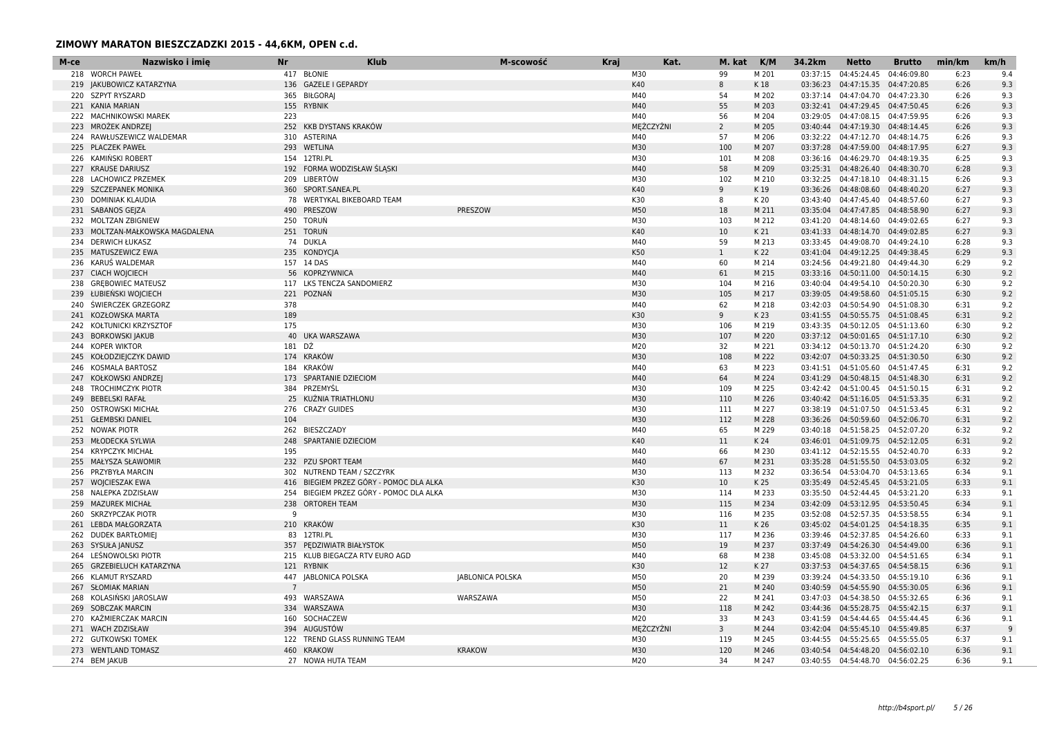| 417 BŁONIE<br>M30<br>99<br>M 201<br>04:45:24.45<br>04:46:09.80<br>9.4<br>218 WORCH PAWEŁ<br>03:37:15<br>6:23<br>136 GAZELE I GEPARDY<br>K40<br>8<br>6:26<br>9.3<br>219 JAKUBOWICZ KATARZYNA<br>K 18<br>03:36:23  04:47:15.35  04:47:20.85<br>220 SZPYT RYSZARD<br>365 BIŁGORAJ<br>M40<br>M 202<br>03:37:14 04:47:04.70 04:47:23.30<br>6:26<br>9.3<br>54<br>M40<br>55<br>9.3<br>221 KANIA MARIAN<br>155 RYBNIK<br>M 203<br>03:32:41  04:47:29.45  04:47:50.45<br>6:26<br>222 MACHNIKOWSKI MAREK<br>M40<br>03:29:05  04:47:08.15  04:47:59.95<br>9.3<br>223<br>56<br>M 204<br>6:26<br>MĘŻCZYŹNI<br>MROŻEK ANDRZEJ<br>252 KKB DYSTANS KRAKÓW<br>$\overline{2}$<br>M 205<br>03:40:44  04:47:19.30  04:48:14.45<br>6:26<br>9.3<br>223<br>RAWŁUSZEWICZ WALDEMAR<br>310 ASTERINA<br>M40<br>57<br>M 206<br>03:32:22  04:47:12.70  04:48:14.75<br>6:26<br>9.3<br>224<br>M30<br>03:37:28  04:47:59.00  04:48:17.95<br>6:27<br>9.3<br>225 PLACZEK PAWEŁ<br>293 WETLINA<br>100<br>M 207<br>M30<br>226 KAMINSKI ROBERT<br>154 12TRI.PL<br>101<br>M 208<br>03:36:16  04:46:29.70  04:48:19.35<br>6:25<br>9.3<br>192 FORMA WODZISŁAW ŚLASKI<br>M40<br>58<br>6:28<br>9.3<br>227<br><b>KRAUSE DARIUSZ</b><br>M 209<br>03:25:31  04:48:26.40  04:48:30.70<br>M30<br>209 LIBERTÓW<br>9.3<br>228 LACHOWICZ PRZEMEK<br>102<br>M 210<br>03:32:25  04:47:18.10  04:48:31.15<br>6:26<br>229 SZCZEPANEK MONIKA<br>360 SPORT.SANEA.PL<br>K40<br>9<br>03:36:26 04:48:08.60 04:48:40.20<br>6:27<br>9.3<br>K 19<br>78 WERTYKAL BIKEBOARD TEAM<br>K30<br>DOMINIAK KLAUDIA<br>8<br>K 20<br>03:43:40  04:47:45.40  04:48:57.60<br>6:27<br>9.3<br>230<br>PRESZOW<br>M50<br>18<br>6:27<br>9.3<br>231 SABANOS GEJZA<br>490 PRESZOW<br>M 211<br>03:35:04  04:47:47.85  04:48:58.90<br>232 MOLTZAN ZBIGNIEW<br>250 TORUŃ<br>M30<br>M 212<br>03:41:20  04:48:14.60  04:49:02.65<br>9.3<br>103<br>6:27<br>251 TORUŃ<br>K40<br>9.3<br>233 MOLTZAN-MAŁKOWSKA MAGDALENA<br>10<br>K 21<br>03:41:33  04:48:14.70  04:49:02.85<br>6:27<br>74 DUKLA<br><b>DERWICH ŁUKASZ</b><br>M40<br>59<br>M 213<br>03:33:45  04:49:08.70  04:49:24.10<br>6:28<br>9.3<br>234<br>K50<br>235 KONDYCIA<br>9.3<br>235 MATUSZEWICZ EWA<br>$\mathbf{1}$<br>K 22<br>03:41:04  04:49:12.25  04:49:38.45<br>6:29<br>M40<br>9.2<br>236 KARUS WALDEMAR<br>157 14 DAS<br>60<br>M 214<br>03:24:56 04:49:21.80 04:49:44.30<br>6:29<br>M40<br>9.2<br>237 CIACH WOJCIECH<br>56 KOPRZYWNICA<br>61<br>M 215<br>03:33:16  04:50:11.00  04:50:14.15<br>6:30<br>238 GREBOWIEC MATEUSZ<br>117 LKS TENCZA SANDOMIERZ<br>M30<br>104<br>M 216<br>03:40:04  04:49:54.10  04:50:20.30<br>6:30<br>9.2<br>M30<br>239 ŁUBIEŃSKI WOJCIECH<br>221 POZNAŃ<br>105<br>M 217<br>03:39:05  04:49:58.60  04:51:05.15<br>6:30<br>9.2<br>M40<br>240 ŚWIERCZEK GRZEGORZ<br>378<br>62<br>M 218<br>03:42:03  04:50:54.90  04:51:08.30<br>6:31<br>9.2<br>189<br>K30<br>241 KOZŁOWSKA MARTA<br>9<br>K 23<br>03:41:55  04:50:55.75  04:51:08.45<br>6:31<br>9.2<br>175<br>M30<br>242 KOŁTUNICKI KRZYSZTOF<br>M 219<br>03:43:35  04:50:12.05  04:51:13.60<br>6:30<br>9.2<br>106<br>M30<br>40 UKA WARSZAWA<br>9.2<br><b>BORKOWSKI JAKUB</b><br>107<br>M 220<br>03:37:12  04:50:01.65  04:51:17.10<br>6:30<br>243<br>181 DŹ<br>M20<br><b>KOPER WIKTOR</b><br>32<br>M 221<br>03:34:12  04:50:13.70  04:51:24.20<br>6:30<br>9.2<br>244<br>M30<br>174 KRAKÓW<br>108<br>M 222<br>6:30<br>9.2<br>245 KOŁODZIEJCZYK DAWID<br>03:42:07  04:50:33.25  04:51:30.50<br>KOSMALA BARTOSZ<br>184 KRAKÓW<br>M40<br>63<br>M 223<br>03:41:51  04:51:05.60  04:51:47.45<br>9.2<br>6:31<br>246<br>173 SPARTANIE DZIECIOM<br>M40<br>247 KOŁKOWSKI ANDRZEJ<br>64<br>M 224<br>03:41:29  04:50:48.15  04:51:48.30<br>6:31<br>9.2<br>384 PRZEMYŚL<br>M30<br>248 TROCHIMCZYK PIOTR<br>109<br>M 225<br>03:42:42  04:51:00.45  04:51:50.15<br>6:31<br>9.2<br>M30<br>249 BEBELSKI RAFAŁ<br>25 KUŹNIA TRIATHLONU<br>110<br>M 226<br>6:31<br>9.2<br>03:40:42  04:51:16.05  04:51:53.35<br>276 CRAZY GUIDES<br>M30<br>M 227<br>250 OSTROWSKI MICHAŁ<br>111<br>03:38:19  04:51:07.50  04:51:53.45<br>6:31<br>9.2<br>M30<br>9.2<br>251 GŁEMBSKI DANIEL<br>104<br>112<br>M 228<br>03:36:26  04:50:59.60  04:52:06.70<br>6:31<br>262 BIESZCZADY<br>M40<br>65<br>M 229<br>9.2<br>252<br>NOWAK PIOTR<br>03:40:18  04:51:58.25  04:52:07.20<br>6:32<br>K40<br>11<br>9.2<br>253 MŁODECKA SYLWIA<br>248 SPARTANIE DZIECIOM<br>K 24<br>03:46:01  04:51:09.75  04:52:12.05<br>6:31<br>M40<br>254 KRYPCZYK MICHAŁ<br>195<br>66<br>M 230<br>03:41:12  04:52:15.55  04:52:40.70<br>6:33<br>9.2<br><b>MAŁYSZA SŁAWOMIR</b><br>232 PZU SPORT TEAM<br>M40<br>67<br>M 231<br>03:35:28  04:51:55.50  04:53:03.05<br>6:32<br>9.2<br>255<br>PRZYBYŁA MARCIN<br>302 NUTREND TEAM / SZCZYRK<br>M30<br>113<br>M 232<br>03:36:54  04:53:04.70  04:53:13.65<br>6:34<br>9.1<br>256<br>K30<br>257 WOJCIESZAK EWA<br>416 BIEGIEM PRZEZ GÓRY - POMOC DLA ALKA<br>10<br>K 25<br>03:35:49  04:52:45.45  04:53:21.05<br>6:33<br>9.1<br>254 BIEGIEM PRZEZ GÓRY - POMOC DLA ALKA<br>M30<br>M 233<br>258 NALEPKA ZDZISŁAW<br>114<br>03:35:50  04:52:44.45  04:53:21.20<br>6:33<br>9.1<br>M30<br><b>MAZUREK MICHAŁ</b><br>238<br><b>ORTOREH TEAM</b><br>115<br>M 234<br>03:42:09  04:53:12.95  04:53:50.45<br>6:34<br>9.1<br>259<br>9<br>M30<br>M 235<br>6:34<br>9.1<br>260 SKRZYPCZAK PIOTR<br>116<br>03:52:08  04:52:57.35  04:53:58.55<br>210 KRAKÓW<br>K30<br>261 LEBDA MAŁGORZATA<br>6:35<br>9.1<br>11<br>K 26<br>03:45:02  04:54:01.25  04:54:18.35<br>M30<br>262 DUDEK BARTŁOMIEJ<br>83 12TRI.PL<br>117<br>M 236<br>03:39:46 04:52:37.85 04:54:26.60<br>6:33<br>9.1<br>M50<br>263 SYSUŁA JANUSZ<br>357 PEDZIWIATR BIAŁYSTOK<br>19<br>M 237<br>03:37:49  04:54:26.30  04:54:49.00<br>6:36<br>9.1<br>264 LEŚNOWOLSKI PIOTR<br>215 KLUB BIEGACZA RTV EURO AGD<br>M40<br>9.1<br>68<br>M 238<br>03:45:08  04:53:32.00  04:54:51.65<br>6:34<br>K30<br>265 GRZEBIELUCH KATARZYNA<br>121 RYBNIK<br>12<br>K 27<br>03:37:53  04:54:37.65  04:54:58.15<br>6:36<br>9.1<br><b>KLAMUT RYSZARD</b><br>447 JABLONICA POLSKA<br><b>JABLONICA POLSKA</b><br>M50<br>20<br>M 239<br>03:39:24  04:54:33.50  04:55:19.10<br>6:36<br>9.1<br>266<br>267 SŁOMIAK MARIAN<br>M50<br>21<br>M 240<br>6:36<br>9.1<br>$\overline{7}$<br>03:40:59  04:54:55.90  04:55:30.05<br>M50<br>268 KOLASINSKI JAROSLAW<br>493 WARSZAWA<br>WARSZAWA<br>22<br>M 241<br>03:47:03  04:54:38.50  04:55:32.65<br>6:36<br>9.1<br>M30<br>118<br>9.1<br>269 SOBCZAK MARCIN<br>334 WARSZAWA<br>M 242<br>03:44:36 04:55:28.75 04:55:42.15<br>6:37<br>160 SOCHACZEW<br>M20<br>KAŻMIERCZAK MARCIN<br>33<br>M 243<br>03:41:59  04:54:44.65  04:55:44.45<br>6:36<br>9.1<br>270<br>MEŻCZYŹNI<br>271 WACH ZDZISŁAW<br>394 AUGUSTÓW<br>$\overline{3}$<br>M 244<br>03:42:04  04:55:45.10  04:55:49.85<br>6:37<br>-9<br>272 GUTKOWSKI TOMEK<br>122 TREND GLASS RUNNING TEAM<br>M30<br>119<br>M 245<br>03:44:55  04:55:25.65  04:55:55.05<br>6:37<br>9.1<br>273 WENTLAND TOMASZ<br>460 KRAKOW<br><b>KRAKOW</b><br>M30<br>120<br>6:36<br>9.1<br>M 246<br>03:40:54  04:54:48.20  04:56:02.10<br>M20<br>274 BEM JAKUB<br>27 NOWA HUTA TEAM<br>34<br>M 247<br>03:40:55  04:54:48.70  04:56:02.25<br>6:36<br>9.1 | M-ce | Nazwisko i imie | <b>Nr</b> | <b>Klub</b> | M-scowość | <b>Kraj</b> | Kat. | M. kat | K/M | 34.2km | <b>Netto</b> | <b>Brutto</b> | min/km | km/h |
|---------------------------------------------------------------------------------------------------------------------------------------------------------------------------------------------------------------------------------------------------------------------------------------------------------------------------------------------------------------------------------------------------------------------------------------------------------------------------------------------------------------------------------------------------------------------------------------------------------------------------------------------------------------------------------------------------------------------------------------------------------------------------------------------------------------------------------------------------------------------------------------------------------------------------------------------------------------------------------------------------------------------------------------------------------------------------------------------------------------------------------------------------------------------------------------------------------------------------------------------------------------------------------------------------------------------------------------------------------------------------------------------------------------------------------------------------------------------------------------------------------------------------------------------------------------------------------------------------------------------------------------------------------------------------------------------------------------------------------------------------------------------------------------------------------------------------------------------------------------------------------------------------------------------------------------------------------------------------------------------------------------------------------------------------------------------------------------------------------------------------------------------------------------------------------------------------------------------------------------------------------------------------------------------------------------------------------------------------------------------------------------------------------------------------------------------------------------------------------------------------------------------------------------------------------------------------------------------------------------------------------------------------------------------------------------------------------------------------------------------------------------------------------------------------------------------------------------------------------------------------------------------------------------------------------------------------------------------------------------------------------------------------------------------------------------------------------------------------------------------------------------------------------------------------------------------------------------------------------------------------------------------------------------------------------------------------------------------------------------------------------------------------------------------------------------------------------------------------------------------------------------------------------------------------------------------------------------------------------------------------------------------------------------------------------------------------------------------------------------------------------------------------------------------------------------------------------------------------------------------------------------------------------------------------------------------------------------------------------------------------------------------------------------------------------------------------------------------------------------------------------------------------------------------------------------------------------------------------------------------------------------------------------------------------------------------------------------------------------------------------------------------------------------------------------------------------------------------------------------------------------------------------------------------------------------------------------------------------------------------------------------------------------------------------------------------------------------------------------------------------------------------------------------------------------------------------------------------------------------------------------------------------------------------------------------------------------------------------------------------------------------------------------------------------------------------------------------------------------------------------------------------------------------------------------------------------------------------------------------------------------------------------------------------------------------------------------------------------------------------------------------------------------------------------------------------------------------------------------------------------------------------------------------------------------------------------------------------------------------------------------------------------------------------------------------------------------------------------------------------------------------------------------------------------------------------------------------------------------------------------------------------------------------------------------------------------------------------------------------------------------------------------------------------------------------------------------------------------------------------------------------------------------------------------------------------------------------------------------------------------------------------------------------------------------------------------------------------------------------------------------------------------------------------------------------------------------------------------------------------------------------------------------------------------------------------------------------------------------------------------------------------------------------------------------------------------------------------------------------------------------------------------------------------------------------------------------------------------------------------------------------------------------------------------------------------------------------------------------------------------------------------------------------------------------------------------------------------------------------------------------------------------------------------|------|-----------------|-----------|-------------|-----------|-------------|------|--------|-----|--------|--------------|---------------|--------|------|
|                                                                                                                                                                                                                                                                                                                                                                                                                                                                                                                                                                                                                                                                                                                                                                                                                                                                                                                                                                                                                                                                                                                                                                                                                                                                                                                                                                                                                                                                                                                                                                                                                                                                                                                                                                                                                                                                                                                                                                                                                                                                                                                                                                                                                                                                                                                                                                                                                                                                                                                                                                                                                                                                                                                                                                                                                                                                                                                                                                                                                                                                                                                                                                                                                                                                                                                                                                                                                                                                                                                                                                                                                                                                                                                                                                                                                                                                                                                                                                                                                                                                                                                                                                                                                                                                                                                                                                                                                                                                                                                                                                                                                                                                                                                                                                                                                                                                                                                                                                                                                                                                                                                                                                                                                                                                                                                                                                                                                                                                                                                                                                                                                                                                                                                                                                                                                                                                                                                                                                                                                                                                                                                                                                                                                                                                                                                                                                                                                                                                                                                                                                                                                                                                                                                                                                                                                                                                                                                                                                                                                                                                                                                                                                     |      |                 |           |             |           |             |      |        |     |        |              |               |        |      |
|                                                                                                                                                                                                                                                                                                                                                                                                                                                                                                                                                                                                                                                                                                                                                                                                                                                                                                                                                                                                                                                                                                                                                                                                                                                                                                                                                                                                                                                                                                                                                                                                                                                                                                                                                                                                                                                                                                                                                                                                                                                                                                                                                                                                                                                                                                                                                                                                                                                                                                                                                                                                                                                                                                                                                                                                                                                                                                                                                                                                                                                                                                                                                                                                                                                                                                                                                                                                                                                                                                                                                                                                                                                                                                                                                                                                                                                                                                                                                                                                                                                                                                                                                                                                                                                                                                                                                                                                                                                                                                                                                                                                                                                                                                                                                                                                                                                                                                                                                                                                                                                                                                                                                                                                                                                                                                                                                                                                                                                                                                                                                                                                                                                                                                                                                                                                                                                                                                                                                                                                                                                                                                                                                                                                                                                                                                                                                                                                                                                                                                                                                                                                                                                                                                                                                                                                                                                                                                                                                                                                                                                                                                                                                                     |      |                 |           |             |           |             |      |        |     |        |              |               |        |      |
|                                                                                                                                                                                                                                                                                                                                                                                                                                                                                                                                                                                                                                                                                                                                                                                                                                                                                                                                                                                                                                                                                                                                                                                                                                                                                                                                                                                                                                                                                                                                                                                                                                                                                                                                                                                                                                                                                                                                                                                                                                                                                                                                                                                                                                                                                                                                                                                                                                                                                                                                                                                                                                                                                                                                                                                                                                                                                                                                                                                                                                                                                                                                                                                                                                                                                                                                                                                                                                                                                                                                                                                                                                                                                                                                                                                                                                                                                                                                                                                                                                                                                                                                                                                                                                                                                                                                                                                                                                                                                                                                                                                                                                                                                                                                                                                                                                                                                                                                                                                                                                                                                                                                                                                                                                                                                                                                                                                                                                                                                                                                                                                                                                                                                                                                                                                                                                                                                                                                                                                                                                                                                                                                                                                                                                                                                                                                                                                                                                                                                                                                                                                                                                                                                                                                                                                                                                                                                                                                                                                                                                                                                                                                                                     |      |                 |           |             |           |             |      |        |     |        |              |               |        |      |
|                                                                                                                                                                                                                                                                                                                                                                                                                                                                                                                                                                                                                                                                                                                                                                                                                                                                                                                                                                                                                                                                                                                                                                                                                                                                                                                                                                                                                                                                                                                                                                                                                                                                                                                                                                                                                                                                                                                                                                                                                                                                                                                                                                                                                                                                                                                                                                                                                                                                                                                                                                                                                                                                                                                                                                                                                                                                                                                                                                                                                                                                                                                                                                                                                                                                                                                                                                                                                                                                                                                                                                                                                                                                                                                                                                                                                                                                                                                                                                                                                                                                                                                                                                                                                                                                                                                                                                                                                                                                                                                                                                                                                                                                                                                                                                                                                                                                                                                                                                                                                                                                                                                                                                                                                                                                                                                                                                                                                                                                                                                                                                                                                                                                                                                                                                                                                                                                                                                                                                                                                                                                                                                                                                                                                                                                                                                                                                                                                                                                                                                                                                                                                                                                                                                                                                                                                                                                                                                                                                                                                                                                                                                                                                     |      |                 |           |             |           |             |      |        |     |        |              |               |        |      |
|                                                                                                                                                                                                                                                                                                                                                                                                                                                                                                                                                                                                                                                                                                                                                                                                                                                                                                                                                                                                                                                                                                                                                                                                                                                                                                                                                                                                                                                                                                                                                                                                                                                                                                                                                                                                                                                                                                                                                                                                                                                                                                                                                                                                                                                                                                                                                                                                                                                                                                                                                                                                                                                                                                                                                                                                                                                                                                                                                                                                                                                                                                                                                                                                                                                                                                                                                                                                                                                                                                                                                                                                                                                                                                                                                                                                                                                                                                                                                                                                                                                                                                                                                                                                                                                                                                                                                                                                                                                                                                                                                                                                                                                                                                                                                                                                                                                                                                                                                                                                                                                                                                                                                                                                                                                                                                                                                                                                                                                                                                                                                                                                                                                                                                                                                                                                                                                                                                                                                                                                                                                                                                                                                                                                                                                                                                                                                                                                                                                                                                                                                                                                                                                                                                                                                                                                                                                                                                                                                                                                                                                                                                                                                                     |      |                 |           |             |           |             |      |        |     |        |              |               |        |      |
|                                                                                                                                                                                                                                                                                                                                                                                                                                                                                                                                                                                                                                                                                                                                                                                                                                                                                                                                                                                                                                                                                                                                                                                                                                                                                                                                                                                                                                                                                                                                                                                                                                                                                                                                                                                                                                                                                                                                                                                                                                                                                                                                                                                                                                                                                                                                                                                                                                                                                                                                                                                                                                                                                                                                                                                                                                                                                                                                                                                                                                                                                                                                                                                                                                                                                                                                                                                                                                                                                                                                                                                                                                                                                                                                                                                                                                                                                                                                                                                                                                                                                                                                                                                                                                                                                                                                                                                                                                                                                                                                                                                                                                                                                                                                                                                                                                                                                                                                                                                                                                                                                                                                                                                                                                                                                                                                                                                                                                                                                                                                                                                                                                                                                                                                                                                                                                                                                                                                                                                                                                                                                                                                                                                                                                                                                                                                                                                                                                                                                                                                                                                                                                                                                                                                                                                                                                                                                                                                                                                                                                                                                                                                                                     |      |                 |           |             |           |             |      |        |     |        |              |               |        |      |
|                                                                                                                                                                                                                                                                                                                                                                                                                                                                                                                                                                                                                                                                                                                                                                                                                                                                                                                                                                                                                                                                                                                                                                                                                                                                                                                                                                                                                                                                                                                                                                                                                                                                                                                                                                                                                                                                                                                                                                                                                                                                                                                                                                                                                                                                                                                                                                                                                                                                                                                                                                                                                                                                                                                                                                                                                                                                                                                                                                                                                                                                                                                                                                                                                                                                                                                                                                                                                                                                                                                                                                                                                                                                                                                                                                                                                                                                                                                                                                                                                                                                                                                                                                                                                                                                                                                                                                                                                                                                                                                                                                                                                                                                                                                                                                                                                                                                                                                                                                                                                                                                                                                                                                                                                                                                                                                                                                                                                                                                                                                                                                                                                                                                                                                                                                                                                                                                                                                                                                                                                                                                                                                                                                                                                                                                                                                                                                                                                                                                                                                                                                                                                                                                                                                                                                                                                                                                                                                                                                                                                                                                                                                                                                     |      |                 |           |             |           |             |      |        |     |        |              |               |        |      |
|                                                                                                                                                                                                                                                                                                                                                                                                                                                                                                                                                                                                                                                                                                                                                                                                                                                                                                                                                                                                                                                                                                                                                                                                                                                                                                                                                                                                                                                                                                                                                                                                                                                                                                                                                                                                                                                                                                                                                                                                                                                                                                                                                                                                                                                                                                                                                                                                                                                                                                                                                                                                                                                                                                                                                                                                                                                                                                                                                                                                                                                                                                                                                                                                                                                                                                                                                                                                                                                                                                                                                                                                                                                                                                                                                                                                                                                                                                                                                                                                                                                                                                                                                                                                                                                                                                                                                                                                                                                                                                                                                                                                                                                                                                                                                                                                                                                                                                                                                                                                                                                                                                                                                                                                                                                                                                                                                                                                                                                                                                                                                                                                                                                                                                                                                                                                                                                                                                                                                                                                                                                                                                                                                                                                                                                                                                                                                                                                                                                                                                                                                                                                                                                                                                                                                                                                                                                                                                                                                                                                                                                                                                                                                                     |      |                 |           |             |           |             |      |        |     |        |              |               |        |      |
|                                                                                                                                                                                                                                                                                                                                                                                                                                                                                                                                                                                                                                                                                                                                                                                                                                                                                                                                                                                                                                                                                                                                                                                                                                                                                                                                                                                                                                                                                                                                                                                                                                                                                                                                                                                                                                                                                                                                                                                                                                                                                                                                                                                                                                                                                                                                                                                                                                                                                                                                                                                                                                                                                                                                                                                                                                                                                                                                                                                                                                                                                                                                                                                                                                                                                                                                                                                                                                                                                                                                                                                                                                                                                                                                                                                                                                                                                                                                                                                                                                                                                                                                                                                                                                                                                                                                                                                                                                                                                                                                                                                                                                                                                                                                                                                                                                                                                                                                                                                                                                                                                                                                                                                                                                                                                                                                                                                                                                                                                                                                                                                                                                                                                                                                                                                                                                                                                                                                                                                                                                                                                                                                                                                                                                                                                                                                                                                                                                                                                                                                                                                                                                                                                                                                                                                                                                                                                                                                                                                                                                                                                                                                                                     |      |                 |           |             |           |             |      |        |     |        |              |               |        |      |
|                                                                                                                                                                                                                                                                                                                                                                                                                                                                                                                                                                                                                                                                                                                                                                                                                                                                                                                                                                                                                                                                                                                                                                                                                                                                                                                                                                                                                                                                                                                                                                                                                                                                                                                                                                                                                                                                                                                                                                                                                                                                                                                                                                                                                                                                                                                                                                                                                                                                                                                                                                                                                                                                                                                                                                                                                                                                                                                                                                                                                                                                                                                                                                                                                                                                                                                                                                                                                                                                                                                                                                                                                                                                                                                                                                                                                                                                                                                                                                                                                                                                                                                                                                                                                                                                                                                                                                                                                                                                                                                                                                                                                                                                                                                                                                                                                                                                                                                                                                                                                                                                                                                                                                                                                                                                                                                                                                                                                                                                                                                                                                                                                                                                                                                                                                                                                                                                                                                                                                                                                                                                                                                                                                                                                                                                                                                                                                                                                                                                                                                                                                                                                                                                                                                                                                                                                                                                                                                                                                                                                                                                                                                                                                     |      |                 |           |             |           |             |      |        |     |        |              |               |        |      |
|                                                                                                                                                                                                                                                                                                                                                                                                                                                                                                                                                                                                                                                                                                                                                                                                                                                                                                                                                                                                                                                                                                                                                                                                                                                                                                                                                                                                                                                                                                                                                                                                                                                                                                                                                                                                                                                                                                                                                                                                                                                                                                                                                                                                                                                                                                                                                                                                                                                                                                                                                                                                                                                                                                                                                                                                                                                                                                                                                                                                                                                                                                                                                                                                                                                                                                                                                                                                                                                                                                                                                                                                                                                                                                                                                                                                                                                                                                                                                                                                                                                                                                                                                                                                                                                                                                                                                                                                                                                                                                                                                                                                                                                                                                                                                                                                                                                                                                                                                                                                                                                                                                                                                                                                                                                                                                                                                                                                                                                                                                                                                                                                                                                                                                                                                                                                                                                                                                                                                                                                                                                                                                                                                                                                                                                                                                                                                                                                                                                                                                                                                                                                                                                                                                                                                                                                                                                                                                                                                                                                                                                                                                                                                                     |      |                 |           |             |           |             |      |        |     |        |              |               |        |      |
|                                                                                                                                                                                                                                                                                                                                                                                                                                                                                                                                                                                                                                                                                                                                                                                                                                                                                                                                                                                                                                                                                                                                                                                                                                                                                                                                                                                                                                                                                                                                                                                                                                                                                                                                                                                                                                                                                                                                                                                                                                                                                                                                                                                                                                                                                                                                                                                                                                                                                                                                                                                                                                                                                                                                                                                                                                                                                                                                                                                                                                                                                                                                                                                                                                                                                                                                                                                                                                                                                                                                                                                                                                                                                                                                                                                                                                                                                                                                                                                                                                                                                                                                                                                                                                                                                                                                                                                                                                                                                                                                                                                                                                                                                                                                                                                                                                                                                                                                                                                                                                                                                                                                                                                                                                                                                                                                                                                                                                                                                                                                                                                                                                                                                                                                                                                                                                                                                                                                                                                                                                                                                                                                                                                                                                                                                                                                                                                                                                                                                                                                                                                                                                                                                                                                                                                                                                                                                                                                                                                                                                                                                                                                                                     |      |                 |           |             |           |             |      |        |     |        |              |               |        |      |
|                                                                                                                                                                                                                                                                                                                                                                                                                                                                                                                                                                                                                                                                                                                                                                                                                                                                                                                                                                                                                                                                                                                                                                                                                                                                                                                                                                                                                                                                                                                                                                                                                                                                                                                                                                                                                                                                                                                                                                                                                                                                                                                                                                                                                                                                                                                                                                                                                                                                                                                                                                                                                                                                                                                                                                                                                                                                                                                                                                                                                                                                                                                                                                                                                                                                                                                                                                                                                                                                                                                                                                                                                                                                                                                                                                                                                                                                                                                                                                                                                                                                                                                                                                                                                                                                                                                                                                                                                                                                                                                                                                                                                                                                                                                                                                                                                                                                                                                                                                                                                                                                                                                                                                                                                                                                                                                                                                                                                                                                                                                                                                                                                                                                                                                                                                                                                                                                                                                                                                                                                                                                                                                                                                                                                                                                                                                                                                                                                                                                                                                                                                                                                                                                                                                                                                                                                                                                                                                                                                                                                                                                                                                                                                     |      |                 |           |             |           |             |      |        |     |        |              |               |        |      |
|                                                                                                                                                                                                                                                                                                                                                                                                                                                                                                                                                                                                                                                                                                                                                                                                                                                                                                                                                                                                                                                                                                                                                                                                                                                                                                                                                                                                                                                                                                                                                                                                                                                                                                                                                                                                                                                                                                                                                                                                                                                                                                                                                                                                                                                                                                                                                                                                                                                                                                                                                                                                                                                                                                                                                                                                                                                                                                                                                                                                                                                                                                                                                                                                                                                                                                                                                                                                                                                                                                                                                                                                                                                                                                                                                                                                                                                                                                                                                                                                                                                                                                                                                                                                                                                                                                                                                                                                                                                                                                                                                                                                                                                                                                                                                                                                                                                                                                                                                                                                                                                                                                                                                                                                                                                                                                                                                                                                                                                                                                                                                                                                                                                                                                                                                                                                                                                                                                                                                                                                                                                                                                                                                                                                                                                                                                                                                                                                                                                                                                                                                                                                                                                                                                                                                                                                                                                                                                                                                                                                                                                                                                                                                                     |      |                 |           |             |           |             |      |        |     |        |              |               |        |      |
|                                                                                                                                                                                                                                                                                                                                                                                                                                                                                                                                                                                                                                                                                                                                                                                                                                                                                                                                                                                                                                                                                                                                                                                                                                                                                                                                                                                                                                                                                                                                                                                                                                                                                                                                                                                                                                                                                                                                                                                                                                                                                                                                                                                                                                                                                                                                                                                                                                                                                                                                                                                                                                                                                                                                                                                                                                                                                                                                                                                                                                                                                                                                                                                                                                                                                                                                                                                                                                                                                                                                                                                                                                                                                                                                                                                                                                                                                                                                                                                                                                                                                                                                                                                                                                                                                                                                                                                                                                                                                                                                                                                                                                                                                                                                                                                                                                                                                                                                                                                                                                                                                                                                                                                                                                                                                                                                                                                                                                                                                                                                                                                                                                                                                                                                                                                                                                                                                                                                                                                                                                                                                                                                                                                                                                                                                                                                                                                                                                                                                                                                                                                                                                                                                                                                                                                                                                                                                                                                                                                                                                                                                                                                                                     |      |                 |           |             |           |             |      |        |     |        |              |               |        |      |
|                                                                                                                                                                                                                                                                                                                                                                                                                                                                                                                                                                                                                                                                                                                                                                                                                                                                                                                                                                                                                                                                                                                                                                                                                                                                                                                                                                                                                                                                                                                                                                                                                                                                                                                                                                                                                                                                                                                                                                                                                                                                                                                                                                                                                                                                                                                                                                                                                                                                                                                                                                                                                                                                                                                                                                                                                                                                                                                                                                                                                                                                                                                                                                                                                                                                                                                                                                                                                                                                                                                                                                                                                                                                                                                                                                                                                                                                                                                                                                                                                                                                                                                                                                                                                                                                                                                                                                                                                                                                                                                                                                                                                                                                                                                                                                                                                                                                                                                                                                                                                                                                                                                                                                                                                                                                                                                                                                                                                                                                                                                                                                                                                                                                                                                                                                                                                                                                                                                                                                                                                                                                                                                                                                                                                                                                                                                                                                                                                                                                                                                                                                                                                                                                                                                                                                                                                                                                                                                                                                                                                                                                                                                                                                     |      |                 |           |             |           |             |      |        |     |        |              |               |        |      |
|                                                                                                                                                                                                                                                                                                                                                                                                                                                                                                                                                                                                                                                                                                                                                                                                                                                                                                                                                                                                                                                                                                                                                                                                                                                                                                                                                                                                                                                                                                                                                                                                                                                                                                                                                                                                                                                                                                                                                                                                                                                                                                                                                                                                                                                                                                                                                                                                                                                                                                                                                                                                                                                                                                                                                                                                                                                                                                                                                                                                                                                                                                                                                                                                                                                                                                                                                                                                                                                                                                                                                                                                                                                                                                                                                                                                                                                                                                                                                                                                                                                                                                                                                                                                                                                                                                                                                                                                                                                                                                                                                                                                                                                                                                                                                                                                                                                                                                                                                                                                                                                                                                                                                                                                                                                                                                                                                                                                                                                                                                                                                                                                                                                                                                                                                                                                                                                                                                                                                                                                                                                                                                                                                                                                                                                                                                                                                                                                                                                                                                                                                                                                                                                                                                                                                                                                                                                                                                                                                                                                                                                                                                                                                                     |      |                 |           |             |           |             |      |        |     |        |              |               |        |      |
|                                                                                                                                                                                                                                                                                                                                                                                                                                                                                                                                                                                                                                                                                                                                                                                                                                                                                                                                                                                                                                                                                                                                                                                                                                                                                                                                                                                                                                                                                                                                                                                                                                                                                                                                                                                                                                                                                                                                                                                                                                                                                                                                                                                                                                                                                                                                                                                                                                                                                                                                                                                                                                                                                                                                                                                                                                                                                                                                                                                                                                                                                                                                                                                                                                                                                                                                                                                                                                                                                                                                                                                                                                                                                                                                                                                                                                                                                                                                                                                                                                                                                                                                                                                                                                                                                                                                                                                                                                                                                                                                                                                                                                                                                                                                                                                                                                                                                                                                                                                                                                                                                                                                                                                                                                                                                                                                                                                                                                                                                                                                                                                                                                                                                                                                                                                                                                                                                                                                                                                                                                                                                                                                                                                                                                                                                                                                                                                                                                                                                                                                                                                                                                                                                                                                                                                                                                                                                                                                                                                                                                                                                                                                                                     |      |                 |           |             |           |             |      |        |     |        |              |               |        |      |
|                                                                                                                                                                                                                                                                                                                                                                                                                                                                                                                                                                                                                                                                                                                                                                                                                                                                                                                                                                                                                                                                                                                                                                                                                                                                                                                                                                                                                                                                                                                                                                                                                                                                                                                                                                                                                                                                                                                                                                                                                                                                                                                                                                                                                                                                                                                                                                                                                                                                                                                                                                                                                                                                                                                                                                                                                                                                                                                                                                                                                                                                                                                                                                                                                                                                                                                                                                                                                                                                                                                                                                                                                                                                                                                                                                                                                                                                                                                                                                                                                                                                                                                                                                                                                                                                                                                                                                                                                                                                                                                                                                                                                                                                                                                                                                                                                                                                                                                                                                                                                                                                                                                                                                                                                                                                                                                                                                                                                                                                                                                                                                                                                                                                                                                                                                                                                                                                                                                                                                                                                                                                                                                                                                                                                                                                                                                                                                                                                                                                                                                                                                                                                                                                                                                                                                                                                                                                                                                                                                                                                                                                                                                                                                     |      |                 |           |             |           |             |      |        |     |        |              |               |        |      |
|                                                                                                                                                                                                                                                                                                                                                                                                                                                                                                                                                                                                                                                                                                                                                                                                                                                                                                                                                                                                                                                                                                                                                                                                                                                                                                                                                                                                                                                                                                                                                                                                                                                                                                                                                                                                                                                                                                                                                                                                                                                                                                                                                                                                                                                                                                                                                                                                                                                                                                                                                                                                                                                                                                                                                                                                                                                                                                                                                                                                                                                                                                                                                                                                                                                                                                                                                                                                                                                                                                                                                                                                                                                                                                                                                                                                                                                                                                                                                                                                                                                                                                                                                                                                                                                                                                                                                                                                                                                                                                                                                                                                                                                                                                                                                                                                                                                                                                                                                                                                                                                                                                                                                                                                                                                                                                                                                                                                                                                                                                                                                                                                                                                                                                                                                                                                                                                                                                                                                                                                                                                                                                                                                                                                                                                                                                                                                                                                                                                                                                                                                                                                                                                                                                                                                                                                                                                                                                                                                                                                                                                                                                                                                                     |      |                 |           |             |           |             |      |        |     |        |              |               |        |      |
|                                                                                                                                                                                                                                                                                                                                                                                                                                                                                                                                                                                                                                                                                                                                                                                                                                                                                                                                                                                                                                                                                                                                                                                                                                                                                                                                                                                                                                                                                                                                                                                                                                                                                                                                                                                                                                                                                                                                                                                                                                                                                                                                                                                                                                                                                                                                                                                                                                                                                                                                                                                                                                                                                                                                                                                                                                                                                                                                                                                                                                                                                                                                                                                                                                                                                                                                                                                                                                                                                                                                                                                                                                                                                                                                                                                                                                                                                                                                                                                                                                                                                                                                                                                                                                                                                                                                                                                                                                                                                                                                                                                                                                                                                                                                                                                                                                                                                                                                                                                                                                                                                                                                                                                                                                                                                                                                                                                                                                                                                                                                                                                                                                                                                                                                                                                                                                                                                                                                                                                                                                                                                                                                                                                                                                                                                                                                                                                                                                                                                                                                                                                                                                                                                                                                                                                                                                                                                                                                                                                                                                                                                                                                                                     |      |                 |           |             |           |             |      |        |     |        |              |               |        |      |
|                                                                                                                                                                                                                                                                                                                                                                                                                                                                                                                                                                                                                                                                                                                                                                                                                                                                                                                                                                                                                                                                                                                                                                                                                                                                                                                                                                                                                                                                                                                                                                                                                                                                                                                                                                                                                                                                                                                                                                                                                                                                                                                                                                                                                                                                                                                                                                                                                                                                                                                                                                                                                                                                                                                                                                                                                                                                                                                                                                                                                                                                                                                                                                                                                                                                                                                                                                                                                                                                                                                                                                                                                                                                                                                                                                                                                                                                                                                                                                                                                                                                                                                                                                                                                                                                                                                                                                                                                                                                                                                                                                                                                                                                                                                                                                                                                                                                                                                                                                                                                                                                                                                                                                                                                                                                                                                                                                                                                                                                                                                                                                                                                                                                                                                                                                                                                                                                                                                                                                                                                                                                                                                                                                                                                                                                                                                                                                                                                                                                                                                                                                                                                                                                                                                                                                                                                                                                                                                                                                                                                                                                                                                                                                     |      |                 |           |             |           |             |      |        |     |        |              |               |        |      |
|                                                                                                                                                                                                                                                                                                                                                                                                                                                                                                                                                                                                                                                                                                                                                                                                                                                                                                                                                                                                                                                                                                                                                                                                                                                                                                                                                                                                                                                                                                                                                                                                                                                                                                                                                                                                                                                                                                                                                                                                                                                                                                                                                                                                                                                                                                                                                                                                                                                                                                                                                                                                                                                                                                                                                                                                                                                                                                                                                                                                                                                                                                                                                                                                                                                                                                                                                                                                                                                                                                                                                                                                                                                                                                                                                                                                                                                                                                                                                                                                                                                                                                                                                                                                                                                                                                                                                                                                                                                                                                                                                                                                                                                                                                                                                                                                                                                                                                                                                                                                                                                                                                                                                                                                                                                                                                                                                                                                                                                                                                                                                                                                                                                                                                                                                                                                                                                                                                                                                                                                                                                                                                                                                                                                                                                                                                                                                                                                                                                                                                                                                                                                                                                                                                                                                                                                                                                                                                                                                                                                                                                                                                                                                                     |      |                 |           |             |           |             |      |        |     |        |              |               |        |      |
|                                                                                                                                                                                                                                                                                                                                                                                                                                                                                                                                                                                                                                                                                                                                                                                                                                                                                                                                                                                                                                                                                                                                                                                                                                                                                                                                                                                                                                                                                                                                                                                                                                                                                                                                                                                                                                                                                                                                                                                                                                                                                                                                                                                                                                                                                                                                                                                                                                                                                                                                                                                                                                                                                                                                                                                                                                                                                                                                                                                                                                                                                                                                                                                                                                                                                                                                                                                                                                                                                                                                                                                                                                                                                                                                                                                                                                                                                                                                                                                                                                                                                                                                                                                                                                                                                                                                                                                                                                                                                                                                                                                                                                                                                                                                                                                                                                                                                                                                                                                                                                                                                                                                                                                                                                                                                                                                                                                                                                                                                                                                                                                                                                                                                                                                                                                                                                                                                                                                                                                                                                                                                                                                                                                                                                                                                                                                                                                                                                                                                                                                                                                                                                                                                                                                                                                                                                                                                                                                                                                                                                                                                                                                                                     |      |                 |           |             |           |             |      |        |     |        |              |               |        |      |
|                                                                                                                                                                                                                                                                                                                                                                                                                                                                                                                                                                                                                                                                                                                                                                                                                                                                                                                                                                                                                                                                                                                                                                                                                                                                                                                                                                                                                                                                                                                                                                                                                                                                                                                                                                                                                                                                                                                                                                                                                                                                                                                                                                                                                                                                                                                                                                                                                                                                                                                                                                                                                                                                                                                                                                                                                                                                                                                                                                                                                                                                                                                                                                                                                                                                                                                                                                                                                                                                                                                                                                                                                                                                                                                                                                                                                                                                                                                                                                                                                                                                                                                                                                                                                                                                                                                                                                                                                                                                                                                                                                                                                                                                                                                                                                                                                                                                                                                                                                                                                                                                                                                                                                                                                                                                                                                                                                                                                                                                                                                                                                                                                                                                                                                                                                                                                                                                                                                                                                                                                                                                                                                                                                                                                                                                                                                                                                                                                                                                                                                                                                                                                                                                                                                                                                                                                                                                                                                                                                                                                                                                                                                                                                     |      |                 |           |             |           |             |      |        |     |        |              |               |        |      |
|                                                                                                                                                                                                                                                                                                                                                                                                                                                                                                                                                                                                                                                                                                                                                                                                                                                                                                                                                                                                                                                                                                                                                                                                                                                                                                                                                                                                                                                                                                                                                                                                                                                                                                                                                                                                                                                                                                                                                                                                                                                                                                                                                                                                                                                                                                                                                                                                                                                                                                                                                                                                                                                                                                                                                                                                                                                                                                                                                                                                                                                                                                                                                                                                                                                                                                                                                                                                                                                                                                                                                                                                                                                                                                                                                                                                                                                                                                                                                                                                                                                                                                                                                                                                                                                                                                                                                                                                                                                                                                                                                                                                                                                                                                                                                                                                                                                                                                                                                                                                                                                                                                                                                                                                                                                                                                                                                                                                                                                                                                                                                                                                                                                                                                                                                                                                                                                                                                                                                                                                                                                                                                                                                                                                                                                                                                                                                                                                                                                                                                                                                                                                                                                                                                                                                                                                                                                                                                                                                                                                                                                                                                                                                                     |      |                 |           |             |           |             |      |        |     |        |              |               |        |      |
|                                                                                                                                                                                                                                                                                                                                                                                                                                                                                                                                                                                                                                                                                                                                                                                                                                                                                                                                                                                                                                                                                                                                                                                                                                                                                                                                                                                                                                                                                                                                                                                                                                                                                                                                                                                                                                                                                                                                                                                                                                                                                                                                                                                                                                                                                                                                                                                                                                                                                                                                                                                                                                                                                                                                                                                                                                                                                                                                                                                                                                                                                                                                                                                                                                                                                                                                                                                                                                                                                                                                                                                                                                                                                                                                                                                                                                                                                                                                                                                                                                                                                                                                                                                                                                                                                                                                                                                                                                                                                                                                                                                                                                                                                                                                                                                                                                                                                                                                                                                                                                                                                                                                                                                                                                                                                                                                                                                                                                                                                                                                                                                                                                                                                                                                                                                                                                                                                                                                                                                                                                                                                                                                                                                                                                                                                                                                                                                                                                                                                                                                                                                                                                                                                                                                                                                                                                                                                                                                                                                                                                                                                                                                                                     |      |                 |           |             |           |             |      |        |     |        |              |               |        |      |
|                                                                                                                                                                                                                                                                                                                                                                                                                                                                                                                                                                                                                                                                                                                                                                                                                                                                                                                                                                                                                                                                                                                                                                                                                                                                                                                                                                                                                                                                                                                                                                                                                                                                                                                                                                                                                                                                                                                                                                                                                                                                                                                                                                                                                                                                                                                                                                                                                                                                                                                                                                                                                                                                                                                                                                                                                                                                                                                                                                                                                                                                                                                                                                                                                                                                                                                                                                                                                                                                                                                                                                                                                                                                                                                                                                                                                                                                                                                                                                                                                                                                                                                                                                                                                                                                                                                                                                                                                                                                                                                                                                                                                                                                                                                                                                                                                                                                                                                                                                                                                                                                                                                                                                                                                                                                                                                                                                                                                                                                                                                                                                                                                                                                                                                                                                                                                                                                                                                                                                                                                                                                                                                                                                                                                                                                                                                                                                                                                                                                                                                                                                                                                                                                                                                                                                                                                                                                                                                                                                                                                                                                                                                                                                     |      |                 |           |             |           |             |      |        |     |        |              |               |        |      |
|                                                                                                                                                                                                                                                                                                                                                                                                                                                                                                                                                                                                                                                                                                                                                                                                                                                                                                                                                                                                                                                                                                                                                                                                                                                                                                                                                                                                                                                                                                                                                                                                                                                                                                                                                                                                                                                                                                                                                                                                                                                                                                                                                                                                                                                                                                                                                                                                                                                                                                                                                                                                                                                                                                                                                                                                                                                                                                                                                                                                                                                                                                                                                                                                                                                                                                                                                                                                                                                                                                                                                                                                                                                                                                                                                                                                                                                                                                                                                                                                                                                                                                                                                                                                                                                                                                                                                                                                                                                                                                                                                                                                                                                                                                                                                                                                                                                                                                                                                                                                                                                                                                                                                                                                                                                                                                                                                                                                                                                                                                                                                                                                                                                                                                                                                                                                                                                                                                                                                                                                                                                                                                                                                                                                                                                                                                                                                                                                                                                                                                                                                                                                                                                                                                                                                                                                                                                                                                                                                                                                                                                                                                                                                                     |      |                 |           |             |           |             |      |        |     |        |              |               |        |      |
|                                                                                                                                                                                                                                                                                                                                                                                                                                                                                                                                                                                                                                                                                                                                                                                                                                                                                                                                                                                                                                                                                                                                                                                                                                                                                                                                                                                                                                                                                                                                                                                                                                                                                                                                                                                                                                                                                                                                                                                                                                                                                                                                                                                                                                                                                                                                                                                                                                                                                                                                                                                                                                                                                                                                                                                                                                                                                                                                                                                                                                                                                                                                                                                                                                                                                                                                                                                                                                                                                                                                                                                                                                                                                                                                                                                                                                                                                                                                                                                                                                                                                                                                                                                                                                                                                                                                                                                                                                                                                                                                                                                                                                                                                                                                                                                                                                                                                                                                                                                                                                                                                                                                                                                                                                                                                                                                                                                                                                                                                                                                                                                                                                                                                                                                                                                                                                                                                                                                                                                                                                                                                                                                                                                                                                                                                                                                                                                                                                                                                                                                                                                                                                                                                                                                                                                                                                                                                                                                                                                                                                                                                                                                                                     |      |                 |           |             |           |             |      |        |     |        |              |               |        |      |
|                                                                                                                                                                                                                                                                                                                                                                                                                                                                                                                                                                                                                                                                                                                                                                                                                                                                                                                                                                                                                                                                                                                                                                                                                                                                                                                                                                                                                                                                                                                                                                                                                                                                                                                                                                                                                                                                                                                                                                                                                                                                                                                                                                                                                                                                                                                                                                                                                                                                                                                                                                                                                                                                                                                                                                                                                                                                                                                                                                                                                                                                                                                                                                                                                                                                                                                                                                                                                                                                                                                                                                                                                                                                                                                                                                                                                                                                                                                                                                                                                                                                                                                                                                                                                                                                                                                                                                                                                                                                                                                                                                                                                                                                                                                                                                                                                                                                                                                                                                                                                                                                                                                                                                                                                                                                                                                                                                                                                                                                                                                                                                                                                                                                                                                                                                                                                                                                                                                                                                                                                                                                                                                                                                                                                                                                                                                                                                                                                                                                                                                                                                                                                                                                                                                                                                                                                                                                                                                                                                                                                                                                                                                                                                     |      |                 |           |             |           |             |      |        |     |        |              |               |        |      |
|                                                                                                                                                                                                                                                                                                                                                                                                                                                                                                                                                                                                                                                                                                                                                                                                                                                                                                                                                                                                                                                                                                                                                                                                                                                                                                                                                                                                                                                                                                                                                                                                                                                                                                                                                                                                                                                                                                                                                                                                                                                                                                                                                                                                                                                                                                                                                                                                                                                                                                                                                                                                                                                                                                                                                                                                                                                                                                                                                                                                                                                                                                                                                                                                                                                                                                                                                                                                                                                                                                                                                                                                                                                                                                                                                                                                                                                                                                                                                                                                                                                                                                                                                                                                                                                                                                                                                                                                                                                                                                                                                                                                                                                                                                                                                                                                                                                                                                                                                                                                                                                                                                                                                                                                                                                                                                                                                                                                                                                                                                                                                                                                                                                                                                                                                                                                                                                                                                                                                                                                                                                                                                                                                                                                                                                                                                                                                                                                                                                                                                                                                                                                                                                                                                                                                                                                                                                                                                                                                                                                                                                                                                                                                                     |      |                 |           |             |           |             |      |        |     |        |              |               |        |      |
|                                                                                                                                                                                                                                                                                                                                                                                                                                                                                                                                                                                                                                                                                                                                                                                                                                                                                                                                                                                                                                                                                                                                                                                                                                                                                                                                                                                                                                                                                                                                                                                                                                                                                                                                                                                                                                                                                                                                                                                                                                                                                                                                                                                                                                                                                                                                                                                                                                                                                                                                                                                                                                                                                                                                                                                                                                                                                                                                                                                                                                                                                                                                                                                                                                                                                                                                                                                                                                                                                                                                                                                                                                                                                                                                                                                                                                                                                                                                                                                                                                                                                                                                                                                                                                                                                                                                                                                                                                                                                                                                                                                                                                                                                                                                                                                                                                                                                                                                                                                                                                                                                                                                                                                                                                                                                                                                                                                                                                                                                                                                                                                                                                                                                                                                                                                                                                                                                                                                                                                                                                                                                                                                                                                                                                                                                                                                                                                                                                                                                                                                                                                                                                                                                                                                                                                                                                                                                                                                                                                                                                                                                                                                                                     |      |                 |           |             |           |             |      |        |     |        |              |               |        |      |
|                                                                                                                                                                                                                                                                                                                                                                                                                                                                                                                                                                                                                                                                                                                                                                                                                                                                                                                                                                                                                                                                                                                                                                                                                                                                                                                                                                                                                                                                                                                                                                                                                                                                                                                                                                                                                                                                                                                                                                                                                                                                                                                                                                                                                                                                                                                                                                                                                                                                                                                                                                                                                                                                                                                                                                                                                                                                                                                                                                                                                                                                                                                                                                                                                                                                                                                                                                                                                                                                                                                                                                                                                                                                                                                                                                                                                                                                                                                                                                                                                                                                                                                                                                                                                                                                                                                                                                                                                                                                                                                                                                                                                                                                                                                                                                                                                                                                                                                                                                                                                                                                                                                                                                                                                                                                                                                                                                                                                                                                                                                                                                                                                                                                                                                                                                                                                                                                                                                                                                                                                                                                                                                                                                                                                                                                                                                                                                                                                                                                                                                                                                                                                                                                                                                                                                                                                                                                                                                                                                                                                                                                                                                                                                     |      |                 |           |             |           |             |      |        |     |        |              |               |        |      |
|                                                                                                                                                                                                                                                                                                                                                                                                                                                                                                                                                                                                                                                                                                                                                                                                                                                                                                                                                                                                                                                                                                                                                                                                                                                                                                                                                                                                                                                                                                                                                                                                                                                                                                                                                                                                                                                                                                                                                                                                                                                                                                                                                                                                                                                                                                                                                                                                                                                                                                                                                                                                                                                                                                                                                                                                                                                                                                                                                                                                                                                                                                                                                                                                                                                                                                                                                                                                                                                                                                                                                                                                                                                                                                                                                                                                                                                                                                                                                                                                                                                                                                                                                                                                                                                                                                                                                                                                                                                                                                                                                                                                                                                                                                                                                                                                                                                                                                                                                                                                                                                                                                                                                                                                                                                                                                                                                                                                                                                                                                                                                                                                                                                                                                                                                                                                                                                                                                                                                                                                                                                                                                                                                                                                                                                                                                                                                                                                                                                                                                                                                                                                                                                                                                                                                                                                                                                                                                                                                                                                                                                                                                                                                                     |      |                 |           |             |           |             |      |        |     |        |              |               |        |      |
|                                                                                                                                                                                                                                                                                                                                                                                                                                                                                                                                                                                                                                                                                                                                                                                                                                                                                                                                                                                                                                                                                                                                                                                                                                                                                                                                                                                                                                                                                                                                                                                                                                                                                                                                                                                                                                                                                                                                                                                                                                                                                                                                                                                                                                                                                                                                                                                                                                                                                                                                                                                                                                                                                                                                                                                                                                                                                                                                                                                                                                                                                                                                                                                                                                                                                                                                                                                                                                                                                                                                                                                                                                                                                                                                                                                                                                                                                                                                                                                                                                                                                                                                                                                                                                                                                                                                                                                                                                                                                                                                                                                                                                                                                                                                                                                                                                                                                                                                                                                                                                                                                                                                                                                                                                                                                                                                                                                                                                                                                                                                                                                                                                                                                                                                                                                                                                                                                                                                                                                                                                                                                                                                                                                                                                                                                                                                                                                                                                                                                                                                                                                                                                                                                                                                                                                                                                                                                                                                                                                                                                                                                                                                                                     |      |                 |           |             |           |             |      |        |     |        |              |               |        |      |
|                                                                                                                                                                                                                                                                                                                                                                                                                                                                                                                                                                                                                                                                                                                                                                                                                                                                                                                                                                                                                                                                                                                                                                                                                                                                                                                                                                                                                                                                                                                                                                                                                                                                                                                                                                                                                                                                                                                                                                                                                                                                                                                                                                                                                                                                                                                                                                                                                                                                                                                                                                                                                                                                                                                                                                                                                                                                                                                                                                                                                                                                                                                                                                                                                                                                                                                                                                                                                                                                                                                                                                                                                                                                                                                                                                                                                                                                                                                                                                                                                                                                                                                                                                                                                                                                                                                                                                                                                                                                                                                                                                                                                                                                                                                                                                                                                                                                                                                                                                                                                                                                                                                                                                                                                                                                                                                                                                                                                                                                                                                                                                                                                                                                                                                                                                                                                                                                                                                                                                                                                                                                                                                                                                                                                                                                                                                                                                                                                                                                                                                                                                                                                                                                                                                                                                                                                                                                                                                                                                                                                                                                                                                                                                     |      |                 |           |             |           |             |      |        |     |        |              |               |        |      |
|                                                                                                                                                                                                                                                                                                                                                                                                                                                                                                                                                                                                                                                                                                                                                                                                                                                                                                                                                                                                                                                                                                                                                                                                                                                                                                                                                                                                                                                                                                                                                                                                                                                                                                                                                                                                                                                                                                                                                                                                                                                                                                                                                                                                                                                                                                                                                                                                                                                                                                                                                                                                                                                                                                                                                                                                                                                                                                                                                                                                                                                                                                                                                                                                                                                                                                                                                                                                                                                                                                                                                                                                                                                                                                                                                                                                                                                                                                                                                                                                                                                                                                                                                                                                                                                                                                                                                                                                                                                                                                                                                                                                                                                                                                                                                                                                                                                                                                                                                                                                                                                                                                                                                                                                                                                                                                                                                                                                                                                                                                                                                                                                                                                                                                                                                                                                                                                                                                                                                                                                                                                                                                                                                                                                                                                                                                                                                                                                                                                                                                                                                                                                                                                                                                                                                                                                                                                                                                                                                                                                                                                                                                                                                                     |      |                 |           |             |           |             |      |        |     |        |              |               |        |      |
|                                                                                                                                                                                                                                                                                                                                                                                                                                                                                                                                                                                                                                                                                                                                                                                                                                                                                                                                                                                                                                                                                                                                                                                                                                                                                                                                                                                                                                                                                                                                                                                                                                                                                                                                                                                                                                                                                                                                                                                                                                                                                                                                                                                                                                                                                                                                                                                                                                                                                                                                                                                                                                                                                                                                                                                                                                                                                                                                                                                                                                                                                                                                                                                                                                                                                                                                                                                                                                                                                                                                                                                                                                                                                                                                                                                                                                                                                                                                                                                                                                                                                                                                                                                                                                                                                                                                                                                                                                                                                                                                                                                                                                                                                                                                                                                                                                                                                                                                                                                                                                                                                                                                                                                                                                                                                                                                                                                                                                                                                                                                                                                                                                                                                                                                                                                                                                                                                                                                                                                                                                                                                                                                                                                                                                                                                                                                                                                                                                                                                                                                                                                                                                                                                                                                                                                                                                                                                                                                                                                                                                                                                                                                                                     |      |                 |           |             |           |             |      |        |     |        |              |               |        |      |
|                                                                                                                                                                                                                                                                                                                                                                                                                                                                                                                                                                                                                                                                                                                                                                                                                                                                                                                                                                                                                                                                                                                                                                                                                                                                                                                                                                                                                                                                                                                                                                                                                                                                                                                                                                                                                                                                                                                                                                                                                                                                                                                                                                                                                                                                                                                                                                                                                                                                                                                                                                                                                                                                                                                                                                                                                                                                                                                                                                                                                                                                                                                                                                                                                                                                                                                                                                                                                                                                                                                                                                                                                                                                                                                                                                                                                                                                                                                                                                                                                                                                                                                                                                                                                                                                                                                                                                                                                                                                                                                                                                                                                                                                                                                                                                                                                                                                                                                                                                                                                                                                                                                                                                                                                                                                                                                                                                                                                                                                                                                                                                                                                                                                                                                                                                                                                                                                                                                                                                                                                                                                                                                                                                                                                                                                                                                                                                                                                                                                                                                                                                                                                                                                                                                                                                                                                                                                                                                                                                                                                                                                                                                                                                     |      |                 |           |             |           |             |      |        |     |        |              |               |        |      |
|                                                                                                                                                                                                                                                                                                                                                                                                                                                                                                                                                                                                                                                                                                                                                                                                                                                                                                                                                                                                                                                                                                                                                                                                                                                                                                                                                                                                                                                                                                                                                                                                                                                                                                                                                                                                                                                                                                                                                                                                                                                                                                                                                                                                                                                                                                                                                                                                                                                                                                                                                                                                                                                                                                                                                                                                                                                                                                                                                                                                                                                                                                                                                                                                                                                                                                                                                                                                                                                                                                                                                                                                                                                                                                                                                                                                                                                                                                                                                                                                                                                                                                                                                                                                                                                                                                                                                                                                                                                                                                                                                                                                                                                                                                                                                                                                                                                                                                                                                                                                                                                                                                                                                                                                                                                                                                                                                                                                                                                                                                                                                                                                                                                                                                                                                                                                                                                                                                                                                                                                                                                                                                                                                                                                                                                                                                                                                                                                                                                                                                                                                                                                                                                                                                                                                                                                                                                                                                                                                                                                                                                                                                                                                                     |      |                 |           |             |           |             |      |        |     |        |              |               |        |      |
|                                                                                                                                                                                                                                                                                                                                                                                                                                                                                                                                                                                                                                                                                                                                                                                                                                                                                                                                                                                                                                                                                                                                                                                                                                                                                                                                                                                                                                                                                                                                                                                                                                                                                                                                                                                                                                                                                                                                                                                                                                                                                                                                                                                                                                                                                                                                                                                                                                                                                                                                                                                                                                                                                                                                                                                                                                                                                                                                                                                                                                                                                                                                                                                                                                                                                                                                                                                                                                                                                                                                                                                                                                                                                                                                                                                                                                                                                                                                                                                                                                                                                                                                                                                                                                                                                                                                                                                                                                                                                                                                                                                                                                                                                                                                                                                                                                                                                                                                                                                                                                                                                                                                                                                                                                                                                                                                                                                                                                                                                                                                                                                                                                                                                                                                                                                                                                                                                                                                                                                                                                                                                                                                                                                                                                                                                                                                                                                                                                                                                                                                                                                                                                                                                                                                                                                                                                                                                                                                                                                                                                                                                                                                                                     |      |                 |           |             |           |             |      |        |     |        |              |               |        |      |
|                                                                                                                                                                                                                                                                                                                                                                                                                                                                                                                                                                                                                                                                                                                                                                                                                                                                                                                                                                                                                                                                                                                                                                                                                                                                                                                                                                                                                                                                                                                                                                                                                                                                                                                                                                                                                                                                                                                                                                                                                                                                                                                                                                                                                                                                                                                                                                                                                                                                                                                                                                                                                                                                                                                                                                                                                                                                                                                                                                                                                                                                                                                                                                                                                                                                                                                                                                                                                                                                                                                                                                                                                                                                                                                                                                                                                                                                                                                                                                                                                                                                                                                                                                                                                                                                                                                                                                                                                                                                                                                                                                                                                                                                                                                                                                                                                                                                                                                                                                                                                                                                                                                                                                                                                                                                                                                                                                                                                                                                                                                                                                                                                                                                                                                                                                                                                                                                                                                                                                                                                                                                                                                                                                                                                                                                                                                                                                                                                                                                                                                                                                                                                                                                                                                                                                                                                                                                                                                                                                                                                                                                                                                                                                     |      |                 |           |             |           |             |      |        |     |        |              |               |        |      |
|                                                                                                                                                                                                                                                                                                                                                                                                                                                                                                                                                                                                                                                                                                                                                                                                                                                                                                                                                                                                                                                                                                                                                                                                                                                                                                                                                                                                                                                                                                                                                                                                                                                                                                                                                                                                                                                                                                                                                                                                                                                                                                                                                                                                                                                                                                                                                                                                                                                                                                                                                                                                                                                                                                                                                                                                                                                                                                                                                                                                                                                                                                                                                                                                                                                                                                                                                                                                                                                                                                                                                                                                                                                                                                                                                                                                                                                                                                                                                                                                                                                                                                                                                                                                                                                                                                                                                                                                                                                                                                                                                                                                                                                                                                                                                                                                                                                                                                                                                                                                                                                                                                                                                                                                                                                                                                                                                                                                                                                                                                                                                                                                                                                                                                                                                                                                                                                                                                                                                                                                                                                                                                                                                                                                                                                                                                                                                                                                                                                                                                                                                                                                                                                                                                                                                                                                                                                                                                                                                                                                                                                                                                                                                                     |      |                 |           |             |           |             |      |        |     |        |              |               |        |      |
|                                                                                                                                                                                                                                                                                                                                                                                                                                                                                                                                                                                                                                                                                                                                                                                                                                                                                                                                                                                                                                                                                                                                                                                                                                                                                                                                                                                                                                                                                                                                                                                                                                                                                                                                                                                                                                                                                                                                                                                                                                                                                                                                                                                                                                                                                                                                                                                                                                                                                                                                                                                                                                                                                                                                                                                                                                                                                                                                                                                                                                                                                                                                                                                                                                                                                                                                                                                                                                                                                                                                                                                                                                                                                                                                                                                                                                                                                                                                                                                                                                                                                                                                                                                                                                                                                                                                                                                                                                                                                                                                                                                                                                                                                                                                                                                                                                                                                                                                                                                                                                                                                                                                                                                                                                                                                                                                                                                                                                                                                                                                                                                                                                                                                                                                                                                                                                                                                                                                                                                                                                                                                                                                                                                                                                                                                                                                                                                                                                                                                                                                                                                                                                                                                                                                                                                                                                                                                                                                                                                                                                                                                                                                                                     |      |                 |           |             |           |             |      |        |     |        |              |               |        |      |
|                                                                                                                                                                                                                                                                                                                                                                                                                                                                                                                                                                                                                                                                                                                                                                                                                                                                                                                                                                                                                                                                                                                                                                                                                                                                                                                                                                                                                                                                                                                                                                                                                                                                                                                                                                                                                                                                                                                                                                                                                                                                                                                                                                                                                                                                                                                                                                                                                                                                                                                                                                                                                                                                                                                                                                                                                                                                                                                                                                                                                                                                                                                                                                                                                                                                                                                                                                                                                                                                                                                                                                                                                                                                                                                                                                                                                                                                                                                                                                                                                                                                                                                                                                                                                                                                                                                                                                                                                                                                                                                                                                                                                                                                                                                                                                                                                                                                                                                                                                                                                                                                                                                                                                                                                                                                                                                                                                                                                                                                                                                                                                                                                                                                                                                                                                                                                                                                                                                                                                                                                                                                                                                                                                                                                                                                                                                                                                                                                                                                                                                                                                                                                                                                                                                                                                                                                                                                                                                                                                                                                                                                                                                                                                     |      |                 |           |             |           |             |      |        |     |        |              |               |        |      |
|                                                                                                                                                                                                                                                                                                                                                                                                                                                                                                                                                                                                                                                                                                                                                                                                                                                                                                                                                                                                                                                                                                                                                                                                                                                                                                                                                                                                                                                                                                                                                                                                                                                                                                                                                                                                                                                                                                                                                                                                                                                                                                                                                                                                                                                                                                                                                                                                                                                                                                                                                                                                                                                                                                                                                                                                                                                                                                                                                                                                                                                                                                                                                                                                                                                                                                                                                                                                                                                                                                                                                                                                                                                                                                                                                                                                                                                                                                                                                                                                                                                                                                                                                                                                                                                                                                                                                                                                                                                                                                                                                                                                                                                                                                                                                                                                                                                                                                                                                                                                                                                                                                                                                                                                                                                                                                                                                                                                                                                                                                                                                                                                                                                                                                                                                                                                                                                                                                                                                                                                                                                                                                                                                                                                                                                                                                                                                                                                                                                                                                                                                                                                                                                                                                                                                                                                                                                                                                                                                                                                                                                                                                                                                                     |      |                 |           |             |           |             |      |        |     |        |              |               |        |      |
|                                                                                                                                                                                                                                                                                                                                                                                                                                                                                                                                                                                                                                                                                                                                                                                                                                                                                                                                                                                                                                                                                                                                                                                                                                                                                                                                                                                                                                                                                                                                                                                                                                                                                                                                                                                                                                                                                                                                                                                                                                                                                                                                                                                                                                                                                                                                                                                                                                                                                                                                                                                                                                                                                                                                                                                                                                                                                                                                                                                                                                                                                                                                                                                                                                                                                                                                                                                                                                                                                                                                                                                                                                                                                                                                                                                                                                                                                                                                                                                                                                                                                                                                                                                                                                                                                                                                                                                                                                                                                                                                                                                                                                                                                                                                                                                                                                                                                                                                                                                                                                                                                                                                                                                                                                                                                                                                                                                                                                                                                                                                                                                                                                                                                                                                                                                                                                                                                                                                                                                                                                                                                                                                                                                                                                                                                                                                                                                                                                                                                                                                                                                                                                                                                                                                                                                                                                                                                                                                                                                                                                                                                                                                                                     |      |                 |           |             |           |             |      |        |     |        |              |               |        |      |
|                                                                                                                                                                                                                                                                                                                                                                                                                                                                                                                                                                                                                                                                                                                                                                                                                                                                                                                                                                                                                                                                                                                                                                                                                                                                                                                                                                                                                                                                                                                                                                                                                                                                                                                                                                                                                                                                                                                                                                                                                                                                                                                                                                                                                                                                                                                                                                                                                                                                                                                                                                                                                                                                                                                                                                                                                                                                                                                                                                                                                                                                                                                                                                                                                                                                                                                                                                                                                                                                                                                                                                                                                                                                                                                                                                                                                                                                                                                                                                                                                                                                                                                                                                                                                                                                                                                                                                                                                                                                                                                                                                                                                                                                                                                                                                                                                                                                                                                                                                                                                                                                                                                                                                                                                                                                                                                                                                                                                                                                                                                                                                                                                                                                                                                                                                                                                                                                                                                                                                                                                                                                                                                                                                                                                                                                                                                                                                                                                                                                                                                                                                                                                                                                                                                                                                                                                                                                                                                                                                                                                                                                                                                                                                     |      |                 |           |             |           |             |      |        |     |        |              |               |        |      |
|                                                                                                                                                                                                                                                                                                                                                                                                                                                                                                                                                                                                                                                                                                                                                                                                                                                                                                                                                                                                                                                                                                                                                                                                                                                                                                                                                                                                                                                                                                                                                                                                                                                                                                                                                                                                                                                                                                                                                                                                                                                                                                                                                                                                                                                                                                                                                                                                                                                                                                                                                                                                                                                                                                                                                                                                                                                                                                                                                                                                                                                                                                                                                                                                                                                                                                                                                                                                                                                                                                                                                                                                                                                                                                                                                                                                                                                                                                                                                                                                                                                                                                                                                                                                                                                                                                                                                                                                                                                                                                                                                                                                                                                                                                                                                                                                                                                                                                                                                                                                                                                                                                                                                                                                                                                                                                                                                                                                                                                                                                                                                                                                                                                                                                                                                                                                                                                                                                                                                                                                                                                                                                                                                                                                                                                                                                                                                                                                                                                                                                                                                                                                                                                                                                                                                                                                                                                                                                                                                                                                                                                                                                                                                                     |      |                 |           |             |           |             |      |        |     |        |              |               |        |      |
|                                                                                                                                                                                                                                                                                                                                                                                                                                                                                                                                                                                                                                                                                                                                                                                                                                                                                                                                                                                                                                                                                                                                                                                                                                                                                                                                                                                                                                                                                                                                                                                                                                                                                                                                                                                                                                                                                                                                                                                                                                                                                                                                                                                                                                                                                                                                                                                                                                                                                                                                                                                                                                                                                                                                                                                                                                                                                                                                                                                                                                                                                                                                                                                                                                                                                                                                                                                                                                                                                                                                                                                                                                                                                                                                                                                                                                                                                                                                                                                                                                                                                                                                                                                                                                                                                                                                                                                                                                                                                                                                                                                                                                                                                                                                                                                                                                                                                                                                                                                                                                                                                                                                                                                                                                                                                                                                                                                                                                                                                                                                                                                                                                                                                                                                                                                                                                                                                                                                                                                                                                                                                                                                                                                                                                                                                                                                                                                                                                                                                                                                                                                                                                                                                                                                                                                                                                                                                                                                                                                                                                                                                                                                                                     |      |                 |           |             |           |             |      |        |     |        |              |               |        |      |
|                                                                                                                                                                                                                                                                                                                                                                                                                                                                                                                                                                                                                                                                                                                                                                                                                                                                                                                                                                                                                                                                                                                                                                                                                                                                                                                                                                                                                                                                                                                                                                                                                                                                                                                                                                                                                                                                                                                                                                                                                                                                                                                                                                                                                                                                                                                                                                                                                                                                                                                                                                                                                                                                                                                                                                                                                                                                                                                                                                                                                                                                                                                                                                                                                                                                                                                                                                                                                                                                                                                                                                                                                                                                                                                                                                                                                                                                                                                                                                                                                                                                                                                                                                                                                                                                                                                                                                                                                                                                                                                                                                                                                                                                                                                                                                                                                                                                                                                                                                                                                                                                                                                                                                                                                                                                                                                                                                                                                                                                                                                                                                                                                                                                                                                                                                                                                                                                                                                                                                                                                                                                                                                                                                                                                                                                                                                                                                                                                                                                                                                                                                                                                                                                                                                                                                                                                                                                                                                                                                                                                                                                                                                                                                     |      |                 |           |             |           |             |      |        |     |        |              |               |        |      |
|                                                                                                                                                                                                                                                                                                                                                                                                                                                                                                                                                                                                                                                                                                                                                                                                                                                                                                                                                                                                                                                                                                                                                                                                                                                                                                                                                                                                                                                                                                                                                                                                                                                                                                                                                                                                                                                                                                                                                                                                                                                                                                                                                                                                                                                                                                                                                                                                                                                                                                                                                                                                                                                                                                                                                                                                                                                                                                                                                                                                                                                                                                                                                                                                                                                                                                                                                                                                                                                                                                                                                                                                                                                                                                                                                                                                                                                                                                                                                                                                                                                                                                                                                                                                                                                                                                                                                                                                                                                                                                                                                                                                                                                                                                                                                                                                                                                                                                                                                                                                                                                                                                                                                                                                                                                                                                                                                                                                                                                                                                                                                                                                                                                                                                                                                                                                                                                                                                                                                                                                                                                                                                                                                                                                                                                                                                                                                                                                                                                                                                                                                                                                                                                                                                                                                                                                                                                                                                                                                                                                                                                                                                                                                                     |      |                 |           |             |           |             |      |        |     |        |              |               |        |      |
|                                                                                                                                                                                                                                                                                                                                                                                                                                                                                                                                                                                                                                                                                                                                                                                                                                                                                                                                                                                                                                                                                                                                                                                                                                                                                                                                                                                                                                                                                                                                                                                                                                                                                                                                                                                                                                                                                                                                                                                                                                                                                                                                                                                                                                                                                                                                                                                                                                                                                                                                                                                                                                                                                                                                                                                                                                                                                                                                                                                                                                                                                                                                                                                                                                                                                                                                                                                                                                                                                                                                                                                                                                                                                                                                                                                                                                                                                                                                                                                                                                                                                                                                                                                                                                                                                                                                                                                                                                                                                                                                                                                                                                                                                                                                                                                                                                                                                                                                                                                                                                                                                                                                                                                                                                                                                                                                                                                                                                                                                                                                                                                                                                                                                                                                                                                                                                                                                                                                                                                                                                                                                                                                                                                                                                                                                                                                                                                                                                                                                                                                                                                                                                                                                                                                                                                                                                                                                                                                                                                                                                                                                                                                                                     |      |                 |           |             |           |             |      |        |     |        |              |               |        |      |
|                                                                                                                                                                                                                                                                                                                                                                                                                                                                                                                                                                                                                                                                                                                                                                                                                                                                                                                                                                                                                                                                                                                                                                                                                                                                                                                                                                                                                                                                                                                                                                                                                                                                                                                                                                                                                                                                                                                                                                                                                                                                                                                                                                                                                                                                                                                                                                                                                                                                                                                                                                                                                                                                                                                                                                                                                                                                                                                                                                                                                                                                                                                                                                                                                                                                                                                                                                                                                                                                                                                                                                                                                                                                                                                                                                                                                                                                                                                                                                                                                                                                                                                                                                                                                                                                                                                                                                                                                                                                                                                                                                                                                                                                                                                                                                                                                                                                                                                                                                                                                                                                                                                                                                                                                                                                                                                                                                                                                                                                                                                                                                                                                                                                                                                                                                                                                                                                                                                                                                                                                                                                                                                                                                                                                                                                                                                                                                                                                                                                                                                                                                                                                                                                                                                                                                                                                                                                                                                                                                                                                                                                                                                                                                     |      |                 |           |             |           |             |      |        |     |        |              |               |        |      |
|                                                                                                                                                                                                                                                                                                                                                                                                                                                                                                                                                                                                                                                                                                                                                                                                                                                                                                                                                                                                                                                                                                                                                                                                                                                                                                                                                                                                                                                                                                                                                                                                                                                                                                                                                                                                                                                                                                                                                                                                                                                                                                                                                                                                                                                                                                                                                                                                                                                                                                                                                                                                                                                                                                                                                                                                                                                                                                                                                                                                                                                                                                                                                                                                                                                                                                                                                                                                                                                                                                                                                                                                                                                                                                                                                                                                                                                                                                                                                                                                                                                                                                                                                                                                                                                                                                                                                                                                                                                                                                                                                                                                                                                                                                                                                                                                                                                                                                                                                                                                                                                                                                                                                                                                                                                                                                                                                                                                                                                                                                                                                                                                                                                                                                                                                                                                                                                                                                                                                                                                                                                                                                                                                                                                                                                                                                                                                                                                                                                                                                                                                                                                                                                                                                                                                                                                                                                                                                                                                                                                                                                                                                                                                                     |      |                 |           |             |           |             |      |        |     |        |              |               |        |      |
|                                                                                                                                                                                                                                                                                                                                                                                                                                                                                                                                                                                                                                                                                                                                                                                                                                                                                                                                                                                                                                                                                                                                                                                                                                                                                                                                                                                                                                                                                                                                                                                                                                                                                                                                                                                                                                                                                                                                                                                                                                                                                                                                                                                                                                                                                                                                                                                                                                                                                                                                                                                                                                                                                                                                                                                                                                                                                                                                                                                                                                                                                                                                                                                                                                                                                                                                                                                                                                                                                                                                                                                                                                                                                                                                                                                                                                                                                                                                                                                                                                                                                                                                                                                                                                                                                                                                                                                                                                                                                                                                                                                                                                                                                                                                                                                                                                                                                                                                                                                                                                                                                                                                                                                                                                                                                                                                                                                                                                                                                                                                                                                                                                                                                                                                                                                                                                                                                                                                                                                                                                                                                                                                                                                                                                                                                                                                                                                                                                                                                                                                                                                                                                                                                                                                                                                                                                                                                                                                                                                                                                                                                                                                                                     |      |                 |           |             |           |             |      |        |     |        |              |               |        |      |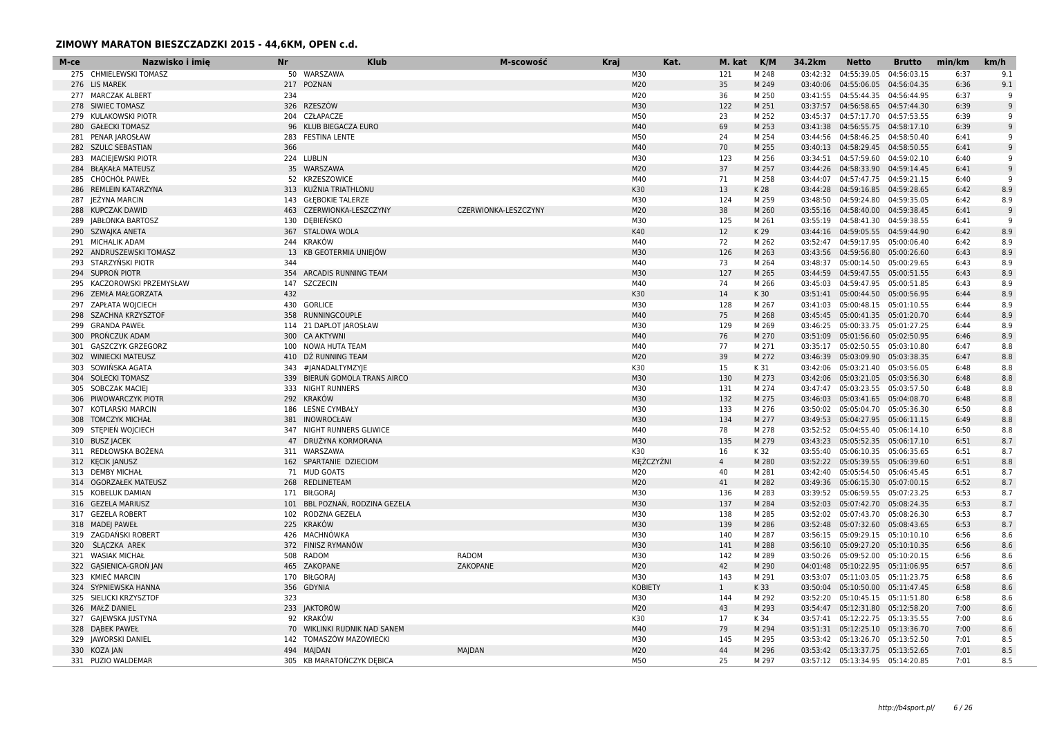| M-ce | Nazwisko i imie          | <b>Nr</b> | <b>Klub</b>                    | M-scowość            | <b>Kraj</b> |                | Kat. | M. kat         | K/M   | 34.2km   | <b>Netto</b>                       | <b>Brutto</b> | min/km | km/h |
|------|--------------------------|-----------|--------------------------------|----------------------|-------------|----------------|------|----------------|-------|----------|------------------------------------|---------------|--------|------|
|      | 275 CHMIELEWSKI TOMASZ   |           | 50 WARSZAWA                    |                      |             | M30            |      | 121            | M 248 | 03:42:32 | 04:55:39.05                        | 04:56:03.15   | 6:37   | 9.1  |
|      | 276 LIS MAREK            |           | 217 POZNAN                     |                      |             | M20            |      | 35             | M 249 |          | 03:40:06  04:55:06.05  04:56:04.35 |               | 6:36   | 9.1  |
|      | 277 MARCZAK ALBERT       | 234       |                                |                      |             | M20            |      | 36             | M 250 |          | 03:41:55  04:55:44.35  04:56:44.95 |               | 6:37   | q    |
|      | 278 SIWIEC TOMASZ        | 326       | <b>RZESZÓW</b>                 |                      |             | M30            |      | 122            | M 251 |          | 03:37:57  04:56:58.65  04:57:44.30 |               | 6:39   | 9    |
|      | 279 KULAKOWSKI PIOTR     |           | 204 CZŁAPACZE                  |                      |             | M50            |      | 23             | M 252 |          | 03:45:37  04:57:17.70  04:57:53.55 |               | 6:39   | q    |
| 280  | <b>GAŁECKI TOMASZ</b>    |           | 96 KLUB BIEGACZA EURO          |                      |             | M40            |      | 69             | M 253 |          | 03:41:38  04:56:55.75  04:58:17.10 |               | 6:39   | 9    |
|      | 281 PENAR JAROSŁAW       |           | 283 FESTINA LENTE              |                      |             | M50            |      | 24             | M 254 |          | 03:44:56  04:58:46.25  04:58:50.40 |               | 6:41   | q    |
|      | 282 SZULC SEBASTIAN      | 366       |                                |                      |             | M40            |      | 70             | M 255 |          | 03:40:13  04:58:29.45  04:58:50.55 |               | 6:41   | 9    |
| 283  | <b>MACIEJEWSKI PIOTR</b> |           | 224 LUBLIN                     |                      |             | M30            |      | 123            | M 256 |          | 03:34:51  04:57:59.60  04:59:02.10 |               | 6:40   | 9    |
|      | 284 BŁĄKAŁA MATEUSZ      |           | 35 WARSZAWA                    |                      |             | M20            |      | 37             | M 257 |          | 03:44:26 04:58:33.90 04:59:14.45   |               | 6:41   | 9    |
|      | 285 CHOCHOL PAWEŁ        |           | 52 KRZESZOWICE                 |                      |             | M40            |      | 71             | M 258 |          | 03:44:07  04:57:47.75  04:59:21.15 |               | 6:40   | q    |
|      | 286 REMLEIN KATARZYNA    |           | 313 KUŹNIA TRIATHLONU          |                      |             | K30            |      | 13             | K 28  |          | 03:44:28  04:59:16.85  04:59:28.65 |               | 6:42   | 8.9  |
| 287  | JEŻYNA MARCIN            |           | 143 GŁEBOKIE TALERZE           |                      |             | M30            |      | 124            | M 259 |          | 03:48:50  04:59:24.80  04:59:35.05 |               | 6:42   | 8.9  |
|      | 288 KUPCZAK DAWID        |           | 463 CZERWIONKA-LESZCZYNY       | CZERWIONKA-LESZCZYNY |             | M20            |      | 38             | M 260 |          | 03:55:16  04:58:40.00  04:59:38.45 |               | 6:41   | 9    |
|      | 289 JABŁONKA BARTOSZ     |           | 130 DEBIEŃSKO                  |                      |             | M30            |      | 125            | M 261 |          | 03:55:19  04:58:41.30  04:59:38.55 |               | 6:41   | -9   |
|      | 290 SZWAJKA ANETA        |           | 367 STALOWA WOLA               |                      |             | K40            |      | 12             | K 29  |          | 03:44:16  04:59:05.55  04:59:44.90 |               | 6:42   | 8.9  |
|      | 291 MICHALIK ADAM        |           | 244 KRAKÓW                     |                      |             | M40            |      | 72             | M 262 |          | 03:52:47  04:59:17.95  05:00:06.40 |               | 6:42   | 8.9  |
|      |                          |           |                                |                      |             | M30            |      |                | M 263 |          |                                    |               | 6:43   | 8.9  |
|      | 292 ANDRUSZEWSKI TOMASZ  |           | 13 KB GEOTERMIA UNIEJÓW        |                      |             |                |      | 126            |       |          | 03:43:56 04:59:56.80 05:00:26.60   |               |        |      |
|      | 293 STARZYŃSKI PIOTR     | 344       |                                |                      |             | M40            |      | 73             | M 264 |          | 03:48:37  05:00:14.50  05:00:29.65 |               | 6:43   | 8.9  |
|      | 294 SUPRON PIOTR         |           | 354 ARCADIS RUNNING TEAM       |                      |             | M30            |      | 127            | M 265 |          | 03:44:59  04:59:47.55  05:00:51.55 |               | 6:43   | 8.9  |
| 295  | KACZOROWSKI PRZEMYSŁAW   |           | 147 SZCZECIN                   |                      |             | M40            |      | 74             | M 266 |          | 03:45:03  04:59:47.95  05:00:51.85 |               | 6:43   | 8.9  |
|      | 296 ZEMŁA MAŁGORZATA     | 432       |                                |                      |             | K30            |      | 14             | K 30  |          | 03:51:41  05:00:44.50  05:00:56.95 |               | 6:44   | 8.9  |
|      | 297 ZAPŁATA WOJCIECH     |           | 430 GORLICE                    |                      |             | M30            |      | 128            | M 267 |          | 03:41:03  05:00:48.15  05:01:10.55 |               | 6:44   | 8.9  |
| 298  | SZACHNA KRZYSZTOF        |           | 358 RUNNINGCOUPLE              |                      |             | M40            |      | 75             | M 268 |          | 03:45:45  05:00:41.35  05:01:20.70 |               | 6:44   | 8.9  |
| 299  | <b>GRANDA PAWEŁ</b>      |           | 114 21 DAPLOT JAROSŁAW         |                      |             | M30            |      | 129            | M 269 |          | 03:46:25 05:00:33.75 05:01:27.25   |               | 6:44   | 8.9  |
| 300  | PRONCZUK ADAM            |           | 300 CA AKTYWNI                 |                      |             | M40            |      | 76             | M 270 |          | 03:51:09  05:01:56.60  05:02:50.95 |               | 6:46   | 8.9  |
| 301  | <b>GASZCZYK GRZEGORZ</b> |           | 100 NOWA HUTA TEAM             |                      |             | M40            |      | 77             | M 271 |          | 03:35:17 05:02:50.55 05:03:10.80   |               | 6:47   | 8.8  |
| 302  | <b>WINIECKI MATEUSZ</b>  |           | 410 DŹ RUNNING TEAM            |                      |             | M20            |      | 39             | M 272 |          | 03:46:39  05:03:09.90  05:03:38.35 |               | 6:47   | 8.8  |
| 303  | SOWIŃSKA AGATA           |           | 343 #JANADALTYMZYJE            |                      |             | K30            |      | 15             | K 31  |          | 03:42:06 05:03:21.40 05:03:56.05   |               | 6:48   | 8.8  |
|      | 304 SOLECKI TOMASZ       |           | 339 BIERUŃ GOMOLA TRANS AIRCO  |                      |             | M30            |      | 130            | M 273 |          | 03:42:06 05:03:21.05 05:03:56.30   |               | 6:48   | 8.8  |
| 305  | SOBCZAK MACIEJ           |           | 333 NIGHT RUNNERS              |                      |             | M30            |      | 131            | M 274 |          | 03:47:47 05:03:23.55 05:03:57.50   |               | 6:48   | 8.8  |
|      | 306 PIWOWARCZYK PIOTR    |           | 292 KRAKÓW                     |                      |             | M30            |      | 132            | M 275 |          | 03:46:03 05:03:41.65 05:04:08.70   |               | 6:48   | 8.8  |
|      | 307 KOTLARSKI MARCIN     |           | 186 LEŚNE CYMBAŁY              |                      |             | M30            |      | 133            | M 276 |          | 03:50:02  05:05:04.70  05:05:36.30 |               | 6:50   | 8.8  |
|      | 308 TOMCZYK MICHAŁ       |           | 381 INOWROCŁAW                 |                      |             | M30            |      | 134            | M 277 |          | 03:49:53  05:04:27.95  05:06:11.15 |               | 6:49   | 8.8  |
| 309  | STEPIEŃ WOJCIECH         |           | 347 NIGHT RUNNERS GLIWICE      |                      |             | M40            |      | 78             | M 278 |          | 03:52:52 05:04:55.40               | 05:06:14.10   | 6:50   | 8.8  |
|      | 310 BUSZ JACEK           |           | 47 DRUŻYNA KORMORANA           |                      |             | M30            |      | 135            | M 279 |          | 03:43:23  05:05:52.35  05:06:17.10 |               | 6:51   | 8.7  |
|      | 311 REDŁOWSKA BOŻENA     |           | 311 WARSZAWA                   |                      |             | K30            |      | 16             | K 32  |          | 03:55:40  05:06:10.35  05:06:35.65 |               | 6:51   | 8.7  |
|      | 312 KECIK JANUSZ         |           | 162 SPARTANIE DZIECIOM         |                      |             | MEŻCZYŹNI      |      | $\overline{4}$ | M 280 |          | 03:52:22 05:05:39.55 05:06:39.60   |               | 6:51   | 8.8  |
|      | 313 DEMBY MICHAŁ         |           | 71 MUD GOATS                   |                      |             | M20            |      | 40             | M 281 |          | 03:42:40  05:05:54.50  05:06:45.45 |               | 6:51   | 8.7  |
|      | 314 OGORZAŁEK MATEUSZ    |           | 268 REDLINETEAM                |                      |             | M20            |      | 41             | M 282 |          | 03:49:36 05:06:15.30 05:07:00.15   |               | 6:52   | 8.7  |
|      | 315 KOBELUK DAMIAN       |           | 171 BIŁGORAJ                   |                      |             | M30            |      | 136            | M 283 |          | 03:39:52  05:06:59.55  05:07:23.25 |               | 6:53   | 8.7  |
|      | 316 GEZELA MARIUSZ       |           | 101 BBL POZNAŃ, RODZINA GEZELA |                      |             | M30            |      | 137            | M 284 |          | 03:52:03  05:07:42.70  05:08:24.35 |               | 6:53   | 8.7  |
|      |                          |           |                                |                      |             | M30            |      |                |       |          |                                    |               |        |      |
|      | 317 GEZELA ROBERT        |           | 102 RODZNA GEZELA              |                      |             |                |      | 138            | M 285 |          | 03:52:02 05:07:43.70 05:08:26.30   |               | 6:53   | 8.7  |
|      | 318 MADEJ PAWEŁ          |           | 225 KRAKÓW                     |                      |             | M30            |      | 139            | M 286 |          | 03:52:48  05:07:32.60  05:08:43.65 |               | 6:53   | 8.7  |
| 319  | ZAGDAŃSKI ROBERT         |           | 426 MACHNÓWKA                  |                      |             | M30            |      | 140            | M 287 |          | 03:56:15 05:09:29.15 05:10:10.10   |               | 6:56   | 8.6  |
|      | 320 SLACZKA AREK         |           | 372 FINISZ RYMANÓW             |                      |             | M30            |      | 141            | M 288 |          | 03:56:10 05:09:27.20 05:10:10.35   |               | 6:56   | 8.6  |
|      | 321 WASIAK MICHAŁ        |           | 508 RADOM                      | <b>RADOM</b>         |             | M30            |      | 142            | M 289 |          | 03:50:26 05:09:52.00 05:10:20.15   |               | 6:56   | 8.6  |
|      | 322 GASIENICA-GRON JAN   |           | 465 ZAKOPANE                   | ZAKOPANE             |             | M20            |      | 42             | M 290 |          | 04:01:48  05:10:22.95  05:11:06.95 |               | 6:57   | 8.6  |
| 323  | KMIEĆ MARCIN             |           | 170 BIŁGORAJ                   |                      |             | M30            |      | 143            | M 291 |          | 03:53:07  05:11:03.05  05:11:23.75 |               | 6:58   | 8.6  |
|      | 324 SYPNIEWSKA HANNA     |           | 356 GDYNIA                     |                      |             | <b>KOBIETY</b> |      | $\mathbf{1}$   | K 33  |          | 03:50:04  05:10:50.00  05:11:47.45 |               | 6:58   | 8.6  |
|      | 325 SIELICKI KRZYSZTOF   | 323       |                                |                      |             | M30            |      | 144            | M 292 |          | 03:52:20 05:10:45.15 05:11:51.80   |               | 6:58   | 8.6  |
|      | 326 MAŁŻ DANIEL          |           | 233 JAKTORÓW                   |                      |             | M20            |      | 43             | M 293 |          | 03:54:47  05:12:31.80  05:12:58.20 |               | 7:00   | 8.6  |
|      | 327 GAJEWSKA JUSTYNA     |           | 92 KRAKÓW                      |                      |             | K30            |      | 17             | K 34  |          | 03:57:41  05:12:22.75  05:13:35.55 |               | 7:00   | 8.6  |
|      | 328 DABEK PAWEŁ          |           | 70 WIKLINKI RUDNIK NAD SANEM   |                      |             | M40            |      | 79             | M 294 |          | 03:51:31  05:12:25.10  05:13:36.70 |               | 7:00   | 8.6  |
|      | 329 JAWORSKI DANIEL      |           | 142 TOMASZÓW MAZOWIECKI        |                      |             | M30            |      | 145            | M 295 |          | 03:53:42  05:13:26.70  05:13:52.50 |               | 7:01   | 8.5  |
|      | 330 KOZA JAN             |           | 494 MAIDAN                     | <b>MAJDAN</b>        |             | M20            |      | 44             | M 296 |          | 03:53:42  05:13:37.75  05:13:52.65 |               | 7:01   | 8.5  |
|      | 331 PUZIO WALDEMAR       |           | 305 KB MARATOŃCZYK DĘBICA      |                      |             | M50            |      | 25             | M 297 |          | 03:57:12  05:13:34.95  05:14:20.85 |               | 7:01   | 8.5  |
|      |                          |           |                                |                      |             |                |      |                |       |          |                                    |               |        |      |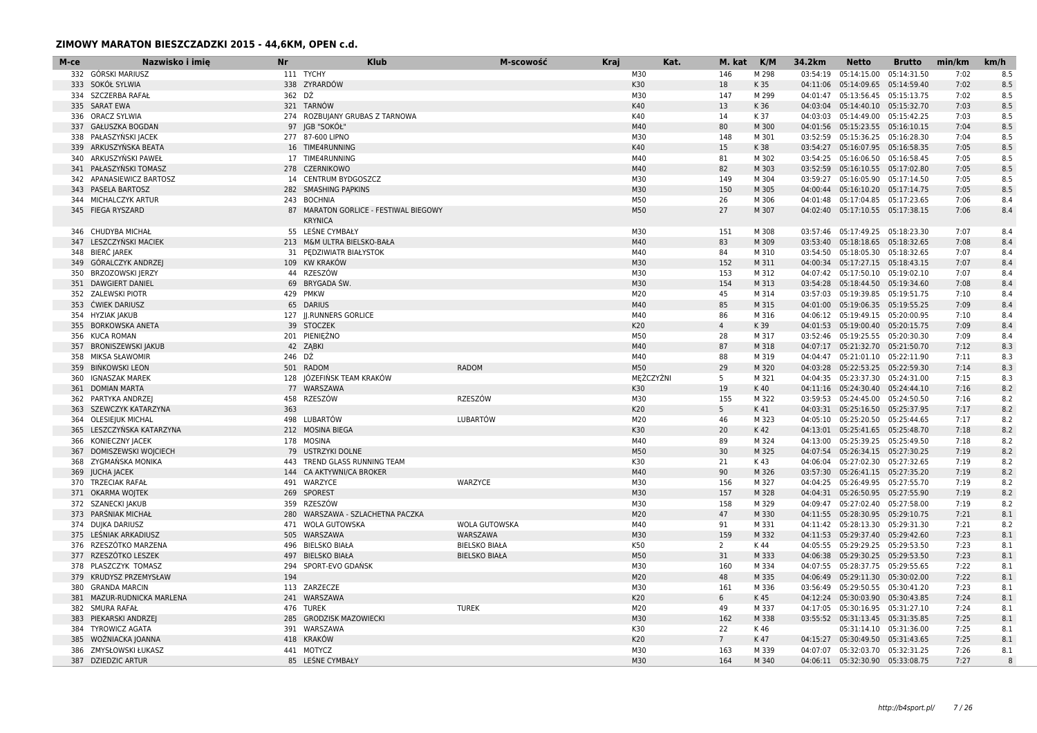| M-ce | Nazwisko i imie                         | <b>Nr</b> | <b>Klub</b>                           | M-scowość            | <b>Kraj</b> | Kat.      | M. kat          | K/M   | 34.2km   | <b>Netto</b>                       | <b>Brutto</b> | min/km | km/h         |
|------|-----------------------------------------|-----------|---------------------------------------|----------------------|-------------|-----------|-----------------|-------|----------|------------------------------------|---------------|--------|--------------|
|      | 332 GÓRSKI MARIUSZ                      |           | 111 TYCHY                             |                      |             | M30       | 146             | M 298 | 03:54:19 | 05:14:15.00                        | 05:14:31.50   | 7:02   | 8.5          |
|      | 333 SOKÓŁ SYLWIA                        |           | 338 ZYRARDÓW                          |                      |             | K30       | 18              | K 35  | 04:11:06 | 05:14:09.65 05:14:59.40            |               | 7:02   | 8.5          |
|      | 334 SZCZERBA RAFAŁ                      | 362 DŻ    |                                       |                      |             | M30       | 147             | M 299 | 04:01:47 | 05:13:56.45 05:15:13.75            |               | 7:02   | 8.5          |
|      | 335 SARAT EWA                           |           | 321 TARNÓW                            |                      |             | K40       | 13              | K 36  |          | 04:03:04  05:14:40.10  05:15:32.70 |               | 7:03   | 8.5          |
|      | 336 ORACZ SYLWIA                        |           | 274 ROZBUJANY GRUBAS Z TARNOWA        |                      |             | K40       | 14              | K 37  |          | 04:03:03  05:14:49.00  05:15:42.25 |               | 7:03   | 8.5          |
| 337  | <b>GAŁUSZKA BOGDAN</b>                  |           | 97 JGB "SOKÓŁ"                        |                      |             | M40       | 80              | M 300 |          | 04:01:56 05:15:23.55 05:16:10.15   |               | 7:04   | 8.5          |
|      | 338 PAŁASZYŃSKI JACEK                   |           | 277 87-600 LIPNO                      |                      |             | M30       | 148             | M 301 |          | 03:52:59 05:15:36.25 05:16:28.30   |               | 7:04   | 8.5          |
|      | 339 ARKUSZYŃSKA BEATA                   |           | 16 TIME4RUNNING                       |                      |             | K40       | 15              | K 38  |          | 03:54:27  05:16:07.95  05:16:58.35 |               | 7:05   | 8.5          |
| 340  | ARKUSZYŃSKI PAWEŁ                       |           | 17 TIME4RUNNING                       |                      |             | M40       | 81              | M 302 |          | 03:54:25  05:16:06.50  05:16:58.45 |               | 7:05   | 8.5          |
|      | 341 PAŁASZYŃSKI TOMASZ                  |           | 278 CZERNIKOWO                        |                      |             | M40       | 82              | M 303 |          | 03:52:59  05:16:10.55  05:17:02.80 |               | 7:05   | 8.5          |
|      | 342 APANASIEWICZ BARTOSZ                |           | 14 CENTRUM BYDGOSZCZ                  |                      |             | M30       | 149             | M 304 |          | 03:59:27  05:16:05.90  05:17:14.50 |               | 7:05   | 8.5          |
|      | 343 PASELA BARTOSZ                      |           | 282 SMASHING PAPKINS                  |                      |             | M30       | 150             | M 305 |          | 04:00:44  05:16:10.20  05:17:14.75 |               | 7:05   | 8.5          |
|      | 344 MICHALCZYK ARTUR                    |           | 243 BOCHNIA                           |                      |             | M50       | 26              | M 306 |          | 04:01:48  05:17:04.85  05:17:23.65 |               | 7:06   | 8.4          |
|      | 345 FIEGA RYSZARD                       |           | 87 MARATON GORLICE - FESTIWAL BIEGOWY |                      |             | M50       | 27              | M 307 |          | 04:02:40  05:17:10.55  05:17:38.15 |               | 7:06   | 8.4          |
|      |                                         |           | <b>KRYNICA</b>                        |                      |             |           |                 |       |          |                                    |               |        |              |
|      | 346 CHUDYBA MICHAŁ                      |           | 55 LEŚNE CYMBAŁY                      |                      |             | M30       | 151             | M 308 |          | 03:57:46 05:17:49.25 05:18:23.30   |               | 7:07   | 8.4          |
| 347  | LESZCZYŃSKI MACIEK                      |           | 213 M&M ULTRA BIELSKO-BAŁA            |                      |             | M40       | 83              | M 309 |          | 03:53:40  05:18:18.65  05:18:32.65 |               | 7:08   | 8.4          |
|      | 348 BIERC JAREK                         |           | 31 PEDZIWIATR BIAŁYSTOK               |                      |             | M40       | 84              | M 310 |          | 03:54:50  05:18:05.30  05:18:32.65 |               | 7:07   | 8.4          |
|      | 349 GÓRALCZYK ANDRZEJ                   |           | 109 KW KRAKÓW                         |                      |             | M30       | 152             | M 311 |          | 04:00:34  05:17:27.15  05:18:43.15 |               | 7:07   | 8.4          |
|      |                                         |           | 44 RZESZÓW                            |                      |             | M30       | 153             | M 312 |          | 04:07:42  05:17:50.10  05:19:02.10 |               | 7:07   | 8.4          |
| 350  | BRZOZOWSKI JERZY<br>351 DAWGIERT DANIEL |           | 69 BRYGADA ŚW.                        |                      |             | M30       | 154             | M 313 |          | 03:54:28  05:18:44.50  05:19:34.60 |               | 7:08   | 8.4          |
|      |                                         |           |                                       |                      |             |           |                 |       |          |                                    |               |        |              |
|      | 352 ZALEWSKI PIOTR                      |           | 429 PMKW                              |                      |             | M20       | 45              | M 314 |          | 03:57:03  05:19:39.85  05:19:51.75 |               | 7:10   | 8.4          |
|      | 353 ĆWIEK DARIUSZ                       |           | 65 DARIUS                             |                      |             | M40       | 85              | M 315 |          | 04:01:00  05:19:06.35  05:19:55.25 |               | 7:09   | 8.4          |
|      | 354 HYZIAK JAKUB                        |           | 127 JJ.RUNNERS GORLICE                |                      |             | M40       | 86              | M 316 |          | 04:06:12  05:19:49.15  05:20:00.95 |               | 7:10   | 8.4          |
|      | 355 BORKOWSKA ANETA                     |           | 39 STOCZEK                            |                      |             | K20       | $\overline{4}$  | K 39  |          | 04:01:53  05:19:00.40  05:20:15.75 |               | 7:09   | 8.4          |
|      | 356 KUCA ROMAN                          |           | 201 PIENIEŻNO                         |                      |             | M50       | 28              | M 317 |          | 03:52:46 05:19:25.55 05:20:30.30   |               | 7:09   | 8.4          |
|      | 357 BRONISZEWSKI JAKUB                  |           | 42 ZABKI                              |                      |             | M40       | 87              | M 318 |          | 04:07:17  05:21:32.70  05:21:50.70 |               | 7:12   | 8.3          |
|      | 358 MIKSA SŁAWOMIR                      | 246 DŹ    |                                       |                      |             | M40       | 88              | M 319 |          | 04:04:47  05:21:01.10  05:22:11.90 |               | 7:11   | 8.3          |
|      | 359 BIŃKOWSKI LEON                      |           | 501 RADOM                             | <b>RADOM</b>         |             | M50       | 29              | M 320 |          | 04:03:28  05:22:53.25  05:22:59.30 |               | 7:14   | 8.3          |
|      | 360 IGNASZAK MAREK                      |           | 128 JÓZEFIŃSK TEAM KRAKÓW             |                      |             | MĘŻCZYŹNI | -5              | M 321 |          | 04:04:35  05:23:37.30  05:24:31.00 |               | 7:15   | 8.3          |
| 361  | <b>DOMIAN MARTA</b>                     |           | 77 WARSZAWA                           |                      |             | K30       | 19              | K 40  |          | 04:11:16  05:24:30.40  05:24:44.10 |               | 7:16   | 8.2          |
|      | 362 PARTYKA ANDRZEJ                     | 458       | RZESZÓW                               | RZESZÓW              |             | M30       | 155             | M 322 |          | 03:59:53  05:24:45.00  05:24:50.50 |               | 7:16   | 8.2          |
|      | 363 SZEWCZYK KATARZYNA                  | 363       |                                       |                      |             | K20       | 5               | K 41  |          | 04:03:31  05:25:16.50  05:25:37.95 |               | 7:17   | 8.2          |
|      | 364 OLESIEJUK MICHAL                    |           | 498 LUBARTÓW                          | LUBARTÓW             |             | M20       | 46              | M 323 |          | 04:05:10 05:25:20.50 05:25:44.65   |               | 7:17   | 8.2          |
| 365  | LESZCZYŃSKA KATARZYNA                   |           | 212 MOSINA BIEGA                      |                      |             | K30       | 20              | K 42  |          | 04:13:01  05:25:41.65  05:25:48.70 |               | 7:18   | 8.2          |
|      | 366 KONIECZNY JACEK                     |           | 178 MOSINA                            |                      |             | M40       | 89              | M 324 |          | 04:13:00 05:25:39.25 05:25:49.50   |               | 7:18   | 8.2          |
|      | 367 DOMISZEWSKI WOJCIECH                |           | 79 USTRZYKI DOLNE                     |                      |             | M50       | 30              | M 325 |          | 04:07:54 05:26:34.15 05:27:30.25   |               | 7:19   | 8.2          |
| 368  | ZYGMAŃSKA MONIKA                        |           | 443 TREND GLASS RUNNING TEAM          |                      |             | K30       | 21              | K 43  |          | 04:06:04  05:27:02.30  05:27:32.65 |               | 7:19   | 8.2          |
| 369  | <b>JUCHA JACEK</b>                      |           | 144 CA AKTYWNI/CA BROKER              |                      |             | M40       | 90              | M 326 |          | 03:57:30  05:26:41.15  05:27:35.20 |               | 7:19   | 8.2          |
|      | 370 TRZECIAK RAFAŁ                      |           | 491 WARZYCE                           | WARZYCE              |             | M30       | 156             | M 327 |          | 04:04:25 05:26:49.95 05:27:55.70   |               | 7:19   | 8.2          |
|      | 371 OKARMA WOJTEK                       |           | 269 SPOREST                           |                      |             | M30       | 157             | M 328 |          | 04:04:31  05:26:50.95  05:27:55.90 |               | 7:19   | 8.2          |
| 372  | SZANECKI JAKUB                          |           | 359 RZESZÓW                           |                      |             | M30       | 158             | M 329 |          | 04:09:47  05:27:02.40  05:27:58.00 |               | 7:19   | 8.2          |
|      | 373 PARŚNIAK MICHAŁ                     |           | 280 WARSZAWA - SZLACHETNA PACZKA      |                      |             | M20       | 47              | M 330 |          | 04:11:55  05:28:30.95  05:29:10.75 |               | 7:21   | 8.1          |
|      | 374 DUJKA DARIUSZ                       |           | 471 WOLA GUTOWSKA                     | WOLA GUTOWSKA        |             | M40       | 91              | M 331 |          | 04:11:42  05:28:13.30  05:29:31.30 |               | 7:21   | 8.2          |
|      | 375 LEŚNIAK ARKADIUSZ                   |           | 505 WARSZAWA                          | WARSZAWA             |             | M30       | 159             | M 332 |          | 04:11:53  05:29:37.40  05:29:42.60 |               | 7:23   | 8.1          |
|      | 376 RZESZÓTKO MARZENA                   |           | 496 BIELSKO BIAŁA                     | <b>BIELSKO BIAŁA</b> |             | K50       | 2               | K 44  |          | 04:05:55  05:29:29.25  05:29:53.50 |               | 7:23   | 8.1          |
|      | 377 RZESZÓTKO LESZEK                    |           | 497 BIELSKO BIAŁA                     | <b>BIELSKO BIAŁA</b> |             | M50       | 31              | M 333 |          | 04:06:38  05:29:30.25  05:29:53.50 |               | 7:23   | 8.1          |
|      | 378 PLASZCZYK TOMASZ                    |           | 294 SPORT-EVO GDAŃSK                  |                      |             | M30       | 160             | M 334 |          | 04:07:55 05:28:37.75 05:29:55.65   |               | 7:22   | 8.1          |
| 379  | KRUDYSZ PRZEMYSŁAW                      | 194       |                                       |                      |             | M20       | 48              | M 335 |          | 04:06:49  05:29:11.30  05:30:02.00 |               | 7:22   | 8.1          |
| 380  | <b>GRANDA MARCIN</b>                    |           | 113 ZARZECZE                          |                      |             | M30       | 161             | M 336 |          | 03:56:49  05:29:50.55  05:30:41.20 |               | 7:23   | 8.1          |
|      | 381 MAZUR-RUDNICKA MARLENA              |           | 241 WARSZAWA                          |                      |             | K20       | 6               | K 45  |          | 04:12:24  05:30:03.90  05:30:43.85 |               | 7:24   | 8.1          |
|      | 382 SMURA RAFAŁ                         |           | 476 TUREK                             | <b>TUREK</b>         |             | M20       | 49              | M 337 |          | 04:17:05 05:30:16.95 05:31:27.10   |               | 7:24   | 8.1          |
| 383  | PIEKARSKI ANDRZEJ                       |           | 285 GRODZISK MAZOWIECKI               |                      |             | M30       | 162             | M 338 |          | 03:55:52  05:31:13.45  05:31:35.85 |               | 7:25   | 8.1          |
|      | 384 TYROWICZ AGATA                      |           | 391 WARSZAWA                          |                      |             | K30       | 22              | K 46  |          | 05:31:14.10  05:31:36.00           |               | 7:25   | 8.1          |
|      | 385 WOŻNIACKA JOANNA                    |           | 418 KRAKÓW                            |                      |             | K20       | $7\overline{ }$ | K 47  |          | 04:15:27  05:30:49.50  05:31:43.65 |               | 7:25   | 8.1          |
|      | 386 ZMYSŁOWSKI ŁUKASZ                   |           | 441 MOTYCZ                            |                      |             | M30       | 163             | M 339 |          | 04:07:07 05:32:03.70 05:32:31.25   |               | 7:26   | 8.1          |
|      | 387 DZIEDZIC ARTUR                      |           | 85 LEŚNE CYMBAŁY                      |                      |             | M30       | 164             | M 340 |          | 04:06:11  05:32:30.90  05:33:08.75 |               | 7:27   | $\mathsf{R}$ |
|      |                                         |           |                                       |                      |             |           |                 |       |          |                                    |               |        |              |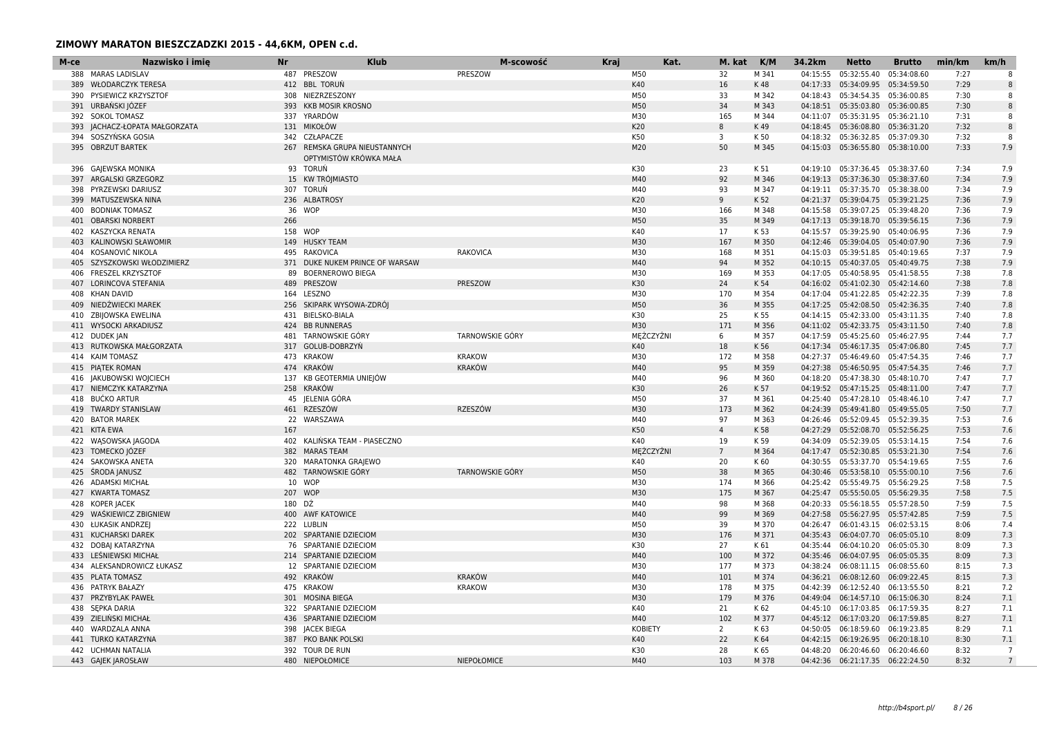| M-ce | Nazwisko i imie<br><b>Nr</b> |         | <b>Klub</b>                     | M-scowość              | <b>Kraj</b> |                | Kat. | M. kat               | K/M           | 34.2km   | <b>Netto</b>                                                           | <b>Brutto</b> | min/km       | km/h           |
|------|------------------------------|---------|---------------------------------|------------------------|-------------|----------------|------|----------------------|---------------|----------|------------------------------------------------------------------------|---------------|--------------|----------------|
|      | 388 MARAS LADISLAV           |         | 487 PRESZOW                     | PRESZOW                |             | M50            |      | 32                   | M 341         | 04:15:55 | 05:32:55.40                                                            | 05:34:08.60   | 7:27         | 8              |
| 389  | <b>WŁODARCZYK TERESA</b>     |         | 412 BBL TORUN                   |                        |             | K40            |      | 16                   | K 48          | 04:17:33 | 05:34:09.95                                                            | 05:34:59.50   | 7:29         | 8              |
| 390  | PYSIEWICZ KRZYSZTOF          |         | 308 NIEZRZESZONY                |                        |             | M50            |      | 33                   | M 342         | 04:18:43 | 05:34:54.35                                                            | 05:36:00.85   | 7:30         | 8              |
|      | 391 URBAŃSKI JÓZEF           |         | 393 KKB MOSIR KROSNO            |                        |             | M50            |      | 34                   | M 343         |          | 04:18:51 05:35:03.80                                                   | 05:36:00.85   | 7:30         | 8              |
|      | 392 SOKOL TOMASZ             |         | 337 YRARDÓW                     |                        |             | M30            |      | 165                  | M 344         |          | 04:11:07  05:35:31.95  05:36:21.10                                     |               | 7:31         | 8              |
| 393  | JACHACZ-ŁOPATA MAŁGORZATA    |         | 131 MIKOŁÓW                     |                        |             | K20            |      | 8                    | K 49          | 04:18:45 | 05:36:08.80                                                            | 05:36:31.20   | 7:32         | 8              |
| 394  | SOSZYŃSKA GOSIA              |         | 342 CZŁAPACZE                   |                        |             | K50            |      | 3                    | K 50          |          | 04:18:32  05:36:32.85                                                  | 05:37:09.30   | 7:32         | 8              |
| 395  | <b>OBRZUT BARTEK</b>         |         | 267 REMSKA GRUPA NIEUSTANNYCH   |                        |             | M20            |      | 50                   | M 345         |          | 04:15:03  05:36:55.80  05:38:10.00                                     |               | 7:33         | 7.9            |
|      |                              |         | OPTYMISTÓW KRÓWKA MAŁA          |                        |             |                |      |                      |               |          |                                                                        |               |              |                |
|      | 396 GAJEWSKA MONIKA          |         | 93 TORUŃ                        |                        |             | K30            |      | 23                   | K 51          | 04:19:10 | 05:37:36.45                                                            | 05:38:37.60   | 7:34         | 7.9            |
|      | 397 ARGALSKI GRZEGORZ        |         | 15 KW TRÓJMIASTO                |                        |             | M40            |      | 92                   | M 346         |          | 04:19:13  05:37:36.30                                                  | 05:38:37.60   | 7:34         | 7.9            |
|      | 398 PYRZEWSKI DARIUSZ        |         | 307 TORUN                       |                        |             | M40            |      | 93                   | M 347         |          | 04:19:11  05:37:35.70  05:38:38.00                                     |               | 7:34         | 7.9            |
| 399  | MATUSZEWSKA NINA             |         | 236 ALBATROSY                   |                        |             | K20            |      | $\overline{9}$       | K 52          |          | 04:21:37  05:39:04.75  05:39:21.25                                     |               | 7:36         | 7.9            |
| 400  | <b>BODNIAK TOMASZ</b>        |         | 36 WOP                          |                        |             | M30            |      | 166                  | M 348         | 04:15:58 | 05:39:07.25                                                            | 05:39:48.20   | 7:36         | 7.9            |
| 401  | <b>OBARSKI NORBERT</b>       | 266     |                                 |                        |             | M50            |      | 35                   | M 349         |          | 04:17:13  05:39:18.70  05:39:56.15                                     |               | 7:36         | 7.9            |
| 402  | KASZYCKA RENATA              | 158 WOP |                                 |                        |             | K40            |      | 17                   | K 53          |          | 04:15:57 05:39:25.90 05:40:06.95                                       |               | 7:36         | 7.9            |
| 403  | KALINOWSKI SŁAWOMIR          |         | 149 HUSKY TEAM                  |                        |             | M30            |      | 167                  | M 350         | 04:12:46 | 05:39:04.05                                                            | 05:40:07.90   | 7:36         | 7.9            |
| 404  | KOSANOVIĆ NIKOLA             |         | 495 RAKOVICA                    | RAKOVICA               |             | M30            |      | 168                  | M 351         |          | 04:15:03 05:39:51.85                                                   | 05:40:19.65   | 7:37         | 7.9            |
| 405  | SZYSZKOWSKI WŁODZIMIERZ      |         | 371 DUKE NUKEM PRINCE OF WARSAW |                        |             | M40            |      | 94                   | M 352         |          | 04:10:15 05:40:37.05                                                   | 05:40:49.75   | 7:38         | 7.9            |
| 406  | <b>FRESZEL KRZYSZTOF</b>     | 89      | <b>BOERNEROWO BIEGA</b>         |                        |             | M30            |      | 169                  | M 353         | 04:17:05 | 05:40:58.95 05:41:58.55                                                |               | 7:38         | 7.8            |
| 407  | <b>LORINCOVA STEFANIA</b>    | 489     | PRESZOW                         | PRESZOW                |             | K30            |      | 24                   | K 54          |          | 04:16:02 05:41:02.30                                                   | 05:42:14.60   | 7:38         | 7.8            |
| 408  | <b>KHAN DAVID</b>            |         | 164 LESZNO                      |                        |             | M30            |      | 170                  | M 354         |          | 04:17:04 05:41:22.85                                                   | 05:42:22.35   | 7:39         | 7.8            |
| 409  | NIEDŻWIECKI MAREK            |         | 256 SKIPARK WYSOWA-ZDRÓJ        |                        |             | M50            |      | 36                   | M 355         |          | 04:17:25  05:42:08.50  05:42:36.35                                     |               | 7:40         | 7.8            |
| 410  | ZBIJOWSKA EWELINA            |         | 431 BIELSKO-BIALA               |                        |             | K30            |      | 25                   | K 55          |          | 04:14:15 05:42:33.00                                                   | 05:43:11.35   | 7:40         | 7.8            |
|      | 411 WYSOCKI ARKADIUSZ        |         | 424 BB RUNNERAS                 |                        |             | M30            |      | 171                  | M 356         |          | 04:11:02  05:42:33.75  05:43:11.50                                     |               | 7:40         | 7.8            |
|      | 412 DUDEK JAN                |         | 481 TARNOWSKIE GÓRY             | <b>TARNOWSKIE GÓRY</b> |             | MEŻCZYŹNI      |      | 6                    | M 357         | 04:17:59 | 05:45:25.60                                                            | 05:46:27.95   | 7:44         | 7.7            |
|      | 413 RUTKOWSKA MAŁGORZATA     |         | 317 GOLUB-DOBRZYN               |                        |             | K40            |      | 18                   | K 56          |          | 04:17:34 05:46:17.35 05:47:06.80                                       |               | 7:45         | 7.7            |
| 414  | <b>KAIM TOMASZ</b>           |         | 473 KRAKOW                      | <b>KRAKOW</b>          |             | M30            |      | 172                  | M 358         | 04:27:37 | 05:46:49.60                                                            | 05:47:54.35   | 7:46         | 7.7            |
|      | 415 PIATEK ROMAN             |         | 474 KRAKÓW                      | <b>KRAKÓW</b>          |             | M40            |      | 95                   | M 359         | 04:27:38 | 05:46:50.95 05:47:54.35                                                |               | 7:46         | 7.7            |
|      | 416 JAKUBOWSKI WOJCIECH      |         | 137 KB GEOTERMIA UNIEJÓW        |                        |             | M40            |      | 96                   | M 360         |          | 04:18:20 05:47:38.30 05:48:10.70                                       |               | 7:47         | 7.7            |
| 417  | NIEMCZYK KATARZYNA           |         | 258 KRAKÓW                      |                        |             | K30            |      | 26                   | K 57          |          | 04:19:52  05:47:15.25  05:48:11.00                                     |               | 7:47         | 7.7            |
| 418  | <b>BUCKO ARTUR</b>           | 45      | JELENIA GÓRA                    |                        |             | M50            |      | 37                   | M 361         | 04:25:40 | 05:47:28.10 05:48:46.10                                                |               | 7:47         | 7.7            |
| 419  | <b>TWARDY STANISLAW</b>      |         | 461 RZESZÓW                     | <b>RZESZÓW</b>         |             | M30            |      | 173                  | M 362         |          |                                                                        |               | 7:50         | 7.7            |
|      | <b>BATOR MAREK</b>           |         | 22 WARSZAWA                     |                        |             | M40            |      | 97                   | M 363         |          | 04:24:39  05:49:41.80  05:49:55.05<br>04:26:46 05:52:09.45 05:52:39.35 |               | 7:53         |                |
| 420  |                              |         |                                 |                        |             | K50            |      |                      |               |          | 05:52:08.70                                                            | 05:52:56.25   |              | 7.6            |
| 421  | <b>KITA EWA</b>              | 167     | 402 KALIŃSKA TEAM - PIASECZNO   |                        |             | K40            |      | $\overline{4}$       | K 58          | 04:27:29 |                                                                        |               | 7:53<br>7:54 | 7.6            |
|      | 422 WASOWSKA JAGODA          |         | <b>MARAS TEAM</b>               |                        |             | MEŻCZYŹNI      |      | 19<br>$\overline{7}$ | K 59<br>M 364 |          | 04:34:09 05:52:39.05 05:53:14.15                                       |               | 7:54         | 7.6            |
|      | 423 TOMECKO JÓZEF            | 382     |                                 |                        |             |                |      |                      |               | 04:17:47 | 05:52:30.85 05:53:21.30                                                |               |              | 7.6            |
| 424  | SAKOWSKA ANETA               | 320     | MARATONKA GRAJEWO               |                        |             | K40            |      | 20                   | K 60          | 04:30:55 | 05:53:37.70 05:54:19.65                                                |               | 7:55         | 7.6            |
| 425  | ŚRODA JANUSZ                 |         | 482 TARNOWSKIE GÓRY             | TARNOWSKIE GÓRY        |             | M50            |      | 38                   | M 365         |          | 04:30:46 05:53:58.10 05:55:00.10                                       |               | 7:56         | 7.6            |
| 426  | <b>ADAMSKI MICHAŁ</b>        |         | 10 WOP                          |                        |             | M30            |      | 174                  | M 366         |          | 04:25:42 05:55:49.75 05:56:29.25                                       |               | 7:58         | 7.5            |
| 427  | <b>KWARTA TOMASZ</b>         | 207 WOP |                                 |                        |             | M30            |      | 175                  | M 367         |          | 04:25:47 05:55:50.05 05:56:29.35                                       |               | 7:58         | 7.5            |
| 428  | <b>KOPER JACEK</b>           | 180 DŹ  |                                 |                        |             | M40            |      | 98                   | M 368         | 04:20:33 | 05:56:18.55 05:57:28.50                                                |               | 7:59         | 7.5            |
| 429  | WAŚKIEWICZ ZBIGNIEW          |         | 400 AWF KATOWICE                |                        |             | M40            |      | 99                   | M 369         |          | 04:27:58 05:56:27.95 05:57:42.85                                       |               | 7:59         | 7.5            |
|      | 430 ŁUKASIK ANDRZEJ          |         | 222 LUBLIN                      |                        |             | M50            |      | 39                   | M 370         |          | 04:26:47 06:01:43.15 06:02:53.15                                       |               | 8:06         | 7.4            |
|      | 431 KUCHARSKI DAREK          |         | 202 SPARTANIE DZIECIOM          |                        |             | M30            |      | 176                  | M 371         |          | 04:35:43 06:04:07.70 06:05:05.10                                       |               | 8:09         | 7.3            |
| 432  | DOBAJ KATARZYNA              | 76      | SPARTANIE DZIECIOM              |                        |             | K30            |      | 27                   | K 61          | 04:35:44 | 06:04:10.20                                                            | 06:05:05.30   | 8:09         | 7.3            |
|      | 433 LEŚNIEWSKI MICHAŁ        |         | 214 SPARTANIE DZIECIOM          |                        |             | M40            |      | 100                  | M 372         |          | 04:35:46 06:04:07.95 06:05:05.35                                       |               | 8:09         | 7.3            |
| 434  | ALEKSANDROWICZ ŁUKASZ        |         | 12 SPARTANIE DZIECIOM           |                        |             | M30            |      | 177                  | M 373         |          | 04:38:24 06:08:11.15 06:08:55.60                                       |               | 8:15         | 7.3            |
| 435  | <b>PLATA TOMASZ</b>          |         | 492 KRAKÓW                      | <b>KRAKÓW</b>          |             | M40            |      | 101                  | M 374         |          | 04:36:21 06:08:12.60 06:09:22.45                                       |               | 8:15         | 7.3            |
| 436  | PATRYK BAŁAZY                |         | 475 KRAKOW                      | <b>KRAKOW</b>          |             | M30            |      | 178                  | M 375         |          | 04:42:39 06:12:52.40                                                   | 06:13:55.50   | 8:21         | 7.2            |
| 437  | PRZYBYLAK PAWEŁ              |         | 301 MOSINA BIEGA                |                        |             | M30            |      | 179                  | M 376         |          | 04:49:04  06:14:57.10  06:15:06.30                                     |               | 8:24         | 7.1            |
|      | 438 SEPKA DARIA              |         | 322 SPARTANIE DZIECIOM          |                        |             | K40            |      | 21                   | K 62          |          | 04:45:10 06:17:03.85 06:17:59.35                                       |               | 8:27         | 7.1            |
|      | 439 ZIELIŃSKI MICHAŁ         |         | 436 SPARTANIE DZIECIOM          |                        |             | M40            |      | 102                  | M 377         |          | 04:45:12 06:17:03.20 06:17:59.85                                       |               | 8:27         | 7.1            |
| 440  | WARDZALA ANNA                |         | 398 JACEK BIEGA                 |                        |             | <b>KOBIETY</b> |      | $\overline{2}$       | K 63          |          | 04:50:05 06:18:59.60                                                   | 06:19:23.85   | 8:29         | 7.1            |
|      | 441 TURKO KATARZYNA          | 387     | PKO BANK POLSKI                 |                        |             | K40            |      | 22                   | K 64          |          | 04:42:15 06:19:26.95 06:20:18.10                                       |               | 8:30         | 7.1            |
| 442  | <b>UCHMAN NATALIA</b>        |         | 392 TOUR DE RUN                 |                        |             | K30            |      | 28                   | K 65          |          | 04:48:20 06:20:46.60                                                   | 06:20:46.60   | 8:32         | $\overline{7}$ |
|      | 443 GAJEK JAROSŁAW           |         | 480 NIEPOŁOMICE                 | NIEPOŁOMICE            |             | M40            |      | 103                  | M 378         |          | 04:42:36 06:21:17.35 06:22:24.50                                       |               | 8:32         | $\overline{7}$ |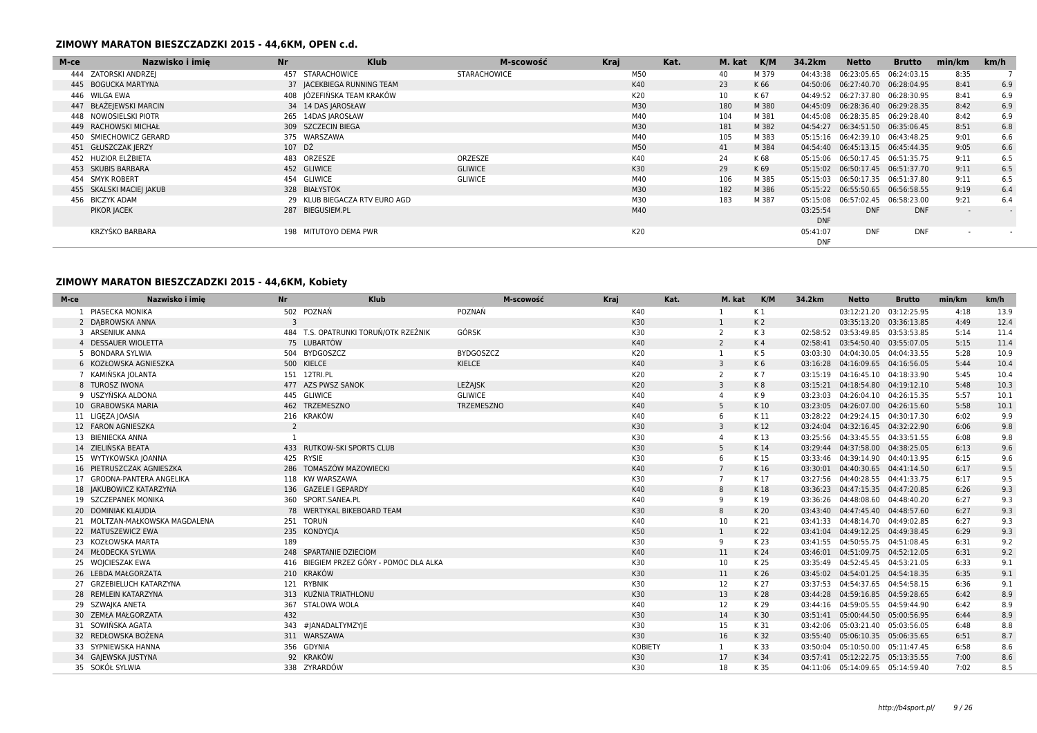| M-ce | Nazwisko i imie          | <b>Nr</b> | <b>Klub</b>                   | M-scowość      | Kraj |     | Kat. | M. kat | K/M   | 34.2km     | Netto                              | <b>Brutto</b> | min/km                   | km/h |
|------|--------------------------|-----------|-------------------------------|----------------|------|-----|------|--------|-------|------------|------------------------------------|---------------|--------------------------|------|
|      | 444 ZATORSKI ANDRZEJ     |           | 457 STARACHOWICE              | STARACHOWICE   |      | M50 |      | 40     | M 379 |            | 04:43:38  06:23:05.65  06:24:03.15 |               | 8:35                     |      |
|      | 445 BOGUCKA MARTYNA      |           | 37 JACEKBIEGA RUNNING TEAM    |                |      | K40 |      | 23     | K 66  |            | 04:50:06 06:27:40.70 06:28:04.95   |               | 8:41                     | 6.9  |
|      | 446 WILGA EWA            |           | 408 JÓZEFIŃSKA TEAM KRAKÓW    |                |      | K20 |      | 10     | K 67  |            | 04:49:52 06:27:37.80 06:28:30.95   |               | 8:41                     | 6.9  |
|      | 447 BŁAŻEJEWSKI MARCIN   |           | 34 14 DAS JAROSŁAW            |                |      | M30 |      | 180    | M 380 |            | 04:45:09  06:28:36.40  06:29:28.35 |               | 8:42                     | 6.9  |
|      | 448 NOWOSIELSKI PIOTR    |           | 265 14DAS JAROSŁAW            |                |      | M40 |      | 104    | M 381 |            | 04:45:08 06:28:35.85 06:29:28.40   |               | 8:42                     | 6.9  |
|      | 449 RACHOWSKI MICHAŁ     |           | 309 SZCZECIN BIEGA            |                |      | M30 |      | 181    | M 382 |            | 04:54:27 06:34:51.50 06:35:06.45   |               | 8:51                     | 6.8  |
|      | 450 ŚMIECHOWICZ GERARD   |           | 375 WARSZAWA                  |                |      | M40 |      | 105    | M 383 |            | 05:15:16 06:42:39.10 06:43:48.25   |               | 9:01                     | 6.6  |
|      | 451 GŁUSZCZAK JERZY      | 107 DŹ    |                               |                |      | M50 |      | 41     | M 384 |            | 04:54:40 06:45:13.15 06:45:44.35   |               | 9:05                     | 6.6  |
|      | 452 HUZIOR ELŻBIETA      |           | 483 ORZESZE                   | ORZESZE        |      | K40 |      | 24     | K 68  |            | 05:15:06  06:50:17.45  06:51:35.75 |               | 9:11                     | 6.5  |
|      | 453 SKUBIS BARBARA       |           | 452 GLIWICE                   | <b>GLIWICE</b> |      | K30 |      | 29     | K 69  |            | 05:15:02  06:50:17.45  06:51:37.70 |               | 9:11                     | 6.5  |
|      | 454 SMYK ROBERT          |           | 454 GLIWICE                   | GLIWICE        |      | M40 |      | 106    | M 385 |            | 05:15:03  06:50:17.35  06:51:37.80 |               | 9:11                     | 6.5  |
|      | 455 SKALSKI MACIEJ JAKUB |           | 328 BIAŁYSTOK                 |                |      | M30 |      | 182    | M 386 |            | 05:15:22  06:55:50.65  06:56:58.55 |               | 9:19                     | 6.4  |
|      | 456 BICZYK ADAM          |           | 29 KLUB BIEGACZA RTV EURO AGD |                |      | M30 |      | 183    | M 387 |            | 05:15:08  06:57:02.45  06:58:23.00 |               | 9:21                     | 6.4  |
|      | PIKOR JACEK              |           | 287 BIEGUSIEM.PL              |                |      | M40 |      |        |       | 03:25:54   | <b>DNF</b>                         | <b>DNF</b>    | $\overline{\phantom{a}}$ |      |
|      |                          |           |                               |                |      |     |      |        |       | <b>DNF</b> |                                    |               |                          |      |
|      | KRZYŚKO BARBARA          |           | 198 MITUTOYO DEMA PWR         |                |      | K20 |      |        |       | 05:41:07   | <b>DNF</b>                         | <b>DNF</b>    |                          |      |
|      |                          |           |                               |                |      |     |      |        |       | <b>DNF</b> |                                    |               |                          |      |

## **ZIMOWY MARATON BIESZCZADZKI 2015 - 44,6KM, Kobiety**

| M-ce | Nazwisko i imie<br>Nr          |                | Klub                                    |                  | M-scowość | Kraj | Kat.           | M. kat          | K/M            | 34.2km   | <b>Netto</b>                       | <b>Brutto</b> | min/km | km/h |
|------|--------------------------------|----------------|-----------------------------------------|------------------|-----------|------|----------------|-----------------|----------------|----------|------------------------------------|---------------|--------|------|
|      | PIASECKA MONIKA                |                | 502 POZNAŃ                              | POZNAŃ           |           | K40  |                |                 | K1             |          | 03:12:21.20                        | 03:12:25.95   | 4:18   | 13.9 |
|      | 2 DABROWSKA ANNA               | 3              |                                         |                  |           |      | K30            | $\mathbf{1}$    | K <sub>2</sub> |          | 03:35:13.20 03:36:13.85            |               | 4:49   | 12.4 |
|      | 3 ARSENIUK ANNA                |                | 484 T.S. OPATRUNKI TORUŃ/OTK RZEŹNIK    | GÓRSK            |           |      | K30            | $\overline{2}$  | K 3            |          | 02:58:52 03:53:49.85 03:53:53.85   |               | 5:14   | 11.4 |
|      | 4 DESSAUER WIOLETTA            |                | 75 LUBARTÓW                             |                  |           |      | K40            | $\overline{2}$  | K <sub>4</sub> |          | 02:58:41 03:54:50.40 03:55:07.05   |               | 5:15   | 11.4 |
|      | 5 BONDARA SYLWIA               |                | 504 BYDGOSZCZ                           | <b>BYDGOSZCZ</b> |           |      | K20            | 1               | K 5            |          | 03:03:30 04:04:30.05 04:04:33.55   |               | 5:28   | 10.9 |
|      | 6 KOZŁOWSKA AGNIESZKA          |                | 500 KIELCE                              | KIELCE           |           |      | K40            | $\overline{3}$  | K6             |          | 03:16:28  04:16:09.65  04:16:56.05 |               | 5:44   | 10.4 |
|      | 7 KAMIŃSKA JOLANTA             |                | 151 12TRI.PL                            |                  |           |      | K20            | 2               | K7             |          | 03:15:19  04:16:45.10  04:18:33.90 |               | 5:45   | 10.4 |
|      | 8 TUROSZ IWONA                 |                | 477 AZS PWSZ SANOK                      | <b>LEŻAJSK</b>   |           |      | K20            | $\overline{3}$  | K8             |          | 03:15:21  04:18:54.80  04:19:12.10 |               | 5:48   | 10.3 |
|      | 9 USZYŃSKA ALDONA              |                | 445 GLIWICE                             | <b>GLIWICE</b>   |           |      | K40            | 4               | K 9            |          | 03:23:03  04:26:04.10  04:26:15.35 |               | 5:57   | 10.1 |
|      | 10 GRABOWSKA MARIA             |                | 462 TRZEMESZNO                          | TRZEMESZNO       |           |      | K40            | 5               | K 10           |          | 03:23:05  04:26:07.00  04:26:15.60 |               | 5:58   | 10.1 |
|      | 11 LIGEZA JOASIA               |                | 216 KRAKÓW                              |                  |           |      | K40            | 6               | K 11           | 03:28:22 | 04:29:24.15 04:30:17.30            |               | 6:02   | 9.9  |
|      | 12 FARON AGNIESZKA             | $\overline{2}$ |                                         |                  |           |      | K30            | 3               | K 12           |          | 03:24:04  04:32:16.45  04:32:22.90 |               | 6:06   | 9.8  |
|      | 13 BIENIECKA ANNA              | -1             |                                         |                  |           |      | K30            |                 | K13            |          | 03:25:56 04:33:45.55 04:33:51.55   |               | 6:08   | 9.8  |
|      | 14 ZIELIŃSKA BEATA             |                | 433 RUTKOW-SKI SPORTS CLUB              |                  |           |      | K30            | 5               | K 14           |          | 03:29:44  04:37:58.00  04:38:25.05 |               | 6:13   | 9.6  |
|      | 15 WYTYKOWSKA JOANNA           |                | 425 RYSIE                               |                  |           |      | K30            | 6               | K15            |          | 03:33:46  04:39:14.90  04:40:13.95 |               | 6:15   | 9.6  |
|      | 16 PIETRUSZCZAK AGNIESZKA      |                | 286 TOMASZÓW MAZOWIECKI                 |                  |           |      | K40            | $7\overline{ }$ | K 16           |          | 03:30:01  04:40:30.65  04:41:14.50 |               | 6:17   | 9.5  |
|      | 17 GRODNA-PANTERA ANGELIKA     |                | 118 KW WARSZAWA                         |                  |           | K30  |                | $\overline{7}$  | K17            |          | 03:27:56 04:40:28.55 04:41:33.75   |               | 6:17   | 9.5  |
|      | 18 JAKUBOWICZ KATARZYNA        |                | 136 GAZELE I GEPARDY                    |                  |           | K40  |                | 8               | K 18           |          | 03:36:23  04:47:15.35  04:47:20.85 |               | 6:26   | 9.3  |
|      | 19 SZCZEPANEK MONIKA           |                | 360 SPORT.SANEA.PL                      |                  |           | K40  |                | 9               | K19            |          | 03:36:26 04:48:08.60 04:48:40.20   |               | 6:27   | 9.3  |
|      | 20 DOMINIAK KLAUDIA            |                | 78 WERTYKAL BIKEBOARD TEAM              |                  |           | K30  |                | 8               | K 20           |          | 03:43:40  04:47:45.40  04:48:57.60 |               | 6:27   | 9.3  |
|      | 21 MOLTZAN-MAŁKOWSKA MAGDALENA |                | 251 TORUŃ                               |                  |           |      | K40            | 10              | K 21           |          | 03:41:33  04:48:14.70  04:49:02.85 |               | 6:27   | 9.3  |
|      | 22 MATUSZEWICZ EWA             |                | 235 KONDYCJA                            |                  |           |      | K50            | $\mathbf{1}$    | K 22           |          | 03:41:04  04:49:12.25  04:49:38.45 |               | 6:29   | 9.3  |
|      | 23 KOZŁOWSKA MARTA             | 189            |                                         |                  |           |      | K30            | 9               | K 23           |          | 03:41:55 04:50:55.75 04:51:08.45   |               | 6:31   | 9.2  |
|      | 24 MŁODECKA SYLWIA             |                | 248 SPARTANIE DZIECIOM                  |                  |           |      | K40            | 11              | K 24           |          | 03:46:01  04:51:09.75  04:52:12.05 |               | 6:31   | 9.2  |
|      | 25 WOJCIESZAK EWA              |                | 416 BIEGIEM PRZEZ GÓRY - POMOC DLA ALKA |                  |           |      | K30            | 10              | K 25           |          | 03:35:49  04:52:45.45  04:53:21.05 |               | 6:33   | 9.1  |
|      | 26 LEBDA MAŁGORZATA            |                | 210 KRAKÓW                              |                  |           |      | K30            | 11              | K 26           |          | 03:45:02  04:54:01.25  04:54:18.35 |               | 6:35   | 9.1  |
|      | 27 GRZEBIELUCH KATARZYNA       |                | 121 RYBNIK                              |                  |           |      | K30            | 12              | K 27           |          | 03:37:53 04:54:37.65 04:54:58.15   |               | 6:36   | 9.1  |
|      | 28 REMLEIN KATARZYNA           |                | 313 KUŹNIA TRIATHLONU                   |                  |           |      | K30            | 13              | K 28           |          | 03:44:28  04:59:16.85  04:59:28.65 |               | 6:42   | 8.9  |
|      | 29 SZWAJKA ANETA               |                | 367 STALOWA WOLA                        |                  |           |      | K40            | 12              | K 29           |          | 03:44:16 04:59:05.55 04:59:44.90   |               | 6:42   | 8.9  |
|      | 30 ZEMŁA MAŁGORZATA            | 432            |                                         |                  |           |      | K30            | 14              | K 30           |          | 03:51:41  05:00:44.50  05:00:56.95 |               | 6:44   | 8.9  |
|      | 31 SOWIŃSKA AGATA              |                | 343 #JANADALTYMZYJE                     |                  |           |      | K30            | 15              | K 31           |          | 03:42:06 05:03:21.40 05:03:56.05   |               | 6:48   | 8.8  |
|      | 32 REDŁOWSKA BOŻENA            |                | 311 WARSZAWA                            |                  |           |      | K30            | 16              | K 32           |          | 03:55:40  05:06:10.35  05:06:35.65 |               | 6:51   | 8.7  |
|      | 33 SYPNIEWSKA HANNA            |                | 356 GDYNIA                              |                  |           |      | <b>KOBIETY</b> | 1               | K 33           |          | 03:50:04  05:10:50.00  05:11:47.45 |               | 6:58   | 8.6  |
|      | 34 GAJEWSKA JUSTYNA            |                | 92 KRAKÓW                               |                  |           |      | K30            | 17              | K 34           |          | 03:57:41 05:12:22.75 05:13:35.55   |               | 7:00   | 8.6  |
|      | 35 SOKÓŁ SYLWIA                |                | 338 ZYRARDÓW                            |                  |           |      | K30            | 18              | K 35           |          | 04:11:06 05:14:09.65 05:14:59.40   |               | 7:02   | 8.5  |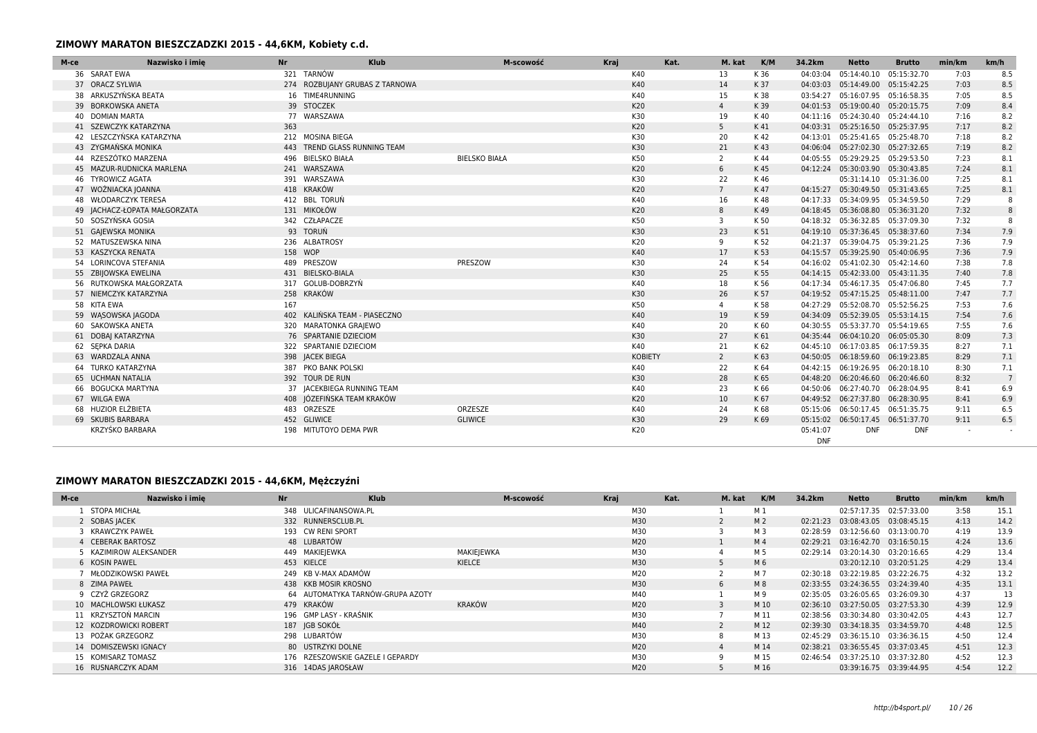### **ZIMOWY MARATON BIESZCZADZKI 2015 - 44,6KM, Kobiety c.d.**

| M-ce | Nazwisko i imie<br><b>Nr</b>  |         | Klub                           | M-scowość            | Kraj |                | Kat. | M. kat         | K/M  | 34.2km                 | <b>Netto</b>                       | <b>Brutto</b> | min/km | km/h |
|------|-------------------------------|---------|--------------------------------|----------------------|------|----------------|------|----------------|------|------------------------|------------------------------------|---------------|--------|------|
|      | 36 SARAT EWA                  |         | 321 TARNÓW                     |                      |      | K40            |      | 13             | K 36 | 04:03:04               | 05:14:40.10                        | 05:15:32.70   | 7:03   | 8.5  |
|      | 37 ORACZ SYLWIA               |         | 274 ROZBUJANY GRUBAS Z TARNOWA |                      |      | K40            |      | 14             | K 37 |                        | 04:03:03  05:14:49.00  05:15:42.25 |               | 7:03   | 8.5  |
|      | 38 ARKUSZYŃSKA BEATA          |         | 16 TIME4RUNNING                |                      |      | K40            |      | 15             | K 38 |                        | 03:54:27 05:16:07.95 05:16:58.35   |               | 7:05   | 8.5  |
|      | 39 BORKOWSKA ANETA            |         | 39 STOCZEK                     |                      |      | K20            |      | $\overline{4}$ | K 39 |                        | 04:01:53  05:19:00.40  05:20:15.75 |               | 7:09   | 8.4  |
|      | 40 DOMIAN MARTA               |         | 77 WARSZAWA                    |                      |      | K30            |      | 19             | K 40 |                        | 04:11:16 05:24:30.40 05:24:44.10   |               | 7:16   | 8.2  |
|      | 41 SZEWCZYK KATARZYNA         | 363     |                                |                      |      | K20            |      | 5              | K 41 |                        | 04:03:31  05:25:16.50  05:25:37.95 |               | 7:17   | 8.2  |
|      | 42 LESZCZYŃSKA KATARZYNA      |         | 212 MOSINA BIEGA               |                      |      | K30            |      | 20             | K 42 |                        | 04:13:01 05:25:41.65 05:25:48.70   |               | 7:18   | 8.2  |
|      | 43 ZYGMAŃSKA MONIKA           |         | 443 TREND GLASS RUNNING TEAM   |                      |      | K30            |      | 21             | K43  |                        | 04:06:04  05:27:02.30  05:27:32.65 |               | 7:19   | 8.2  |
|      | 44 RZESZÓTKO MARZENA          |         | 496 BIELSKO BIAŁA              | <b>BIELSKO BIAŁA</b> |      | K50            |      | 2              | K 44 |                        | 04:05:55 05:29:29.25 05:29:53.50   |               | 7:23   | 8.1  |
|      | 45 MAZUR-RUDNICKA MARLENA     |         | 241 WARSZAWA                   |                      |      | K20            |      | 6              | K45  |                        | 04:12:24 05:30:03.90 05:30:43.85   |               | 7:24   | 8.1  |
|      | 46 TYROWICZ AGATA             |         | 391 WARSZAWA                   |                      |      | K30            |      | 22             | K 46 |                        | 05:31:14.10 05:31:36.00            |               | 7:25   | 8.1  |
|      | 47 WOŹNIACKA JOANNA           |         | 418 KRAKÓW                     |                      |      | K20            |      | $7^{\circ}$    | K 47 |                        | 04:15:27 05:30:49.50 05:31:43.65   |               | 7:25   | 8.1  |
|      | 48 WŁODARCZYK TERESA          |         | 412 BBL TORUŃ                  |                      |      | K40            |      | 16             | K 48 |                        | 04:17:33 05:34:09.95 05:34:59.50   |               | 7:29   | 8    |
|      | 49   ACHACZ-ŁOPATA MAŁGORZATA |         | 131 MIKOŁÓW                    |                      |      | K20            |      | 8              | K 49 |                        | 04:18:45  05:36:08.80  05:36:31.20 |               | 7:32   | 8    |
|      | 50 SOSZYŃSKA GOSIA            |         | 342 CZŁAPACZE                  |                      |      | K50            |      | 3              | K 50 |                        | 04:18:32 05:36:32.85 05:37:09.30   |               | 7:32   | 8    |
|      | 51 GAJEWSKA MONIKA            |         | 93 TORUŃ                       |                      |      | K30            |      | 23             | K 51 |                        | 04:19:10 05:37:36.45 05:38:37.60   |               | 7:34   | 7.9  |
|      | 52 MATUSZEWSKA NINA           |         | 236 ALBATROSY                  |                      |      | K20            |      | 9              | K 52 |                        | 04:21:37 05:39:04.75 05:39:21.25   |               | 7:36   | 7.9  |
|      | 53 KASZYCKA RENATA            | 158 WOP |                                |                      |      | K40            |      | 17             | K 53 |                        | 04:15:57 05:39:25.90 05:40:06.95   |               | 7:36   | 7.9  |
|      | 54 LORINCOVA STEFANIA         |         | 489 PRESZOW                    | PRESZOW              |      | K30            |      | 24             | K 54 |                        | 04:16:02 05:41:02.30 05:42:14.60   |               | 7:38   | 7.8  |
|      | 55 ZBIJOWSKA EWELINA          |         | 431 BIELSKO-BIALA              |                      |      | K30            |      | 25             | K 55 |                        | 04:14:15 05:42:33.00 05:43:11.35   |               | 7:40   | 7.8  |
|      | 56 RUTKOWSKA MAŁGORZATA       |         | 317 GOLUB-DOBRZYŃ              |                      |      | K40            |      | 18             | K 56 |                        | 04:17:34 05:46:17.35 05:47:06.80   |               | 7:45   | 7.7  |
|      | 57 NIEMCZYK KATARZYNA         |         | 258 KRAKÓW                     |                      |      | K30            |      | 26             | K 57 |                        | 04:19:52  05:47:15.25  05:48:11.00 |               | 7:47   | 7.7  |
|      | 58 KITA EWA                   | 167     |                                |                      |      | K50            |      | $\overline{4}$ | K 58 |                        | 04:27:29 05:52:08.70 05:52:56.25   |               | 7:53   | 7.6  |
|      | 59 WASOWSKA JAGODA            |         | 402 KALIŃSKA TEAM - PIASECZNO  |                      |      | K40            |      | 19             | K 59 |                        | 04:34:09 05:52:39.05 05:53:14.15   |               | 7:54   | 7.6  |
|      | 60 SAKOWSKA ANETA             |         | 320 MARATONKA GRAJEWO          |                      |      | K40            |      | 20             | K 60 |                        | 04:30:55 05:53:37.70 05:54:19.65   |               | 7:55   | 7.6  |
|      | 61 DOBAJ KATARZYNA            |         | 76 SPARTANIE DZIECIOM          |                      |      | K30            |      | 27             | K 61 |                        | 04:35:44 06:04:10.20 06:05:05.30   |               | 8:09   | 7.3  |
|      | 62 SEPKA DARIA                |         | 322 SPARTANIE DZIECIOM         |                      |      | K40            |      | 21             | K 62 |                        | 04:45:10 06:17:03.85 06:17:59.35   |               | 8:27   | 7.1  |
|      | 63 WARDZALA ANNA              |         | 398 JACEK BIEGA                |                      |      | <b>KOBIETY</b> |      | $\overline{2}$ | K 63 |                        | 04:50:05  06:18:59.60  06:19:23.85 |               | 8:29   | 7.1  |
|      | 64 TURKO KATARZYNA            |         | 387 PKO BANK POLSKI            |                      |      | K40            |      | 22             | K 64 |                        | 04:42:15 06:19:26.95 06:20:18.10   |               | 8:30   | 7.1  |
|      | 65 UCHMAN NATALIA             |         | 392 TOUR DE RUN                |                      |      | K30            |      | 28             | K 65 |                        | 04:48:20 06:20:46.60 06:20:46.60   |               | 8:32   | 7    |
|      | 66 BOGUCKA MARTYNA            |         | 37 JACEKBIEGA RUNNING TEAM     |                      |      | K40            |      | 23             | K 66 |                        | 04:50:06 06:27:40.70 06:28:04.95   |               | 8:41   | 6.9  |
|      | 67 WILGA EWA                  |         | 408 JÓZEFIŃSKA TEAM KRAKÓW     |                      |      | K20            |      | 10             | K 67 |                        | 04:49:52 06:27:37.80 06:28:30.95   |               | 8:41   | 6.9  |
|      | 68 HUZIOR ELŻBIETA            |         | 483 ORZESZE                    | ORZESZE              |      | K40            |      | 24             | K 68 |                        | 05:15:06  06:50:17.45  06:51:35.75 |               | 9:11   | 6.5  |
|      | 69 SKUBIS BARBARA             |         | 452 GLIWICE                    | <b>GLIWICE</b>       |      | K30            |      | 29             | K 69 |                        | 05:15:02  06:50:17.45  06:51:37.70 |               | 9:11   | 6.5  |
|      | KRZYŚKO BARBARA               |         | 198 MITUTOYO DEMA PWR          |                      |      | K20            |      |                |      | 05:41:07<br><b>DNF</b> | <b>DNF</b>                         | <b>DNF</b>    |        |      |

| M-ce | Nr<br>Nazwisko i imie  | <b>Klub</b>                      | M-scowość  | Kraj | Kat. | M. kat | K/M            | 34.2km | <b>Netto</b>                     | <b>Brutto</b> | min/km | km/h |
|------|------------------------|----------------------------------|------------|------|------|--------|----------------|--------|----------------------------------|---------------|--------|------|
|      | <b>STOPA MICHAŁ</b>    | 348 ULICAFINANSOWA.PL            |            | M30  |      |        | M 1            |        | 02:57:17.35 02:57:33.00          |               | 3:58   | 15.1 |
|      | 2 SOBAS JACEK          | 332 RUNNERSCLUB.PL               |            | M30  |      |        | M <sub>2</sub> |        | 02:21:23 03:08:43.05 03:08:45.15 |               | 4:13   | 14.2 |
|      | 3 KRAWCZYK PAWEŁ       | 193 CW RENI SPORT                |            | M30  |      |        | M 3            |        | 02:28:59 03:12:56.60 03:13:00.70 |               | 4:19   | 13.9 |
|      | 4 CEBERAK BARTOSZ      | 48 LUBARTÓW                      |            | M20  |      |        | M 4            |        | 02:29:21 03:16:42.70 03:16:50.15 |               | 4:24   | 13.6 |
|      | 5 KAZIMIROW ALEKSANDER | 449 MAKIEJEWKA                   | MAKIEIEWKA | M30  |      |        | M 5            |        | 02:29:14 03:20:14.30 03:20:16.65 |               | 4:29   | 13.4 |
|      | 6 KOSIN PAWEL          | 453 KIELCE                       | KIELCE     | M30  |      |        | M 6            |        | 03:20:12.10 03:20:51.25          |               | 4:29   | 13.4 |
|      | MŁODZIKOWSKI PAWEŁ     | 249 KB V-MAX ADAMÓW              |            | M20  |      |        | M 7            |        | 02:30:18 03:22:19.85 03:22:26.75 |               | 4:32   | 13.2 |
|      | 8 ZIMA PAWEŁ           | 438 KKB MOSIR KROSNO             |            | M30  |      |        | M8             |        | 02:33:55 03:24:36.55 03:24:39.40 |               | 4:35   | 13.1 |
|      | 9 CZYŻ GRZEGORZ        | 64 AUTOMATYKA TARNÓW-GRUPA AZOTY |            | M40  |      |        | M 9            |        | 02:35:05 03:26:05.65 03:26:09.30 |               | 4:37   | 13   |
|      | 10 MACHLOWSKI ŁUKASZ   | 479 KRAKÓW                       | KRAKÓW     | M20  |      | 3      | M 10           |        | 02:36:10 03:27:50.05 03:27:53.30 |               | 4:39   | 12.9 |
|      | 11 KRZYSZTOŃ MARCIN    | 196 GMP LASY - KRAŚNIK           |            | M30  |      |        | M 11           |        | 02:38:56 03:30:34.80 03:30:42.05 |               | 4:43   | 12.7 |
|      | 12 KOZDROWICKI ROBERT  | 187 IGB SOKÓŁ                    |            | M40  |      |        | M 12           |        | 02:39:30 03:34:18.35 03:34:59.70 |               | 4:48   | 12.5 |
|      | 13 POŻAK GRZEGORZ      | 298 LUBARTÓW                     |            | M30  |      | 8      | M 13           |        | 02:45:29 03:36:15.10 03:36:36.15 |               | 4:50   | 12.4 |
|      | 14 DOMISZEWSKI IGNACY  | 80 USTRZYKI DOLNE                |            | M20  |      |        | M 14           |        | 02:38:21 03:36:55.45 03:37:03.45 |               | 4:51   | 12.3 |
|      | 15 KOMISARZ TOMASZ     | 176 RZESZOWSKIE GAZELE I GEPARDY |            | M30  |      |        | M 15           |        | 02:46:54 03:37:25.10 03:37:32.80 |               | 4:52   | 12.3 |
|      | 16 RUSNARCZYK ADAM     | 316 14DAS JAROSŁAW               |            | M20  |      |        | M 16           |        | 03:39:16.75 03:39:44.95          |               | 4:54   | 12.2 |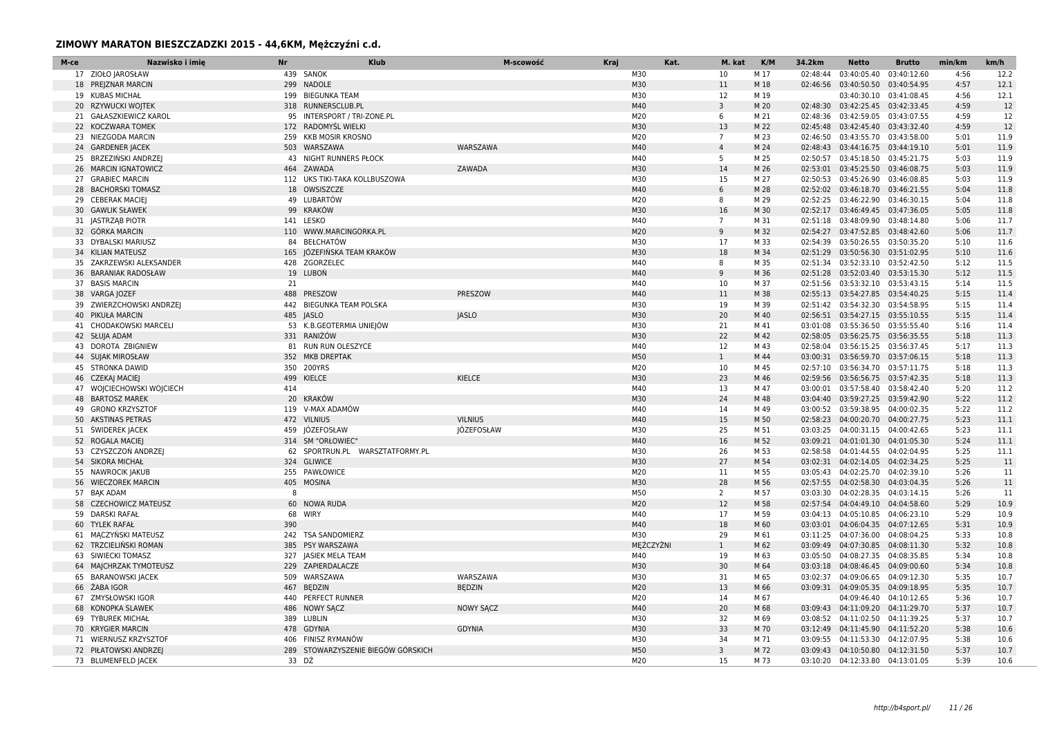| M-ce | Nazwisko i imie           | Nr    | <b>Klub</b>                        | M-scowość        | Kraj | Kat.      | M. kat          | K/M  | 34.2km   | <b>Netto</b>                       | <b>Brutto</b> | min/km | km/h |
|------|---------------------------|-------|------------------------------------|------------------|------|-----------|-----------------|------|----------|------------------------------------|---------------|--------|------|
|      | 17 ZIOŁO JAROSŁAW         |       | 439 SANOK                          |                  |      | M30       | 10              | M 17 | 02:48:44 | 03:40:05.40                        | 03:40:12.60   | 4:56   | 12.2 |
|      | 18 PREJZNAR MARCIN        |       | 299 NADOLE                         |                  |      | M30       | 11              | M 18 |          | 02:46:56 03:40:50.50               | 03:40:54.95   | 4:57   | 12.1 |
|      | 19 KUBAS MICHAŁ           |       | 199 BIEGUNKA TEAM                  |                  |      | M30       | 12              | M 19 |          | 03:40:30.10 03:41:08.45            |               | 4:56   | 12.1 |
|      | 20 RZYWUCKI WOJTEK        |       | 318 RUNNERSCLUB.PL                 |                  |      | M40       | $\overline{3}$  | M 20 |          | 02:48:30 03:42:25.45 03:42:33.45   |               | 4:59   | 12   |
|      | 21 GAŁASZKIEWICZ KAROL    |       | 95 INTERSPORT / TRI-ZONE.PL        |                  |      | M20       | 6               | M 21 |          | 02:48:36 03:42:59.05 03:43:07.55   |               | 4:59   | 12   |
|      | 22 KOCZWARA TOMEK         |       | 172 RADOMYŚL WIELKI                |                  |      | M30       | 13              | M 22 |          | 02:45:48 03:42:45.40               | 03:43:32.40   | 4:59   | 12   |
|      | 23 NIEZGODA MARCIN        |       | 259 KKB MOSIR KROSNO               |                  |      | M20       | $7^{\circ}$     | M 23 |          | 02:46:50 03:43:55.70 03:43:58.00   |               | 5:01   | 11.9 |
|      | 24 GARDENER JACEK         |       | 503 WARSZAWA                       | WARSZAWA         |      | M40       | $\overline{4}$  | M 24 |          | 02:48:43 03:44:16.75 03:44:19.10   |               | 5:01   | 11.9 |
|      | 25 BRZEZIŃSKI ANDRZEJ     |       | 43 NIGHT RUNNERS PŁOCK             |                  |      | M40       | 5               | M 25 |          | 02:50:57 03:45:18.50 03:45:21.75   |               | 5:03   | 11.9 |
|      | 26 MARCIN IGNATOWICZ      |       | 464 ZAWADA                         | ZAWADA           |      | M30       | 14              | M 26 |          | 02:53:01 03:45:25.50 03:46:08.75   |               | 5:03   | 11.9 |
|      | 27 GRABIEC MARCIN         |       | 112 UKS TIKI-TAKA KOLLBUSZOWA      |                  |      | M30       | 15              | M 27 |          | 02:50:53 03:45:26.90 03:46:08.85   |               | 5:03   | 11.9 |
|      | 28 BACHORSKI TOMASZ       |       | 18 OWSISZCZE                       |                  |      | M40       | 6               | M 28 |          | 02:52:02 03:46:18.70 03:46:21.55   |               | 5:04   | 11.8 |
|      | 29 CEBERAK MACIEJ         |       | 49 LUBARTÓW                        |                  |      | M20       | 8               | M 29 |          | 02:52:25 03:46:22.90               | 03:46:30.15   | 5:04   | 11.8 |
|      | 30 GAWLIK SŁAWEK          |       | 99 KRAKÓW                          |                  |      | M30       | 16              | M 30 |          | 02:52:17 03:46:49.45 03:47:36.05   |               | 5:05   | 11.8 |
|      | 31 JASTRZĄB PIOTR         |       | 141 LESKO                          |                  |      | M40       | $7\overline{ }$ | M 31 |          | 02:51:18 03:48:09.90 03:48:14.80   |               | 5:06   | 11.7 |
|      | 32 GÓRKA MARCIN           |       | 110 WWW.MARCINGORKA.PL             |                  |      | M20       | 9               | M 32 |          | 02:54:27 03:47:52.85 03:48:42.60   |               | 5:06   | 11.7 |
| 33   | DYBALSKI MARIUSZ          | 84    | BEŁCHATÓW                          |                  |      | M30       | 17              | M 33 | 02:54:39 | 03:50:26.55                        | 03:50:35.20   | 5:10   | 11.6 |
|      | 34 KILIAN MATEUSZ         |       | 165 JÓZEFIŃSKA TEAM KRAKÓW         |                  |      | M30       | 18              | M 34 |          | 02:51:29 03:50:56.30 03:51:02.95   |               | 5:10   | 11.6 |
|      | 35 ZAKRZEWSKI ALEKSANDER  |       | 428 ZGORZELEC                      |                  |      | M40       | 8               | M 35 |          | 02:51:34 03:52:33.10 03:52:42.50   |               | 5:12   | 11.5 |
|      | 36 BARANIAK RADOSŁAW      |       | 19 LUBON                           |                  |      | M40       | 9               | M 36 |          | 02:51:28 03:52:03.40 03:53:15.30   |               | 5:12   | 11.5 |
| 37   | <b>BASIS MARCIN</b>       | 21    |                                    |                  |      | M40       | 10              | M 37 |          | 02:51:56 03:53:32.10 03:53:43.15   |               | 5:14   | 11.5 |
|      | 38 VARGA JOZEF            |       | 488 PRESZOW                        | PRESZOW          |      | M40       | 11              | M 38 |          | 02:55:13 03:54:27.85 03:54:40.25   |               | 5:15   | 11.4 |
|      | 39 ZWIERZCHOWSKI ANDRZEJ  |       | 442 BIEGUNKA TEAM POLSKA           |                  |      | M30       | 19              | M 39 |          | 02:51:42 03:54:32.30 03:54:58.95   |               | 5:15   | 11.4 |
| 40   | PIKUŁA MARCIN             |       | 485   ASLO                         | <b>JASLO</b>     |      | M30       | 20              | M 40 |          | 02:56:51 03:54:27.15 03:55:10.55   |               | 5:15   | 11.4 |
|      | 41 CHODAKOWSKI MARCELI    |       | 53 K.B. GEOTERMIA UNIEJÓW          |                  |      | M30       | 21              | M 41 |          | 03:01:08 03:55:36.50 03:55:55.40   |               | 5:16   | 11.4 |
|      | 42 SŁUJA ADAM             |       | 331 RANIŻÓW                        |                  |      | M30       | 22              | M 42 |          | 02:58:05 03:56:25.75 03:56:35.55   |               | 5:18   | 11.3 |
|      | 43 DOROTA ZBIGNIEW        |       | 81 RUN RUN OLESZYCE                |                  |      | M40       | 12              | M 43 | 02:58:04 | 03:56:15.25 03:56:37.45            |               | 5:17   | 11.3 |
|      | 44 SUJAK MIROSŁAW         |       | 352 MKB DREPTAK                    |                  |      | M50       | $\mathbf{1}$    | M 44 |          | 03:00:31 03:56:59.70 03:57:06.15   |               | 5:18   | 11.3 |
|      | 45 STRONKA DAWID          |       | 350 200YRS                         |                  |      | M20       | 10              | M 45 |          | 02:57:10 03:56:34.70 03:57:11.75   |               | 5:18   | 11.3 |
|      | 46 CZEKAJ MACIEJ          |       | 499 KIELCE                         | <b>KIELCE</b>    |      | M30       | 23              | M 46 |          | 02:59:56 03:56:56.75 03:57:42.35   |               | 5:18   | 11.3 |
|      | 47 WOJCIECHOWSKI WOJCIECH | 414   |                                    |                  |      | M40       | 13              | M 47 |          | 03:00:01 03:57:58.40 03:58:42.40   |               | 5:20   | 11.2 |
|      | 48 BARTOSZ MAREK          |       | 20 KRAKÓW                          |                  |      | M30       | 24              | M 48 |          | 03:04:40 03:59:27.25 03:59:42.90   |               | 5:22   | 11.2 |
|      | 49 GRONO KRZYSZTOF        |       | 119 V-MAX ADAMÓW                   |                  |      | M40       | 14              | M 49 |          | 03:00:52 03:59:38.95 04:00:02.35   |               | 5:22   | 11.2 |
|      | 50 AKSTINAS PETRAS        |       | 472 VILNIUS                        | <b>VILNIUS</b>   |      | M40       | 15              | M 50 |          | 02:58:23  04:00:20.70  04:00:27.75 |               | 5:23   | 11.1 |
|      | 51 ŚWIDEREK JACEK         |       | 459 JÓZEFOSŁAW                     | JÓZEFOSŁAW       |      | M30       | 25              | M 51 | 03:03:25 | 04:00:31.15 04:00:42.65            |               | 5:23   | 11.1 |
|      | 52 ROGALA MACIEJ          |       | 314 SM "ORŁOWIEC"                  |                  |      | M40       | 16              | M 52 |          | 03:09:21  04:01:01.30  04:01:05.30 |               | 5:24   | 11.1 |
|      | 53 CZYSZCZOŃ ANDRZEJ      |       | 62 SPORTRUN.PL WARSZTATFORMY.PL    |                  |      | M30       | 26              | M 53 |          | 02:58:58  04:01:44.55  04:02:04.95 |               | 5:25   | 11.1 |
|      | 54 SIKORA MICHAŁ          |       | 324 GLIWICE                        |                  |      | M30       | 27              | M 54 |          | 03:02:31  04:02:14.05  04:02:34.25 |               | 5:25   | 11   |
|      | 55 NAWROCIK JAKUB         |       | 255 PAWŁOWICE                      |                  |      | M20       | 11              | M 55 |          | 03:05:43  04:02:25.70  04:02:39.10 |               | 5:26   | 11   |
|      | 56 WIECZOREK MARCIN       |       | 405 MOSINA                         |                  |      | M30       | 28              | M 56 |          | 02:57:55 04:02:58.30 04:03:04.35   |               | 5:26   | 11   |
|      | 57 BAK ADAM               | 8     |                                    |                  |      | M50       | 2               | M 57 |          | 03:03:30  04:02:28.35  04:03:14.15 |               | 5:26   | 11   |
|      | 58 CZECHOWICZ MATEUSZ     |       | 60 NOWA RUDA                       |                  |      | M20       | 12              | M 58 |          | 02:57:54 04:04:49.10 04:04:58.60   |               | 5:29   | 10.9 |
|      | 59 DARSKI RAFAŁ           |       | 68 WIRY                            |                  |      | M40       | 17              | M 59 |          | 03:04:13  04:05:10.85  04:06:23.10 |               | 5:29   | 10.9 |
|      | 60 TYLEK RAFAŁ            | 390   |                                    |                  |      | M40       | 18              | M 60 |          | 03:03:01  04:06:04.35  04:07:12.65 |               | 5:31   | 10.9 |
|      | 61 MACZYŃSKI MATEUSZ      |       | 242 TSA SANDOMIERZ                 |                  |      | M30       | 29              | M 61 |          | 03:11:25 04:07:36.00               | 04:08:04.25   | 5:33   | 10.8 |
| 62   | TRZCIELIŃSKI ROMAN        |       | 385 PSY WARSZAWA                   |                  |      | MEŻCZYŹNI | $\mathbf{1}$    | M 62 |          | 03:09:49  04:07:30.85  04:08:11.30 |               | 5:32   | 10.8 |
|      | 63 SIWIECKI TOMASZ        |       | 327 JASIEK MELA TEAM               |                  |      | M40       | 19              | M 63 |          | 03:05:50 04:08:27.35 04:08:35.85   |               | 5:34   | 10.8 |
|      | 64 MAJCHRZAK TYMOTEUSZ    |       | 229 ZAPIERDALACZE                  |                  |      | M30       | 30              | M 64 |          | 03:03:18  04:08:46.45  04:09:00.60 |               | 5:34   | 10.8 |
|      | 65 BARANOWSKI JACEK       |       | 509 WARSZAWA                       | WARSZAWA         |      | M30       | 31              | M 65 |          | 03:02:37  04:09:06.65  04:09:12.30 |               | 5:35   | 10.7 |
|      | 66 ŻABA IGOR              |       | 467 BEDZIN                         | <b>BEDZIN</b>    |      | M20       | 13              | M 66 |          | 03:09:31  04:09:05.35  04:09:18.95 |               | 5:35   | 10.7 |
|      | 67 ZMYSŁOWSKI IGOR        |       | 440 PERFECT RUNNER                 |                  |      | M20       | 14              | M 67 |          | 04:09:46.40 04:10:12.65            |               | 5:36   | 10.7 |
| 68   | KONOPKA SLAWEK            |       | 486 NOWY SACZ                      | <b>NOWY SACZ</b> |      | M40       | 20              | M 68 |          | 03:09:43  04:11:09.20  04:11:29.70 |               | 5:37   | 10.7 |
| 69   | <b>TYBUREK MICHAŁ</b>     |       | 389 LUBLIN                         |                  |      | M30       | 32              | M 69 |          | 03:08:52  04:11:02.50  04:11:39.25 |               | 5:37   | 10.7 |
|      | 70 KRYGIER MARCIN         |       | 478 GDYNIA                         | <b>GDYNIA</b>    |      | M30       | 33              | M 70 |          | 03:12:49  04:11:45.90  04:11:52.20 |               | 5:38   | 10.6 |
|      | 71 WIERNUSZ KRZYSZTOF     |       | 406 FINISZ RYMANÓW                 |                  |      | M30       | 34              | M 71 |          | 03:09:55  04:11:53.30  04:12:07.95 |               | 5:38   | 10.6 |
|      | 72 PIŁATOWSKI ANDRZEJ     |       | 289 STOWARZYSZENIE BIEGÓW GÓRSKICH |                  |      | M50       | $\overline{3}$  | M 72 |          | 03:09:43  04:10:50.80  04:12:31.50 |               | 5:37   | 10.7 |
|      | 73 BLUMENFELD JACEK       | 33 DŹ |                                    |                  |      | M20       | 15              | M 73 |          | 03:10:20  04:12:33.80  04:13:01.05 |               | 5:39   | 10.6 |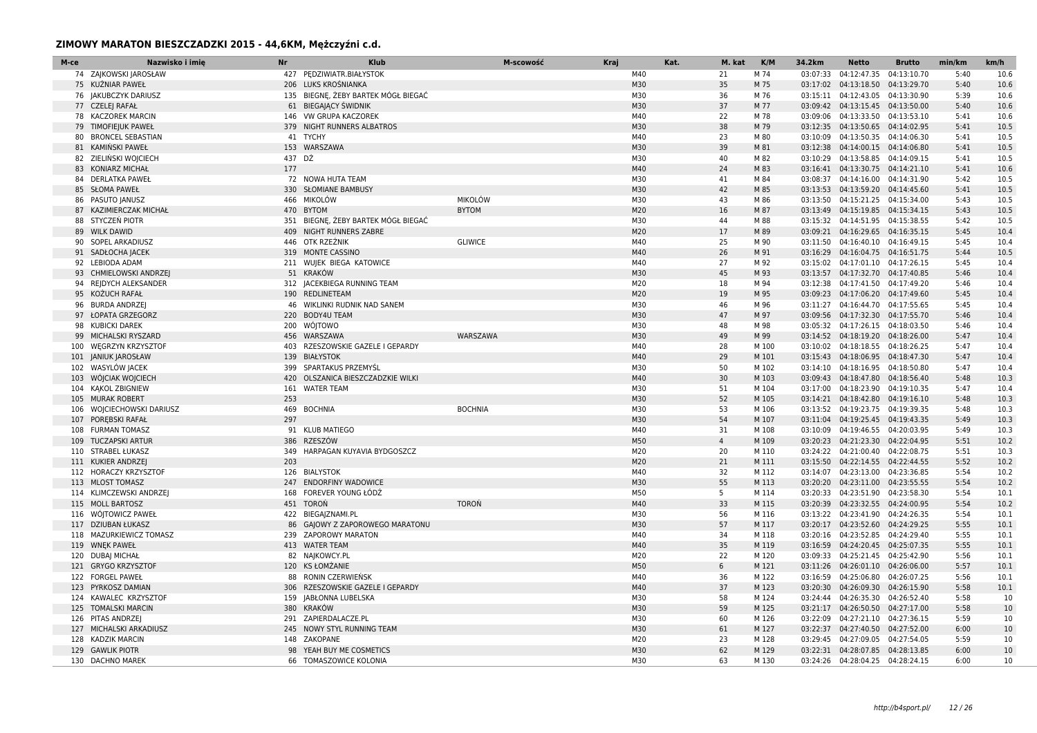| M-ce | Nazwisko i imie                              | <b>Nr</b> | <b>Klub</b>                               | M-scowość      | Kraj       | Kat. | M. kat         | K/M            | 34.2km   | <b>Netto</b>                                                             | <b>Brutto</b> | min/km       | km/h         |
|------|----------------------------------------------|-----------|-------------------------------------------|----------------|------------|------|----------------|----------------|----------|--------------------------------------------------------------------------|---------------|--------------|--------------|
|      | 74 ZAJKOWSKI JAROSŁAW                        |           | 427 PEDZIWIATR.BIAŁYSTOK                  |                | M40        |      | 21             | M 74           |          | 03:07:33  04:12:47.35  04:13:10.70                                       |               | 5:40         | 10.6         |
|      | 75 KUŹNIAR PAWEŁ                             |           | 206 LUKS KROŚNIANKA                       |                | M30        |      | 35             | M 75           |          | 03:17:02  04:13:18.50  04:13:29.70                                       |               | 5:40         | 10.6         |
|      | 76 JAKUBCZYK DARIUSZ                         |           | 135 BIEGNE, ŻEBY BARTEK MÓGŁ BIEGAĆ       |                | M30        |      | 36             | M 76           |          | 03:15:11  04:12:43.05  04:13:30.90                                       |               | 5:39         | 10.6         |
|      | 77 CZELEJ RAFAŁ                              |           | 61 BIEGAJĄCY ŚWIDNIK                      |                | M30        |      | 37             | M 77           |          | 03:09:42  04:13:15.45  04:13:50.00                                       |               | 5:40         | 10.6         |
|      | 78 KACZOREK MARCIN                           |           | 146 VW GRUPA KACZOREK                     |                | M40        |      | 22             | M 78           |          | 03:09:06  04:13:33.50  04:13:53.10                                       |               | 5:41         | 10.6         |
| 79   | <b>TIMOFIEJUK PAWEŁ</b>                      |           | 379 NIGHT RUNNERS ALBATROS                |                | M30        |      | 38             | M 79           |          | 03:12:35  04:13:50.65  04:14:02.95                                       |               | 5:41         | 10.5         |
| 80   | <b>BRONCEL SEBASTIAN</b>                     |           | 41 TYCHY                                  |                | M40        |      | 23             | M 80           |          | 03:10:09  04:13:50.35  04:14:06.30                                       |               | 5:41         | 10.5         |
|      | 81 KAMIŃSKI PAWEŁ                            |           | 153 WARSZAWA                              |                | M30        |      | 39             | M 81           |          | 03:12:38  04:14:00.15  04:14:06.80                                       |               | 5:41         | 10.5         |
|      | 82 ZIELINSKI WOJCIECH                        | 437 DŹ    |                                           |                | M30        |      | 40             | M 82           |          | 03:10:29  04:13:58.85  04:14:09.15                                       |               | 5:41         | 10.5         |
| 83   | <b>KONIARZ MICHAŁ</b>                        | 177       |                                           |                | M40        |      | 24             | M 83           |          | 03:16:41  04:13:30.75  04:14:21.10                                       |               | 5:41         | 10.6         |
|      | 84 DERLATKA PAWEŁ                            |           | 72 NOWA HUTA TEAM                         |                | M30        |      | 41             | M 84           |          | 03:08:37  04:14:16.00  04:14:31.90                                       |               | 5:42         | 10.5         |
|      | 85 SŁOMA PAWEŁ                               |           | 330 SŁOMIANE BAMBUSY                      |                | M30        |      | 42             | M 85           |          | 03:13:53  04:13:59.20  04:14:45.60                                       |               | 5:41         | 10.5         |
| 86   | PASUTO JANUSZ                                | 466       | MIKOLÓW                                   | <b>MIKOLÓW</b> | M30        |      | 43             | M 86           |          | 03:13:50  04:15:21.25  04:15:34.00                                       |               | 5:43         | 10.5         |
|      | 87 KAZIMIERCZAK MICHAŁ                       |           | 470 BYTOM                                 | <b>BYTOM</b>   | M20        |      | 16             | M 87           |          | 03:13:49  04:15:19.85  04:15:34.15                                       |               | 5:43         | 10.5         |
| 88   | STYCZEŃ PIOTR                                |           | 351 BIEGNE, ŻEBY BARTEK MÓGŁ BIEGAĆ       |                | M30        |      | 44             | M 88           |          | 03:15:32  04:14:51.95  04:15:38.55                                       |               | 5:42         | 10.5         |
| 89   | <b>WILK DAWID</b>                            |           | 409 NIGHT RUNNERS ZABRE                   |                | M20        |      | 17             | M 89           |          | 03:09:21  04:16:29.65  04:16:35.15                                       |               | 5:45         | 10.4         |
|      | 90 SOPEL ARKADIUSZ                           |           | 446 OTK RZEŻNIK                           | <b>GLIWICE</b> | M40        |      | 25             | M 90           | 03:11:50 | 04:16:40.10 04:16:49.15                                                  |               | 5:45         | 10.4         |
|      | 91 SADŁOCHA JACEK                            |           | 319 MONTE CASSINO                         |                | M40        |      | 26             | M 91           |          | 03:16:29  04:16:04.75  04:16:51.75                                       |               | 5:44         | 10.5         |
|      | 92 LEBIODA ADAM                              |           | 211 WUJEK BIEGA KATOWICE                  |                | M40        |      | 27             | M 92           |          | 03:15:02  04:17:01.10  04:17:26.15                                       |               | 5:45         | 10.4         |
| 93   | CHMIELOWSKI ANDRZEJ                          |           | 51 KRAKÓW                                 |                | M30        |      | 45             | M 93           |          | 03:13:57  04:17:32.70  04:17:40.85                                       |               | 5:46         | 10.4         |
|      | 94 REJDYCH ALEKSANDER                        |           | 312 JACEKBIEGA RUNNING TEAM               |                | M20        |      | 18             | M 94           |          | 03:12:38  04:17:41.50  04:17:49.20                                       |               | 5:46         | 10.4         |
| 95   | KOŻUCH RAFAŁ                                 |           | 190 REDLINETEAM                           |                | M20        |      | 19             | M 95           |          | 03:09:23  04:17:06.20  04:17:49.60                                       |               | 5:45         | 10.4         |
|      | 96 BURDA ANDRZEJ                             |           | 46 WIKLINKI RUDNIK NAD SANEM              |                | M30        |      | 46             | M 96           |          | 03:11:27  04:16:44.70  04:17:55.65                                       |               | 5:45         | 10.4         |
|      | 97 ŁOPATA GRZEGORZ                           | 220       | <b>BODY4U TEAM</b>                        |                | M30        |      | 47             | M 97           |          | 03:09:56  04:17:32.30  04:17:55.70                                       |               | 5:46         | 10.4         |
|      | 98 KUBICKI DAREK                             |           | 200 WÓJTOWO                               |                | M30        |      | 48             | M 98           |          | 03:05:32  04:17:26.15  04:18:03.50                                       |               | 5:46         | 10.4         |
| 99   | MICHALSKI RYSZARD                            |           | 456 WARSZAWA                              | WARSZAWA       | M30        |      | 49             | M 99           |          | 03:14:52  04:18:19.20  04:18:26.00                                       |               | 5:47         | 10.4         |
| 100  | <b>WEGRZYN KRZYSZTOF</b>                     |           | 403 RZESZOWSKIE GAZELE I GEPARDY          |                | M40<br>M40 |      | 28             | M 100          |          | 03:10:02  04:18:18.55  04:18:26.25                                       |               | 5:47         | 10.4         |
|      | 101 JANIUK JAROSŁAW                          |           | 139 BIAŁYSTOK                             |                |            |      | 29             | M 101          |          | 03:15:43  04:18:06.95  04:18:47.30                                       |               | 5:47         | 10.4         |
|      | 102 WASYLÓW JACEK                            |           | 399 SPARTAKUS PRZEMYŚL                    |                | M30<br>M40 |      | 50             | M 102          |          | 03:14:10  04:18:16.95  04:18:50.80                                       |               | 5:47         | 10.4         |
|      | 103 WÓJCIAK WOJCIECH                         | 420       | OLSZANICA BIESZCZADZKIE WILKI             |                |            |      | 30             | M 103          |          | 03:09:43  04:18:47.80  04:18:56.40                                       |               | 5:48         | 10.3         |
|      | 104 KAKOL ZBIGNIEW                           | 161       | <b>WATER TEAM</b>                         |                | M30        |      | 51             | M 104          |          | 03:17:00  04:18:23.90  04:19:10.35                                       |               | 5:47         | 10.4         |
|      | 105 MURAK ROBERT                             | 253       |                                           |                | M30        |      | 52             | M 105          |          | 03:14:21  04:18:42.80  04:19:16.10                                       |               | 5:48         | 10.3         |
|      | 106 WOJCIECHOWSKI DARIUSZ                    |           | 469 BOCHNIA                               | <b>BOCHNIA</b> | M30        |      | 53             | M 106          |          | 03:13:52  04:19:23.75  04:19:39.35                                       |               | 5:48         | 10.3         |
|      | 107 POREBSKI RAFAŁ                           | 297       |                                           |                | M30<br>M40 |      | 54             | M 107          |          | 03:11:04  04:19:25.45  04:19:43.35                                       |               | 5:49         | 10.3         |
| 108  | <b>FURMAN TOMASZ</b>                         |           | 91 KLUB MATIEGO                           |                | M50        |      | 31             | M 108          | 03:10:09 | 04:19:46.55 04:20:03.95                                                  |               | 5:49         | 10.3         |
| 109  | <b>TUCZAPSKI ARTUR</b><br>110 STRABEL ŁUKASZ | 386       | RZESZÓW<br>349 HARPAGAN KUYAVIA BYDGOSZCZ |                | M20        |      | $\overline{4}$ | M 109          |          | 03:20:23  04:21:23.30  04:22:04.95                                       |               | 5:51         | 10.2<br>10.3 |
|      |                                              |           |                                           |                | M20        |      | 20             | M 110          |          | 03:24:22  04:21:00.40  04:22:08.75                                       |               | 5:51         |              |
|      | 111 KUKIER ANDRZEJ<br>112 HORACZY KRZYSZTOF  | 203       | 126 BIALYSTOK                             |                | M40        |      | 21<br>32       | M 111<br>M 112 |          | 03:15:50  04:22:14.55  04:22:44.55<br>03:14:07  04:23:13.00  04:23:36.85 |               | 5:52<br>5:54 | 10.2<br>10.2 |
|      | 113 MLOST TOMASZ                             | 247       | <b>ENDORFINY WADOWICE</b>                 |                | M30        |      | 55             | M 113          |          | 03:20:20  04:23:11.00  04:23:55.55                                       |               | 5:54         | 10.2         |
|      | 114 KLIMCZEWSKI ANDRZEJ                      |           | 168 FOREVER YOUNG ŁÓDŹ                    |                | M50        |      | 5              | M 114          |          | 03:20:33  04:23:51.90  04:23:58.30                                       |               | 5:54         | 10.1         |
|      | 115 MOLL BARTOSZ                             |           | 451 TOROŃ                                 | <b>TOROŃ</b>   | M40        |      | 33             | M 115          |          | 03:20:39  04:23:32.55  04:24:00.95                                       |               | 5:54         | 10.2         |
|      | 116 WOJTOWICZ PAWEŁ                          |           | 422 BIEGA ZNAMI.PL                        |                | M30        |      | 56             | M 116          |          | 03:13:22  04:23:41.90  04:24:26.35                                       |               | 5:54         | 10.1         |
|      | 117 DZIUBAN ŁUKASZ                           |           | 86 GAJOWY Z ZAPOROWEGO MARATONU           |                | M30        |      | 57             | M 117          |          | 03:20:17  04:23:52.60  04:24:29.25                                       |               | 5:55         | 10.1         |
| 118  | MAZURKIEWICZ TOMASZ                          |           | 239 ZAPOROWY MARATON                      |                | M40        |      | 34             | M 118          |          | 03:20:16  04:23:52.85  04:24:29.40                                       |               | 5:55         | 10.1         |
|      | 119 WNEK PAWEŁ                               |           | 413 WATER TEAM                            |                | M40        |      | 35             | M 119          |          | 03:16:59  04:24:20.45  04:25:07.35                                       |               | 5:55         | 10.1         |
|      | 120 DUBAJ MICHAŁ                             |           | 82 NAJKOWCY.PL                            |                | M20        |      | 22             | M 120          |          | 03:09:33  04:25:21.45  04:25:42.90                                       |               | 5:56         | 10.1         |
|      |                                              |           | 120 KS ŁOMŻANIE                           |                | M50        |      | 6              | M 121          |          | 03:11:26  04:26:01.10  04:26:06.00                                       |               | 5:57         | 10.1         |
| 122  | 121 GRYGO KRZYSZTOF<br><b>FORGEL PAWEŁ</b>   | 88        | RONIN CZERWIEŃSK                          |                | M40        |      | 36             | M 122          | 03:16:59 | 04:25:06.80                                                              | 04:26:07.25   | 5:56         | 10.1         |
|      | 123 PYRKOSZ DAMIAN                           | 306       | RZESZOWSKIE GAZELE I GEPARDY              |                | M40        |      | 37             | M 123          |          | 03:20:30  04:26:09.30  04:26:15.90                                       |               | 5:58         | 10.1         |
|      | 124 KAWALEC KRZYSZTOF                        |           | 159 IABŁONNA LUBELSKA                     |                | M30        |      | 58             | M 124          |          | 03:24:44 04:26:35.30 04:26:52.40                                         |               | 5:58         | 10           |
| 125  | <b>TOMALSKI MARCIN</b>                       | 380       | KRAKÓW                                    |                | M30        |      | 59             | M 125          |          | 03:21:17  04:26:50.50  04:27:17.00                                       |               | 5:58         | 10           |
|      | 126 PITAS ANDRZEJ                            |           | 291 ZAPIERDALACZE.PL                      |                | M30        |      | 60             | M 126          |          | 03:22:09  04:27:21.10  04:27:36.15                                       |               | 5:59         | 10           |
|      | 127 MICHALSKI ARKADIUSZ                      |           | 245 NOWY STYL RUNNING TEAM                |                | M30        |      | 61             | M 127          |          | 03:22:37  04:27:40.50  04:27:52.00                                       |               | 6:00         | 10           |
|      | 128 KADZIK MARCIN                            |           | 148 ZAKOPANE                              |                | M20        |      | 23             | M 128          |          | 03:29:45 04:27:09.05 04:27:54.05                                         |               | 5:59         | 10           |
| 129  | <b>GAWLIK PIOTR</b>                          |           | 98 YEAH BUY ME COSMETICS                  |                | M30        |      | 62             | M 129          |          | 03:22:31  04:28:07.85  04:28:13.85                                       |               | 6:00         | 10           |
|      | 130 DACHNO MAREK                             |           | 66 TOMASZOWICE KOLONIA                    |                | M30        |      | 63             | M 130          |          | 03:24:26 04:28:04.25 04:28:24.15                                         |               | 6:00         | 10           |
|      |                                              |           |                                           |                |            |      |                |                |          |                                                                          |               |              |              |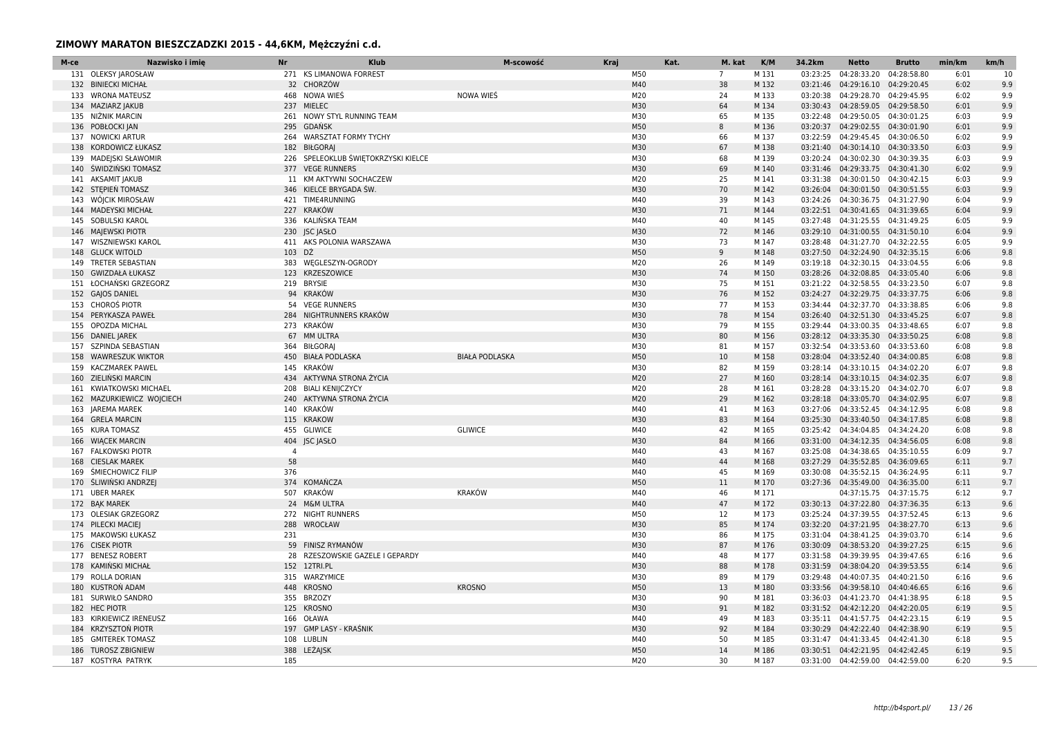| M-ce | Nazwisko i imie<br>Nr                      |                | <b>Klub</b>                         | M-scowość             | <b>Kraj</b> |            | Kat.        | M. kat   | K/M            | 34.2km   | <b>Netto</b>                                                           | <b>Brutto</b> | min/km       | km/h       |
|------|--------------------------------------------|----------------|-------------------------------------|-----------------------|-------------|------------|-------------|----------|----------------|----------|------------------------------------------------------------------------|---------------|--------------|------------|
|      | 131 OLEKSY JAROSŁAW                        |                | 271 KS LIMANOWA FORREST             |                       |             | M50        | $7^{\circ}$ |          | M 131          | 03:23:25 | 04:28:33.20 04:28:58.80                                                |               | 6:01         | 10         |
|      | 132 BINIECKI MICHAŁ                        |                | 32 CHORZÓW                          |                       |             | M40        |             | 38       | M 132          | 03:21:46 | 04:29:16.10 04:29:20.45                                                |               | 6:02         | 9.9        |
|      | 133 WRONA MATEUSZ                          |                | 468 NOWA WIEŚ                       | NOWA WIEŚ             |             | M20        |             | 24       | M 133          | 03:20:38 | 04:29:28.70 04:29:45.95                                                |               | 6:02         | 9.9        |
|      | 134 MAZIARZ JAKUB                          |                | 237 MIELEC                          |                       |             | M30        |             | 64       | M 134          |          | 03:30:43  04:28:59.05  04:29:58.50                                     |               | 6:01         | 9.9        |
|      | 135 NIŻNIK MARCIN                          |                | 261 NOWY STYL RUNNING TEAM          |                       |             | M30        |             | 65       | M 135          |          | 03:22:48 04:29:50.05 04:30:01.25                                       |               | 6:03         | 9.9        |
|      | 136 POBŁOCKI JAN                           |                | 295 GDAŃSK                          |                       |             | M50        | 8           |          | M 136          |          | 03:20:37  04:29:02.55  04:30:01.90                                     |               | 6:01         | 9.9        |
|      | 137 NOWICKI ARTUR                          |                | 264 WARSZTAT FORMY TYCHY            |                       |             | M30        |             | 66       | M 137          |          | 03:22:59 04:29:45.45 04:30:06.50                                       |               | 6:02         | 9.9        |
|      | 138 KORDOWICZ ŁUKASZ                       |                | 182 BIŁGORAI                        |                       |             | M30        |             | 67       | M 138          |          | 03:21:40  04:30:14.10  04:30:33.50                                     |               | 6:03         | 9.9        |
|      | 139 MADEJSKI SŁAWOMIR                      |                | 226 SPELEOKLUB ŚWIĘTOKRZYSKI KIELCE |                       |             | M30        |             | 68       | M 139          |          | 03:20:24 04:30:02.30 04:30:39.35                                       |               | 6:03         | 9.9        |
|      | 140 ŚWIDZIŃSKI TOMASZ                      |                | 377 VEGE RUNNERS                    |                       |             | M30        |             | 69       | M 140          |          | 03:31:46 04:29:33.75 04:30:41.30                                       |               | 6:02         | 9.9        |
|      | 141 AKSAMIT JAKUB                          |                | 11 KM AKTYWNI SOCHACZEW             |                       |             | M20        |             | 25       | M 141          |          | 03:31:38  04:30:01.50  04:30:42.15                                     |               | 6:03         | 9.9        |
|      | 142 STEPIEŃ TOMASZ                         |                | 346 KIELCE BRYGADA ŚW.              |                       |             | M30        |             | 70       | M 142          |          | 03:26:04  04:30:01.50  04:30:51.55                                     |               | 6:03         | 9.9        |
| 143  | WÓJCIK MIROSŁAW                            |                | 421 TIME4RUNNING                    |                       |             | M40        |             | 39       | M 143          |          | 03:24:26 04:30:36.75 04:31:27.90                                       |               | 6:04         | 9.9        |
|      | 144 MADEYSKI MICHAŁ                        |                | 227 KRAKÓW                          |                       |             | M30        |             | 71       | M 144          |          | 03:22:51  04:30:41.65  04:31:39.65                                     |               | 6:04         | 9.9        |
|      | 145 SOBULSKI KAROL                         |                | 336 KALIŃSKA TEAM                   |                       |             | M40        |             | 40       | M 145          |          | 03:27:48 04:31:25.55 04:31:49.25                                       |               | 6:05         | 9.9        |
|      | 146 MAJEWSKI PIOTR                         |                | 230 JSC JASŁO                       |                       |             | M30        |             | 72       | M 146          |          | 03:29:10 04:31:00.55 04:31:50.10                                       |               | 6:04         | 9.9        |
|      | 147 WISZNIEWSKI KAROL                      |                | 411 AKS POLONIA WARSZAWA            |                       |             | M30        |             | 73       | M 147          | 03:28:48 | 04:31:27.70 04:32:22.55                                                |               | 6:05         | 9.9        |
|      | 148 GLUCK WITOLD                           | 103 DŹ         |                                     |                       |             | M50        | 9           |          | M 148          |          | 03:27:50 04:32:24.90 04:32:35.15                                       |               | 6:06         | 9.8        |
|      | 149 TRETER SEBASTIAN                       |                | 383 WEGLESZYN-OGRODY                |                       |             | M20        |             | 26       | M 149          |          | 03:19:18  04:32:30.15  04:33:04.55                                     |               | 6:06         | 9.8        |
| 150  | <b>GWIZDAŁA ŁUKASZ</b>                     |                | 123 KRZESZOWICE                     |                       |             | M30        |             | 74       | M 150          |          | 03:28:26 04:32:08.85 04:33:05.40                                       |               | 6:06         | 9.8        |
|      | 151 ŁOCHAŃSKI GRZEGORZ                     |                | 219 BRYSIE                          |                       |             | M30        |             | 75       | M 151          |          | 03:21:22  04:32:58.55  04:33:23.50                                     |               | 6:07         | 9.8        |
|      | 152 GAJOS DANIEL                           |                | 94 KRAKÓW                           |                       |             | M30        |             | 76       | M 152          |          | 03:24:27  04:32:29.75  04:33:37.75                                     |               | 6:06         | 9.8        |
|      | 153 CHOROŚ PIOTR                           |                | 54 VEGE RUNNERS                     |                       |             | M30        | 77          |          | M 153          |          | 03:34:44 04:32:37.70 04:33:38.85                                       |               | 6:06         | 9.8        |
|      | 154 PERYKASZA PAWEŁ                        |                | 284 NIGHTRUNNERS KRAKÓW             |                       |             | M30        |             | 78       | M 154          |          | 03:26:40  04:32:51.30  04:33:45.25                                     |               | 6:07         | 9.8        |
| 155  | OPOZDA MICHAL                              |                | 273 KRAKÓW                          |                       |             | M30        |             | 79       | M 155          |          | 03:29:44 04:33:00.35 04:33:48.65                                       |               | 6:07         | 9.8        |
|      | 156 DANIEL JAREK                           |                | 67 MM ULTRA                         |                       |             | M30        |             | 80       | M 156          |          | 03:28:12 04:33:35.30 04:33:50.25                                       |               | 6:08         | 9.8        |
| 157  | SZPINDA SEBASTIAN                          |                | 364 BIŁGORAI                        |                       |             | M30        |             | 81       | M 157          |          | 03:32:54 04:33:53.60 04:33:53.60                                       |               | 6:08         | 9.8        |
|      | 158 WAWRESZUK WIKTOR                       |                | 450 BIAŁA PODLASKA                  | <b>BIAŁA PODLASKA</b> |             | M50        |             | 10       | M 158          |          | 03:28:04  04:33:52.40  04:34:00.85                                     |               | 6:08         | 9.8        |
|      | 159 KACZMAREK PAWEL                        |                | 145 KRAKÓW                          |                       |             | M30        |             | 82       | M 159          |          | 03:28:14 04:33:10.15 04:34:02.20                                       |               | 6:07         | 9.8        |
|      | 160 ZIELIŃSKI MARCIN                       |                | 434 AKTYWNA STRONA ŻYCIA            |                       |             | M20        |             | 27       | M 160          |          | 03:28:14  04:33:10.15  04:34:02.35                                     |               | 6:07         | 9.8        |
|      | 161 KWIATKOWSKI MICHAEL                    |                | 208 BIALI KENIJCZYCY                |                       |             | M20        |             | 28       | M 161          |          | 03:28:28  04:33:15.20  04:34:02.70                                     |               | 6:07         | 9.8        |
|      | 162 MAZURKIEWICZ WOJCIECH                  |                | 240 AKTYWNA STRONA ŻYCIA            |                       |             | M20        |             | 29       | M 162          |          | 03:28:18  04:33:05.70  04:34:02.95                                     |               | 6:07         | 9.8        |
|      | 163 JAREMA MAREK                           |                | 140 KRAKÓW                          |                       |             | M40        |             | 41       | M 163          |          | 03:27:06 04:33:52.45 04:34:12.95                                       |               | 6:08         | 9.8        |
|      | 164 GRELA MARCIN                           |                | 115 KRAKOW                          |                       |             | M30        |             | 83       | M 164          |          | 03:25:30  04:33:40.50  04:34:17.85                                     |               | 6:08         | 9.8        |
|      | 165 KURA TOMASZ                            |                | 455 GLIWICE                         | <b>GLIWICE</b>        |             | M40        |             | 42       | M 165          |          | 03:25:42 04:34:04.85 04:34:24.20                                       |               | 6:08         | 9.8        |
| 166  | <b>WIĄCEK MARCIN</b>                       |                | 404 JSC JASŁO                       |                       |             | M30        |             | 84       | M 166          |          | 03:31:00 04:34:12.35 04:34:56.05                                       |               | 6:08         | 9.8        |
|      | 167 FALKOWSKI PIOTR                        | $\overline{4}$ |                                     |                       |             | M40        |             | 43       | M 167          |          | 03:25:08  04:34:38.65  04:35:10.55                                     |               | 6:09         | 9.7        |
| 168  | <b>CIESLAK MAREK</b>                       | 58             |                                     |                       |             | M40        |             | 44       | M 168          |          | 03:27:29 04:35:52.85 04:36:09.65                                       |               | 6:11         | 9.7        |
| 169  | <b>SMIECHOWICZ FILIP</b>                   | 376            |                                     |                       |             | M40        |             | 45       | M 169          |          | 03:30:08  04:35:52.15  04:36:24.95                                     |               | 6:11         | 9.7        |
|      | 170 ŚLIWIŃSKI ANDRZEJ                      |                | 374 KOMAŃCZA                        |                       |             | M50        |             | 11       | M 170          |          | 03:27:36 04:35:49.00 04:36:35.00                                       |               | 6:11         | 9.7        |
|      | 171 UBER MAREK                             |                | 507 KRAKÓW                          | <b>KRAKÓW</b>         |             | M40        |             | 46       | M 171          |          | 04:37:15.75 04:37:15.75                                                |               | 6:12         | 9.7        |
|      | 172 BAK MAREK                              |                | 24 M&M ULTRA                        |                       |             | M40        |             | 47       | M 172          |          | 03:30:13  04:37:22.80  04:37:36.35                                     |               | 6:13         | 9.6        |
|      | 173 OLESIAK GRZEGORZ                       |                | 272 NIGHT RUNNERS                   |                       |             | M50        |             | 12       | M 173          |          | 03:25:24  04:37:39.55  04:37:52.45                                     |               | 6:13         | 9.6        |
|      | 174 PILECKI MACIEJ                         |                | 288 WROCŁAW                         |                       |             | M30        |             | 85       | M 174          |          | 03:32:20 04:37:21.95 04:38:27.70                                       |               | 6:13         | 9.6        |
|      | 175 MAKOWSKI ŁUKASZ                        | 231            |                                     |                       |             | M30        |             | 86       | M 175          |          | 03:31:04  04:38:41.25  04:39:03.70                                     |               | 6:14         | 9.6        |
|      | 176 CISEK PIOTR                            |                | 59 FINISZ RYMANÓW                   |                       |             | M30        |             | 87       | M 176          |          | 03:30:09  04:38:53.20  04:39:27.25                                     |               | 6:15         | 9.6        |
|      | 177 BENESZ ROBERT                          |                | 28 RZESZOWSKIE GAZELE I GEPARDY     |                       |             | M40        |             | 48       | M 177          |          | 03:31:58  04:39:39.95  04:39:47.65                                     |               | 6:16         | 9.6        |
|      | 178 KAMIŃSKI MICHAŁ                        |                | 152 12TRI.PL                        |                       |             | M30        |             | 88       | M 178          |          | 03:31:59  04:38:04.20  04:39:53.55                                     |               | 6:14         | 9.6        |
|      | 179 ROLLA DORIAN                           |                | 315 WARZYMICE                       |                       |             | M30        |             | 89       | M 179          | 03:29:48 | 04:40:07.35 04:40:21.50                                                |               | 6:16         | 9.6        |
|      | 180 KUSTRON ADAM                           |                | 448 KROSNO                          | <b>KROSNO</b>         |             | M50        |             | 13       | M 180          |          | 03:33:56 04:39:58.10 04:40:46.65                                       |               | 6:16         | 9.6        |
|      | 181 SURWIŁO SANDRO                         |                | 355 BRZOZY                          |                       |             | M30        |             | 90       | M 181          | 03:36:03 | 04:41:23.70 04:41:38.95                                                |               | 6:18         | 9.5        |
|      | 182 HEC PIOTR                              |                | 125 KROSNO                          |                       |             | M30        |             | 91       | M 182          |          | 03:31:52  04:42:12.20  04:42:20.05                                     |               | 6:19         | 9.5        |
|      | 183 KIRKIEWICZ IRENEUSZ                    |                | 166 OŁAWA<br>197 GMP LASY - KRAŚNIK |                       |             | M40<br>M30 |             | 49       | M 183          |          | 03:35:11 04:41:57.75 04:42:23.15                                       |               | 6:19         | 9.5        |
|      | 184 KRZYSZTOŃ PIOTR<br>185 GMITEREK TOMASZ |                |                                     |                       |             | M40        |             | 92<br>50 | M 184<br>M 185 |          | 03:30:29  04:42:22.40  04:42:38.90<br>03:31:47 04:41:33.45 04:42:41.30 |               | 6:19<br>6:18 | 9.5<br>9.5 |
|      |                                            |                | 108 LUBLIN                          |                       |             | M50        |             | 14       | M 186          |          |                                                                        |               | 6:19         |            |
|      | 186 TUROSZ ZBIGNIEW                        |                | 388 LEŻAJSK                         |                       |             | M20        |             | 30       |                |          | 03:30:51  04:42:21.95  04:42:42.45                                     |               | 6:20         | 9.5<br>9.5 |
|      | 187 KOSTYRA PATRYK                         | 185            |                                     |                       |             |            |             |          | M 187          |          | 03:31:00 04:42:59.00 04:42:59.00                                       |               |              |            |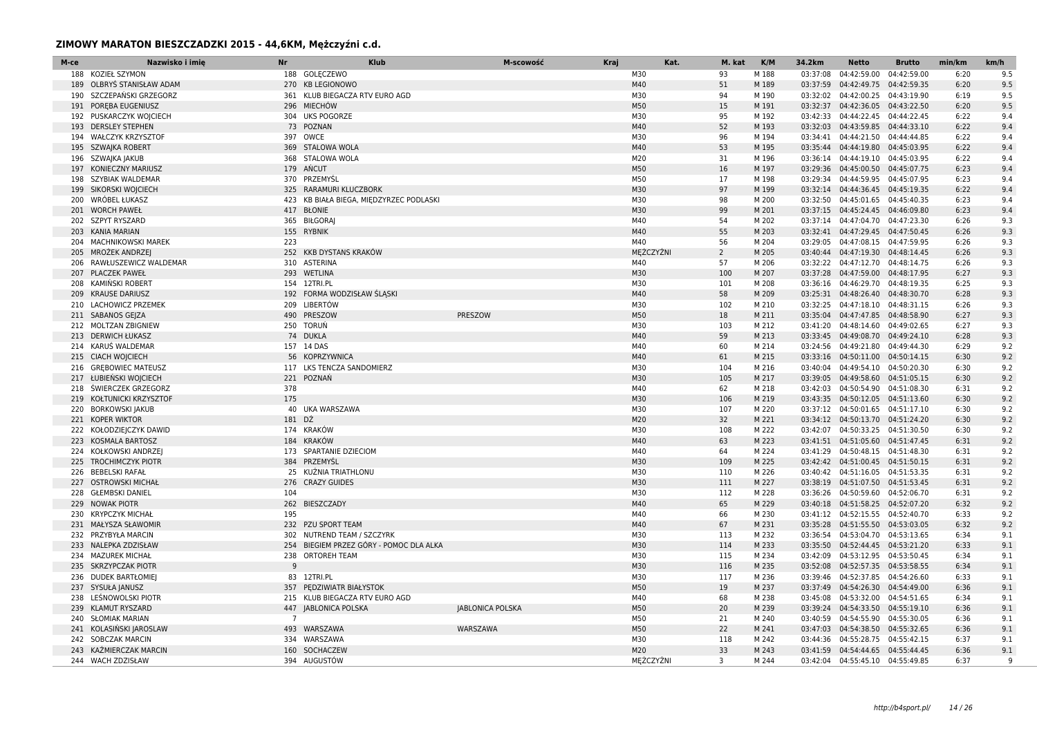| M-ce | Nazwisko i imie                                   | Nr             | <b>Klub</b>                             | M-scowość               | Kraj | Kat.             | M. kat         | K/M            | 34.2km   | Netto                                                                  | <b>Brutto</b> | min/km       | km/h       |
|------|---------------------------------------------------|----------------|-----------------------------------------|-------------------------|------|------------------|----------------|----------------|----------|------------------------------------------------------------------------|---------------|--------------|------------|
| 188  | <b>KOZIEŁ SZYMON</b>                              |                | 188 GOLECZEWO                           |                         |      | M30              | 93             | M 188          | 03:37:08 | 04:42:59.00 04:42:59.00                                                |               | 6:20         | 9.5        |
| 189  | OLBRYS STANISŁAW ADAM                             |                | 270 KB LEGIONOWO                        |                         |      | M40              | 51             | M 189          | 03:37:59 | 04:42:49.75 04:42:59.35                                                |               | 6:20         | 9.5        |
| 190  | SZCZEPAŃSKI GRZEGORZ                              |                | 361 KLUB BIEGACZA RTV EURO AGD          |                         |      | M30              | 94             | M 190          | 03:32:02 | 04:42:00.25 04:43:19.90                                                |               | 6:19         | 9.5        |
|      | 191 POREBA EUGENIUSZ                              |                | 296 MIECHÓW                             |                         |      | M50              | 15             | M 191          |          | 03:32:37  04:42:36.05  04:43:22.50                                     |               | 6:20         | 9.5        |
|      | 192 PUSKARCZYK WOJCIECH                           |                | 304 UKS POGORZE                         |                         |      | M30              | 95             | M 192          |          | 03:42:33 04:44:22.45 04:44:22.45                                       |               | 6:22         | 9.4        |
| 193  | <b>DERSLEY STEPHEN</b>                            |                | 73 POZNAN                               |                         |      | M40              | 52             | M 193          |          | 03:32:03  04:43:59.85  04:44:33.10                                     |               | 6:22         | 9.4        |
| 194  | <b>WAŁCZYK KRZYSZTOF</b>                          |                | 397 OWCE                                |                         |      | M30              | 96             | M 194          |          | 03:34:41  04:44:21.50  04:44:44.85                                     |               | 6:22         | 9.4        |
| 195  | SZWAJKA ROBERT                                    |                | 369 STALOWA WOLA                        |                         |      | M40              | 53             | M 195          |          | 03:35:44  04:44:19.80  04:45:03.95                                     |               | 6:22         | 9.4        |
|      | 196 SZWAJKA JAKUB                                 |                | 368 STALOWA WOLA                        |                         |      | M20              | 31             | M 196          |          | 03:36:14  04:44:19.10  04:45:03.95                                     |               | 6:22         | 9.4        |
| 197  | <b>KONIECZNY MARIUSZ</b>                          |                | 179 ANCUT                               |                         |      | M50              | 16             | M 197          |          | 03:29:36 04:45:00.50 04:45:07.75                                       |               | 6:23         | 9.4        |
| 198  | <b>SZYBIAK WALDEMAR</b>                           |                | 370 PRZEMYŚL                            |                         |      | M50              | 17             | M 198          |          | 03:29:34 04:44:59.95 04:45:07.95                                       |               | 6:23         | 9.4        |
| 199  | SIKORSKI WOJCIECH                                 |                | 325 RARAMURI KLUCZBORK                  |                         |      | M30              | 97             | M 199          |          | 03:32:14 04:44:36.45 04:45:19.35                                       |               | 6:22         | 9.4        |
| 200  | WRÓBEL ŁUKASZ                                     |                | 423 KB BIAŁA BIEGA, MIĘDZYRZEC PODLASKI |                         |      | M30              | 98             | M 200          |          | 03:32:50 04:45:01.65 04:45:40.35                                       |               | 6:23         | 9.4        |
|      | 201 WORCH PAWEŁ                                   |                | 417 BŁONIE                              |                         |      | M30              | 99             | M 201          |          | 03:37:15 04:45:24.45 04:46:09.80                                       |               | 6:23         | 9.4        |
|      | 202 SZPYT RYSZARD                                 |                | 365 BIŁGORAJ                            |                         |      | M40              | 54             | M 202          |          | 03:37:14 04:47:04.70 04:47:23.30                                       |               | 6:26         | 9.3        |
|      | 203 KANIA MARIAN                                  |                | 155 RYBNIK                              |                         |      | M40              | 55             | M 203          |          | 03:32:41 04:47:29.45 04:47:50.45                                       |               | 6:26         | 9.3        |
| 204  | <b>MACHNIKOWSKI MAREK</b>                         | 223            |                                         |                         |      | M40              | 56             | M 204          | 03:29:05 | 04:47:08.15 04:47:59.95                                                |               | 6:26         | 9.3        |
| 205  | MROŻEK ANDRZEJ                                    |                | 252 KKB DYSTANS KRAKÓW                  |                         |      | MEŻCZYŹNI<br>M40 | $\overline{2}$ | M 205          |          | 03:40:44  04:47:19.30  04:48:14.45                                     |               | 6:26         | 9.3<br>9.3 |
| 207  | 206 RAWŁUSZEWICZ WALDEMAR<br><b>PLACZEK PAWEŁ</b> |                | 310 ASTERINA<br>293 WETLINA             |                         |      | M30              | 57<br>100      | M 206<br>M 207 |          | 03:32:22 04:47:12.70 04:48:14.75<br>03:37:28  04:47:59.00  04:48:17.95 |               | 6:26<br>6:27 | 9.3        |
| 208  | KAMIŃSKI ROBERT                                   |                | 154 12TRI.PL                            |                         |      | M30              | 101            | M 208          |          | 03:36:16 04:46:29.70 04:48:19.35                                       |               | 6:25         | 9.3        |
| 209  | <b>KRAUSE DARIUSZ</b>                             |                | 192 FORMA WODZISŁAW ŚLĄSKI              |                         |      | M40              | 58             | M 209          |          | 03:25:31  04:48:26.40  04:48:30.70                                     |               | 6:28         | 9.3        |
|      | 210 LACHOWICZ PRZEMEK                             |                | 209 LIBERTÓW                            |                         |      | M30              | 102            | M 210          |          | 03:32:25  04:47:18.10  04:48:31.15                                     |               | 6:26         | 9.3        |
|      | 211 SABANOS GEJZA                                 | 490            | PRESZOW                                 | PRESZOW                 |      | M50              | 18             | M 211          |          | 03:35:04  04:47:47.85  04:48:58.90                                     |               | 6:27         | 9.3        |
|      | 212 MOLTZAN ZBIGNIEW                              |                | 250 TORUŃ                               |                         |      | M30              | 103            | M 212          |          | 03:41:20 04:48:14.60 04:49:02.65                                       |               | 6:27         | 9.3        |
| 213  | <b>DERWICH ŁUKASZ</b>                             |                | 74 DUKLA                                |                         |      | M40              | 59             | M 213          |          | 03:33:45  04:49:08.70  04:49:24.10                                     |               | 6:28         | 9.3        |
| 214  | KARUŚ WALDEMAR                                    |                | 157 14 DAS                              |                         |      | M40              | 60             | M 214          |          | 03:24:56 04:49:21.80 04:49:44.30                                       |               | 6:29         | 9.2        |
|      | 215 CIACH WOICIECH                                |                | 56 KOPRZYWNICA                          |                         |      | M40              | 61             | M 215          |          | 03:33:16  04:50:11.00  04:50:14.15                                     |               | 6:30         | 9.2        |
| 216  | <b>GREBOWIEC MATEUSZ</b>                          |                | 117 LKS TENCZA SANDOMIERZ               |                         |      | M30              | 104            | M 216          |          | 03:40:04  04:49:54.10  04:50:20.30                                     |               | 6:30         | 9.2        |
|      | 217 ŁUBIEŃSKI WOJCIECH                            |                | 221 POZNAŃ                              |                         |      | M30              | 105            | M 217          |          | 03:39:05  04:49:58.60  04:51:05.15                                     |               | 6:30         | 9.2        |
| 218  | <b>SWIERCZEK GRZEGORZ</b>                         | 378            |                                         |                         |      | M40              | 62             | M 218          |          | 03:42:03 04:50:54.90 04:51:08.30                                       |               | 6:31         | 9.2        |
| 219  | KOŁTUNICKI KRZYSZTOF                              | 175            |                                         |                         |      | M30              | 106            | M 219          |          | 03:43:35  04:50:12.05  04:51:13.60                                     |               | 6:30         | 9.2        |
| 220  | <b>BORKOWSKI JAKUB</b>                            |                | 40 UKA WARSZAWA                         |                         |      | M30              | 107            | M 220          |          | 03:37:12 04:50:01.65 04:51:17.10                                       |               | 6:30         | 9.2        |
|      | 221 KOPER WIKTOR                                  | 181 DŹ         |                                         |                         |      | M20              | 32             | M 221          |          | 03:34:12  04:50:13.70  04:51:24.20                                     |               | 6:30         | 9.2        |
|      | 222 KOŁODZIEJCZYK DAWID                           |                | 174 KRAKÓW                              |                         |      | M30              | 108            | M 222          | 03:42:07 | 04:50:33.25 04:51:30.50                                                |               | 6:30         | 9.2        |
| 223  | <b>KOSMALA BARTOSZ</b>                            |                | 184 KRAKÓW                              |                         |      | M40              | 63             | M 223          |          | 03:41:51  04:51:05.60  04:51:47.45                                     |               | 6:31         | 9.2        |
|      | 224 KOŁKOWSKI ANDRZEJ                             |                | 173 SPARTANIE DZIECIOM                  |                         |      | M40              | 64             | M 224          |          | 03:41:29  04:50:48.15  04:51:48.30                                     |               | 6:31         | 9.2        |
| 225  | <b>TROCHIMCZYK PIOTR</b>                          |                | 384 PRZEMYŚL                            |                         |      | M30              | 109            | M 225          |          | 03:42:42  04:51:00.45  04:51:50.15                                     |               | 6:31         | 9.2        |
| 226  | <b>BEBELSKI RAFAŁ</b>                             |                | 25 KUŹNIA TRIATHLONU                    |                         |      | M30              | 110            | M 226          |          | 03:40:42  04:51:16.05  04:51:53.35                                     |               | 6:31         | 9.2        |
| 227  | <b>OSTROWSKI MICHAŁ</b>                           |                | 276 CRAZY GUIDES                        |                         |      | M30              | 111            | M 227          |          | 03:38:19  04:51:07.50  04:51:53.45                                     |               | 6:31         | 9.2        |
| 228  | <b>GŁEMBSKI DANIEL</b>                            | 104            |                                         |                         |      | M30              | 112            | M 228          |          | 03:36:26 04:50:59.60 04:52:06.70                                       |               | 6:31         | 9.2        |
| 229  | <b>NOWAK PIOTR</b>                                |                | 262 BIESZCZADY                          |                         |      | M40              | 65             | M 229          |          | 03:40:18  04:51:58.25  04:52:07.20                                     |               | 6:32         | 9.2        |
| 230  | <b>KRYPCZYK MICHAŁ</b>                            | 195            |                                         |                         |      | M40              | 66             | M 230          |          | 03:41:12  04:52:15.55  04:52:40.70                                     |               | 6:33         | 9.2        |
|      | 231 MAŁYSZA SŁAWOMIR                              |                | 232 PZU SPORT TEAM                      |                         |      | M40              | 67             | M 231          |          | 03:35:28  04:51:55.50  04:53:03.05                                     |               | 6:32         | 9.2        |
|      | 232 PRZYBYŁA MARCIN                               |                | 302 NUTREND TEAM / SZCZYRK              |                         |      | M30              | 113            | M 232          |          | 03:36:54 04:53:04.70 04:53:13.65                                       |               | 6:34         | 9.1        |
| 233  | NALEPKA ZDZISŁAW                                  |                | 254 BIEGIEM PRZEZ GÓRY - POMOC DLA ALKA |                         |      | M30              | 114            | M 233          |          | 03:35:50  04:52:44.45  04:53:21.20                                     |               | 6:33         | 9.1        |
|      | 234 MAZUREK MICHAŁ                                |                | 238 ORTOREH TEAM                        |                         |      | M30              | 115            | M 234          |          | 03:42:09 04:53:12.95 04:53:50.45                                       |               | 6:34         | 9.1        |
|      | 235 SKRZYPCZAK PIOTR                              | 9              |                                         |                         |      | M30              | 116            | M 235          |          | 03:52:08  04:52:57.35  04:53:58.55                                     |               | 6:34         | 9.1        |
| 236  | <b>DUDEK BARTŁOMIEJ</b>                           |                | 83 12TRI.PL                             |                         |      | M30              | 117            | M 236          |          | 03:39:46  04:52:37.85  04:54:26.60                                     |               | 6:33         | 9.1        |
|      | 237 SYSUŁA JANUSZ                                 |                | 357 PEDZIWIATR BIAŁYSTOK                |                         |      | M50              | 19             | M 237          |          | 03:37:49  04:54:26.30  04:54:49.00                                     |               | 6:36         | 9.1        |
| 238  | LEŚNOWOLSKI PIOTR                                 |                | 215 KLUB BIEGACZA RTV EURO AGD          |                         |      | M40              | 68             | M 238          |          | 03:45:08  04:53:32.00  04:54:51.65                                     |               | 6:34         | 9.1        |
|      | 239 KLAMUT RYSZARD                                |                | 447 JABLONICA POLSKA                    | <b>JABLONICA POLSKA</b> |      | M50              | 20             | M 239          |          | 03:39:24  04:54:33.50  04:55:19.10                                     |               | 6:36         | 9.1        |
| 240  | <b>SŁOMIAK MARIAN</b>                             | $\overline{7}$ |                                         |                         |      | M50              | 21             | M 240          |          | 03:40:59 04:54:55.90 04:55:30.05                                       |               | 6:36         | 9.1        |
|      | 241 KOLASINSKI JAROSLAW                           |                | 493 WARSZAWA                            | WARSZAWA                |      | M50              | 22             | M 241          |          | 03:47:03 04:54:38.50 04:55:32.65                                       |               | 6:36         | 9.1        |
|      | 242 SOBCZAK MARCIN                                |                | 334 WARSZAWA                            |                         |      | M30              | 118            | M 242          |          | 03:44:36 04:55:28.75 04:55:42.15                                       |               | 6:37         | 9.1        |
|      | 243 KAŹMIERCZAK MARCIN                            |                | 160 SOCHACZEW                           |                         |      | M20              | 33             | M 243          |          | 03:41:59  04:54:44.65  04:55:44.45                                     |               | 6:36         | 9.1        |
|      | 244 WACH ZDZISŁAW                                 |                | 394 AUGUSTÓW                            |                         |      | MĘŻCZYŹNI        | 3              | M 244          |          | 03:42:04  04:55:45.10  04:55:49.85                                     |               | 6:37         | q          |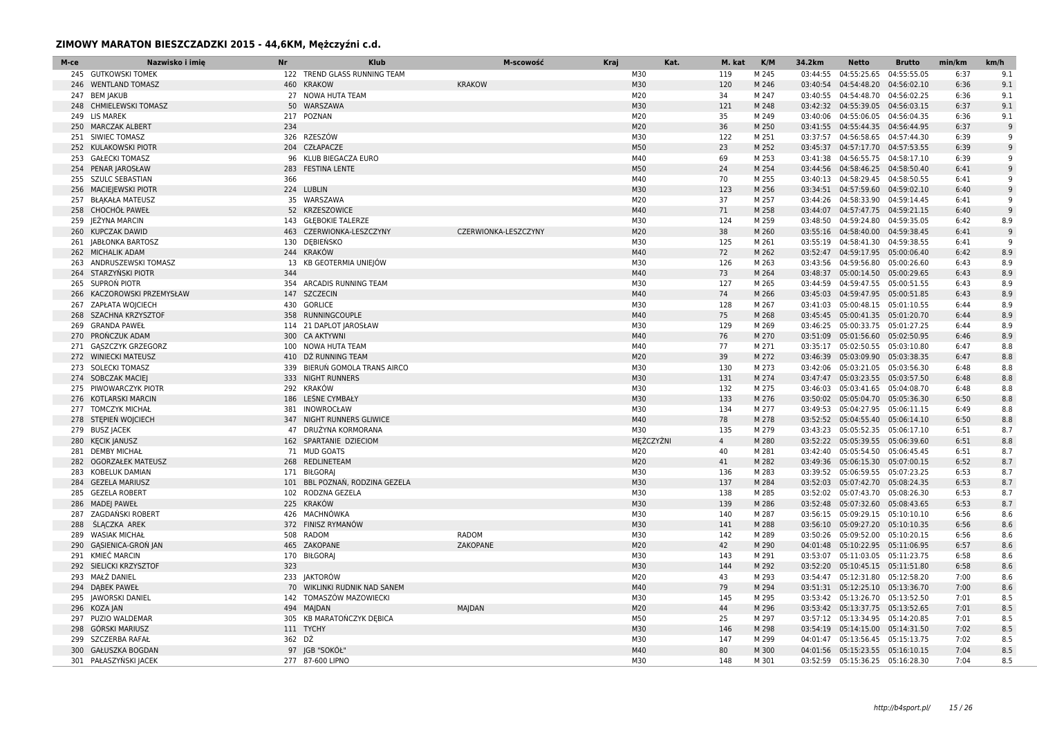| M-ce | Nazwisko i imie           | Nr     | Klub                           | M-scowość            | Kraj | Kat.       | M. kat         | K/M            | 34.2km   | <b>Netto</b>                       | <b>Brutto</b> | min/km       | km/h       |
|------|---------------------------|--------|--------------------------------|----------------------|------|------------|----------------|----------------|----------|------------------------------------|---------------|--------------|------------|
|      | 245 GUTKOWSKI TOMEK       |        | 122 TREND GLASS RUNNING TEAM   |                      |      | M30        | 119            | M 245          |          | 03:44:55 04:55:25.65               | 04:55:55.05   | 6:37         | 9.1        |
|      | 246 WENTLAND TOMASZ       |        | 460 KRAKOW                     | <b>KRAKOW</b>        |      | M30        | 120            | M 246          |          | 03:40:54  04:54:48.20  04:56:02.10 |               | 6:36         | 9.1        |
|      | 247 BEM JAKUB             |        | 27 NOWA HUTA TEAM              |                      |      | M20        | 34             | M 247          |          | 03:40:55  04:54:48.70  04:56:02.25 |               | 6:36         | 9.1        |
| 248  | <b>CHMIELEWSKI TOMASZ</b> |        | 50 WARSZAWA                    |                      |      | M30        | 121            | M 248          |          | 03:42:32  04:55:39.05  04:56:03.15 |               | 6:37         | 9.1        |
|      | 249 LIS MAREK             |        | 217 POZNAN                     |                      |      | M20        | 35             | M 249          |          | 03:40:06 04:55:06.05 04:56:04.35   |               | 6:36         | 9.1        |
| 250  | <b>MARCZAK ALBERT</b>     | 234    |                                |                      |      | M20        | 36             | M 250          |          | 03:41:55  04:55:44.35  04:56:44.95 |               | 6:37         | 9          |
|      | 251 SIWIEC TOMASZ         |        | 326 RZESZÓW                    |                      |      | M30        | 122            | M 251          |          | 03:37:57  04:56:58.65  04:57:44.30 |               | 6:39         | q          |
|      | 252 KULAKOWSKI PIOTR      |        | 204 CZŁAPACZE                  |                      |      | M50        | 23             | M 252          |          | 03:45:37  04:57:17.70  04:57:53.55 |               | 6:39         | 9          |
| 253  | <b>GAŁECKI TOMASZ</b>     |        | 96 KLUB BIEGACZA EURO          |                      |      | M40        | 69             | M 253          |          | 03:41:38  04:56:55.75  04:58:17.10 |               | 6:39         | 9          |
|      | 254 PENAR JAROSŁAW        |        | 283 FESTINA LENTE              |                      |      | M50        | 24             | M 254          |          | 03:44:56 04:58:46.25 04:58:50.40   |               | 6:41         | q          |
|      | 255 SZULC SEBASTIAN       | 366    |                                |                      |      | M40        | 70             | M 255          |          | 03:40:13 04:58:29.45 04:58:50.55   |               | 6:41         | q          |
|      | 256 MACIEJEWSKI PIOTR     |        | 224 LUBLIN                     |                      |      | M30        | 123            | M 256          |          | 03:34:51  04:57:59.60  04:59:02.10 |               | 6:40         | 9          |
| 257  | <b>BŁĄKAŁA MATEUSZ</b>    |        | 35 WARSZAWA                    |                      |      | M20        | 37             | M 257          |          | 03:44:26 04:58:33.90 04:59:14.45   |               | 6:41         | q          |
|      | 258 CHOCHOL PAWEL         |        | 52 KRZESZOWICE                 |                      |      | M40        | 71             | M 258          |          | 03:44:07  04:57:47.75  04:59:21.15 |               | 6:40         |            |
|      | 259 JEŻYNA MARCIN         |        | 143 GŁEBOKIE TALERZE           |                      |      | M30        | 124            | M 259          |          | 03:48:50  04:59:24.80  04:59:35.05 |               | 6:42         | 8.9        |
|      | 260 KUPCZAK DAWID         |        | 463 CZERWIONKA-LESZCZYNY       | CZERWIONKA-LESZCZYNY |      | M20        | 38             | M 260          |          | 03:55:16  04:58:40.00  04:59:38.45 |               | 6:41         | q          |
|      | 261 JABŁONKA BARTOSZ      |        | 130 DEBIEŃSKO                  |                      |      | M30        | 125            | M 261          | 03:55:19 | 04:58:41.30 04:59:38.55            |               | 6:41         | q          |
|      | 262 MICHALIK ADAM         |        | 244 KRAKÓW                     |                      |      | M40        | 72             | M 262          |          | 03:52:47  04:59:17.95  05:00:06.40 |               | 6:42         | 8.9        |
|      | 263 ANDRUSZEWSKI TOMASZ   |        | 13 KB GEOTERMIA UNIEJÓW        |                      |      | M30        | 126            | M 263          |          | 03:43:56 04:59:56.80 05:00:26.60   |               | 6:43         | 8.9        |
| 264  | STARZYŃSKI PIOTR          | 344    |                                |                      |      | M40        | 73             | M 264          |          | 03:48:37  05:00:14.50  05:00:29.65 |               | 6:43         | 8.9        |
| 265  | SUPRON PIOTR              |        | 354 ARCADIS RUNNING TEAM       |                      |      | M30        | 127            | M 265          |          | 03:44:59  04:59:47.55  05:00:51.55 |               | 6:43         | 8.9        |
| 266  | KACZOROWSKI PRZEMYSŁAW    |        | 147 SZCZECIN                   |                      |      | M40        | 74             | M 266          |          | 03:45:03  04:59:47.95  05:00:51.85 |               | 6:43         | 8.9        |
|      | 267 ZAPŁATA WOJCIECH      |        | 430 GORLICE                    |                      |      | M30        | 128            | M 267          |          | 03:41:03  05:00:48.15  05:01:10.55 |               | 6:44         | 8.9        |
| 268  | <b>SZACHNA KRZYSZTOF</b>  |        | 358 RUNNINGCOUPLE              |                      |      | M40        | 75             | M 268          |          | 03:45:45  05:00:41.35  05:01:20.70 |               | 6:44         | 8.9        |
| 269  | <b>GRANDA PAWEŁ</b>       |        | 114 21 DAPLOT JAROSŁAW         |                      |      | M30        | 129            | M 269          |          | 03:46:25 05:00:33.75 05:01:27.25   |               | 6:44         | 8.9        |
|      | 270 PROŃCZUK ADAM         |        | 300 CA AKTYWNI                 |                      |      | M40        | 76             | M 270          |          | 03:51:09  05:01:56.60  05:02:50.95 |               | 6:46         | 8.9        |
|      | 271 GASZCZYK GRZEGORZ     |        | 100 NOWA HUTA TEAM             |                      |      | M40        | 77             | M 271          |          | 03:35:17 05:02:50.55 05:03:10.80   |               | 6:47         | 8.8        |
|      | 272 WINIECKI MATEUSZ      |        | 410 DŹ RUNNING TEAM            |                      |      | M20        | 39             | M 272          |          | 03:46:39 05:03:09.90 05:03:38.35   |               | 6:47         | 8.8        |
|      | 273 SOLECKI TOMASZ        |        | 339 BIERUŃ GOMOLA TRANS AIRCO  |                      |      | M30        | 130            | M 273          |          | 03:42:06 05:03:21.05 05:03:56.30   |               | 6:48         | 8.8        |
|      | 274 SOBCZAK MACIEJ        |        | 333 NIGHT RUNNERS              |                      |      | M30        | 131            | M 274          |          | 03:47:47 05:03:23.55 05:03:57.50   |               | 6:48         | 8.8        |
|      | 275 PIWOWARCZYK PIOTR     |        | 292 KRAKÓW                     |                      |      | M30        | 132            | M 275          |          | 03:46:03  05:03:41.65  05:04:08.70 |               | 6:48         | 8.8        |
|      | 276 KOTLARSKI MARCIN      |        | 186 LEŚNE CYMBAŁY              |                      |      | M30        | 133            | M 276          |          | 03:50:02  05:05:04.70  05:05:36.30 |               | 6:50         | 8.8        |
|      | 277 TOMCZYK MICHAŁ        |        | 381 INOWROCŁAW                 |                      |      | M30        | 134            | M 277          |          | 03:49:53  05:04:27.95  05:06:11.15 |               | 6:49         | 8.8        |
| 278  | STEPIEN WOJCIECH          |        | 347 NIGHT RUNNERS GLIWICE      |                      |      | M40        | 78             | M 278          |          | 03:52:52  05:04:55.40  05:06:14.10 |               | 6:50         | 8.8        |
|      | 279 BUSZ JACEK            |        | 47 DRUŻYNA KORMORANA           |                      |      | M30        | 135            | M 279          |          | 03:43:23  05:05:52.35  05:06:17.10 |               | 6:51         | 8.7        |
|      | 280 KECIK JANUSZ          |        | 162 SPARTANIE DZIECIOM         |                      |      | MEŻCZYŹNI  | $\overline{4}$ | M 280          |          | 03:52:22  05:05:39.55  05:06:39.60 |               | 6:51         | 8.8        |
|      | 281 DEMBY MICHAŁ          |        | 71 MUD GOATS                   |                      |      | M20        | 40             | M 281          |          | 03:42:40  05:05:54.50  05:06:45.45 |               | 6:51         | 8.7        |
| 282  | <b>OGORZAŁEK MATEUSZ</b>  |        | 268 REDLINETEAM                |                      |      | M20        | 41             | M 282          |          | 03:49:36 05:06:15.30 05:07:00.15   |               | 6:52         | 8.7        |
| 283  | KOBELUK DAMIAN            |        | 171 BIŁGORAJ                   |                      |      | M30        | 136            | M 283          |          | 03:39:52 05:06:59.55 05:07:23.25   |               | 6:53         | 8.7        |
| 284  | <b>GEZELA MARIUSZ</b>     |        | 101 BBL POZNAŃ, RODZINA GEZELA |                      |      | M30        | 137            | M 284          |          | 03:52:03 05:07:42.70 05:08:24.35   |               | 6:53         | 8.7        |
| 285  | <b>GEZELA ROBERT</b>      |        | 102 RODZNA GEZELA              |                      |      | M30        | 138            | M 285          |          | 03:52:02 05:07:43.70 05:08:26.30   |               | 6:53         | 8.7        |
| 286  | <b>MADEJ PAWEŁ</b>        |        | 225 KRAKÓW                     |                      |      | M30        | 139            | M 286          |          | 03:52:48  05:07:32.60  05:08:43.65 |               | 6:53         | 8.7        |
| 287  | ZAGDAŃSKI ROBERT          |        | 426 MACHNÓWKA                  |                      |      | M30        | 140            | M 287          |          | 03:56:15 05:09:29.15 05:10:10.10   |               | 6:56         | 8.6        |
| 288  | ŚLACZKA AREK              |        | 372 FINISZ RYMANÓW             |                      |      | M30        | 141            | M 288          |          | 03:56:10 05:09:27.20 05:10:10.35   |               | 6:56         | 8.6        |
| 289  | <b>WASIAK MICHAŁ</b>      |        | 508 RADOM                      | RADOM                |      | M30        | 142            | M 289          |          | 03:50:26 05:09:52.00 05:10:20.15   |               | 6:56         | 8.6        |
|      | 290 GASIENICA-GRON JAN    |        | 465 ZAKOPANE                   | ZAKOPANE             |      | M20        | 42             | M 290          |          | 04:01:48  05:10:22.95  05:11:06.95 |               | 6:57         | 8.6        |
|      | 291 KMIEĆ MARCIN          |        | 170 BIŁGORAJ                   |                      |      | M30        | 143            | M 291          |          | 03:53:07  05:11:03.05  05:11:23.75 |               | 6:58         | 8.6        |
|      | 292 SIELICKI KRZYSZTOF    | 323    |                                |                      |      | M30        | 144            | M 292          |          | 03:52:20  05:10:45.15  05:11:51.80 |               | 6:58         | 8.6        |
| 293  | MAŁŻ DANIEL               |        | 233 JAKTORÓW                   |                      |      | M20        | 43             | M 293          |          | 03:54:47  05:12:31.80  05:12:58.20 |               | 7:00         | 8.6        |
|      | 294 DABEK PAWEŁ           |        | 70 WIKLINKI RUDNIK NAD SANEM   |                      |      | M40        | 79             | M 294          |          | 03:51:31  05:12:25.10  05:13:36.70 |               | 7:00         | 8.6        |
|      | 295 JAWORSKI DANIEL       |        | 142 TOMASZÓW MAZOWIECKI        |                      |      | M30        | 145            | M 295          |          | 03:53:42  05:13:26.70  05:13:52.50 |               | 7:01         | 8.5        |
|      | 296 KOZA JAN              |        | 494 MAJDAN                     | MAJDAN               |      | M20        | 44             | M 296          |          | 03:53:42  05:13:37.75  05:13:52.65 |               | 7:01         | 8.5        |
|      | 297 PUZIO WALDEMAR        |        | 305 KB MARATONCZYK DEBICA      |                      |      | M50        | 25             | M 297          |          | 03:57:12 05:13:34.95 05:14:20.85   |               | 7:01         | 8.5        |
| 298  | GÓRSKI MARIUSZ            | 362 DŹ | 111 TYCHY                      |                      |      | M30<br>M30 | 146            | M 298          |          | 03:54:19  05:14:15.00  05:14:31.50 |               | 7:02         | 8.5<br>8.5 |
|      | 299 SZCZERBA RAFAŁ        |        |                                |                      |      | M40        | 147<br>80      | M 299<br>M 300 |          | 04:01:47  05:13:56.45  05:15:13.75 |               | 7:02<br>7:04 |            |
| 300  | <b>GAŁUSZKA BOGDAN</b>    |        | 97 JGB "SOKÓŁ"                 |                      |      |            |                |                |          | 04:01:56  05:15:23.55  05:16:10.15 |               |              | 8.5        |
|      | 301 PAŁASZYŃSKI JACEK     |        | 277 87-600 LIPNO               |                      |      | M30        | 148            | M 301          |          | 03:52:59 05:15:36.25 05:16:28.30   |               | 7:04         | 8.5        |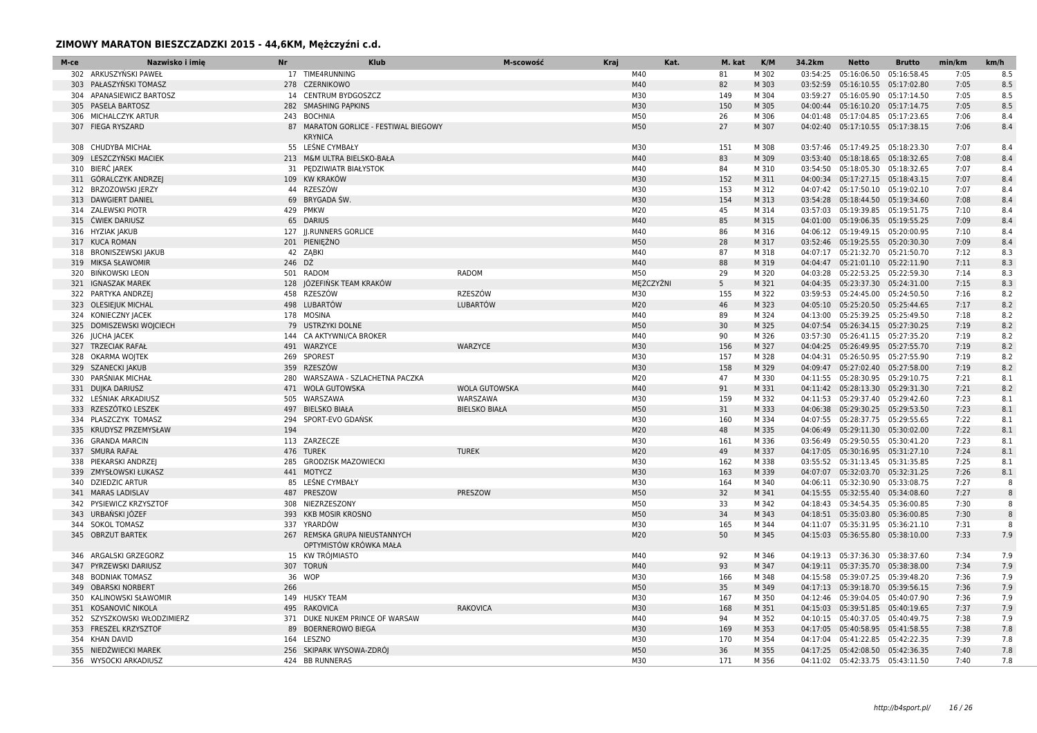| M-ce | Nazwisko i imie             | <b>Nr</b> | <b>Klub</b>                                             | M-scowość            | Kraj | Kat.      | M. kat         | K/M   | 34.2km   | <b>Netto</b>                       | <b>Brutto</b> | min/km | km/h         |
|------|-----------------------------|-----------|---------------------------------------------------------|----------------------|------|-----------|----------------|-------|----------|------------------------------------|---------------|--------|--------------|
|      | 302 ARKUSZYŃSKI PAWEŁ       |           | 17 TIME4RUNNING                                         |                      |      | M40       | 81             | M 302 | 03:54:25 | 05:16:06.50 05:16:58.45            |               | 7:05   | 8.5          |
|      | 303 PAŁASZYŃSKI TOMASZ      |           | 278 CZERNIKOWO                                          |                      |      | M40       | 82             | M 303 |          | 03:52:59 05:16:10.55 05:17:02.80   |               | 7:05   | 8.5          |
| 304  | APANASIEWICZ BARTOSZ        |           | 14 CENTRUM BYDGOSZCZ                                    |                      |      | M30       | 149            | M 304 |          | 03:59:27 05:16:05.90 05:17:14.50   |               | 7:05   | 8.5          |
|      | 305 PASELA BARTOSZ          |           | 282 SMASHING PAPKINS                                    |                      |      | M30       | 150            | M 305 |          | 04:00:44  05:16:10.20  05:17:14.75 |               | 7:05   | 8.5          |
| 306  | MICHALCZYK ARTUR            |           | 243 BOCHNIA                                             |                      |      | M50       | 26             | M 306 |          | 04:01:48  05:17:04.85  05:17:23.65 |               | 7:06   | 8.4          |
| 307  | <b>FIEGA RYSZARD</b>        |           | 87 MARATON GORLICE - FESTIWAL BIEGOWY<br><b>KRYNICA</b> |                      |      | M50       | 27             | M 307 |          | 04:02:40  05:17:10.55  05:17:38.15 |               | 7:06   | 8.4          |
|      | 308 CHUDYBA MICHAŁ          |           | 55 LEŚNE CYMBAŁY                                        |                      |      | M30       | 151            | M 308 |          | 03:57:46 05:17:49.25 05:18:23.30   |               | 7:07   | 8.4          |
| 309  | LESZCZYŃSKI MACIEK          |           | 213 M&M ULTRA BIELSKO-BAŁA                              |                      |      | M40       | 83             | M 309 |          | 03:53:40  05:18:18.65  05:18:32.65 |               | 7:08   | 8.4          |
|      | 310 BIERĆ JAREK             |           | 31 PEDZIWIATR BIAŁYSTOK                                 |                      |      | M40       | 84             | M 310 | 03:54:50 | 05:18:05.30 05:18:32.65            |               | 7:07   | 8.4          |
|      | 311 GÓRALCZYK ANDRZEJ       |           | 109 KW KRAKÓW                                           |                      |      | M30       | 152            | M 311 |          | 04:00:34 05:17:27.15 05:18:43.15   |               | 7:07   | 8.4          |
|      | 312 BRZOZOWSKI JERZY        |           | 44 RZESZÓW                                              |                      |      | M30       | 153            | M 312 |          | 04:07:42  05:17:50.10  05:19:02.10 |               | 7:07   | 8.4          |
| 313  | <b>DAWGIERT DANIEL</b>      | 69        | BRYGADA ŚW.                                             |                      |      | M30       | 154            | M 313 |          | 03:54:28  05:18:44.50  05:19:34.60 |               | 7:08   | 8.4          |
|      | 314 ZALEWSKI PIOTR          |           | 429 PMKW                                                |                      |      | M20       | 45             | M 314 |          | 03:57:03  05:19:39.85  05:19:51.75 |               | 7:10   | 8.4          |
|      | 315 ĆWIEK DARIUSZ           |           | 65 DARIUS                                               |                      |      | M40       | 85             | M 315 |          | 04:01:00  05:19:06.35  05:19:55.25 |               | 7:09   | 8.4          |
|      | 316 HYZIAK JAKUB            |           | 127 JJ.RUNNERS GORLICE                                  |                      |      | M40       | 86             | M 316 |          | 04:06:12 05:19:49.15 05:20:00.95   |               | 7:10   | 8.4          |
|      | 317 KUCA ROMAN              |           | 201 PIENIEŻNO                                           |                      |      | M50       | 28             | M 317 |          | 03:52:46 05:19:25.55 05:20:30.30   |               | 7:09   | 8.4          |
|      | 318 BRONISZEWSKI JAKUB      |           | 42 ZABKI                                                |                      |      | M40       | 87             | M 318 |          | 04:07:17 05:21:32.70 05:21:50.70   |               | 7:12   | 8.3          |
|      | 319 MIKSA SŁAWOMIR          | 246 DŹ    |                                                         |                      |      | M40       | 88             | M 319 |          | 04:04:47  05:21:01.10  05:22:11.90 |               | 7:11   | 8.3          |
| 320  | BIŃKOWSKI LEON              |           | 501 RADOM                                               | <b>RADOM</b>         |      | M50       | 29             | M 320 | 04:03:28 | 05:22:53.25 05:22:59.30            |               | 7:14   | 8.3          |
|      | 321 IGNASZAK MAREK          |           | 128 JÓZEFIŃSK TEAM KRAKÓW                               |                      |      | MEŻCZYŹNI | 5 <sup>5</sup> | M 321 |          | 04:04:35  05:23:37.30  05:24:31.00 |               | 7:15   | 8.3          |
|      | 322 PARTYKA ANDRZEJ         |           | 458 RZESZÓW                                             | RZESZÓW              |      | M30       | 155            | M 322 |          | 03:59:53  05:24:45.00  05:24:50.50 |               | 7:16   | 8.2          |
|      | 323 OLESIEJUK MICHAL        |           | 498 LUBARTÓW                                            | LUBARTÓW             |      | M20       | 46             | M 323 |          | 04:05:10  05:25:20.50  05:25:44.65 |               | 7:17   | 8.2          |
|      | 324 KONIECZNY JACEK         |           | 178 MOSINA                                              |                      |      | M40       | 89             | M 324 |          | 04:13:00 05:25:39.25 05:25:49.50   |               | 7:18   | 8.2          |
|      | 325 DOMISZEWSKI WOJCIECH    |           | 79 USTRZYKI DOLNE                                       |                      |      | M50       | 30             | M 325 |          | 04:07:54 05:26:34.15 05:27:30.25   |               | 7:19   | 8.2          |
|      | 326 JUCHA JACEK             |           | 144 CA AKTYWNI/CA BROKER                                |                      |      | M40       | 90             | M 326 |          | 03:57:30 05:26:41.15 05:27:35.20   |               | 7:19   | 8.2          |
|      | 327 TRZECIAK RAFAŁ          |           | 491 WARZYCE                                             | WARZYCE              |      | M30       | 156            | M 327 |          | 04:04:25 05:26:49.95 05:27:55.70   |               | 7:19   | 8.2          |
|      | 328 OKARMA WOJTEK           |           | 269 SPOREST                                             |                      |      | M30       | 157            | M 328 |          | 04:04:31  05:26:50.95  05:27:55.90 |               | 7:19   | 8.2          |
| 329  | <b>SZANECKI JAKUB</b>       |           | 359 RZESZÓW                                             |                      |      | M30       | 158            | M 329 |          | 04:09:47  05:27:02.40  05:27:58.00 |               | 7:19   | 8.2          |
|      | 330 PARŚNIAK MICHAŁ         |           | 280 WARSZAWA - SZLACHETNA PACZKA                        |                      |      | M20       | 47             | M 330 |          | 04:11:55  05:28:30.95  05:29:10.75 |               | 7:21   | 8.1          |
|      | 331 DUJKA DARIUSZ           |           | 471 WOLA GUTOWSKA                                       | <b>WOLA GUTOWSKA</b> |      | M40       | 91             | M 331 |          | 04:11:42  05:28:13.30  05:29:31.30 |               | 7:21   | 8.2          |
|      | 332 LEŚNIAK ARKADIUSZ       |           | 505 WARSZAWA                                            | WARSZAWA             |      | M30       | 159            | M 332 |          | 04:11:53 05:29:37.40 05:29:42.60   |               | 7:23   | 8.1          |
|      | RZESZÓTKO LESZEK            |           | 497 BIELSKO BIAŁA                                       | <b>BIELSKO BIAŁA</b> |      | M50       |                | M 333 |          |                                    |               | 7:23   | 8.1          |
| 333  |                             |           |                                                         |                      |      | M30       | 31             |       |          | 04:06:38 05:29:30.25 05:29:53.50   |               |        |              |
|      | 334 PLASZCZYK TOMASZ        | 294       | SPORT-EVO GDAŃSK                                        |                      |      |           | 160            | M 334 |          | 04:07:55 05:28:37.75 05:29:55.65   |               | 7:22   | 8.1          |
| 335  | KRUDYSZ PRZEMYSŁAW          | 194       |                                                         |                      |      | M20       | 48             | M 335 |          | 04:06:49  05:29:11.30  05:30:02.00 |               | 7:22   | 8.1          |
|      | 336 GRANDA MARCIN           |           | 113 ZARZECZE                                            |                      |      | M30       | 161            | M 336 |          | 03:56:49  05:29:50.55  05:30:41.20 |               | 7:23   | 8.1          |
|      | 337 SMURA RAFAŁ             |           | 476 TUREK                                               | <b>TUREK</b>         |      | M20       | 49             | M 337 |          | 04:17:05 05:30:16.95 05:31:27.10   |               | 7:24   | 8.1          |
| 338  | PIEKARSKI ANDRZEJ           |           | 285 GRODZISK MAZOWIECKI                                 |                      |      | M30       | 162            | M 338 |          | 03:55:52  05:31:13.45  05:31:35.85 |               | 7:25   | 8.1          |
|      | 339 ZMYSŁOWSKI ŁUKASZ       |           | 441 MOTYCZ                                              |                      |      | M30       | 163            | M 339 |          | 04:07:07 05:32:03.70 05:32:31.25   |               | 7:26   | 8.1          |
|      | 340 DZIEDZIC ARTUR          |           | 85 LEŚNE CYMBAŁY                                        |                      |      | M30       | 164            | M 340 |          | 04:06:11  05:32:30.90  05:33:08.75 |               | 7:27   | 8            |
|      | 341 MARAS LADISLAV          |           | 487 PRESZOW                                             | PRESZOW              |      | M50       | 32             | M 341 |          | 04:15:55  05:32:55.40  05:34:08.60 |               | 7:27   | 8            |
| 342  | PYSIEWICZ KRZYSZTOF         | 308       | NIEZRZESZONY                                            |                      |      | M50       | 33             | M 342 |          | 04:18:43  05:34:54.35  05:36:00.85 |               | 7:30   | 8            |
|      | 343 URBAŃSKI JÓZEF          |           | 393 KKB MOSIR KROSNO                                    |                      |      | M50       | 34             | M 343 |          | 04:18:51  05:35:03.80  05:36:00.85 |               | 7:30   | 8            |
|      | 344 SOKOL TOMASZ            |           | 337 YRARDÓW                                             |                      |      | M30       | 165            | M 344 |          | 04:11:07 05:35:31.95 05:36:21.10   |               | 7:31   | $\mathsf{R}$ |
|      | 345 OBRZUT BARTEK           |           | 267 REMSKA GRUPA NIEUSTANNYCH<br>OPTYMISTÓW KRÓWKA MAŁA |                      |      | M20       | 50             | M 345 |          | 04:15:03  05:36:55.80  05:38:10.00 |               | 7:33   | 7.9          |
|      | 346 ARGALSKI GRZEGORZ       |           | 15 KW TRÓJMIASTO                                        |                      |      | M40       | 92             | M 346 |          | 04:19:13  05:37:36.30  05:38:37.60 |               | 7:34   | 7.9          |
|      | 347 PYRZEWSKI DARIUSZ       |           | 307 TORUŃ                                               |                      |      | M40       | 93             | M 347 |          | 04:19:11  05:37:35.70  05:38:38.00 |               | 7:34   | 7.9          |
| 348  | <b>BODNIAK TOMASZ</b>       |           | 36 WOP                                                  |                      |      | M30       | 166            | M 348 |          | 04:15:58  05:39:07.25  05:39:48.20 |               | 7:36   | 7.9          |
|      | 349 OBARSKI NORBERT         | 266       |                                                         |                      |      | M50       | 35             | M 349 |          | 04:17:13  05:39:18.70  05:39:56.15 |               | 7:36   | 7.9          |
| 350  | KALINOWSKI SŁAWOMIR         |           | 149 HUSKY TEAM                                          |                      |      | M30       | 167            | M 350 |          | 04:12:46 05:39:04.05 05:40:07.90   |               | 7:36   | 7.9          |
|      | 351 KOSANOVIĆ NIKOLA        |           | 495 RAKOVICA                                            | <b>RAKOVICA</b>      |      | M30       | 168            | M 351 |          | 04:15:03  05:39:51.85  05:40:19.65 |               | 7:37   | 7.9          |
|      | 352 SZYSZKOWSKI WŁODZIMIERZ |           | 371 DUKE NUKEM PRINCE OF WARSAW                         |                      |      | M40       | 94             | M 352 |          | 04:10:15 05:40:37.05 05:40:49.75   |               | 7:38   | 7.9          |
|      | 353 FRESZEL KRZYSZTOF       |           | 89 BOERNEROWO BIEGA                                     |                      |      | M30       | 169            | M 353 |          | 04:17:05 05:40:58.95 05:41:58.55   |               | 7:38   | 7.8          |
|      | 354 KHAN DAVID              |           | 164 LESZNO                                              |                      |      | M30       | 170            | M 354 |          | 04:17:04  05:41:22.85  05:42:22.35 |               | 7:39   | 7.8          |
|      | 355 NIEDŹWIECKI MAREK       |           | 256 SKIPARK WYSOWA-ZDRÓJ                                |                      |      | M50       | 36             | M 355 |          | 04:17:25  05:42:08.50  05:42:36.35 |               | 7:40   | 7.8          |
|      | 356 WYSOCKI ARKADIUSZ       |           | 424 BB RUNNERAS                                         |                      |      | M30       | 171            | M 356 |          | 04:11:02  05:42:33.75  05:43:11.50 |               | 7:40   | 7.8          |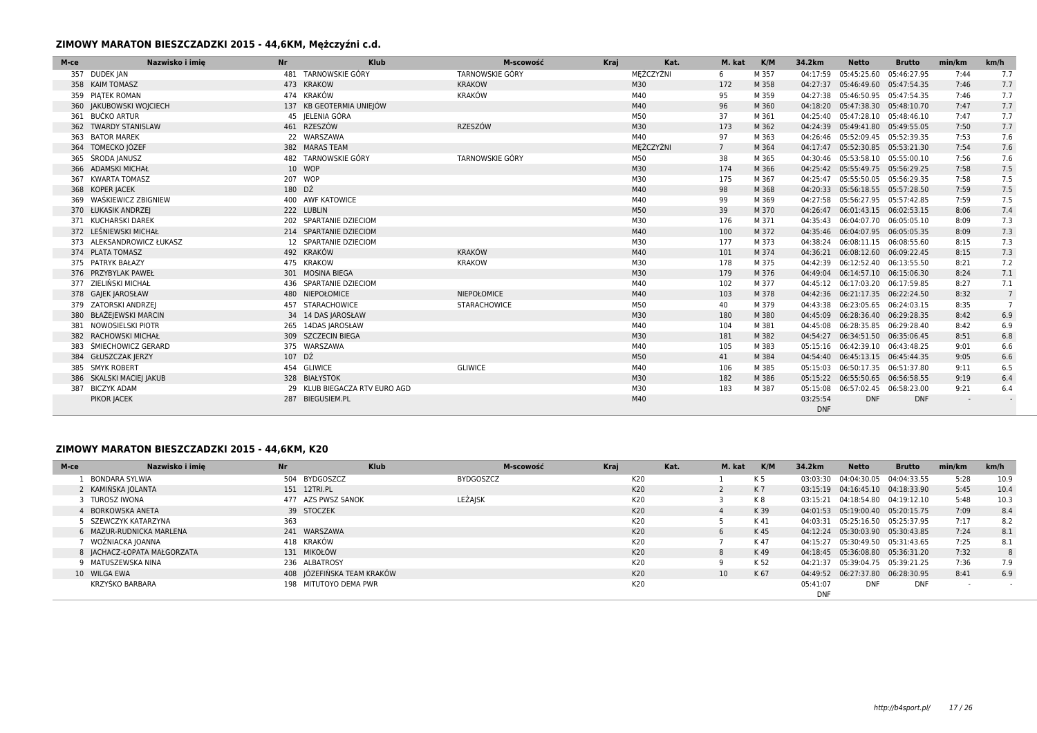| M-ce | Nazwisko i imie<br><b>Nr</b> |        | Klub                          | M-scowość              | Kraj | Kat.      | M. kat      | K/M   | 34.2km                 | <b>Netto</b>                       | <b>Brutto</b> | min/km | km/h           |
|------|------------------------------|--------|-------------------------------|------------------------|------|-----------|-------------|-------|------------------------|------------------------------------|---------------|--------|----------------|
|      | 357 DUDEK JAN                |        | 481 TARNOWSKIE GÓRY           | <b>TARNOWSKIE GÓRY</b> |      | MĘŻCZYŹNI | 6           | M 357 | 04:17:59               | 05:45:25.60                        | 05:46:27.95   | 7:44   | 7.7            |
|      | 358 KAIM TOMASZ              |        | 473 KRAKOW                    | <b>KRAKOW</b>          |      | M30       | 172         | M 358 | 04:27:37               | 05:46:49.60 05:47:54.35            |               | 7:46   | 7.7            |
|      | 359 PIATEK ROMAN             |        | 474 KRAKÓW                    | <b>KRAKÓW</b>          |      | M40       | 95          | M 359 |                        | 04:27:38 05:46:50.95 05:47:54.35   |               | 7:46   | 7.7            |
|      | 360 JAKUBOWSKI WOJCIECH      |        | 137 KB GEOTERMIA UNIEIÓW      |                        |      | M40       | 96          | M 360 |                        | 04:18:20 05:47:38.30 05:48:10.70   |               | 7:47   | 7.7            |
|      | 361 BUĆKO ARTUR              |        | 45 IELENIA GÓRA               |                        |      | M50       | 37          | M 361 |                        | 04:25:40 05:47:28.10 05:48:46.10   |               | 7:47   | 7.7            |
|      | 362 TWARDY STANISLAW         |        | 461 RZESZÓW                   | <b>RZESZÓW</b>         |      | M30       | 173         | M 362 |                        | 04:24:39 05:49:41.80 05:49:55.05   |               | 7:50   | 7.7            |
|      | 363 BATOR MAREK              |        | 22 WARSZAWA                   |                        |      | M40       | 97          | M 363 |                        | 04:26:46 05:52:09.45 05:52:39.35   |               | 7:53   | 7.6            |
|      | 364 TOMECKO IÓZEF            |        | 382 MARAS TEAM                |                        |      | MEŻCZYŹNI | $7^{\circ}$ | M 364 |                        | 04:17:47 05:52:30.85 05:53:21.30   |               | 7:54   | 7.6            |
|      | 365 ŚRODA JANUSZ             |        | 482 TARNOWSKIE GÓRY           | <b>TARNOWSKIE GÓRY</b> |      | M50       | 38          | M 365 |                        | 04:30:46 05:53:58.10 05:55:00.10   |               | 7:56   | 7.6            |
|      | 366 ADAMSKI MICHAŁ           |        | 10 WOP                        |                        |      | M30       | 174         | M 366 |                        | 04:25:42  05:55:49.75  05:56:29.25 |               | 7:58   | 7.5            |
| 367  | <b>KWARTA TOMASZ</b>         |        | 207 WOP                       |                        |      | M30       | 175         | M 367 | 04:25:47               | 05:55:50.05 05:56:29.35            |               | 7:58   | 7.5            |
|      | 368 KOPER JACEK              | 180 DŹ |                               |                        |      | M40       | 98          | M 368 | 04:20:33               | 05:56:18.55 05:57:28.50            |               | 7:59   | 7.5            |
|      | 369 WAŚKIEWICZ ZBIGNIEW      |        | 400 AWF KATOWICE              |                        |      | M40       | 99          | M 369 |                        | 04:27:58 05:56:27.95 05:57:42.85   |               | 7:59   | 7.5            |
|      | 370 ŁUKASIK ANDRZEJ          |        | 222 LUBLIN                    |                        |      | M50       | 39          | M 370 |                        | 04:26:47 06:01:43.15 06:02:53.15   |               | 8:06   | 7.4            |
|      | 371 KUCHARSKI DAREK          |        | 202 SPARTANIE DZIECIOM        |                        |      | M30       | 176         | M 371 |                        | 04:35:43 06:04:07.70 06:05:05.10   |               | 8:09   | 7.3            |
|      | 372 LEŚNIEWSKI MICHAŁ        |        | 214 SPARTANIE DZIECIOM        |                        |      | M40       | 100         | M 372 |                        | 04:35:46 06:04:07.95 06:05:05.35   |               | 8:09   | 7.3            |
|      | 373 ALEKSANDROWICZ ŁUKASZ    |        | 12 SPARTANIE DZIECIOM         |                        |      | M30       | 177         | M 373 |                        | 04:38:24 06:08:11.15 06:08:55.60   |               | 8:15   | 7.3            |
|      | 374 PLATA TOMASZ             |        | 492 KRAKÓW                    | <b>KRAKÓW</b>          |      | M40       | 101         | M 374 |                        | 04:36:21 06:08:12.60 06:09:22.45   |               | 8:15   | 7.3            |
|      | 375 PATRYK BAŁAZY            |        | 475 KRAKOW                    | <b>KRAKOW</b>          |      | M30       | 178         | M 375 |                        | 04:42:39 06:12:52.40 06:13:55.50   |               | 8:21   | 7.2            |
|      | 376 PRZYBYLAK PAWEŁ          |        | 301 MOSINA BIEGA              |                        |      | M30       | 179         | M 376 |                        | 04:49:04  06:14:57.10  06:15:06.30 |               | 8:24   | 7.1            |
|      | 377 ZIELIŃSKI MICHAŁ         |        | 436 SPARTANIE DZIECIOM        |                        |      | M40       | 102         | M 377 |                        | 04:45:12 06:17:03.20 06:17:59.85   |               | 8:27   | 7.1            |
|      | 378 GAJEK JAROSŁAW           |        | 480 NIEPOŁOMICE               | <b>NIEPOŁOMICE</b>     |      | M40       | 103         | M 378 |                        | 04:42:36 06:21:17.35 06:22:24.50   |               | 8:32   | $\overline{7}$ |
|      | 379 ZATORSKI ANDRZEJ         |        | 457 STARACHOWICE              | <b>STARACHOWICE</b>    |      | M50       | 40          | M 379 |                        | 04:43:38 06:23:05.65 06:24:03.15   |               | 8:35   |                |
|      | 380 BŁAŻEJEWSKI MARCIN       |        | 34 14 DAS JAROSŁAW            |                        |      | M30       | 180         | M 380 |                        | 04:45:09  06:28:36.40  06:29:28.35 |               | 8:42   | 6.9            |
| 381  | NOWOSIELSKI PIOTR            |        | 265 14DAS JAROSŁAW            |                        |      | M40       | 104         | M 381 |                        | 04:45:08 06:28:35.85 06:29:28.40   |               | 8:42   | 6.9            |
|      | 382 RACHOWSKI MICHAŁ         |        | 309 SZCZECIN BIEGA            |                        |      | M30       | 181         | M 382 |                        | 04:54:27 06:34:51.50 06:35:06.45   |               | 8:51   | 6.8            |
|      | ŚMIECHOWICZ GERARD           |        | 375 WARSZAWA                  |                        |      | M40       | 105         | M 383 |                        | 05:15:16 06:42:39.10 06:43:48.25   |               | 9:01   | 6.6            |
|      | 384 GŁUSZCZAK JERZY          | 107 DŹ |                               |                        |      | M50       | 41          | M 384 |                        | 04:54:40  06:45:13.15  06:45:44.35 |               | 9:05   | 6.6            |
|      | 385 SMYK ROBERT              |        | 454 GLIWICE                   | <b>GLIWICE</b>         |      | M40       | 106         | M 385 |                        | 05:15:03 06:50:17.35 06:51:37.80   |               | 9:11   | 6.5            |
|      | 386 SKALSKI MACIEJ JAKUB     |        | 328 BIAŁYSTOK                 |                        |      | M30       | 182         | M 386 |                        | 05:15:22  06:55:50.65  06:56:58.55 |               | 9:19   | 6.4            |
|      | 387 BICZYK ADAM              |        | 29 KLUB BIEGACZA RTV EURO AGD |                        |      | M30       | 183         | M 387 |                        | 05:15:08  06:57:02.45  06:58:23.00 |               | 9:21   | 6.4            |
|      | PIKOR JACEK                  |        | 287 BIEGUSIEM.PL              |                        |      | M40       |             |       | 03:25:54<br><b>DNF</b> | <b>DNF</b>                         | <b>DNF</b>    |        |                |

## **ZIMOWY MARATON BIESZCZADZKI 2015 - 44,6KM, K20**

| M-ce | Nazwisko i imie              | <b>Nr</b> | <b>Klub</b>                | M-scowość        | Kraj |     | Kat. | M. kat          | K/M            | 34.2km     | Netto                              | <b>Brutto</b> | min/km | km/h                     |
|------|------------------------------|-----------|----------------------------|------------------|------|-----|------|-----------------|----------------|------------|------------------------------------|---------------|--------|--------------------------|
|      | BONDARA SYLWIA               |           | 504 BYDGOSZCZ              | <b>BYDGOSZCZ</b> |      | K20 |      |                 | K <sub>5</sub> | 03:03:30   | 04:04:30.05                        | 04:04:33.55   | 5:28   | 10.9                     |
|      | 2 KAMIŃSKA JOLANTA           |           | 151 12TRI.PL               |                  |      | K20 |      |                 | K <sub>7</sub> |            | 03:15:19  04:16:45.10  04:18:33.90 |               | 5:45   | 10.4                     |
|      | 3 TUROSZ IWONA               |           | 477 AZS PWSZ SANOK         | <b>LEŻAJSK</b>   |      | K20 |      |                 | K 8            |            | 03:15:21  04:18:54.80  04:19:12.10 |               | 5:48   | 10.3                     |
|      | 4 BORKOWSKA ANETA            |           | 39 STOCZEK                 |                  |      | K20 |      |                 | K 39           |            | 04:01:53  05:19:00.40  05:20:15.75 |               | 7:09   | 8.4                      |
|      | SZEWCZYK KATARZYNA           | 363       |                            |                  |      | K20 |      |                 | K 41           | 04:03:31   | 05:25:16.50 05:25:37.95            |               | 7:17   | 8.2                      |
|      | 6 MAZUR-RUDNICKA MARLENA     |           | 241 WARSZAWA               |                  |      | K20 |      | h               | K 45           |            | 04:12:24 05:30:03.90 05:30:43.85   |               | 7:24   | 8.1                      |
|      | WOŹNIACKA JOANNA             |           | 418 KRAKÓW                 |                  |      | K20 |      |                 | K 47           | 04:15:27   | 05:30:49.50 05:31:43.65            |               | 7:25   | 8.1                      |
|      | 8   ACHACZ-ŁOPATA MAŁGORZATA |           | 131 MIKOŁÓW                |                  |      | K20 |      | -8              | K49            |            | 04:18:45  05:36:08.80  05:36:31.20 |               | 7:32   | 8                        |
|      | 9 MATUSZEWSKA NINA           |           | 236 ALBATROSY              |                  |      | K20 |      |                 | K 52           | 04:21:37   | 05:39:04.75 05:39:21.25            |               | 7:36   | 7.9                      |
|      | 10 WILGA EWA                 |           | 408 JÓZEFIŃSKA TEAM KRAKÓW |                  |      | K20 |      | 10 <sup>1</sup> | K 67           |            | 04:49:52 06:27:37.80 06:28:30.95   |               | 8:41   | 6.9                      |
|      | KRZYŚKO BARBARA              |           | 198 MITUTOYO DEMA PWR      |                  |      | K20 |      |                 |                | 05:41:07   | <b>DNF</b>                         | <b>DNF</b>    |        | $\overline{\phantom{a}}$ |
|      |                              |           |                            |                  |      |     |      |                 |                | <b>DNF</b> |                                    |               |        |                          |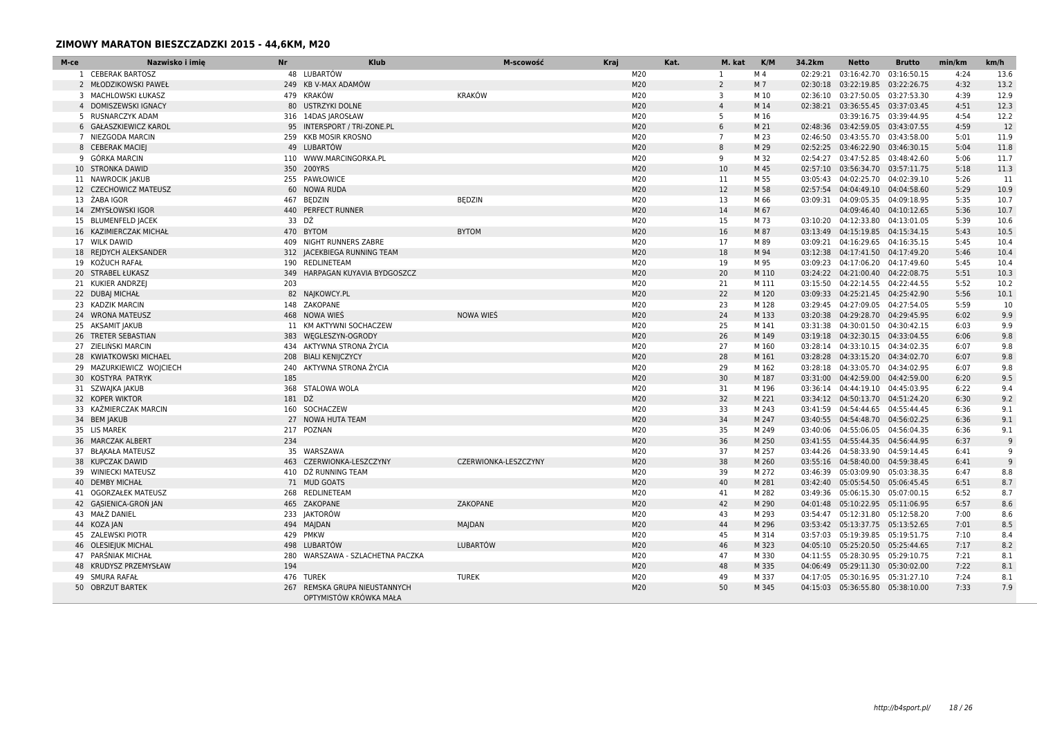## **ZIMOWY MARATON BIESZCZADZKI 2015 - 44,6KM, M20**

| M-ce | Nazwisko i imie          | <b>Nr</b> | <b>Klub</b>                                             | M-scowość            | <b>Kraj</b> | Kat.<br>M. kat | K/M            | 34.2km   | <b>Netto</b>                       | <b>Brutto</b>           | min/km | km/h |
|------|--------------------------|-----------|---------------------------------------------------------|----------------------|-------------|----------------|----------------|----------|------------------------------------|-------------------------|--------|------|
|      | 1 CEBERAK BARTOSZ        |           | 48 LUBARTÓW                                             |                      | M20         | 1              | M <sub>4</sub> | 02:29:21 | 03:16:42.70 03:16:50.15            |                         | 4:24   | 13.6 |
|      | 2 MŁODZIKOWSKI PAWEŁ     |           | 249 KB V-MAX ADAMÓW                                     |                      | M20         | $\overline{2}$ | M 7            |          | 02:30:18 03:22:19.85 03:22:26.75   |                         | 4:32   | 13.2 |
|      | 3 MACHLOWSKI ŁUKASZ      |           | 479 KRAKÓW                                              | <b>KRAKÓW</b>        | M20         | $\overline{3}$ | M 10           |          | 02:36:10 03:27:50.05 03:27:53.30   |                         | 4:39   | 12.9 |
|      | 4 DOMISZEWSKI IGNACY     |           | 80 USTRZYKI DOLNE                                       |                      | M20         | $\overline{4}$ | M 14           |          | 02:38:21 03:36:55.45 03:37:03.45   |                         | 4:51   | 12.3 |
|      | 5 RUSNARCZYK ADAM        |           | 316 14DAS JAROSŁAW                                      |                      | M20         | 5              | M 16           |          |                                    | 03:39:16.75 03:39:44.95 | 4:54   | 12.2 |
|      | 6 GAŁASZKIEWICZ KAROL    |           | 95 INTERSPORT / TRI-ZONE.PL                             |                      | M20         | 6              | M 21           |          | 02:48:36 03:42:59.05 03:43:07.55   |                         | 4:59   | 12   |
|      | 7 NIEZGODA MARCIN        |           | 259 KKB MOSIR KROSNO                                    |                      | M20         | $\overline{7}$ | M 23           |          | 02:46:50 03:43:55.70 03:43:58.00   |                         | 5:01   | 11.9 |
|      | 8 CEBERAK MACIEJ         |           | 49 LUBARTÓW                                             |                      | M20         | 8              | M 29           |          | 02:52:25 03:46:22.90 03:46:30.15   |                         | 5:04   | 11.8 |
|      | 9 GÓRKA MARCIN           |           | 110 WWW.MARCINGORKA.PL                                  |                      | M20         | 9              | M 32           |          | 02:54:27 03:47:52.85 03:48:42.60   |                         | 5:06   | 11.7 |
|      | 10 STRONKA DAWID         |           | 350 200YRS                                              |                      | M20         | 10             | M 45           |          | 02:57:10 03:56:34.70 03:57:11.75   |                         | 5:18   | 11.3 |
|      | 11 NAWROCIK JAKUB        |           | 255 PAWŁOWICE                                           |                      | M20         | 11             | M 55           | 03:05:43 | 04:02:25.70 04:02:39.10            |                         | 5:26   | -11  |
|      | 12 CZECHOWICZ MATEUSZ    |           | 60 NOWA RUDA                                            |                      | M20         | 12             | M 58           |          | 02:57:54 04:04:49.10 04:04:58.60   |                         | 5:29   | 10.9 |
|      | 13 ŻABA IGOR             |           | 467 BEDZIN                                              | <b>BEDZIN</b>        | M20         | 13             | M 66           |          | 03:09:31 04:09:05.35 04:09:18.95   |                         | 5:35   | 10.7 |
|      | 14 ZMYSŁOWSKI IGOR       |           | 440 PERFECT RUNNER                                      |                      | M20         | 14             | M 67           |          |                                    | 04:09:46.40 04:10:12.65 | 5:36   | 10.7 |
|      | 15 BLUMENFELD JACEK      |           | 33 DŹ                                                   |                      | M20         | 15             | M 73           |          | 03:10:20 04:12:33.80 04:13:01.05   |                         | 5:39   | 10.6 |
|      | 16 KAZIMIERCZAK MICHAŁ   |           | 470 BYTOM                                               | <b>BYTOM</b>         | M20         | 16             | M 87           |          | 03:13:49  04:15:19.85  04:15:34.15 |                         | 5:43   | 10.5 |
|      | 17 WILK DAWID            |           | 409 NIGHT RUNNERS ZABRE                                 |                      | M20         | 17             | M 89           |          | 03:09:21  04:16:29.65  04:16:35.15 |                         | 5:45   | 10.4 |
|      | 18 REJDYCH ALEKSANDER    |           | 312   ACEKBIEGA RUNNING TEAM                            |                      | M20         | 18             | M 94           |          | 03:12:38  04:17:41.50  04:17:49.20 |                         | 5:46   | 10.4 |
|      | 19 KOŻUCH RAFAŁ          |           | 190 REDLINETEAM                                         |                      | M20         | 19             | M 95           |          | 03:09:23  04:17:06.20  04:17:49.60 |                         | 5:45   | 10.4 |
|      | 20 STRABEL ŁUKASZ        |           | 349 HARPAGAN KUYAVIA BYDGOSZCZ                          |                      | M20         | 20             | M 110          |          | 03:24:22 04:21:00.40 04:22:08.75   |                         | 5:51   | 10.3 |
|      | 21 KUKIER ANDRZEJ        | 203       |                                                         |                      | M20         | 21             | M 111          |          | 03:15:50 04:22:14.55 04:22:44.55   |                         | 5:52   | 10.2 |
|      | 22 DUBAJ MICHAŁ          |           | 82 NAJKOWCY.PL                                          |                      | M20         | 22             | M 120          |          | 03:09:33  04:25:21.45  04:25:42.90 |                         | 5:56   | 10.1 |
|      | 23 KADZIK MARCIN         |           | 148 ZAKOPANE                                            |                      | M20         | 23             | M 128          |          | 03:29:45 04:27:09.05 04:27:54.05   |                         | 5:59   | 10   |
|      | 24 WRONA MATEUSZ         |           | 468 NOWA WIES                                           | <b>NOWA WIES</b>     | M20         | 24             | M 133          |          | 03:20:38  04:29:28.70  04:29:45.95 |                         | 6:02   | 9.9  |
|      | 25 AKSAMIT JAKUB         |           | 11 KM AKTYWNI SOCHACZEW                                 |                      | M20         | 25             | M 141          |          | 03:31:38  04:30:01.50  04:30:42.15 |                         | 6:03   | 9.9  |
|      | 26 TRETER SEBASTIAN      |           | 383 WEGLESZYN-OGRODY                                    |                      | M20         | 26             | M 149          |          | 03:19:18  04:32:30.15  04:33:04.55 |                         | 6:06   | 9.8  |
|      | 27 ZIELIŃSKI MARCIN      |           | 434 AKTYWNA STRONA ŻYCIA                                |                      | M20         | 27             | M 160          |          | 03:28:14  04:33:10.15  04:34:02.35 |                         | 6:07   | 9.8  |
|      | 28 KWIATKOWSKI MICHAEL   |           | 208 BIALI KENIJCZYCY                                    |                      | M20         | 28             | M 161          |          | 03:28:28  04:33:15.20  04:34:02.70 |                         | 6:07   | 9.8  |
|      | 29 MAZURKIEWICZ WOJCIECH |           | 240 AKTYWNA STRONA ŻYCIA                                |                      | M20         | 29             | M 162          |          | 03:28:18  04:33:05.70  04:34:02.95 |                         | 6:07   | 9.8  |
|      | 30 KOSTYRA PATRYK        | 185       |                                                         |                      | M20         | 30             | M 187          |          | 03:31:00 04:42:59.00 04:42:59.00   |                         | 6:20   | 9.5  |
|      | 31 SZWAJKA JAKUB         |           | 368 STALOWA WOLA                                        |                      | M20         | 31             | M 196          |          | 03:36:14  04:44:19.10  04:45:03.95 |                         | 6:22   | 9.4  |
|      | 32 KOPER WIKTOR          | 181 DŹ    |                                                         |                      | M20         | 32             | M 221          |          | 03:34:12  04:50:13.70  04:51:24.20 |                         | 6:30   | 9.2  |
|      | 33 KAŹMIERCZAK MARCIN    |           | 160 SOCHACZEW                                           |                      | M20         | 33             | M 243          |          | 03:41:59  04:54:44.65  04:55:44.45 |                         | 6:36   | 9.1  |
|      | 34 BEM JAKUB             |           | 27 NOWA HUTA TEAM                                       |                      | M20         | 34             | M 247          |          | 03:40:55 04:54:48.70 04:56:02.25   |                         | 6:36   | 9.1  |
|      | 35 LIS MAREK             |           | 217 POZNAN                                              |                      | M20         | 35             | M 249          |          | 03:40:06 04:55:06.05 04:56:04.35   |                         | 6:36   | 9.1  |
|      | 36 MARCZAK ALBERT        | 234       |                                                         |                      | M20         | 36             | M 250          |          | 03:41:55  04:55:44.35  04:56:44.95 |                         | 6:37   | 9    |
|      | 37 BŁĄKAŁA MATEUSZ       |           | 35 WARSZAWA                                             |                      | M20         | 37             | M 257          |          | 03:44:26 04:58:33.90 04:59:14.45   |                         | 6:41   | g    |
|      | 38 KUPCZAK DAWID         |           | 463 CZERWIONKA-LESZCZYNY                                | CZERWIONKA-LESZCZYNY | M20         | 38             | M 260          |          | 03:55:16  04:58:40.00  04:59:38.45 |                         | 6:41   | g    |
|      | 39 WINIECKI MATEUSZ      |           | 410 DŻ RUNNING TEAM                                     |                      | M20         | 39             | M 272          |          | 03:46:39 05:03:09.90 05:03:38.35   |                         | 6:47   | 8.8  |
|      | 40 DEMBY MICHAŁ          |           | 71 MUD GOATS                                            |                      | M20         | 40             | M 281          |          | 03:42:40  05:05:54.50  05:06:45.45 |                         | 6:51   | 8.7  |
|      | 41 OGORZAŁEK MATEUSZ     |           | 268 REDLINETEAM                                         |                      | M20         | 41             | M 282          |          | 03:49:36 05:06:15.30 05:07:00.15   |                         | 6:52   | 8.7  |
|      | 42 GASIENICA-GRON JAN    |           | 465 ZAKOPANE                                            | ZAKOPANE             | M20         | 42             | M 290          |          | 04:01:48  05:10:22.95  05:11:06.95 |                         | 6:57   | 8.6  |
|      | 43 MAŁŻ DANIEL           |           | 233 JAKTORÓW                                            |                      | M20         | 43             | M 293          |          | 03:54:47  05:12:31.80  05:12:58.20 |                         | 7:00   | 8.6  |
|      | 44 KOZA JAN              |           | 494 MAJDAN                                              | MAJDAN               | M20         | 44             | M 296          |          | 03:53:42  05:13:37.75  05:13:52.65 |                         | 7:01   | 8.5  |
|      | 45 ZALEWSKI PIOTR        |           | 429 PMKW                                                |                      | M20         | 45             | M 314          |          | 03:57:03 05:19:39.85 05:19:51.75   |                         | 7:10   | 8.4  |
|      | 46 OLESIEJUK MICHAL      |           | 498 LUBARTÓW                                            | <b>LUBARTÓW</b>      | M20         | 46             | M 323          |          | 04:05:10 05:25:20.50 05:25:44.65   |                         | 7:17   | 8.2  |
|      | 47 PARSNIAK MICHAŁ       |           | 280 WARSZAWA - SZLACHETNA PACZKA                        |                      | M20         | 47             | M 330          |          | 04:11:55  05:28:30.95  05:29:10.75 |                         | 7:21   | 8.1  |
|      | 48 KRUDYSZ PRZEMYSŁAW    | 194       |                                                         |                      | M20         | 48             | M 335          |          | 04:06:49  05:29:11.30  05:30:02.00 |                         | 7:22   | 8.1  |
|      | 49 SMURA RAFAŁ           |           | 476 TUREK                                               | <b>TUREK</b>         | M20         | 49             | M 337          |          | 04:17:05 05:30:16.95 05:31:27.10   |                         | 7:24   | 8.1  |
|      | 50 OBRZUT BARTEK         |           | 267 REMSKA GRUPA NIEUSTANNYCH<br>OPTYMISTÓW KRÓWKA MAŁA |                      | M20         | 50             | M 345          |          | 04:15:03  05:36:55.80  05:38:10.00 |                         | 7:33   | 7.9  |
|      |                          |           |                                                         |                      |             |                |                |          |                                    |                         |        |      |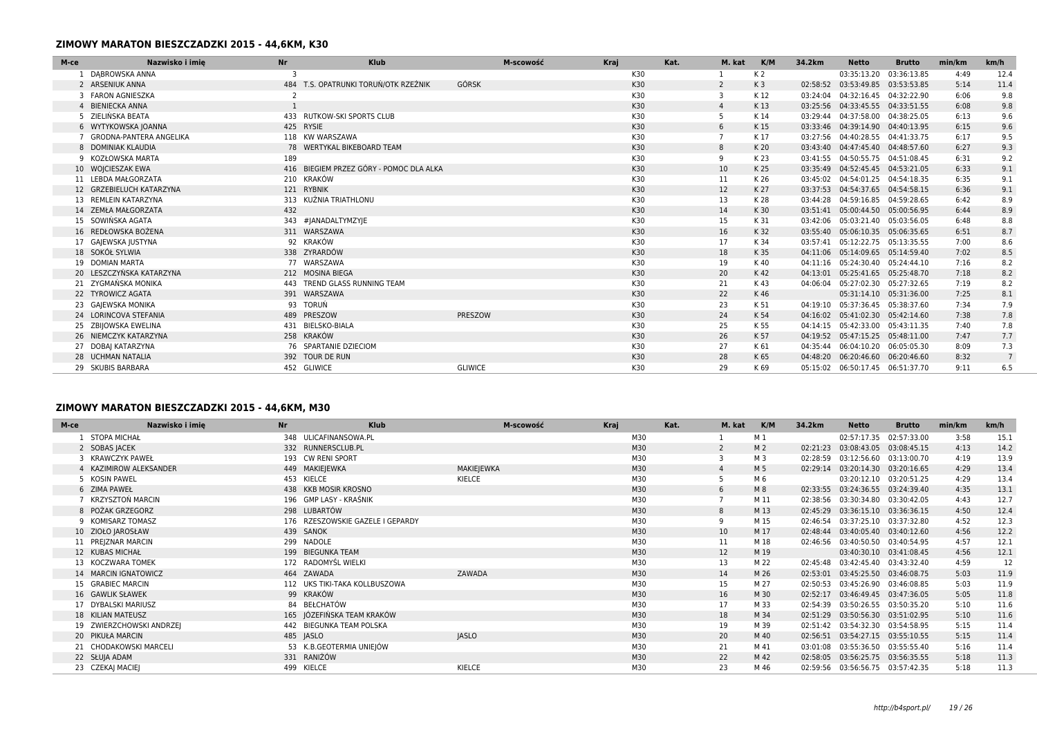### **ZIMOWY MARATON BIESZCZADZKI 2015 - 44,6KM, K30**

| M-ce | Nazwisko i imie                | <b>Nr</b> | Klub                                    |                | M-scowość | Kraj |     | Kat. | M. kat         | K/M            | 34.2km   | <b>Netto</b>                       | <b>Brutto</b> | min/km | km/h            |
|------|--------------------------------|-----------|-----------------------------------------|----------------|-----------|------|-----|------|----------------|----------------|----------|------------------------------------|---------------|--------|-----------------|
|      | DABROWSKA ANNA                 | 3         |                                         |                |           |      | K30 |      |                | K <sub>2</sub> |          | 03:35:13.20 03:36:13.85            |               | 4:49   | 12.4            |
|      | 2 ARSENIUK ANNA                |           | 484 T.S. OPATRUNKI TORUŃ/OTK RZEŹNIK    | GÓRSK          |           |      | K30 |      | $\overline{2}$ | K <sub>3</sub> | 02:58:52 | 03:53:49.85 03:53:53.85            |               | 5:14   | 11.4            |
|      | 3 FARON AGNIESZKA              |           |                                         |                |           |      | K30 |      | 3              | K 12           | 03:24:04 | 04:32:16.45 04:32:22.90            |               | 6:06   | 9.8             |
|      | 4 BIENIECKA ANNA               |           |                                         |                |           |      | K30 |      | $\overline{a}$ | K13            | 03:25:56 | 04:33:45.55 04:33:51.55            |               | 6:08   | 9.8             |
|      | 5 ZIELIŃSKA BEATA              |           | 433 RUTKOW-SKI SPORTS CLUB              |                |           |      | K30 |      |                | K 14           | 03:29:44 | 04:37:58.00 04:38:25.05            |               | 6:13   | 9.6             |
|      | 6 WYTYKOWSKA JOANNA            |           | 425 RYSIE                               |                |           |      | K30 |      | 6              | K15            |          | 03:33:46  04:39:14.90  04:40:13.95 |               | 6:15   | 9.6             |
|      | <b>GRODNA-PANTERA ANGELIKA</b> |           | 118 KW WARSZAWA                         |                |           |      | K30 |      |                | K17            |          | 03:27:56 04:40:28.55 04:41:33.75   |               | 6:17   | 9.5             |
|      | 8 DOMINIAK KLAUDIA             |           | 78 WERTYKAL BIKEBOARD TEAM              |                |           |      | K30 |      | 8              | K 20           | 03:43:40 | 04:47:45.40 04:48:57.60            |               | 6:27   | 9.3             |
|      | 9 KOZŁOWSKA MARTA              | 189       |                                         |                |           |      | K30 |      | 9              | K 23           |          | 03:41:55 04:50:55.75 04:51:08.45   |               | 6:31   | 9.2             |
|      | 10 WOJCIESZAK EWA              |           | 416 BIEGIEM PRZEZ GÓRY - POMOC DLA ALKA |                |           |      | K30 |      | 10             | K 25           |          | 03:35:49  04:52:45.45  04:53:21.05 |               | 6:33   | 9.1             |
|      | 11 LEBDA MAŁGORZATA            |           | 210 KRAKÓW                              |                |           |      | K30 |      | 11             | K 26           |          | 03:45:02  04:54:01.25  04:54:18.35 |               | 6:35   | 9.1             |
|      | 12 GRZEBIELUCH KATARZYNA       |           | 121 RYBNIK                              |                |           |      | K30 |      | 12             | K 27           |          | 03:37:53 04:54:37.65 04:54:58.15   |               | 6:36   | 9.1             |
|      | 13 REMLEIN KATARZYNA           |           | 313 KUŹNIA TRIATHLONU                   |                |           |      | K30 |      | 13             | K 28           | 03:44:28 | 04:59:16.85 04:59:28.65            |               | 6:42   | 8.9             |
|      | 14 ZEMŁA MAŁGORZATA            | 432       |                                         |                |           |      | K30 |      | 14             | K 30           |          | 03:51:41  05:00:44.50  05:00:56.95 |               | 6:44   | 8.9             |
|      | 15 SOWIŃSKA AGATA              |           | 343 #JANADALTYMZYJE                     |                |           |      | K30 |      | 15             | K 31           |          | 03:42:06 05:03:21.40 05:03:56.05   |               | 6:48   | 8.8             |
|      | 16 REDŁOWSKA BOŻENA            |           | 311 WARSZAWA                            |                |           |      | K30 |      | 16             | K 32           |          | 03:55:40  05:06:10.35  05:06:35.65 |               | 6:51   | 8.7             |
|      | 17 GAJEWSKA JUSTYNA            |           | 92 KRAKÓW                               |                |           |      | K30 |      | 17             | K 34           | 03:57:41 | 05:12:22.75 05:13:35.55            |               | 7:00   | 8.6             |
|      | 18 SOKÓŁ SYLWIA                |           | 338 ZYRARDÓW                            |                |           |      | K30 |      | 18             | K 35           |          | 04:11:06 05:14:09.65 05:14:59.40   |               | 7:02   | 8.5             |
|      | 19 DOMIAN MARTA                |           | 77 WARSZAWA                             |                |           |      | K30 |      | 19             | K 40           |          | 04:11:16  05:24:30.40  05:24:44.10 |               | 7:16   | 8.2             |
|      | 20 LESZCZYŃSKA KATARZYNA       |           | 212 MOSINA BIEGA                        |                |           |      | K30 |      | 20             | K 42           |          | 04:13:01  05:25:41.65  05:25:48.70 |               | 7:18   | 8.2             |
|      | 21 ZYGMAŃSKA MONIKA            |           | 443 TREND GLASS RUNNING TEAM            |                |           |      | K30 |      | 21             | K43            | 04:06:04 | 05:27:02.30 05:27:32.65            |               | 7:19   | 8.2             |
|      | 22 TYROWICZ AGATA              |           | 391 WARSZAWA                            |                |           |      | K30 |      | 22             | K 46           |          | 05:31:14.10  05:31:36.00           |               | 7:25   | 8.1             |
|      | 23 GAJEWSKA MONIKA             |           | 93 TORUŃ                                |                |           |      | K30 |      | 23             | K 51           | 04:19:10 | 05:37:36.45 05:38:37.60            |               | 7:34   | 7.9             |
|      | 24 LORINCOVA STEFANIA          |           | 489 PRESZOW                             | PRESZOW        |           |      | K30 |      | 24             | K 54           | 04:16:02 | 05:41:02.30 05:42:14.60            |               | 7:38   | 7.8             |
|      | 25 ZBIJOWSKA EWELINA           |           | 431 BIELSKO-BIALA                       |                |           |      | K30 |      | 25             | K 55           | 04:14:15 | 05:42:33.00 05:43:11.35            |               | 7:40   | 7.8             |
|      | 26 NIEMCZYK KATARZYNA          |           | 258 KRAKÓW                              |                |           |      | K30 |      | 26             | K 57           |          | 04:19:52  05:47:15.25  05:48:11.00 |               | 7:47   | 7.7             |
|      | 27 DOBAJ KATARZYNA             |           | 76 SPARTANIE DZIECIOM                   |                |           |      | K30 |      | 27             | K 61           | 04:35:44 | 06:04:10.20 06:05:05.30            |               | 8:09   | 7.3             |
|      | 28 UCHMAN NATALIA              |           | 392 TOUR DE RUN                         |                |           |      | K30 |      | 28             | K 65           | 04:48:20 | 06:20:46.60 06:20:46.60            |               | 8:32   | $7\overline{ }$ |
|      | 29 SKUBIS BARBARA              |           | 452 GLIWICE                             | <b>GLIWICE</b> |           |      | K30 |      | 29             | K 69           |          | 05:15:02  06:50:17.45  06:51:37.70 |               | 9:11   | 6.5             |

### **ZIMOWY MARATON BIESZCZADZKI 2015 - 44,6KM, M30**

| M-ce | Nazwisko i imie          | <b>Nr</b> | <b>Klub</b>                      |              | Kraj<br>M-scowość |     | Kat. | M. kat         | K/M            | 34.2km   | <b>Netto</b>                       | <b>Brutto</b> | min/km | km/h |
|------|--------------------------|-----------|----------------------------------|--------------|-------------------|-----|------|----------------|----------------|----------|------------------------------------|---------------|--------|------|
|      | STOPA MICHAŁ             |           | 348 ULICAFINANSOWA.PL            |              |                   | M30 |      |                | M 1            |          | 02:57:17.35                        | 02:57:33.00   | 3:58   | 15.1 |
|      | 2 SOBAS JACEK            |           | 332 RUNNERSCLUB.PL               |              |                   | M30 |      | $\overline{2}$ | M <sub>2</sub> | 02:21:23 | 03:08:43.05                        | 03:08:45.15   | 4:13   | 14.2 |
|      | 3 KRAWCZYK PAWEŁ         |           | 193 CW RENI SPORT                |              |                   | M30 |      |                | M 3            | 02:28:59 | 03:12:56.60                        | 03:13:00.70   | 4:19   | 13.9 |
|      | 4 KAZIMIROW ALEKSANDER   |           | 449 MAKIEJEWKA                   | MAKIEJEWKA   |                   | M30 |      | $\overline{4}$ | M 5            | 02:29:14 | 03:20:14.30                        | 03:20:16.65   | 4:29   | 13.4 |
|      | 5 KOSIN PAWEL            |           | 453 KIELCE                       | KIELCE       |                   | M30 |      |                | M 6            |          | 03:20:12.10 03:20:51.25            |               | 4:29   | 13.4 |
|      | 6 ZIMA PAWEŁ             |           | 438 KKB MOSIR KROSNO             |              |                   | M30 |      | 6              | M 8            |          | 02:33:55 03:24:36.55 03:24:39.40   |               | 4:35   | 13.1 |
|      | 7 KRZYSZTOŃ MARCIN       |           | 196 GMP LASY - KRAŚNIK           |              |                   | M30 |      |                | M 11           | 02:38:56 | 03:30:34.80 03:30:42.05            |               | 4:43   | 12.7 |
|      | 8 POŻAK GRZEGORZ         |           | 298 LUBARTÓW                     |              |                   | M30 |      | 8              | M 13           | 02:45:29 | 03:36:15.10 03:36:36.15            |               | 4:50   | 12.4 |
|      | 9 KOMISARZ TOMASZ        |           | 176 RZESZOWSKIE GAZELE I GEPARDY |              |                   | M30 |      | 9              | M 15           | 02:46:54 | 03:37:25.10 03:37:32.80            |               | 4:52   | 12.3 |
|      | 10 ZIOŁO JAROSŁAW        |           | 439 SANOK                        |              |                   | M30 |      | 10             | M 17           |          | 02:48:44 03:40:05.40 03:40:12.60   |               | 4:56   | 12.2 |
|      | 11 PREJZNAR MARCIN       |           | 299 NADOLE                       |              |                   | M30 |      | 11             | M 18           |          | 02:46:56 03:40:50.50 03:40:54.95   |               | 4:57   | 12.1 |
|      | 12 KUBAS MICHAŁ          |           | 199 BIEGUNKA TEAM                |              |                   | M30 |      | 12             | M 19           |          | 03:40:30.10 03:41:08.45            |               | 4:56   | 12.1 |
|      | 13 KOCZWARA TOMEK        |           | 172 RADOMYŚL WIELKI              |              |                   | M30 |      | 13             | M 22           |          | 02:45:48 03:42:45.40 03:43:32.40   |               | 4:59   | 12   |
|      | 14 MARCIN IGNATOWICZ     |           | 464 ZAWADA                       | ZAWADA       |                   | M30 |      | 14             | M 26           |          | 02:53:01 03:45:25.50 03:46:08.75   |               | 5:03   | 11.9 |
|      | 15 GRABIEC MARCIN        |           | 112 UKS TIKI-TAKA KOLLBUSZOWA    |              |                   | M30 |      | 15             | M 27           |          | 02:50:53 03:45:26.90 03:46:08.85   |               | 5:03   | 11.9 |
|      | 16 GAWLIK SŁAWEK         |           | 99 KRAKÓW                        |              |                   | M30 |      | 16             | M 30           |          | 02:52:17 03:46:49.45 03:47:36.05   |               | 5:05   | 11.8 |
|      | 17 DYBALSKI MARIUSZ      |           | 84 BEŁCHATÓW                     |              |                   | M30 |      | 17             | M 33           | 02:54:39 | 03:50:26.55 03:50:35.20            |               | 5:10   | 11.6 |
|      | 18 KILIAN MATEUSZ        |           | 165 JÓZEFIŃSKA TEAM KRAKÓW       |              |                   | M30 |      | 18             | M 34           | 02:51:29 | 03:50:56.30 03:51:02.95            |               | 5:10   | 11.6 |
|      | 19 ZWIERZCHOWSKI ANDRZEJ |           | 442 BIEGUNKA TEAM POLSKA         |              |                   | M30 |      | 19             | M 39           |          | 02:51:42 03:54:32.30               | 03:54:58.95   | 5:15   | 11.4 |
|      | 20 PIKUŁA MARCIN         |           | 485 JASLO                        | <b>JASLO</b> |                   | M30 |      | 20             | M 40           |          | 02:56:51  03:54:27.15  03:55:10.55 |               | 5:15   | 11.4 |
|      | 21 CHODAKOWSKI MARCELI   |           | 53 K.B.GEOTERMIA UNIEJÓW         |              |                   | M30 |      | 21             | M 41           | 03:01:08 | 03:55:36.50                        | 03:55:55.40   | 5:16   | 11.4 |
|      | 22 SŁUJA ADAM            |           | 331 RANIŻÓW                      |              |                   | M30 |      | 22             | M 42           | 02:58:05 | 03:56:25.75 03:56:35.55            |               | 5:18   | 11.3 |
|      | 23 CZEKAJ MACIEJ         |           | 499 KIELCE                       | KIELCE       |                   | M30 |      | 23             | M 46           |          | 02:59:56 03:56:56.75 03:57:42.35   |               | 5:18   | 11.3 |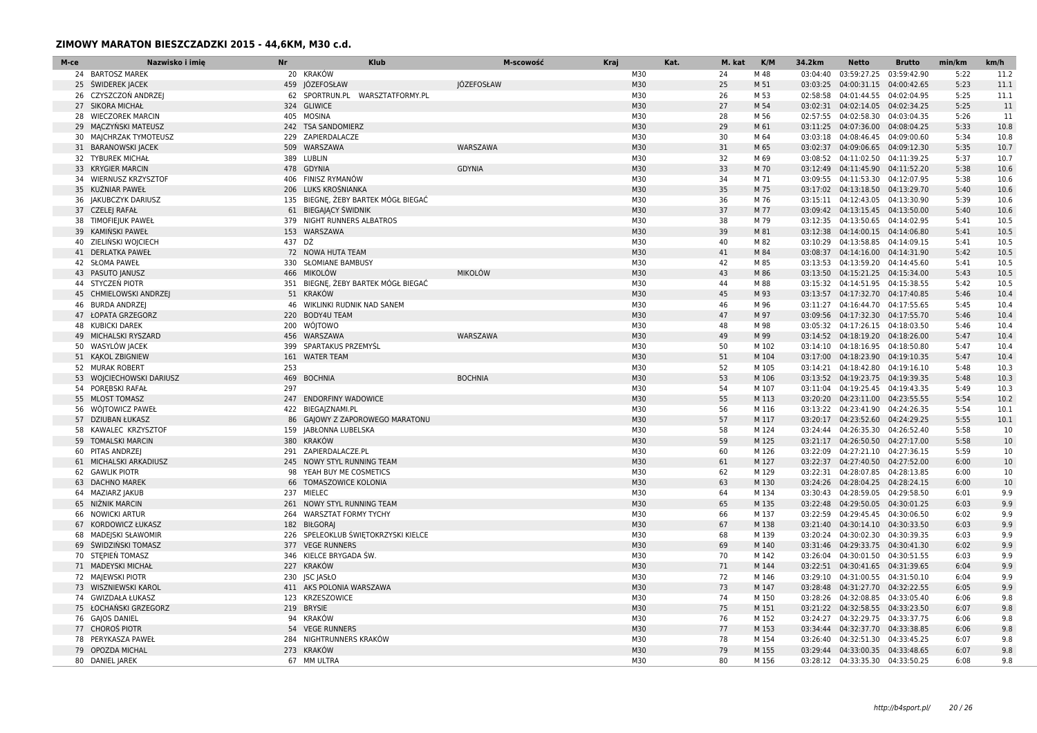| M-ce | Nazwisko i imię          | <b>Nr</b> | <b>Klub</b>                         | M-scowość         | Kraj | Kat. | M. kat | K/M   | 34.2km   | <b>Netto</b>                       | <b>Brutto</b> | min/km | km/h |
|------|--------------------------|-----------|-------------------------------------|-------------------|------|------|--------|-------|----------|------------------------------------|---------------|--------|------|
|      | 24 BARTOSZ MAREK         |           | 20 KRAKÓW                           |                   | M30  |      | 24     | M 48  |          | 03:04:40 03:59:27.25 03:59:42.90   |               | 5:22   | 11.2 |
|      | 25 ŚWIDEREK JACEK        |           | 459 JÓZEFOSŁAW                      | <b>IÓZEFOSŁAW</b> | M30  |      | 25     | M 51  |          | 03:03:25  04:00:31.15  04:00:42.65 |               | 5:23   | 11.1 |
|      | 26 CZYSZCZOŃ ANDRZE      |           | 62 SPORTRUN.PL WARSZTATFORMY.PL     |                   | M30  |      | 26     | M 53  | 02:58:58 | 04:01:44.55                        | 04:02:04.95   | 5:25   | 11.1 |
|      | 27 SIKORA MICHAŁ         |           | 324 GLIWICE                         |                   | M30  |      | 27     | M 54  |          | 03:02:31  04:02:14.05  04:02:34.25 |               | 5:25   | 11   |
|      | 28 WIECZOREK MARCIN      |           | 405 MOSINA                          |                   | M30  |      | 28     | M 56  |          | 02:57:55 04:02:58.30 04:03:04.35   |               | 5:26   | 11   |
|      | 29 MACZYŃSKI MATEUSZ     |           | 242 TSA SANDOMIERZ                  |                   | M30  |      | 29     | M 61  |          | 03:11:25 04:07:36.00               | 04:08:04.25   | 5:33   | 10.8 |
|      | 30 MAJCHRZAK TYMOTEUSZ   |           | 229 ZAPIERDALACZE                   |                   | M30  |      | 30     | M 64  |          | 03:03:18  04:08:46.45  04:09:00.60 |               | 5:34   | 10.8 |
|      | 31 BARANOWSKI JACEK      |           | 509 WARSZAWA                        | WARSZAWA          | M30  |      | 31     | M 65  |          | 03:02:37  04:09:06.65  04:09:12.30 |               | 5:35   | 10.7 |
|      | 32 TYBUREK MICHAŁ        |           | 389 LUBLIN                          |                   | M30  |      | 32     | M 69  |          | 03:08:52  04:11:02.50  04:11:39.25 |               | 5:37   | 10.7 |
|      | 33 KRYGIER MARCIN        |           | 478 GDYNIA                          | <b>GDYNIA</b>     | M30  |      | 33     | M 70  | 03:12:49 | 04:11:45.90                        | 04:11:52.20   | 5:38   | 10.6 |
|      | 34 WIERNUSZ KRZYSZTOF    |           | 406 FINISZ RYMANÓW                  |                   | M30  |      | 34     | M 71  |          | 03:09:55  04:11:53.30  04:12:07.95 |               | 5:38   | 10.6 |
|      | 35 KUŹNIAR PAWEŁ         |           | 206 LUKS KROŚNIANKA                 |                   | M30  |      | 35     | M 75  |          | 03:17:02  04:13:18.50  04:13:29.70 |               | 5:40   | 10.6 |
|      | 36 JAKUBCZYK DARIUSZ     |           | 135 BIEGNE, ŻEBY BARTEK MÓGŁ BIEGAĆ |                   | M30  |      | 36     | M 76  |          | 03:15:11  04:12:43.05  04:13:30.90 |               | 5:39   | 10.6 |
|      | 37 CZELEJ RAFAŁ          |           | 61 BIEGAJĄCY ŚWIDNIK                |                   | M30  |      | 37     | M 77  |          | 03:09:42  04:13:15.45  04:13:50.00 |               | 5:40   | 10.6 |
|      | 38 TIMOFIEJUK PAWEŁ      |           | 379 NIGHT RUNNERS ALBATROS          |                   | M30  |      | 38     | M 79  |          | 03:12:35 04:13:50.65 04:14:02.95   |               | 5:41   | 10.5 |
|      | 39 KAMIŃSKI PAWEŁ        |           | 153 WARSZAWA                        |                   | M30  |      | 39     | M 81  |          | 03:12:38  04:14:00.15  04:14:06.80 |               | 5:41   | 10.5 |
|      | 40 ZIELIŃSKI WOJCIECH    |           | 437 DŹ                              |                   | M30  |      | 40     | M 82  |          | 03:10:29  04:13:58.85  04:14:09.15 |               | 5:41   | 10.5 |
|      | 41 DERLATKA PAWEŁ        |           | 72 NOWA HUTA TEAM                   |                   | M30  |      | 41     | M 84  |          | 03:08:37  04:14:16.00  04:14:31.90 |               | 5:42   | 10.5 |
|      | 42 SŁOMA PAWEŁ           |           | 330 SŁOMIANE BAMBUSY                |                   | M30  |      | 42     | M 85  |          | 03:13:53  04:13:59.20  04:14:45.60 |               | 5:41   | 10.5 |
|      | 43 PASUTO JANUSZ         |           | 466 MIKOLÓW                         | <b>MIKOLÓW</b>    | M30  |      | 43     | M 86  |          | 03:13:50  04:15:21.25  04:15:34.00 |               | 5:43   | 10.5 |
|      | 44 STYCZEŃ PIOTR         |           | 351 BIEGNE, ZEBY BARTEK MOGŁ BIEGAĆ |                   | M30  |      | 44     | M 88  |          | 03:15:32  04:14:51.95  04:15:38.55 |               | 5:42   | 10.5 |
|      | 45 CHMIELOWSKI ANDRZEJ   |           | 51 KRAKÓW                           |                   | M30  |      | 45     | M 93  |          | 03:13:57  04:17:32.70  04:17:40.85 |               | 5:46   | 10.4 |
|      | 46 BURDA ANDRZEJ         |           | 46 WIKLINKI RUDNIK NAD SANEM        |                   | M30  |      | 46     | M 96  |          | 03:11:27  04:16:44.70  04:17:55.65 |               | 5:45   | 10.4 |
|      | 47 ŁOPATA GRZEGORZ       |           | 220 BODY4U TEAM                     |                   | M30  |      | 47     | M 97  |          | 03:09:56  04:17:32.30  04:17:55.70 |               | 5:46   | 10.4 |
|      | 48 KUBICKI DAREK         |           | 200 WÓJTOWO                         |                   | M30  |      | 48     | M 98  |          | 03:05:32  04:17:26.15  04:18:03.50 |               | 5:46   | 10.4 |
|      | 49 MICHALSKI RYSZARD     |           | 456 WARSZAWA                        | WARSZAWA          | M30  |      | 49     | M 99  |          | 03:14:52  04:18:19.20  04:18:26.00 |               | 5:47   | 10.4 |
|      | 50 WASYLÓW JACEK         |           | 399 SPARTAKUS PRZEMYŚL              |                   | M30  |      | 50     | M 102 |          | 03:14:10 04:18:16.95 04:18:50.80   |               | 5:47   | 10.4 |
|      | 51 KAKOL ZBIGNIEW        |           | 161 WATER TEAM                      |                   | M30  |      | 51     | M 104 |          | 03:17:00 04:18:23.90 04:19:10.35   |               | 5:47   | 10.4 |
|      | 52 MURAK ROBERT          | 253       |                                     |                   | M30  |      | 52     | M 105 |          | 03:14:21  04:18:42.80  04:19:16.10 |               | 5:48   | 10.3 |
|      | 53 WOJCIECHOWSKI DARIUSZ |           | 469 BOCHNIA                         | <b>BOCHNIA</b>    | M30  |      | 53     | M 106 |          | 03:13:52  04:19:23.75  04:19:39.35 |               | 5:48   | 10.3 |
|      | 54 POREBSKI RAFAŁ        | 297       |                                     |                   | M30  |      | 54     | M 107 |          | 03:11:04  04:19:25.45  04:19:43.35 |               | 5:49   | 10.3 |
|      | 55 MLOST TOMASZ          |           | 247 ENDORFINY WADOWICE              |                   | M30  |      | 55     | M 113 |          | 03:20:20 04:23:11.00 04:23:55.55   |               | 5:54   | 10.2 |
|      | 56 WÓJTOWICZ PAWEŁ       |           | 422 BIEGAJZNAMI.PL                  |                   | M30  |      | 56     | M 116 |          | 03:13:22  04:23:41.90  04:24:26.35 |               | 5:54   | 10.1 |
|      | 57 DZIUBAN ŁUKASZ        |           | 86 GAJOWY Z ZAPOROWEGO MARATONU     |                   | M30  |      | 57     | M 117 |          | 03:20:17 04:23:52.60 04:24:29.25   |               | 5:55   | 10.1 |
|      | 58 KAWALEC KRZYSZTOF     |           | 159 JABŁONNA LUBELSKA               |                   | M30  |      | 58     | M 124 | 03:24:44 | 04:26:35.30                        | 04:26:52.40   | 5:58   | 10   |
|      | 59 TOMALSKI MARCIN       |           | 380 KRAKÓW                          |                   | M30  |      | 59     | M 125 |          | 03:21:17  04:26:50.50  04:27:17.00 |               | 5:58   | 10   |
|      | 60 PITAS ANDRZEJ         |           | 291 ZAPIERDALACZE.PL                |                   | M30  |      | 60     | M 126 |          | 03:22:09  04:27:21.10  04:27:36.15 |               | 5:59   | 10   |
|      | 61 MICHALSKI ARKADIUSZ   |           | 245 NOWY STYL RUNNING TEAM          |                   | M30  |      | 61     | M 127 |          | 03:22:37  04:27:40.50  04:27:52.00 |               | 6:00   | 10   |
| 62   | <b>GAWLIK PIOTR</b>      | 98        | YEAH BUY ME COSMETICS               |                   | M30  |      | 62     | M 129 |          | 03:22:31 04:28:07.85 04:28:13.85   |               | 6:00   | 10   |
|      | 63 DACHNO MAREK          |           | 66 TOMASZOWICE KOLONIA              |                   | M30  |      | 63     | M 130 |          | 03:24:26 04:28:04.25 04:28:24.15   |               | 6:00   | 10   |
|      | 64 MAZIARZ JAKUB         |           | 237 MIELEC                          |                   | M30  |      | 64     | M 134 |          | 03:30:43  04:28:59.05  04:29:58.50 |               | 6:01   | 9.9  |
|      | 65 NIŻNIK MARCIN         |           | 261 NOWY STYL RUNNING TEAM          |                   | M30  |      | 65     | M 135 |          | 03:22:48  04:29:50.05  04:30:01.25 |               | 6:03   | 9.9  |
|      | 66 NOWICKI ARTUR         |           | 264 WARSZTAT FORMY TYCHY            |                   | M30  |      | 66     | M 137 |          | 03:22:59 04:29:45.45 04:30:06.50   |               | 6:02   | 9.9  |
|      | 67 KORDOWICZ ŁUKASZ      |           | 182 BIŁGORAI                        |                   | M30  |      | 67     | M 138 |          | 03:21:40  04:30:14.10  04:30:33.50 |               | 6:03   | 9.9  |
| 68   | MADEJSKI SŁAWOMIR        |           | 226 SPELEOKLUB ŚWIĘTOKRZYSKI KIELCE |                   | M30  |      | 68     | M 139 |          | 03:20:24  04:30:02.30  04:30:39.35 |               | 6:03   | 9.9  |
|      | 69 ŚWIDZIŃSKI TOMASZ     |           | 377 VEGE RUNNERS                    |                   | M30  |      | 69     | M 140 |          | 03:31:46  04:29:33.75  04:30:41.30 |               | 6:02   | 9.9  |
|      | 70 STEPIEŃ TOMASZ        |           | 346 KIELCE BRYGADA ŚW.              |                   | M30  |      | 70     | M 142 |          | 03:26:04  04:30:01.50  04:30:51.55 |               | 6:03   | 9.9  |
|      | 71 MADEYSKI MICHAŁ       |           | 227 KRAKÓW                          |                   | M30  |      | 71     | M 144 |          | 03:22:51  04:30:41.65  04:31:39.65 |               | 6:04   | 9.9  |
|      | 72 MAJEWSKI PIOTR        |           | 230 JSC JASŁO                       |                   | M30  |      | 72     | M 146 |          | 03:29:10 04:31:00.55 04:31:50.10   |               | 6:04   | 9.9  |
|      | 73 WISZNIEWSKI KAROL     |           | 411 AKS POLONIA WARSZAWA            |                   | M30  |      | 73     | M 147 |          | 03:28:48  04:31:27.70  04:32:22.55 |               | 6:05   | 9.9  |
|      | 74 GWIZDAŁA ŁUKASZ       |           | 123 KRZESZOWICE                     |                   | M30  |      | 74     | M 150 | 03:28:26 | 04:32:08.85  04:33:05.40           |               | 6:06   | 9.8  |
|      | 75 ŁOCHAŃSKI GRZEGORZ    |           | 219 BRYSIE                          |                   | M30  |      | 75     | M 151 |          | 03:21:22  04:32:58.55  04:33:23.50 |               | 6:07   | 9.8  |
|      | 76 GAJOS DANIEL          |           | 94 KRAKÓW                           |                   | M30  |      | 76     | M 152 |          | 03:24:27  04:32:29.75  04:33:37.75 |               | 6:06   | 9.8  |
|      | 77 CHOROS PIOTR          |           | 54 VEGE RUNNERS                     |                   | M30  |      | 77     | M 153 |          | 03:34:44  04:32:37.70  04:33:38.85 |               | 6:06   | 9.8  |
|      | 78 PERYKASZA PAWEŁ       |           | 284 NIGHTRUNNERS KRAKÓW             |                   | M30  |      | 78     | M 154 |          | 03:26:40  04:32:51.30  04:33:45.25 |               | 6:07   | 9.8  |
|      | 79 OPOZDA MICHAL         |           | 273 KRAKÓW                          |                   | M30  |      | 79     | M 155 |          | 03:29:44  04:33:00.35  04:33:48.65 |               | 6:07   | 9.8  |
|      | 80 DANIEL JAREK          |           | 67 MM ULTRA                         |                   | M30  |      | 80     | M 156 |          | 03:28:12  04:33:35.30  04:33:50.25 |               | 6:08   | 9.8  |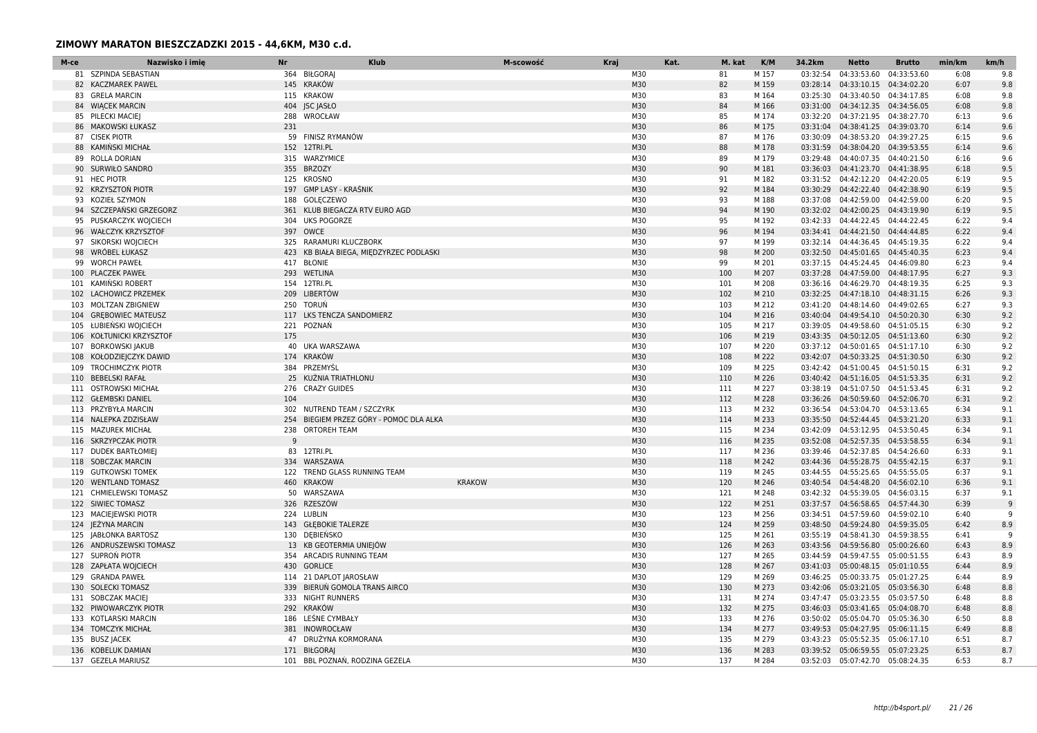| M-ce | Nazwisko i imie           | <b>Nr</b> | <b>Klub</b>                             | M-scowość     | Kraj | Kat. | M. kat | K/M   | 34.2km   | Netto                              | <b>Brutto</b> | min/km | km/h |
|------|---------------------------|-----------|-----------------------------------------|---------------|------|------|--------|-------|----------|------------------------------------|---------------|--------|------|
|      | 81 SZPINDA SEBASTIAN      |           | 364 BIŁGORAI                            |               | M30  |      | 81     | M 157 | 03:32:54 | 04:33:53.60                        | 04:33:53.60   | 6:08   | 9.8  |
|      | 82 KACZMAREK PAWEL        |           | 145 KRAKÓW                              |               | M30  |      | 82     | M 159 |          | 03:28:14  04:33:10.15  04:34:02.20 |               | 6:07   | 9.8  |
| 83   | <b>GRELA MARCIN</b>       |           | 115 KRAKOW                              |               | M30  |      | 83     | M 164 | 03:25:30 | 04:33:40.50 04:34:17.85            |               | 6:08   | 9.8  |
|      | 84 WIĄCEK MARCIN          |           | 404 JSC JASŁO                           |               | M30  |      | 84     | M 166 |          | 03:31:00  04:34:12.35  04:34:56.05 |               | 6:08   | 9.8  |
|      | 85 PILECKI MACIEJ         |           | 288 WROCŁAW                             |               | M30  |      | 85     | M 174 |          | 03:32:20 04:37:21.95 04:38:27.70   |               | 6:13   | 9.6  |
|      | 86 MAKOWSKI ŁUKASZ        | 231       |                                         |               | M30  |      | 86     | M 175 |          | 03:31:04  04:38:41.25  04:39:03.70 |               | 6:14   | 9.6  |
|      | 87 CISEK PIOTR            |           | 59 FINISZ RYMANÓW                       |               | M30  |      | 87     | M 176 |          | 03:30:09  04:38:53.20  04:39:27.25 |               | 6:15   | 9.6  |
|      | 88 KAMIŃSKI MICHAŁ        |           | 152 12TRI.PL                            |               | M30  |      | 88     | M 178 |          | 03:31:59  04:38:04.20  04:39:53.55 |               | 6:14   | 9.6  |
|      | 89 ROLLA DORIAN           |           | 315 WARZYMICE                           |               | M30  |      | 89     | M 179 | 03:29:48 | 04:40:07.35 04:40:21.50            |               | 6:16   | 9.6  |
|      | 90 SURWIŁO SANDRO         |           | 355 BRZOZY                              |               | M30  |      | 90     | M 181 |          | 03:36:03  04:41:23.70  04:41:38.95 |               | 6:18   | 9.5  |
|      | 91 HEC PIOTR              |           | 125 KROSNO                              |               | M30  |      | 91     | M 182 |          | 03:31:52  04:42:12.20  04:42:20.05 |               | 6:19   | 9.5  |
|      | 92 KRZYSZTOŃ PIOTR        |           | 197 GMP LASY - KRAŚNIK                  |               | M30  |      | 92     | M 184 |          | 03:30:29  04:42:22.40  04:42:38.90 |               | 6:19   | 9.5  |
|      | 93 KOZIEŁ SZYMON          |           | 188 GOLECZEWO                           |               | M30  |      | 93     | M 188 | 03:37:08 | 04:42:59.00                        | 04:42:59.00   | 6:20   | 9.5  |
|      | 94 SZCZEPAŃSKI GRZEGORZ   |           | 361 KLUB BIEGACZA RTV EURO AGD          |               | M30  |      | 94     | M 190 |          | 03:32:02  04:42:00.25  04:43:19.90 |               | 6:19   | 9.5  |
|      | 95 PUSKARCZYK WOJCIECH    |           | 304 UKS POGORZE                         |               | M30  |      | 95     | M 192 |          | 03:42:33  04:44:22.45  04:44:22.45 |               | 6:22   | 9.4  |
|      | 96 WAŁCZYK KRZYSZTOF      |           | 397 OWCE                                |               | M30  |      | 96     | M 194 |          | 03:34:41  04:44:21.50  04:44:44.85 |               | 6:22   | 9.4  |
|      | 97 SIKORSKI WOJCIECH      |           | 325 RARAMURI KLUCZBORK                  |               | M30  |      | 97     | M 199 |          | 03:32:14 04:44:36.45 04:45:19.35   |               | 6:22   | 9.4  |
|      | 98 WRÓBEL ŁUKASZ          |           | 423 KB BIAŁA BIEGA, MIEDZYRZEC PODLASKI |               | M30  |      | 98     | M 200 |          | 03:32:50  04:45:01.65  04:45:40.35 |               | 6:23   | 9.4  |
|      | 99 WORCH PAWEŁ            |           | 417 BŁONIE                              |               | M30  |      | 99     | M 201 |          | 03:37:15 04:45:24.45 04:46:09.80   |               | 6:23   | 9.4  |
| 100  | <b>PLACZEK PAWEŁ</b>      |           | 293 WETLINA                             |               | M30  |      | 100    | M 207 |          | 03:37:28  04:47:59.00  04:48:17.95 |               | 6:27   | 9.3  |
|      | 101 KAMINSKI ROBERT       |           | 154 12TRI.PL                            |               | M30  |      | 101    | M 208 |          | 03:36:16 04:46:29.70 04:48:19.35   |               | 6:25   | 9.3  |
|      | 102 LACHOWICZ PRZEMEK     |           | 209 LIBERTÓW                            |               | M30  |      | 102    | M 210 |          | 03:32:25  04:47:18.10  04:48:31.15 |               | 6:26   | 9.3  |
|      | 103 MOLTZAN ZBIGNIEW      |           | 250 TORUŃ                               |               | M30  |      | 103    | M 212 |          | 03:41:20 04:48:14.60 04:49:02.65   |               | 6:27   | 9.3  |
| 104  | <b>GREBOWIEC MATEUSZ</b>  |           | 117 LKS TENCZA SANDOMIERZ               |               | M30  |      | 104    | M 216 |          | 03:40:04  04:49:54.10  04:50:20.30 |               | 6:30   | 9.2  |
|      | 105 ŁUBIEŃSKI WOJCIECH    |           | 221 POZNAŃ                              |               | M30  |      | 105    | M 217 |          | 03:39:05  04:49:58.60  04:51:05.15 |               | 6:30   | 9.2  |
|      | 106 KOŁTUNICKI KRZYSZTOF  | 175       |                                         |               | M30  |      | 106    | M 219 |          | 03:43:35  04:50:12.05  04:51:13.60 |               | 6:30   | 9.2  |
| 107  | <b>BORKOWSKI JAKUB</b>    |           | 40 UKA WARSZAWA                         |               | M30  |      | 107    | M 220 |          | 03:37:12  04:50:01.65  04:51:17.10 |               | 6:30   | 9.2  |
|      | 108 KOŁODZIEJCZYK DAWID   |           | 174 KRAKÓW                              |               | M30  |      | 108    | M 222 |          | 03:42:07  04:50:33.25  04:51:30.50 |               | 6:30   | 9.2  |
|      | 109 TROCHIMCZYK PIOTR     |           | 384 PRZEMYŚL                            |               | M30  |      | 109    | M 225 |          | 03:42:42  04:51:00.45  04:51:50.15 |               | 6:31   | 9.2  |
|      | 110 BEBELSKI RAFAŁ        |           | 25 KUŹNIA TRIATHLONU                    |               | M30  |      | 110    | M 226 |          | 03:40:42  04:51:16.05  04:51:53.35 |               | 6:31   | 9.2  |
| 111  | <b>OSTROWSKI MICHAŁ</b>   |           | 276 CRAZY GUIDES                        |               | M30  |      | 111    | M 227 |          | 03:38:19  04:51:07.50  04:51:53.45 |               | 6:31   | 9.2  |
|      | 112 GŁEMBSKI DANIEL       | 104       |                                         |               | M30  |      | 112    | M 228 |          | 03:36:26 04:50:59.60 04:52:06.70   |               | 6:31   | 9.2  |
|      | 113 PRZYBYŁA MARCIN       |           | 302 NUTREND TEAM / SZCZYRK              |               | M30  |      | 113    | M 232 |          | 03:36:54  04:53:04.70  04:53:13.65 |               | 6:34   | 9.1  |
| 114  | NALEPKA ZDZISŁAW          |           | 254 BIEGIEM PRZEZ GÓRY - POMOC DLA ALKA |               | M30  |      | 114    | M 233 |          | 03:35:50  04:52:44.45  04:53:21.20 |               | 6:33   | 9.1  |
|      | 115 MAZUREK MICHAŁ        | 238       | <b>ORTOREH TEAM</b>                     |               | M30  |      | 115    | M 234 | 03:42:09 | 04:53:12.95 04:53:50.45            |               | 6:34   | 9.1  |
|      | 116 SKRZYPCZAK PIOTR      | 9         |                                         |               | M30  |      | 116    | M 235 |          | 03:52:08  04:52:57.35  04:53:58.55 |               | 6:34   | 9.1  |
|      | 117 DUDEK BARTŁOMIEJ      |           | 83 12TRI.PL                             |               | M30  |      | 117    | M 236 |          | 03:39:46 04:52:37.85 04:54:26.60   |               | 6:33   | 9.1  |
| 118  | <b>SOBCZAK MARCIN</b>     |           | 334 WARSZAWA                            |               | M30  |      | 118    | M 242 |          | 03:44:36 04:55:28.75 04:55:42.15   |               | 6:37   | 9.1  |
|      | 119 GUTKOWSKI TOMEK       |           | 122 TREND GLASS RUNNING TEAM            |               | M30  |      | 119    | M 245 |          | 03:44:55 04:55:25.65 04:55:55.05   |               | 6:37   | 9.1  |
|      | 120 WENTLAND TOMASZ       |           | 460 KRAKOW                              | <b>KRAKOW</b> | M30  |      | 120    | M 246 |          | 03:40:54  04:54:48.20  04:56:02.10 |               | 6:36   | 9.1  |
| 121  | <b>CHMIELEWSKI TOMASZ</b> |           | 50 WARSZAWA                             |               | M30  |      | 121    | M 248 |          | 03:42:32  04:55:39.05  04:56:03.15 |               | 6:37   | 9.1  |
|      | 122 SIWIEC TOMASZ         |           | 326 RZESZÓW                             |               | M30  |      | 122    | M 251 |          | 03:37:57  04:56:58.65  04:57:44.30 |               | 6:39   | -9   |
|      | 123 MACIEJEWSKI PIOTR     |           | 224 LUBLIN                              |               | M30  |      | 123    | M 256 |          | 03:34:51  04:57:59.60  04:59:02.10 |               | 6:40   | q    |
|      | 124 JEŻYNA MARCIN         |           | 143 GŁĘBOKIE TALERZE                    |               | M30  |      | 124    | M 259 |          | 03:48:50  04:59:24.80  04:59:35.05 |               | 6:42   | 8.9  |
| 125  | <b>JABŁONKA BARTOSZ</b>   |           | 130 DEBIEŃSKO                           |               | M30  |      | 125    | M 261 | 03:55:19 | 04:58:41.30 04:59:38.55            |               | 6:41   | 9    |
|      | 126 ANDRUSZEWSKI TOMASZ   |           | 13 KB GEOTERMIA UNIEJÓW                 |               | M30  |      | 126    | M 263 |          | 03:43:56 04:59:56.80 05:00:26.60   |               | 6:43   | 8.9  |
|      | 127 SUPRON PIOTR          |           | 354 ARCADIS RUNNING TEAM                |               | M30  |      | 127    | M 265 |          | 03:44:59  04:59:47.55  05:00:51.55 |               | 6:43   | 8.9  |
| 128  | ZAPŁATA WOJCIECH          |           | 430 GORLICE                             |               | M30  |      | 128    | M 267 |          | 03:41:03  05:00:48.15  05:01:10.55 |               | 6:44   | 8.9  |
| 129  | <b>GRANDA PAWEŁ</b>       |           | 114 21 DAPLOT JAROSŁAW                  |               | M30  |      | 129    | M 269 |          | 03:46:25 05:00:33.75 05:01:27.25   |               | 6:44   | 8.9  |
|      | 130 SOLECKI TOMASZ        |           | 339 BIERUŃ GOMOLA TRANS AIRCO           |               | M30  |      | 130    | M 273 |          | 03:42:06 05:03:21.05 05:03:56.30   |               | 6:48   | 8.8  |
|      | 131 SOBCZAK MACIEJ        |           | 333 NIGHT RUNNERS                       |               | M30  |      | 131    | M 274 |          | 03:47:47 05:03:23.55 05:03:57.50   |               | 6:48   | 8.8  |
| 132  | PIWOWARCZYK PIOTR         |           | 292 KRAKÓW                              |               | M30  |      | 132    | M 275 |          | 03:46:03 05:03:41.65 05:04:08.70   |               | 6:48   | 8.8  |
| 133  | KOTLARSKI MARCIN          |           | 186 LESNE CYMBAŁY                       |               | M30  |      | 133    | M 276 |          | 03:50:02 05:05:04.70 05:05:36.30   |               | 6:50   | 8.8  |
|      | 134 TOMCZYK MICHAŁ        |           | 381 INOWROCŁAW                          |               | M30  |      | 134    | M 277 |          | 03:49:53 05:04:27.95 05:06:11.15   |               | 6:49   | 8.8  |
| 135  | <b>BUSZ JACEK</b>         | 47        | DRUŻYNA KORMORANA                       |               | M30  |      | 135    | M 279 |          | 03:43:23  05:05:52.35  05:06:17.10 |               | 6:51   | 8.7  |
|      | 136 KOBELUK DAMIAN        |           | 171 BIŁGORAI                            |               | M30  |      | 136    | M 283 |          | 03:39:52 05:06:59.55 05:07:23.25   |               | 6:53   | 8.7  |
|      | 137 GEZELA MARIUSZ        |           | 101 BBL POZNAŃ, RODZINA GEZELA          |               | M30  |      | 137    | M 284 |          | 03:52:03 05:07:42.70 05:08:24.35   |               | 6:53   | 8.7  |
|      |                           |           |                                         |               |      |      |        |       |          |                                    |               |        |      |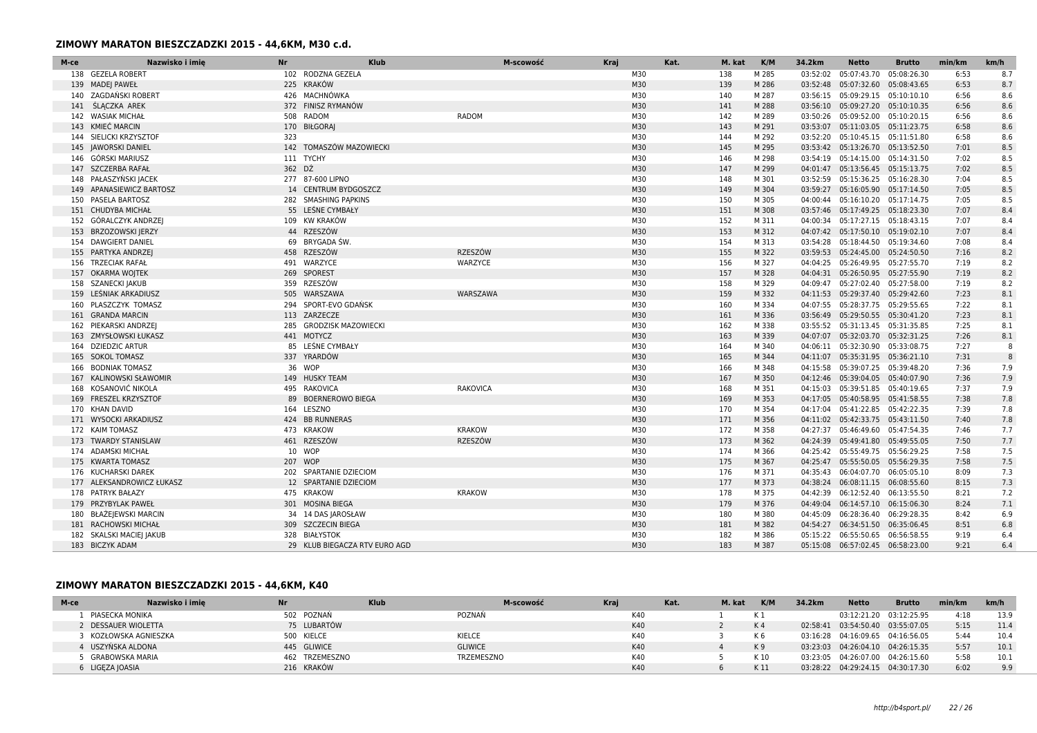| M-ce | Nazwisko i imię<br><b>Nr</b> |         | <b>Klub</b>                   |                 | Kraj<br>M-scowość |     | Kat. | M. kat | K/M   | 34.2km   | <b>Netto</b>                       | <b>Brutto</b> | min/km | km/h |
|------|------------------------------|---------|-------------------------------|-----------------|-------------------|-----|------|--------|-------|----------|------------------------------------|---------------|--------|------|
|      | 138 GEZELA ROBERT            |         | 102 RODZNA GEZELA             |                 |                   | M30 |      | 138    | M 285 | 03:52:02 | 05:07:43.70 05:08:26.30            |               | 6:53   | 8.7  |
|      | 139 MADE  PAWEŁ              |         | 225 KRAKÓW                    |                 |                   | M30 |      | 139    | M 286 |          | 03:52:48  05:07:32.60  05:08:43.65 |               | 6:53   | 8.7  |
|      | 140 ZAGDAŃSKI ROBERT         |         | 426 MACHNÓWKA                 |                 |                   | M30 |      | 140    | M 287 |          | 03:56:15 05:09:29.15 05:10:10.10   |               | 6:56   | 8.6  |
|      | 141 ŚLĄCZKA AREK             |         | 372 FINISZ RYMANÓW            |                 |                   | M30 |      | 141    | M 288 |          | 03:56:10 05:09:27.20 05:10:10.35   |               | 6:56   | 8.6  |
|      | 142 WASIAK MICHAŁ            |         | 508 RADOM                     | RADOM           |                   | M30 |      | 142    | M 289 |          | 03:50:26 05:09:52.00 05:10:20.15   |               | 6:56   | 8.6  |
|      | 143 KMIEĆ MARCIN             |         | 170 BIŁGORAJ                  |                 |                   | M30 |      | 143    | M 291 | 03:53:07 | 05:11:03.05 05:11:23.75            |               | 6:58   | 8.6  |
|      | 144 SIELICKI KRZYSZTOF       | 323     |                               |                 |                   | M30 |      | 144    | M 292 |          | 03:52:20 05:10:45.15 05:11:51.80   |               | 6:58   | 8.6  |
|      | 145 JAWORSKI DANIEL          |         | 142 TOMASZÓW MAZOWIECKI       |                 |                   | M30 |      | 145    | M 295 |          | 03:53:42 05:13:26.70 05:13:52.50   |               | 7:01   | 8.5  |
|      | 146 GÓRSKI MARIUSZ           |         | 111 TYCHY                     |                 |                   | M30 |      | 146    | M 298 |          | 03:54:19  05:14:15.00  05:14:31.50 |               | 7:02   | 8.5  |
|      | 147 SZCZERBA RAFAŁ           | 362 DŹ  |                               |                 |                   | M30 |      | 147    | M 299 |          | 04:01:47  05:13:56.45  05:15:13.75 |               | 7:02   | 8.5  |
|      | 148 PAŁASZYŃSKI JACEK        |         | 277 87-600 LIPNO              |                 |                   | M30 |      | 148    | M 301 |          | 03:52:59 05:15:36.25 05:16:28.30   |               | 7:04   | 8.5  |
|      | 149 APANASIEWICZ BARTOSZ     |         | 14 CENTRUM BYDGOSZCZ          |                 |                   | M30 |      | 149    | M 304 |          | 03:59:27  05:16:05.90  05:17:14.50 |               | 7:05   | 8.5  |
|      | 150 PASELA BARTOSZ           |         | 282 SMASHING PAPKINS          |                 |                   | M30 |      | 150    | M 305 | 04:00:44 | 05:16:10.20 05:17:14.75            |               | 7:05   | 8.5  |
|      | 151 CHUDYBA MICHAŁ           |         | 55 LEŚNE CYMBAŁY              |                 |                   | M30 |      | 151    | M 308 |          | 03:57:46 05:17:49.25 05:18:23.30   |               | 7:07   | 8.4  |
|      | 152 GÓRALCZYK ANDRZEJ        |         | 109 KW KRAKÓW                 |                 |                   | M30 |      | 152    | M 311 |          | 04:00:34 05:17:27.15 05:18:43.15   |               | 7:07   | 8.4  |
|      | 153 BRZOZOWSKI JERZY         |         | 44 RZESZÓW                    |                 |                   | M30 |      | 153    | M 312 |          | 04:07:42  05:17:50.10  05:19:02.10 |               | 7:07   | 8.4  |
|      | 154 DAWGIERT DANIEL          |         | 69 BRYGADA ŚW.                |                 |                   | M30 |      | 154    | M 313 |          | 03:54:28  05:18:44.50  05:19:34.60 |               | 7:08   | 8.4  |
|      | 155 PARTYKA ANDRZEJ          |         | 458 RZESZÓW                   | <b>RZESZÓW</b>  |                   | M30 |      | 155    | M 322 |          | 03:59:53  05:24:45.00  05:24:50.50 |               | 7:16   | 8.2  |
|      | 156 TRZECIAK RAFAŁ           |         | 491 WARZYCE                   | WARZYCE         |                   | M30 |      | 156    | M 327 |          | 04:04:25 05:26:49.95 05:27:55.70   |               | 7:19   | 8.2  |
|      | 157 OKARMA WOJTEK            |         | 269 SPOREST                   |                 |                   | M30 |      | 157    | M 328 |          | 04:04:31  05:26:50.95  05:27:55.90 |               | 7:19   | 8.2  |
|      | 158 SZANECKI JAKUB           |         | 359 RZESZÓW                   |                 |                   | M30 |      | 158    | M 329 |          | 04:09:47  05:27:02.40  05:27:58.00 |               | 7:19   | 8.2  |
|      | 159 LEŚNIAK ARKADIUSZ        |         | 505 WARSZAWA                  | WARSZAWA        |                   | M30 |      | 159    | M 332 |          | 04:11:53  05:29:37.40  05:29:42.60 |               | 7:23   | 8.1  |
|      | 160 PLASZCZYK TOMASZ         |         | 294 SPORT-EVO GDAŃSK          |                 |                   | M30 |      | 160    | M 334 |          | 04:07:55 05:28:37.75 05:29:55.65   |               | 7:22   | 8.1  |
|      | 161 GRANDA MARCIN            |         | 113 ZARZECZE                  |                 |                   | M30 |      | 161    | M 336 |          | 03:56:49  05:29:50.55  05:30:41.20 |               | 7:23   | 8.1  |
|      | 162 PIEKARSKI ANDRZEJ        |         | 285 GRODZISK MAZOWIECKI       |                 |                   | M30 |      | 162    | M 338 |          | 03:55:52 05:31:13.45 05:31:35.85   |               | 7:25   | 8.1  |
|      | 163 ZMYSŁOWSKI ŁUKASZ        |         | 441 MOTYCZ                    |                 |                   | M30 |      | 163    | M 339 |          | 04:07:07 05:32:03.70 05:32:31.25   |               | 7:26   | 8.1  |
| 164  | <b>DZIEDZIC ARTUR</b>        |         | 85 LEŚNE CYMBAŁY              |                 |                   | M30 |      | 164    | M 340 |          | 04:06:11  05:32:30.90  05:33:08.75 |               | 7:27   | 8    |
|      | 165 SOKOL TOMASZ             |         | 337 YRARDÓW                   |                 |                   | M30 |      | 165    | M 344 |          | 04:11:07  05:35:31.95  05:36:21.10 |               | 7:31   | 8    |
| 166  | <b>BODNIAK TOMASZ</b>        |         | 36 WOP                        |                 |                   | M30 |      | 166    | M 348 |          | 04:15:58 05:39:07.25 05:39:48.20   |               | 7:36   | 7.9  |
|      | 167 KALINOWSKI SŁAWOMIR      |         | 149 HUSKY TEAM                |                 |                   | M30 |      | 167    | M 350 |          | 04:12:46  05:39:04.05  05:40:07.90 |               | 7:36   | 7.9  |
| 168  | KOSANOVIĆ NIKOLA             |         | 495 RAKOVICA                  | <b>RAKOVICA</b> |                   | M30 |      | 168    | M 351 |          | 04:15:03  05:39:51.85  05:40:19.65 |               | 7:37   | 7.9  |
| 169  | <b>FRESZEL KRZYSZTOF</b>     | 89      | <b>BOERNEROWO BIEGA</b>       |                 |                   | M30 |      | 169    | M 353 | 04:17:05 | 05:40:58.95 05:41:58.55            |               | 7:38   | 7.8  |
|      | 170 KHAN DAVID               |         | 164 LESZNO                    |                 |                   | M30 |      | 170    | M 354 |          | 04:17:04  05:41:22.85  05:42:22.35 |               | 7:39   | 7.8  |
|      | 171 WYSOCKI ARKADIUSZ        |         | 424 BB RUNNERAS               |                 |                   | M30 |      | 171    | M 356 |          | 04:11:02  05:42:33.75  05:43:11.50 |               | 7:40   | 7.8  |
|      | 172 KAIM TOMASZ              |         | 473 KRAKOW                    | <b>KRAKOW</b>   |                   | M30 |      | 172    | M 358 |          | 04:27:37 05:46:49.60 05:47:54.35   |               | 7:46   | 7.7  |
|      | 173 TWARDY STANISLAW         |         | 461 RZESZÓW                   | <b>RZESZÓW</b>  |                   | M30 |      | 173    | M 362 |          | 04:24:39  05:49:41.80  05:49:55.05 |               | 7:50   | 7.7  |
|      | 174 ADAMSKI MICHAŁ           |         | 10 WOP                        |                 |                   | M30 |      | 174    | M 366 |          | 04:25:42 05:55:49.75 05:56:29.25   |               | 7:58   | 7.5  |
|      | 175 KWARTA TOMASZ            | 207 WOP |                               |                 |                   | M30 |      | 175    | M 367 |          | 04:25:47 05:55:50.05 05:56:29.35   |               | 7:58   | 7.5  |
|      | 176 KUCHARSKI DAREK          |         | 202 SPARTANIE DZIECIOM        |                 |                   | M30 |      | 176    | M 371 | 04:35:43 | 06:04:07.70 06:05:05.10            |               | 8:09   | 7.3  |
|      | 177 ALEKSANDROWICZ ŁUKASZ    |         | 12 SPARTANIE DZIECIOM         |                 |                   | M30 |      | 177    | M 373 |          | 04:38:24 06:08:11.15 06:08:55.60   |               | 8:15   | 7.3  |
| 178  | PATRYK BAŁAZY                |         | 475 KRAKOW                    | <b>KRAKOW</b>   |                   | M30 |      | 178    | M 375 | 04:42:39 | 06:12:52.40 06:13:55.50            |               | 8:21   | 7.2  |
|      | 179 PRZYBYLAK PAWEŁ          |         | 301 MOSINA BIEGA              |                 |                   | M30 |      | 179    | M 376 |          | 04:49:04  06:14:57.10  06:15:06.30 |               | 8:24   | 7.1  |
|      | 180 BŁAŻEJEWSKI MARCIN       |         | 34 14 DAS JAROSŁAW            |                 |                   | M30 |      | 180    | M 380 |          | 04:45:09  06:28:36.40  06:29:28.35 |               | 8:42   | 6.9  |
|      | 181 RACHOWSKI MICHAŁ         |         | 309 SZCZECIN BIEGA            |                 |                   | M30 |      | 181    | M 382 |          | 04:54:27 06:34:51.50 06:35:06.45   |               | 8:51   | 6.8  |
|      | 182 SKALSKI MACIEJ JAKUB     |         | 328 BIAŁYSTOK                 |                 |                   | M30 |      | 182    | M 386 |          | 05:15:22  06:55:50.65  06:56:58.55 |               | 9:19   | 6.4  |
|      | 183 BICZYK ADAM              |         | 29 KLUB BIEGACZA RTV EURO AGD |                 |                   | M30 |      | 183    | M 387 |          | 05:15:08  06:57:02.45  06:58:23.00 |               | 9:21   | 6.4  |

## **ZIMOWY MARATON BIESZCZADZKI 2015 - 44,6KM, K40**

| M-ce | Nazwisko i imie     | <b>Nr</b>      | <b>Klub</b>    | M-scowość<br>Krai |     | Kat. | M. kat | K/M  | 34.2km | <b>Netto</b>                     | <b>Brutto</b> | min/km | km/h |
|------|---------------------|----------------|----------------|-------------------|-----|------|--------|------|--------|----------------------------------|---------------|--------|------|
|      | PIASECKA MONIKA     | 502 POZNAŃ     | POZNAŃ         |                   | K40 |      |        |      |        | 03:12:21.20 03:12:25.95          |               | 4:18   | 13.9 |
|      | DESSAUER WIOLETTA   | 75 LUBARTÓW    |                |                   | K40 |      |        |      |        | 02:58:41 03:54:50.40 03:55:07.05 |               | 5:15   | 11.4 |
|      | KOZŁOWSKA AGNIESZKA | 500 KIELCE     | <b>KIELCE</b>  |                   | K40 |      |        |      |        | 03:16:28 04:16:09.65 04:16:56.05 |               | 5:44   | 10.4 |
|      | USZYŃSKA ALDONA     | 445 GLIWICE    | <b>GLIWICE</b> |                   | K40 |      |        |      |        | 03:23:03 04:26:04.10 04:26:15.35 |               | 5:57   | 10.1 |
|      | GRABOWSKA MARIA     | 462 TRZEMESZNO | TRZEMESZNO     |                   | K40 |      |        | K 10 |        | 03:23:05 04:26:07.00 04:26:15.60 |               | 5:58   | 10.1 |
|      | 6 LIGEZA JOASIA     | 216 KRAKÓW     |                |                   | K40 |      |        | K 11 |        | 03:28:22 04:29:24.15 04:30:17.30 |               | 6:02   | 9.9  |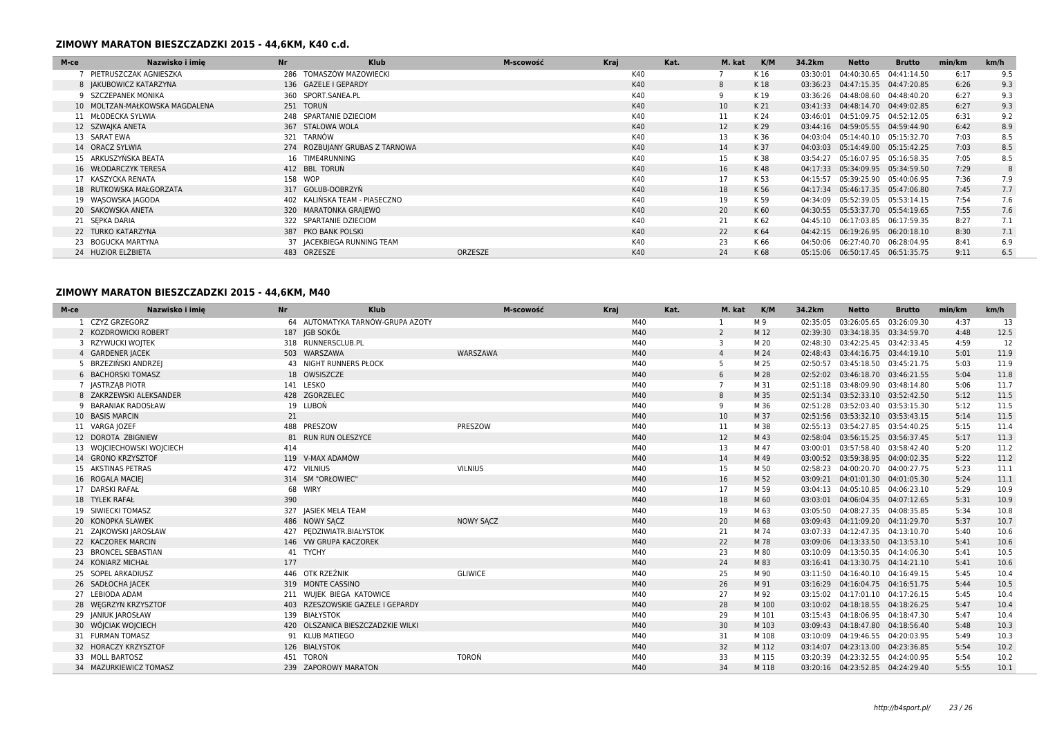| M-ce | <b>Nr</b><br>Nazwisko i imie   | <b>Klub</b>                    | M-scowość | Kraj |     | Kat. | M. kat | K/M  | 34.2km   | Netto                              | <b>Brutto</b> | min/km | km/h |
|------|--------------------------------|--------------------------------|-----------|------|-----|------|--------|------|----------|------------------------------------|---------------|--------|------|
|      | PIETRUSZCZAK AGNIESZKA         | 286 TOMASZÓW MAZOWIECKI        |           |      | K40 |      |        | K 16 | 03:30:01 | 04:40:30.65                        | 04:41:14.50   | 6:17   | 9.5  |
|      | 8   AKUBOWICZ KATARZYNA        | 136 GAZELE I GEPARDY           |           |      | K40 |      | 8      | K 18 |          | 03:36:23  04:47:15.35  04:47:20.85 |               | 6:26   | 9.3  |
|      | 9 SZCZEPANEK MONIKA            | 360 SPORT.SANEA.PL             |           |      | K40 |      |        | K 19 |          | 03:36:26 04:48:08.60 04:48:40.20   |               | 6:27   | 9.3  |
|      | 10 MOLTZAN-MAŁKOWSKA MAGDALENA | 251 TORUŃ                      |           |      | K40 |      | 10     | K 21 |          | 03:41:33  04:48:14.70  04:49:02.85 |               | 6:27   | 9.3  |
|      | 11 MŁODECKA SYLWIA             | 248 SPARTANIE DZIECIOM         |           |      | K40 |      | 11     | K 24 |          | 03:46:01  04:51:09.75  04:52:12.05 |               | 6:31   | 9.2  |
|      | 12 SZWAJKA ANETA               | 367 STALOWA WOLA               |           |      | K40 |      | 12     | K 29 |          | 03:44:16 04:59:05.55 04:59:44.90   |               | 6:42   | 8.9  |
|      | 13 SARAT EWA                   | 321 TARNÓW                     |           |      | K40 |      | 13     | K 36 | 04:03:04 | 05:14:40.10 05:15:32.70            |               | 7:03   | 8.5  |
|      | 14 ORACZ SYLWIA                | 274 ROZBUJANY GRUBAS Z TARNOWA |           |      | K40 |      | 14     | K 37 |          | 04:03:03  05:14:49.00  05:15:42.25 |               | 7:03   | 8.5  |
|      | 15 ARKUSZYŃSKA BEATA           | 16 TIME4RUNNING                |           |      | K40 |      | 15     | K 38 | 03:54:27 | 05:16:07.95 05:16:58.35            |               | 7:05   | 8.5  |
|      | 16 WŁODARCZYK TERESA           | 412 BBL TORUN                  |           |      | K40 |      | 16     | K 48 | 04:17:33 | 05:34:09.95 05:34:59.50            |               | 7:29   | 8    |
|      | 17 KASZYCKA RENATA             | 158 WOP                        |           |      | K40 |      | 17     | K 53 | 04:15:57 | 05:39:25.90 05:40:06.95            |               | 7:36   | 7.9  |
|      | 18 RUTKOWSKA MAŁGORZATA        | 317 GOLUB-DOBRZYN              |           |      | K40 |      | 18     | K 56 | 04:17:34 | 05:46:17.35 05:47:06.80            |               | 7:45   | 7.7  |
|      | 19 WASOWSKA JAGODA             | 402 KALINSKA TEAM - PIASECZNO  |           |      | K40 |      | 19     | K 59 | 04:34:09 | 05:52:39.05 05:53:14.15            |               | 7:54   | 7.6  |
|      | 20 SAKOWSKA ANETA              | 320 MARATONKA GRAJEWO          |           |      | K40 |      | 20     | K 60 |          | 04:30:55  05:53:37.70  05:54:19.65 |               | 7:55   | 7.6  |
|      | 21 SEPKA DARIA                 | 322 SPARTANIE DZIECIOM         |           |      | K40 |      | 21     | K 62 | 04:45:10 | 06:17:03.85 06:17:59.35            |               | 8:27   | 7.1  |
|      | 22 TURKO KATARZYNA             | 387 PKO BANK POLSKI            |           |      | K40 |      | 22     | K 64 |          | 04:42:15 06:19:26.95 06:20:18.10   |               | 8:30   | 7.1  |
|      | 23 BOGUCKA MARTYNA             | 37 JACEKBIEGA RUNNING TEAM     |           |      | K40 |      | 23     | K 66 | 04:50:06 | 06:27:40.70 06:28:04.95            |               | 8:41   | 6.9  |
|      | 24 HUZIOR ELŻBIETA             | 483 ORZESZE<br>ORZESZE         |           |      | K40 |      | 24     | K 68 |          | 05:15:06  06:50:17.45  06:51:35.75 |               | 9:11   | 6.5  |

## **ZIMOWY MARATON BIESZCZADZKI 2015 - 44,6KM, M40**

| M-ce | Nazwisko i imie           | Nr  | <b>Klub</b>                       |                  | M-scowość<br>Kraj |     | Kat. | M. kat         | K/M   | 34.2km   | <b>Netto</b>                       | <b>Brutto</b> | min/km | km/h |
|------|---------------------------|-----|-----------------------------------|------------------|-------------------|-----|------|----------------|-------|----------|------------------------------------|---------------|--------|------|
|      | CZYŻ GRZEGORZ             |     | 64 AUTOMATYKA TARNÓW-GRUPA AZOTY  |                  |                   | M40 |      |                | M 9   | 02:35:05 | 03:26:05.65                        | 03:26:09.30   | 4:37   | 13   |
|      | 2 KOZDROWICKI ROBERT      |     | 187 IGB SOKÓŁ                     |                  |                   | M40 |      | 2              | M 12  | 02:39:30 | 03:34:18.35 03:34:59.70            |               | 4:48   | 12.5 |
|      | 3 RZYWUCKI WOJTEK         |     | 318 RUNNERSCLUB.PL                |                  |                   | M40 |      | 3              | M 20  |          | 02:48:30 03:42:25.45 03:42:33.45   |               | 4:59   | 12   |
|      | 4 GARDENER JACEK          |     | 503 WARSZAWA                      | WARSZAWA         |                   | M40 |      |                | M 24  | 02:48:43 | 03:44:16.75 03:44:19.10            |               | 5:01   | 11.9 |
|      | 5 BRZEZIŃSKI ANDRZEJ      |     | <b>43 NIGHT RUNNERS PŁOCK</b>     |                  |                   | M40 |      | 5              | M 25  | 02:50:57 | 03:45:18.50 03:45:21.75            |               | 5:03   | 11.9 |
|      | 6 BACHORSKI TOMASZ        |     | 18 OWSISZCZE                      |                  |                   | M40 |      | 6              | M 28  |          | 02:52:02 03:46:18.70 03:46:21.55   |               | 5:04   | 11.8 |
|      | 7 JASTRZĄB PIOTR          |     | 141 LESKO                         |                  |                   | M40 |      | $\overline{7}$ | M 31  |          | 02:51:18 03:48:09.90 03:48:14.80   |               | 5:06   | 11.7 |
|      | 8 ZAKRZEWSKI ALEKSANDER   |     | 428 ZGORZELEC                     |                  |                   | M40 |      | 8              | M 35  |          | 02:51:34  03:52:33.10  03:52:42.50 |               | 5:12   | 11.5 |
|      | 9 BARANIAK RADOSŁAW       |     | 19 LUBOŃ                          |                  |                   | M40 |      | 9              | M 36  |          | 02:51:28 03:52:03.40 03:53:15.30   |               | 5:12   | 11.5 |
|      | 10 BASIS MARCIN           | 21  |                                   |                  |                   | M40 |      | 10             | M 37  |          | 02:51:56 03:53:32.10 03:53:43.15   |               | 5:14   | 11.5 |
|      | 11 VARGA JOZEF            |     | 488 PRESZOW                       | PRESZOW          |                   | M40 |      | 11             | M 38  |          | 02:55:13 03:54:27.85 03:54:40.25   |               | 5:15   | 11.4 |
|      | 12 DOROTA ZBIGNIEW        |     | 81 RUN RUN OLESZYCE               |                  |                   | M40 |      | 12             | M 43  |          | 02:58:04 03:56:15.25 03:56:37.45   |               | 5:17   | 11.3 |
|      | 13 WOJCIECHOWSKI WOJCIECH | 414 |                                   |                  |                   | M40 |      | 13             | M 47  |          | 03:00:01 03:57:58.40 03:58:42.40   |               | 5:20   | 11.2 |
|      | 14 GRONO KRZYSZTOF        |     | 119 V-MAX ADAMÓW                  |                  |                   | M40 |      | 14             | M 49  |          | 03:00:52 03:59:38.95 04:00:02.35   |               | 5:22   | 11.2 |
|      | 15 AKSTINAS PETRAS        |     | 472 VILNIUS                       | <b>VILNIUS</b>   |                   | M40 |      | 15             | M 50  |          | 02:58:23  04:00:20.70  04:00:27.75 |               | 5:23   | 11.1 |
|      | 16 ROGALA MACIEJ          |     | 314 SM "ORŁOWIEC"                 |                  |                   | M40 |      | 16             | M 52  |          | 03:09:21  04:01:01.30  04:01:05.30 |               | 5:24   | 11.1 |
|      | 17 DARSKI RAFAŁ           |     | 68 WIRY                           |                  |                   | M40 |      | 17             | M 59  |          | 03:04:13 04:05:10.85 04:06:23.10   |               | 5:29   | 10.9 |
|      | 18 TYLEK RAFAŁ            | 390 |                                   |                  |                   | M40 |      | 18             | M 60  |          | 03:03:01  04:06:04.35  04:07:12.65 |               | 5:31   | 10.9 |
|      | 19 SIWIECKI TOMASZ        |     | 327 JASIEK MELA TEAM              |                  |                   | M40 |      | 19             | M 63  |          | 03:05:50 04:08:27.35 04:08:35.85   |               | 5:34   | 10.8 |
|      | 20 KONOPKA SLAWEK         |     | 486 NOWY SACZ                     | <b>NOWY SACZ</b> |                   | M40 |      | 20             | M 68  |          | 03:09:43  04:11:09.20  04:11:29.70 |               | 5:37   | 10.7 |
|      | 21 ZAJKOWSKI JAROSŁAW     |     | 427 PEDZIWIATR.BIAŁYSTOK          |                  |                   | M40 |      | 21             | M 74  |          | 03:07:33 04:12:47.35 04:13:10.70   |               | 5:40   | 10.6 |
|      | 22 KACZOREK MARCIN        |     | 146 VW GRUPA KACZOREK             |                  |                   | M40 |      | 22             | M 78  |          | 03:09:06  04:13:33.50  04:13:53.10 |               | 5:41   | 10.6 |
|      | <b>BRONCEL SEBASTIAN</b>  |     | 41 TYCHY                          |                  |                   | M40 |      | 23             | M 80  |          | 03:10:09  04:13:50.35  04:14:06.30 |               | 5:41   | 10.5 |
|      | 24 KONIARZ MICHAŁ         | 177 |                                   |                  |                   | M40 |      | 24             | M 83  |          | 03:16:41  04:13:30.75  04:14:21.10 |               | 5:41   | 10.6 |
|      | 25 SOPEL ARKADIUSZ        |     | 446 OTK RZEŹNIK                   | <b>GLIWICE</b>   |                   | M40 |      | 25             | M 90  |          | 03:11:50 04:16:40.10 04:16:49.15   |               | 5:45   | 10.4 |
|      | 26 SADŁOCHA JACEK         |     | 319 MONTE CASSINO                 |                  |                   | M40 |      | 26             | M 91  |          | 03:16:29  04:16:04.75  04:16:51.75 |               | 5:44   | 10.5 |
|      | 27 LEBIODA ADAM           |     | 211 WUIEK BIEGA KATOWICE          |                  |                   | M40 |      | 27             | M 92  |          | 03:15:02  04:17:01.10  04:17:26.15 |               | 5:45   | 10.4 |
|      | 28 WEGRZYN KRZYSZTOF      |     | 403 RZESZOWSKIE GAZELE I GEPARDY  |                  |                   | M40 |      | 28             | M 100 |          | 03:10:02  04:18:18.55  04:18:26.25 |               | 5:47   | 10.4 |
|      | 29 JANIUK JAROSŁAW        |     | 139 BIAŁYSTOK                     |                  |                   | M40 |      | 29             | M 101 |          | 03:15:43 04:18:06.95 04:18:47.30   |               | 5:47   | 10.4 |
|      | 30 WÓJCIAK WOJCIECH       |     | 420 OLSZANICA BIESZCZADZKIE WILKI |                  |                   | M40 |      | 30             | M 103 |          | 03:09:43  04:18:47.80  04:18:56.40 |               | 5:48   | 10.3 |
|      | 31 FURMAN TOMASZ          |     | 91 KLUB MATIEGO                   |                  |                   | M40 |      | 31             | M 108 |          | 03:10:09  04:19:46.55  04:20:03.95 |               | 5:49   | 10.3 |
|      | 32 HORACZY KRZYSZTOF      |     | 126 BIALYSTOK                     |                  |                   | M40 |      | 32             | M 112 |          | 03:14:07  04:23:13.00  04:23:36.85 |               | 5:54   | 10.2 |
|      | 33 MOLL BARTOSZ           |     | 451 TOROŃ                         | TOROŃ            |                   | M40 |      | 33             | M 115 |          | 03:20:39  04:23:32.55  04:24:00.95 |               | 5:54   | 10.2 |
|      | 34 MAZURKIEWICZ TOMASZ    |     | 239 ZAPOROWY MARATON              |                  |                   | M40 |      | 34             | M 118 |          | 03:20:16 04:23:52.85 04:24:29.40   |               | 5:55   | 10.1 |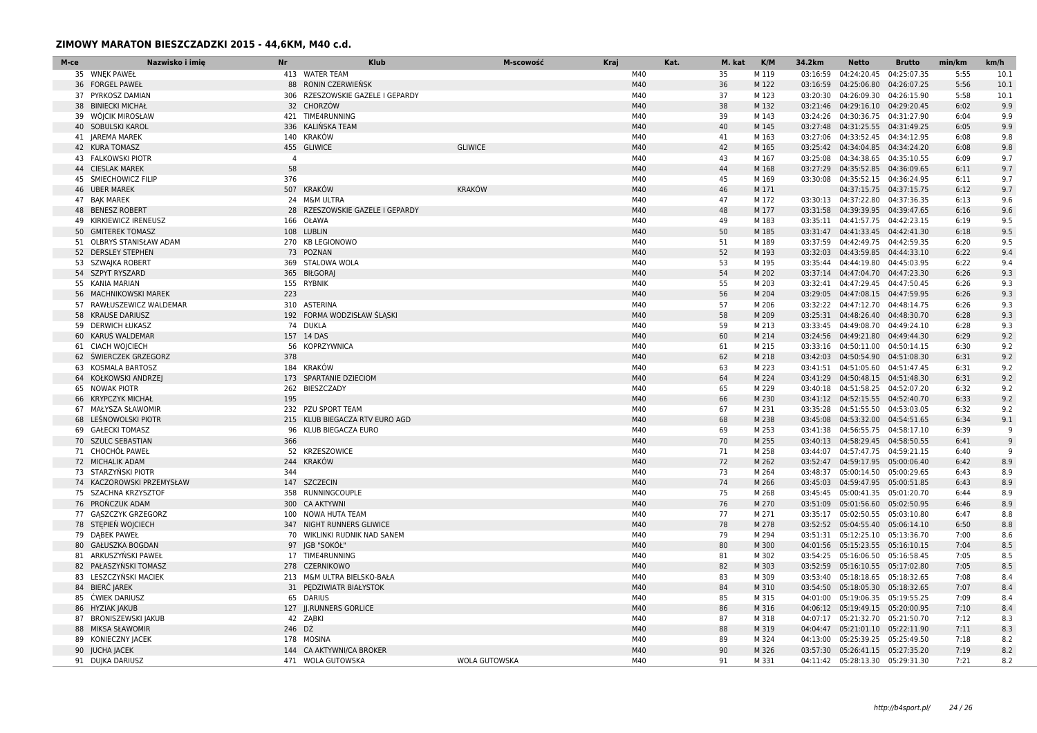| M-ce | Nazwisko i imie           | <b>Nr</b>      | <b>Klub</b>                      | M-scowość            | Kraj | Kat. | M. kat | K/M   | 34.2km   | <b>Netto</b>                       | <b>Brutto</b> | min/km | km/h |
|------|---------------------------|----------------|----------------------------------|----------------------|------|------|--------|-------|----------|------------------------------------|---------------|--------|------|
|      | 35 WNEK PAWEŁ             |                | 413 WATER TEAM                   |                      | M40  |      | 35     | M 119 | 03:16:59 | 04:24:20.45                        | 04:25:07.35   | 5:55   | 10.1 |
|      | 36 FORGEL PAWEŁ           |                | 88 RONIN CZERWIEŃSK              |                      | M40  |      | 36     | M 122 |          | 03:16:59  04:25:06.80  04:26:07.25 |               | 5:56   | 10.1 |
|      | 37 PYRKOSZ DAMIAN         |                | 306 RZESZOWSKIE GAZELE I GEPARDY |                      | M40  |      | 37     | M 123 | 03:20:30 | 04:26:09.30 04:26:15.90            |               | 5:58   | 10.1 |
|      | 38 BINIECKI MICHAŁ        |                | 32 CHORZÓW                       |                      | M40  |      | 38     | M 132 |          | 03:21:46  04:29:16.10  04:29:20.45 |               | 6:02   | 9.9  |
|      | 39 WÓJCIK MIROSŁAW        |                | 421 TIME4RUNNING                 |                      | M40  |      | 39     | M 143 |          | 03:24:26 04:30:36.75 04:31:27.90   |               | 6:04   | 9.9  |
|      | 40 SOBULSKI KAROL         |                | 336 KALIŃSKA TEAM                |                      | M40  |      | 40     | M 145 |          | 03:27:48  04:31:25.55  04:31:49.25 |               | 6:05   | 9.9  |
|      | 41 JAREMA MAREK           |                | 140 KRAKÓW                       |                      | M40  |      | 41     | M 163 |          | 03:27:06 04:33:52.45 04:34:12.95   |               | 6:08   | 9.8  |
|      | 42 KURA TOMASZ            |                | 455 GLIWICE                      | <b>GLIWICE</b>       | M40  |      | 42     | M 165 |          | 03:25:42  04:34:04.85  04:34:24.20 |               | 6:08   | 9.8  |
|      | <b>43 FALKOWSKI PIOTR</b> | $\overline{4}$ |                                  |                      | M40  |      | 43     | M 167 | 03:25:08 | 04:34:38.65 04:35:10.55            |               | 6:09   | 9.7  |
|      | 44 CIESLAK MAREK          | 58             |                                  |                      | M40  |      | 44     | M 168 |          | 03:27:29 04:35:52.85 04:36:09.65   |               | 6:11   | 9.7  |
|      | 45 ŚMIECHOWICZ FILIP      | 376            |                                  |                      | M40  |      | 45     | M 169 |          | 03:30:08  04:35:52.15  04:36:24.95 |               | 6:11   | 9.7  |
|      | 46 UBER MAREK             |                | 507 KRAKÓW                       | <b>KRAKÓW</b>        | M40  |      | 46     | M 171 |          | 04:37:15.75   04:37:15.75          |               | 6:12   | 9.7  |
|      | 47 BAK MAREK              | 24             | M&M ULTRA                        |                      | M40  |      | 47     | M 172 |          | 03:30:13 04:37:22.80               | 04:37:36.35   | 6:13   | 9.6  |
|      | 48 BENESZ ROBERT          | 28             | RZESZOWSKIE GAZELE I GEPARDY     |                      | M40  |      | 48     | M 177 |          | 03:31:58  04:39:39.95  04:39:47.65 |               | 6:16   | 9.6  |
|      | 49 KIRKIEWICZ IRENEUSZ    | 166            | OŁAWA                            |                      | M40  |      | 49     | M 183 |          | 03:35:11  04:41:57.75  04:42:23.15 |               | 6:19   | 9.5  |
|      | 50 GMITEREK TOMASZ        |                | 108 LUBLIN                       |                      | M40  |      | 50     | M 185 |          | 03:31:47  04:41:33.45  04:42:41.30 |               | 6:18   | 9.5  |
|      | 51 OLBRYS STANISŁAW ADAM  |                | 270 KB LEGIONOWO                 |                      | M40  |      | 51     | M 189 | 03:37:59 | 04:42:49.75 04:42:59.35            |               | 6:20   | 9.5  |
|      | 52 DERSLEY STEPHEN        |                | 73 POZNAN                        |                      | M40  |      | 52     | M 193 |          | 03:32:03 04:43:59.85 04:44:33.10   |               | 6:22   | 9.4  |
|      | 53 SZWAJKA ROBERT         |                | 369 STALOWA WOLA                 |                      | M40  |      | 53     | M 195 |          | 03:35:44  04:44:19.80  04:45:03.95 |               | 6:22   | 9.4  |
|      | 54 SZPYT RYSZARD          |                | 365 BIŁGORAJ                     |                      | M40  |      | 54     | M 202 |          | 03:37:14 04:47:04.70 04:47:23.30   |               | 6:26   | 9.3  |
|      | 55 KANIA MARIAN           |                | 155 RYBNIK                       |                      | M40  |      | 55     | M 203 |          | 03:32:41 04:47:29.45 04:47:50.45   |               | 6:26   | 9.3  |
| 56   | MACHNIKOWSKI MAREK        | 223            |                                  |                      | M40  |      | 56     | M 204 |          | 03:29:05  04:47:08.15  04:47:59.95 |               | 6:26   | 9.3  |
|      | 57 RAWŁUSZEWICZ WALDEMAR  |                | 310 ASTERINA                     |                      | M40  |      | 57     | M 206 |          | 03:32:22  04:47:12.70  04:48:14.75 |               | 6:26   | 9.3  |
|      | 58 KRAUSE DARIUSZ         |                | 192 FORMA WODZISŁAW ŚLĄSKI       |                      | M40  |      | 58     | M 209 |          | 03:25:31  04:48:26.40  04:48:30.70 |               | 6:28   | 9.3  |
|      | 59 DERWICH ŁUKASZ         |                | 74 DUKLA                         |                      | M40  |      | 59     | M 213 |          | 03:33:45  04:49:08.70  04:49:24.10 |               | 6:28   | 9.3  |
|      | 60 KARUS WALDEMAR         |                | 157 14 DAS                       |                      | M40  |      | 60     | M 214 |          | 03:24:56 04:49:21.80 04:49:44.30   |               | 6:29   | 9.2  |
|      | 61 CIACH WOJCIECH         | 56             | KOPRZYWNICA                      |                      | M40  |      | 61     | M 215 |          | 03:33:16  04:50:11.00  04:50:14.15 |               | 6:30   | 9.2  |
|      | 62 ŚWIERCZEK GRZEGORZ     | 378            |                                  |                      | M40  |      | 62     | M 218 |          | 03:42:03 04:50:54.90 04:51:08.30   |               | 6:31   | 9.2  |
|      | 63 KOSMALA BARTOSZ        |                | 184 KRAKÓW                       |                      | M40  |      | 63     | M 223 |          | 03:41:51  04:51:05.60  04:51:47.45 |               | 6:31   | 9.2  |
|      | 64 KOŁKOWSKI ANDRZEJ      |                | 173 SPARTANIE DZIECIOM           |                      | M40  |      | 64     | M 224 |          | 03:41:29  04:50:48.15  04:51:48.30 |               | 6:31   | 9.2  |
|      | 65 NOWAK PIOTR            | 262            | BIESZCZADY                       |                      | M40  |      | 65     | M 229 |          | 03:40:18  04:51:58.25  04:52:07.20 |               | 6:32   | 9.2  |
|      | 66 KRYPCZYK MICHAŁ        | 195            |                                  |                      | M40  |      | 66     | M 230 |          | 03:41:12  04:52:15.55  04:52:40.70 |               | 6:33   | 9.2  |
|      | 67 MAŁYSZA SŁAWOMIR       |                | 232 PZU SPORT TEAM               |                      | M40  |      | 67     | M 231 |          | 03:35:28  04:51:55.50  04:53:03.05 |               | 6:32   | 9.2  |
|      | 68 LEŚNOWOLSKI PIOTR      |                | 215 KLUB BIEGACZA RTV EURO AGD   |                      | M40  |      | 68     | M 238 |          | 03:45:08  04:53:32.00  04:54:51.65 |               | 6:34   | 9.1  |
|      | 69 GAŁECKI TOMASZ         | 96             | KLUB BIEGACZA EURO               |                      | M40  |      | 69     | M 253 | 03:41:38 | 04:56:55.75 04:58:17.10            |               | 6:39   | -9   |
|      | 70 SZULC SEBASTIAN        | 366            |                                  |                      | M40  |      | 70     | M 255 |          | 03:40:13  04:58:29.45  04:58:50.55 |               | 6:41   | 9    |
|      | 71 CHOCHÓŁ PAWEŁ          |                | 52 KRZESZOWICE                   |                      | M40  |      | 71     | M 258 |          | 03:44:07 04:57:47.75 04:59:21.15   |               | 6:40   | 9    |
|      | 72 MICHALIK ADAM          | 244            | KRAKÓW                           |                      | M40  |      | 72     | M 262 |          | 03:52:47  04:59:17.95  05:00:06.40 |               | 6:42   | 8.9  |
|      | 73 STARZYŃSKI PIOTR       | 344            |                                  |                      | M40  |      | 73     | M 264 |          | 03:48:37  05:00:14.50  05:00:29.65 |               | 6:43   | 8.9  |
|      | 74 KACZOROWSKI PRZEMYSŁAW |                | 147 SZCZECIN                     |                      | M40  |      | 74     | M 266 |          | 03:45:03 04:59:47.95 05:00:51.85   |               | 6:43   | 8.9  |
|      | 75 SZACHNA KRZYSZTOF      |                | 358 RUNNINGCOUPLE                |                      | M40  |      | 75     | M 268 |          | 03:45:45 05:00:41.35 05:01:20.70   |               | 6:44   | 8.9  |
|      | 76 PROŃCZUK ADAM          |                | 300 CA AKTYWNI                   |                      | M40  |      | 76     | M 270 |          | 03:51:09  05:01:56.60  05:02:50.95 |               | 6:46   | 8.9  |
|      | 77 GASZCZYK GRZEGORZ      |                | 100 NOWA HUTA TEAM               |                      | M40  |      | 77     | M 271 |          | 03:35:17 05:02:50.55 05:03:10.80   |               | 6:47   | 8.8  |
|      | 78 STEPIEN WOJCIECH       |                | 347 NIGHT RUNNERS GLIWICE        |                      | M40  |      | 78     | M 278 |          | 03:52:52  05:04:55.40  05:06:14.10 |               | 6:50   | 8.8  |
|      | 79 DABEK PAWEŁ            |                | 70 WIKLINKI RUDNIK NAD SANEM     |                      | M40  |      | 79     | M 294 |          | 03:51:31  05:12:25.10  05:13:36.70 |               | 7:00   | 8.6  |
|      | 80 GAŁUSZKA BOGDAN        |                | 97 IGB "SOKOŁ"                   |                      | M40  |      | 80     | M 300 |          | 04:01:56 05:15:23.55 05:16:10.15   |               | 7:04   | 8.5  |
|      | 81 ARKUSZYŃSKI PAWEŁ      |                | 17 TIME4RUNNING                  |                      | M40  |      | 81     | M 302 |          | 03:54:25  05:16:06.50  05:16:58.45 |               | 7:05   | 8.5  |
|      | 82 PAŁASZYŃSKI TOMASZ     |                | 278 CZERNIKOWO                   |                      | M40  |      | 82     | M 303 |          | 03:52:59 05:16:10.55 05:17:02.80   |               | 7:05   | 8.5  |
| 83   | LESZCZYŃSKI MACIEK        |                | 213 M&M ULTRA BIELSKO-BAŁA       |                      | M40  |      | 83     | M 309 |          | 03:53:40  05:18:18.65  05:18:32.65 |               | 7:08   | 8.4  |
|      | 84 BIERC JAREK            |                | 31 PEDZIWIATR BIAŁYSTOK          |                      | M40  |      | 84     | M 310 |          | 03:54:50  05:18:05.30  05:18:32.65 |               | 7:07   | 8.4  |
|      | 85 ĆWIEK DARIUSZ          |                | 65 DARIUS                        |                      | M40  |      | 85     | M 315 |          | 04:01:00  05:19:06.35  05:19:55.25 |               | 7:09   | 8.4  |
|      | 86 HYZIAK JAKUB           |                | 127 JJ.RUNNERS GORLICE           |                      | M40  |      | 86     | M 316 |          | 04:06:12  05:19:49.15  05:20:00.95 |               | 7:10   | 8.4  |
|      | 87 BRONISZEWSKI JAKUB     |                | 42 ZABKI                         |                      | M40  |      | 87     | M 318 |          | 04:07:17 05:21:32.70 05:21:50.70   |               | 7:12   | 8.3  |
| 88   | <b>MIKSA SŁAWOMIR</b>     | 246 DŹ         |                                  |                      | M40  |      | 88     | M 319 |          | 04:04:47  05:21:01.10  05:22:11.90 |               | 7:11   | 8.3  |
|      | 89 KONIECZNY JACEK        |                | 178 MOSINA                       |                      | M40  |      | 89     | M 324 |          | 04:13:00 05:25:39.25 05:25:49.50   |               | 7:18   | 8.2  |
|      | 90 JUCHA JACEK            |                | 144 CA AKTYWNI/CA BROKER         |                      | M40  |      | 90     | M 326 |          | 03:57:30  05:26:41.15  05:27:35.20 |               | 7:19   | 8.2  |
|      | 91 DUJKA DARIUSZ          |                | 471 WOLA GUTOWSKA                | <b>WOLA GUTOWSKA</b> | M40  |      | 91     | M 331 |          | 04:11:42  05:28:13.30  05:29:31.30 |               | 7:21   | 8.2  |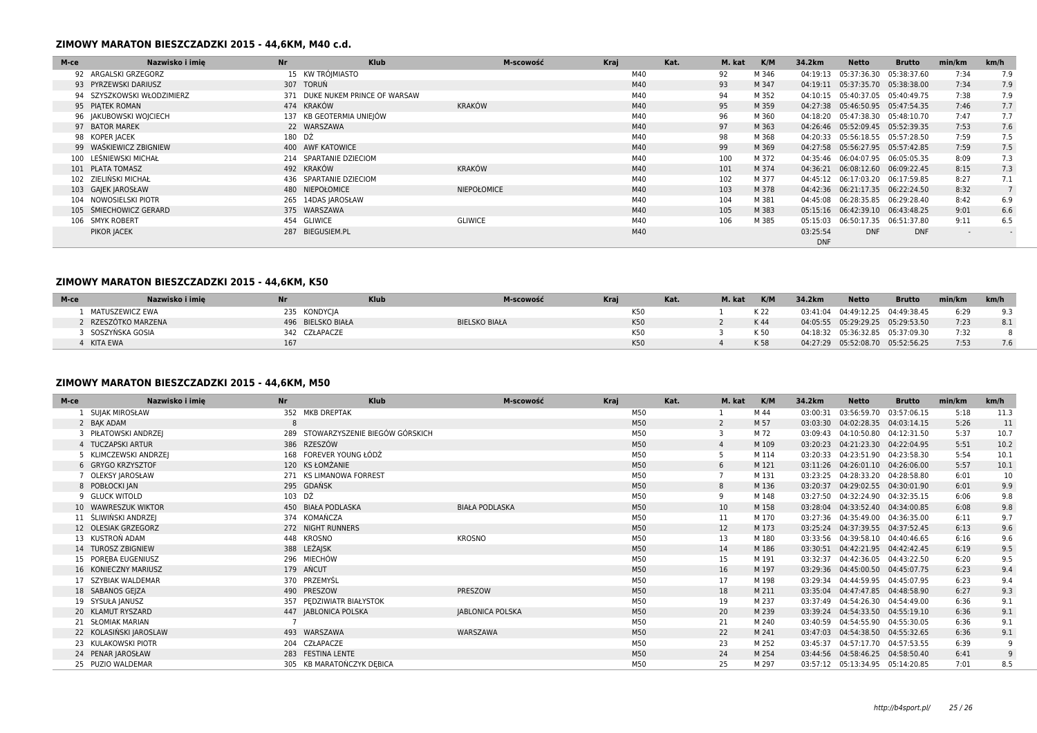| M-ce | Nazwisko i imie            | <b>Nr</b> | Klub                            | M-scowość      | Kraj |     | Kat. | M. kat | K/M   | 34.2km                 | <b>Netto</b>                       | <b>Brutto</b> | min/km | km/h |
|------|----------------------------|-----------|---------------------------------|----------------|------|-----|------|--------|-------|------------------------|------------------------------------|---------------|--------|------|
|      | 92 ARGALSKI GRZEGORZ       |           | 15 KW TRÓIMIASTO                |                |      | M40 |      | 92     | M 346 | 04:19:13               | 05:37:36.30                        | 05:38:37.60   | 7:34   | 7.9  |
|      | 93 PYRZEWSKI DARIUSZ       |           | 307 TORUŃ                       |                |      | M40 |      | 93     | M 347 | 04:19:11               | 05:37:35.70 05:38:38.00            |               | 7:34   | 7.9  |
|      | 94 SZYSZKOWSKI WŁODZIMIERZ |           | 371 DUKE NUKEM PRINCE OF WARSAW |                |      | M40 |      | 94     | M 352 | 04:10:15               | 05:40:37.05                        | 05:40:49.75   | 7:38   | 7.9  |
|      | 95 PIATEK ROMAN            |           | 474 KRAKÓW                      | KRAKÓW         |      | M40 |      | 95     | M 359 |                        | 04:27:38 05:46:50.95 05:47:54.35   |               | 7:46   | 7.7  |
|      | 96 JAKUBOWSKI WOJCIECH     |           | 137 KB GEOTERMIA UNIEJÓW        |                |      | M40 |      | 96     | M 360 | 04:18:20               | 05:47:38.30 05:48:10.70            |               | 7:47   | 7.7  |
|      | 97 BATOR MAREK             |           | 22 WARSZAWA                     |                |      | M40 |      | 97     | M 363 |                        | 04:26:46 05:52:09.45 05:52:39.35   |               | 7:53   | 7.6  |
|      | 98 KOPER JACEK             | 180 DŹ    |                                 |                |      | M40 |      | 98     | M 368 | 04:20:33               | 05:56:18.55 05:57:28.50            |               | 7:59   | 7.5  |
|      | 99 WAŚKIEWICZ ZBIGNIEW     |           | 400 AWF KATOWICE                |                |      | M40 |      | 99     | M 369 |                        | 04:27:58 05:56:27.95 05:57:42.85   |               | 7:59   | 7.5  |
|      | 100 LEŚNIEWSKI MICHAŁ      |           | 214 SPARTANIE DZIECIOM          |                |      | M40 |      | 100    | M 372 |                        | 04:35:46 06:04:07.95 06:05:05.35   |               | 8:09   | 7.3  |
|      | 101 PLATA TOMASZ           |           | 492 KRAKÓW                      | KRAKÓW         |      | M40 |      | 101    | M 374 |                        | 04:36:21 06:08:12.60               | 06:09:22.45   | 8:15   | 7.3  |
|      | 102 ZIELIŃSKI MICHAŁ       |           | 436 SPARTANIE DZIECIOM          |                |      | M40 |      | 102    | M 377 |                        | 04:45:12 06:17:03.20               | 06:17:59.85   | 8:27   | 7.1  |
|      | 103 GAJEK JAROSŁAW         |           | 480 NIEPOŁOMICE                 | NIEPOŁOMICE    |      | M40 |      | 103    | M 378 |                        | 04:42:36 06:21:17.35               | 06:22:24.50   | 8:32   |      |
|      | 104 NOWOSIELSKI PIOTR      |           | 265 14DAS JAROSŁAW              |                |      | M40 |      | 104    | M 381 |                        | 04:45:08  06:28:35.85  06:29:28.40 |               | 8:42   | 6.9  |
|      | 105 ŚMIECHOWICZ GERARD     |           | 375 WARSZAWA                    |                |      | M40 |      | 105    | M 383 |                        | 05:15:16  06:42:39.10  06:43:48.25 |               | 9:01   | 6.6  |
|      | 106 SMYK ROBERT            |           | 454 GLIWICE                     | <b>GLIWICE</b> |      | M40 |      | 106    | M 385 | 05:15:03               | 06:50:17.35                        | 06:51:37.80   | 9:11   | 6.5  |
|      | PIKOR JACEK                |           | 287 BIEGUSIEM.PL                |                |      | M40 |      |        |       | 03:25:54<br><b>DNF</b> | <b>DNF</b>                         | <b>DNF</b>    | $\sim$ |      |

### **ZIMOWY MARATON BIESZCZADZKI 2015 - 44,6KM, K50**

| M-ce | Nazwisko i imie   | Nr.               | <b>Klub</b> | M-scowość            | Krai | Kat. | M. kat | K/M            | 34.2km   | <b>Netto</b>                     | <b>Brutto</b> | min/km | km/h |
|------|-------------------|-------------------|-------------|----------------------|------|------|--------|----------------|----------|----------------------------------|---------------|--------|------|
|      | MATUSZEWICZ EWA   | 235 KONDYCJA      |             |                      | K50  |      |        | K 22           | 03:41:04 | 04:49:12.25 04:49:38.45          |               | 6:29   |      |
|      | RZESZÓTKO MARZENA | 496 BIELSKO BIAŁA |             | <b>BIELSKO BIAŁA</b> | K50  |      |        | K 44           |          | 04:05:55 05:29:29.25 05:29:53.50 |               | 7:23   | 8.1  |
|      | SOSZYŃSKA GOSIA   | 342 CZŁAPACZE     |             |                      | K50  |      |        | K <sub>5</sub> | 04.18.32 | 05:36:32.85 05:37:09.30          |               | 7:32   |      |
|      | KITA EWA          | 167               |             |                      | K50  |      |        | K <sub>5</sub> | 04:27:29 | 05:52:08.70 05:52:56.25          |               | 7:53   |      |

## **ZIMOWY MARATON BIESZCZADZKI 2015 - 44,6KM, M50**

| M-ce | Nazwisko i imię<br><b>Nr</b> |        | <b>Klub</b>                        | M-scowość               | Kraj |     | Kat. | M. kat          | K/M   | 34.2km   | <b>Netto</b>                       | <b>Brutto</b> | min/km | km/h           |
|------|------------------------------|--------|------------------------------------|-------------------------|------|-----|------|-----------------|-------|----------|------------------------------------|---------------|--------|----------------|
|      | 1 SUJAK MIROSŁAW             |        | 352 MKB DREPTAK                    |                         |      | M50 |      |                 | M 44  | 03:00:31 | 03:56:59.70 03:57:06.15            |               | 5:18   | 11.3           |
|      | 2 BAK ADAM                   | 8      |                                    |                         |      | M50 |      |                 | M 57  | 03:03:30 | 04:02:28.35 04:03:14.15            |               | 5:26   | 11             |
|      | 3 PIŁATOWSKI ANDRZEJ         |        | 289 STOWARZYSZENIE BIEGÓW GÓRSKICH |                         |      | M50 |      | 3               | M 72  |          | 03:09:43  04:10:50.80  04:12:31.50 |               | 5:37   | 10.7           |
|      | 4 TUCZAPSKI ARTUR            |        | 386 RZESZÓW                        |                         |      | M50 |      |                 | M 109 |          | 03:20:23  04:21:23.30  04:22:04.95 |               | 5:51   | 10.2           |
|      | 5 KLIMCZEWSKI ANDRZEJ        |        | 168 FOREVER YOUNG ŁÓDŹ             |                         |      | M50 |      |                 | M 114 |          | 03:20:33  04:23:51.90  04:23:58.30 |               | 5:54   | 10.1           |
|      | 6 GRYGO KRZYSZTOF            |        | 120 KS ŁOMŻANIE                    |                         |      | M50 |      |                 | M 121 |          | 03:11:26 04:26:01.10 04:26:06.00   |               | 5:57   | 10.1           |
|      | 7 OLEKSY JAROSŁAW            |        | 271 KS LIMANOWA FORREST            |                         |      | M50 |      |                 | M 131 |          | 03:23:25  04:28:33.20  04:28:58.80 |               | 6:01   | 10             |
|      | 8 POBŁOCKI JAN               |        | 295 GDAŃSK                         |                         |      | M50 |      |                 | M 136 |          | 03:20:37 04:29:02.55 04:30:01.90   |               | 6:01   | 9.9            |
|      | 9 GLUCK WITOLD               | 103 DŹ |                                    |                         |      | M50 |      | 9               | M 148 |          | 03:27:50 04:32:24.90 04:32:35.15   |               | 6:06   | 9.8            |
|      | 10 WAWRESZUK WIKTOR          |        | 450 BIAŁA PODLASKA                 | <b>BIAŁA PODLASKA</b>   |      | M50 |      | 10 <sup>°</sup> | M 158 |          | 03:28:04  04:33:52.40  04:34:00.85 |               | 6:08   | 9.8            |
|      | 11 ŚLIWIŃSKI ANDRZEJ         |        | 374 KOMAŃCZA                       |                         |      | M50 |      | 11              | M 170 |          | 03:27:36 04:35:49.00 04:36:35.00   |               | 6:11   | 9.7            |
|      | 12 OLESIAK GRZEGORZ          |        | 272 NIGHT RUNNERS                  |                         |      | M50 |      | 12              | M 173 |          | 03:25:24  04:37:39.55  04:37:52.45 |               | 6:13   | 9.6            |
|      | 13 KUSTROŃ ADAM              |        | 448 KROSNO                         | <b>KROSNO</b>           |      | M50 |      | 13              | M 180 |          | 03:33:56 04:39:58.10 04:40:46.65   |               | 6:16   | 9.6            |
|      | 14 TUROSZ ZBIGNIEW           |        | 388 LEŻAJSK                        |                         |      | M50 |      | 14              | M 186 |          | 03:30:51 04:42:21.95 04:42:42.45   |               | 6:19   | 9.5            |
|      | 15 POREBA EUGENIUSZ          |        | 296 MIECHÓW                        |                         |      | M50 |      | 15              | M 191 |          | 03:32:37 04:42:36.05 04:43:22.50   |               | 6:20   | 9.5            |
|      | 16 KONIECZNY MARIUSZ         |        | 179 ANCUT                          |                         |      | M50 |      | 16              | M 197 |          | 03:29:36 04:45:00.50 04:45:07.75   |               | 6:23   | 9.4            |
|      | 17 SZYBIAK WALDEMAR          |        | 370 PRZEMYŚL                       |                         |      | M50 |      | 17              | M 198 |          | 03:29:34 04:44:59.95 04:45:07.95   |               | 6:23   | 9.4            |
|      | 18 SABANOS GEIZA             |        | 490 PRESZOW                        | PRESZOW                 |      | M50 |      | 18              | M 211 |          | 03:35:04 04:47:47.85 04:48:58.90   |               | 6:27   | 9.3            |
|      | 19 SYSUŁA JANUSZ             |        | 357 PEDZIWIATR BIAŁYSTOK           |                         |      | M50 |      | 19              | M 237 |          | 03:37:49  04:54:26.30  04:54:49.00 |               | 6:36   | 9.1            |
|      | 20 KLAMUT RYSZARD            |        | 447   ABLONICA POLSKA              | <b>JABLONICA POLSKA</b> |      | M50 |      | 20              | M 239 |          | 03:39:24  04:54:33.50  04:55:19.10 |               | 6:36   | 9.1            |
|      | 21 SŁOMIAK MARIAN            |        |                                    |                         |      | M50 |      | 21              | M 240 |          | 03:40:59 04:54:55.90 04:55:30.05   |               | 6:36   | 9.1            |
|      | 22 KOLASIŃSKI JAROSLAW       |        | 493 WARSZAWA                       | WARSZAWA                |      | M50 |      | 22              | M 241 |          | 03:47:03 04:54:38.50 04:55:32.65   |               | 6:36   | 9.1            |
|      | 23 KULAKOWSKI PIOTR          |        | 204 CZŁAPACZE                      |                         |      | M50 |      | 23              | M 252 | 03:45:37 | 04:57:17.70 04:57:53.55            |               | 6:39   | 9              |
|      | 24 PENAR JAROSŁAW            |        | 283 FESTINA LENTE                  |                         |      | M50 |      | 24              | M 254 |          | 03:44:56 04:58:46.25 04:58:50.40   |               | 6:41   | $\overline{9}$ |
|      | 25 PUZIO WALDEMAR            |        | 305 KB MARATOŃCZYK DEBICA          |                         |      | M50 |      | 25              | M 297 |          | 03:57:12 05:13:34.95 05:14:20.85   |               | 7:01   | 8.5            |